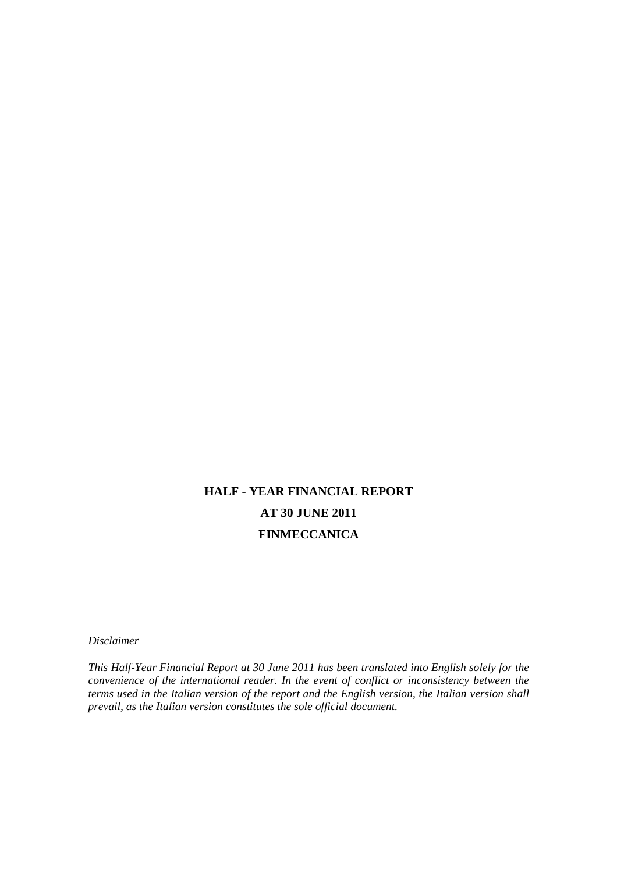# **HALF - YEAR FINANCIAL REPORT AT 30 JUNE 2011 FINMECCANICA**

*Disclaimer* 

*This Half-Year Financial Report at 30 June 2011 has been translated into English solely for the convenience of the international reader. In the event of conflict or inconsistency between the terms used in the Italian version of the report and the English version, the Italian version shall prevail, as the Italian version constitutes the sole official document.*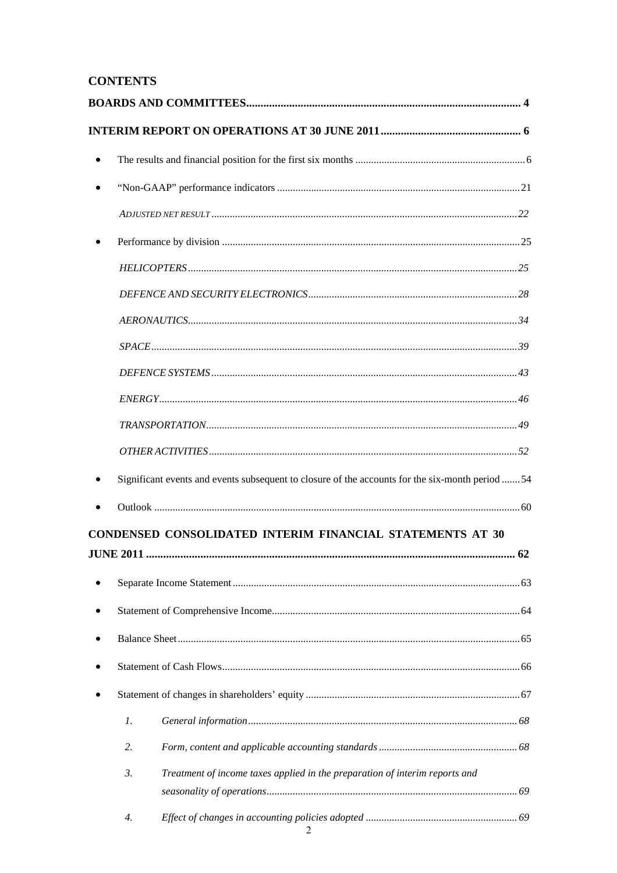# **CONTENTS**

|                  | Significant events and events subsequent to closure of the accounts for the six-month period 54 |
|------------------|-------------------------------------------------------------------------------------------------|
|                  |                                                                                                 |
|                  | CONDENSED CONSOLIDATED INTERIM FINANCIAL STATEMENTS AT 30                                       |
|                  |                                                                                                 |
|                  |                                                                                                 |
|                  |                                                                                                 |
|                  |                                                                                                 |
|                  |                                                                                                 |
|                  |                                                                                                 |
| $\mathfrak{1}.$  |                                                                                                 |
| 2.               |                                                                                                 |
| 3.               | Treatment of income taxes applied in the preparation of interim reports and                     |
|                  |                                                                                                 |
| $\overline{4}$ . |                                                                                                 |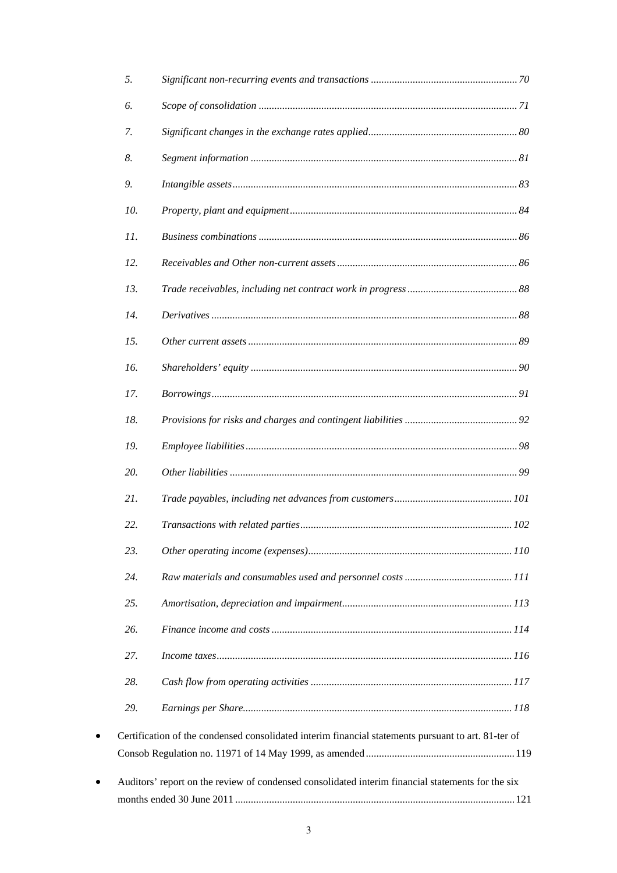| 5.        |                                                                                                     |  |
|-----------|-----------------------------------------------------------------------------------------------------|--|
| 6.        |                                                                                                     |  |
| 7.        |                                                                                                     |  |
| 8.        |                                                                                                     |  |
| 9.        |                                                                                                     |  |
| 10.       |                                                                                                     |  |
| 11.       |                                                                                                     |  |
| 12.       |                                                                                                     |  |
| 13.       |                                                                                                     |  |
| 14.       |                                                                                                     |  |
| 15.       |                                                                                                     |  |
| 16.       |                                                                                                     |  |
| 17.       |                                                                                                     |  |
| 18.       |                                                                                                     |  |
| 19.       |                                                                                                     |  |
| 20.       |                                                                                                     |  |
| 21.       |                                                                                                     |  |
| 22.       |                                                                                                     |  |
| 23.       |                                                                                                     |  |
| 24.       |                                                                                                     |  |
| 25.       |                                                                                                     |  |
| 26.       |                                                                                                     |  |
| 27.       |                                                                                                     |  |
| 28.       |                                                                                                     |  |
| 29.       |                                                                                                     |  |
| $\bullet$ | Certification of the condensed consolidated interim financial statements pursuant to art. 81-ter of |  |
|           | Auditors' report on the review of condensed consolidated interim financial statements for the six   |  |
|           |                                                                                                     |  |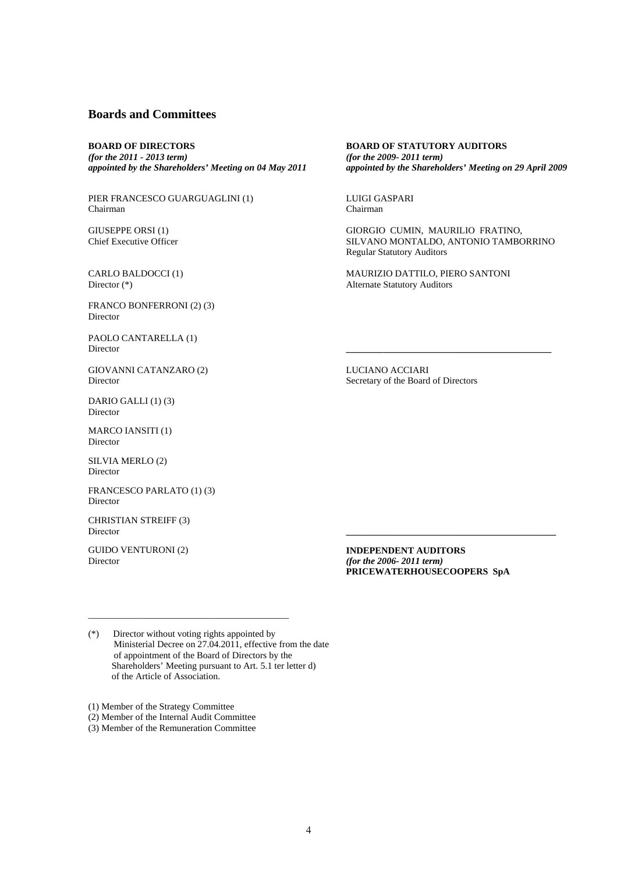#### **Boards and Committees**

**BOARD OF DIRECTORS**  *(for the 2011 - 2013 term) appointed by the Shareholders' Meeting on 04 May 2011*

PIER FRANCESCO GUARGUAGLINI (1) Chairman

GIUSEPPE ORSI (1) Chief Executive Officer

CARLO BALDOCCI (1) Director (\*)

FRANCO BONFERRONI (2) (3) Director

PAOLO CANTARELLA (1) **Director with a set of the contract of the contract of the contract of the contract of the contract of the contract of the contract of the contract of the contract of the contract of the contract of the contract of the** 

GIOVANNI CATANZARO (2) Director

DARIO GALLI (1) (3) Director

MARCO IANSITI (1) Director

SILVIA MERLO (2) Director

FRANCESCO PARLATO (1) (3) Director

CHRISTIAN STREIFF (3) Director **\_\_\_\_\_\_\_\_\_\_\_\_\_\_\_\_\_\_\_\_\_\_\_\_\_\_\_\_\_\_\_\_\_\_\_\_\_\_\_\_\_\_\_\_\_** 

GUIDO VENTURONI (2) Director

**BOARD OF STATUTORY AUDITORS**  *(for the 2009- 2011 term) appointed by the Shareholders' Meeting on 29 April 2009*

LUIGI GASPARI Chairman

GIORGIO CUMIN, MAURILIO FRATINO, SILVANO MONTALDO, ANTONIO TAMBORRINO Regular Statutory Auditors

MAURIZIO DATTILO, PIERO SANTONI Alternate Statutory Auditors

LUCIANO ACCIARI Secretary of the Board of Directors

**INDEPENDENT AUDITORS**  *(for the 2006- 2011 term)* **PRICEWATERHOUSECOOPERS SpA** 

(\*) Director without voting rights appointed by Ministerial Decree on 27.04.2011, effective from the date of appointment of the Board of Directors by the Shareholders' Meeting pursuant to Art. 5.1 ter letter d) of the Article of Association.

\_\_\_\_\_\_\_\_\_\_\_\_\_\_\_\_\_\_\_\_\_\_\_\_\_\_\_\_\_\_\_\_\_\_\_\_\_\_\_\_\_\_\_

(1) Member of the Strategy Committee

(2) Member of the Internal Audit Committee

(3) Member of the Remuneration Committee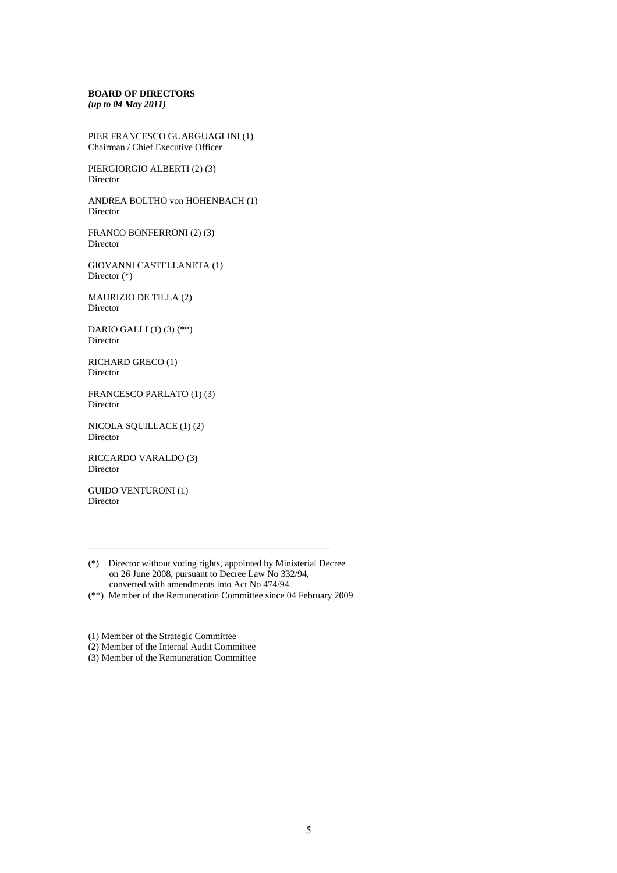#### **BOARD OF DIRECTORS**  *(up to 04 May 2011)*

PIER FRANCESCO GUARGUAGLINI (1) Chairman / Chief Executive Officer

PIERGIORGIO ALBERTI (2) (3) Director

ANDREA BOLTHO von HOHENBACH (1) Director

FRANCO BONFERRONI (2) (3) Director

GIOVANNI CASTELLANETA (1) Director (\*)

MAURIZIO DE TILLA (2) Director

DARIO GALLI (1) (3) (\*\*) Director

RICHARD GRECO (1) Director

FRANCESCO PARLATO (1) (3) Director

NICOLA SQUILLACE (1) (2) Director

RICCARDO VARALDO (3) Director

GUIDO VENTURONI (1) Director

(\*) Director without voting rights, appointed by Ministerial Decree on 26 June 2008, pursuant to Decree Law No 332/94, converted with amendments into Act No 474/94.

\_\_\_\_\_\_\_\_\_\_\_\_\_\_\_\_\_\_\_\_\_\_\_\_\_\_\_\_\_\_\_\_\_\_\_\_\_\_\_\_\_\_\_\_\_\_\_\_\_\_\_\_

(\*\*) Member of the Remuneration Committee since 04 February 2009

(1) Member of the Strategic Committee

(2) Member of the Internal Audit Committee

(3) Member of the Remuneration Committee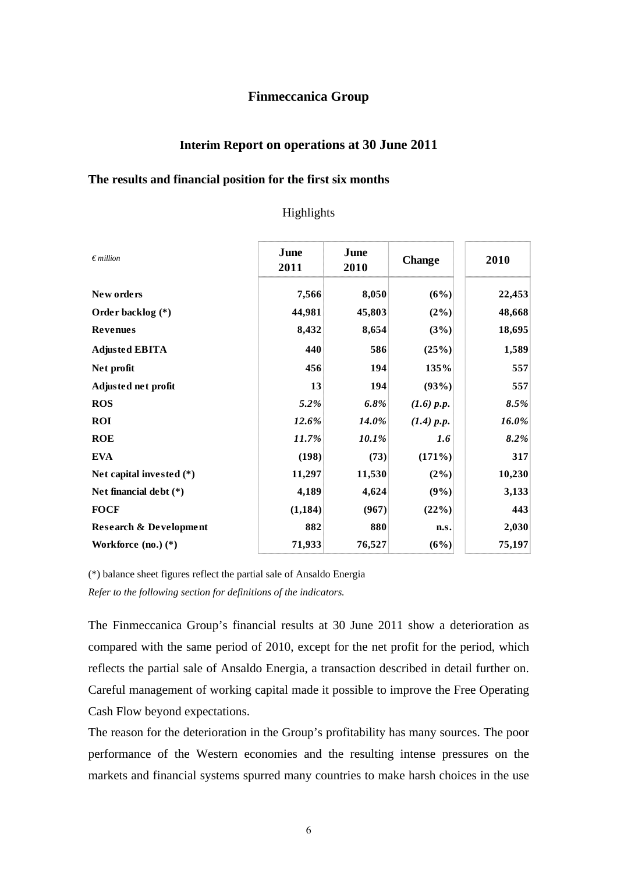# **Finmeccanica Group**

# **Interim Report on operations at 30 June 2011**

#### **The results and financial position for the first six months**

# Highlights

| $\epsilon$ million                | June<br>2011 | June<br>2010 | <b>Change</b> | 2010   |
|-----------------------------------|--------------|--------------|---------------|--------|
| New orders                        | 7,566        | 8,050        | (6%)          | 22,453 |
| Order backlog (*)                 | 44,981       | 45,803       | $(2\%)$       | 48,668 |
| <b>Revenues</b>                   | 8,432        | 8,654        | (3%)          | 18,695 |
| <b>Adjusted EBITA</b>             | 440          | 586          | (25%)         | 1,589  |
| Net profit                        | 456          | 194          | 135%          | 557    |
| Adjusted net profit               | 13           | 194          | (93%)         | 557    |
| <b>ROS</b>                        | 5.2%         | 6.8%         | (1.6) p.p.    | 8.5%   |
| <b>ROI</b>                        | 12.6%        | 14.0%        | (1.4) p.p.    | 16.0%  |
| <b>ROE</b>                        | 11.7%        | 10.1%        | 1.6           | 8.2%   |
| <b>EVA</b>                        | (198)        | (73)         | (171%)        | 317    |
| Net capital invested $(*)$        | 11,297       | 11,530       | $(2\%)$       | 10,230 |
| Net financial debt $(*)$          | 4,189        | 4,624        | (9%)          | 3,133  |
| <b>FOCF</b>                       | (1, 184)     | (967)        | (22%)         | 443    |
| <b>Research &amp; Development</b> | 882          | 880          | n.s.          | 2,030  |
| Workforce $(no.) (*)$             | 71,933       | 76,527       | (6%)          | 75,197 |

(\*) balance sheet figures reflect the partial sale of Ansaldo Energia

*Refer to the following section for definitions of the indicators.* 

The Finmeccanica Group's financial results at 30 June 2011 show a deterioration as compared with the same period of 2010, except for the net profit for the period, which reflects the partial sale of Ansaldo Energia, a transaction described in detail further on. Careful management of working capital made it possible to improve the Free Operating Cash Flow beyond expectations.

The reason for the deterioration in the Group's profitability has many sources. The poor performance of the Western economies and the resulting intense pressures on the markets and financial systems spurred many countries to make harsh choices in the use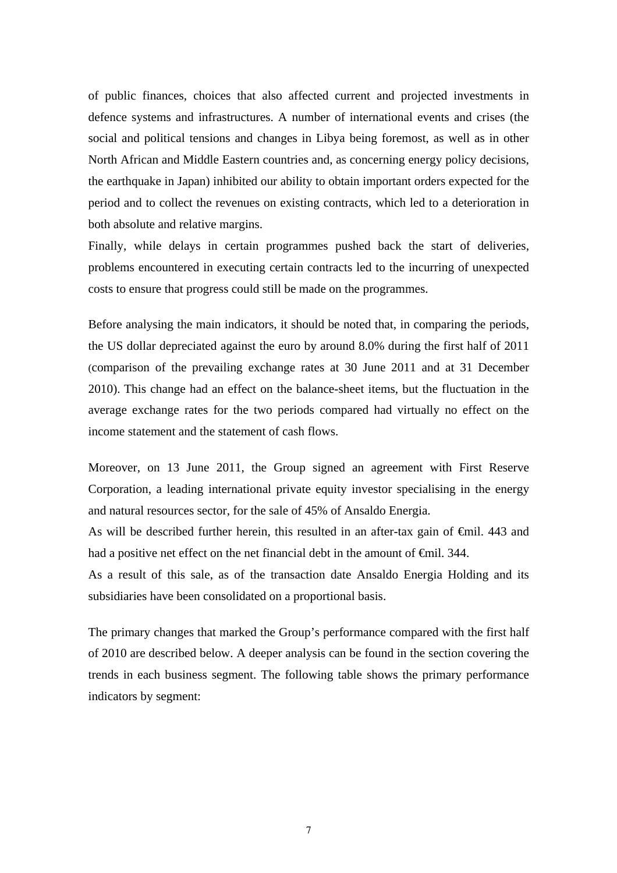of public finances, choices that also affected current and projected investments in defence systems and infrastructures. A number of international events and crises (the social and political tensions and changes in Libya being foremost, as well as in other North African and Middle Eastern countries and, as concerning energy policy decisions, the earthquake in Japan) inhibited our ability to obtain important orders expected for the period and to collect the revenues on existing contracts, which led to a deterioration in both absolute and relative margins.

Finally, while delays in certain programmes pushed back the start of deliveries, problems encountered in executing certain contracts led to the incurring of unexpected costs to ensure that progress could still be made on the programmes.

Before analysing the main indicators, it should be noted that, in comparing the periods, the US dollar depreciated against the euro by around 8.0% during the first half of 2011 (comparison of the prevailing exchange rates at 30 June 2011 and at 31 December 2010). This change had an effect on the balance-sheet items, but the fluctuation in the average exchange rates for the two periods compared had virtually no effect on the income statement and the statement of cash flows.

Moreover, on 13 June 2011, the Group signed an agreement with First Reserve Corporation, a leading international private equity investor specialising in the energy and natural resources sector, for the sale of 45% of Ansaldo Energia.

As will be described further herein, this resulted in an after-tax gain of €mil. 443 and had a positive net effect on the net financial debt in the amount of <del>€</del>mil. 344.

As a result of this sale, as of the transaction date Ansaldo Energia Holding and its subsidiaries have been consolidated on a proportional basis.

The primary changes that marked the Group's performance compared with the first half of 2010 are described below. A deeper analysis can be found in the section covering the trends in each business segment. The following table shows the primary performance indicators by segment: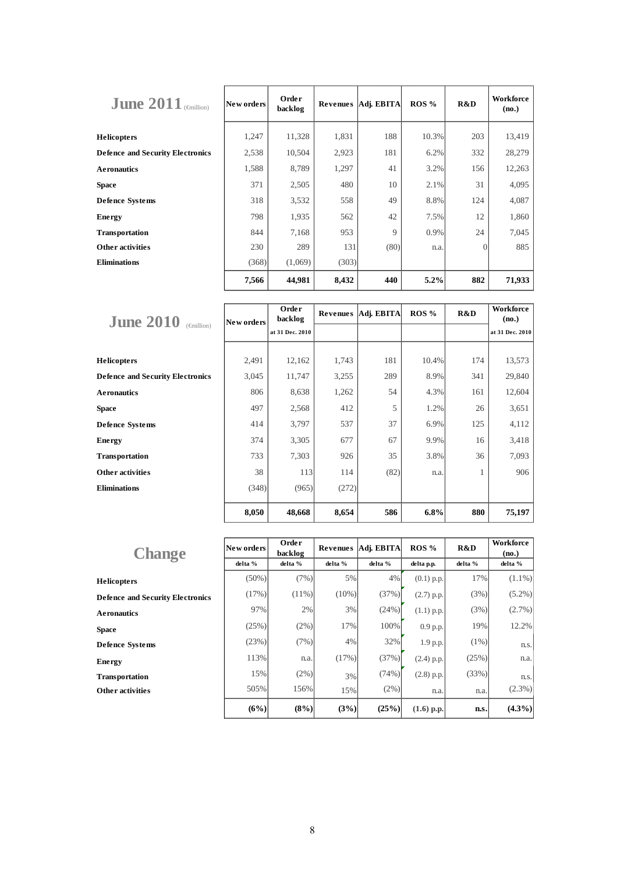| June $2011$ (enillion)                  | New orders | Order<br>backlog | Revenues | Adj. EBITA | ROS%  | R&D      | Workforce<br>(no.) |
|-----------------------------------------|------------|------------------|----------|------------|-------|----------|--------------------|
| <b>Helicopters</b>                      | 1,247      | 11,328           | 1,831    | 188        | 10.3% | 203      | 13,419             |
| <b>Defence and Security Electronics</b> | 2,538      | 10,504           | 2,923    | 181        | 6.2%  | 332      | 28,279             |
| <b>Aeronautics</b>                      | 1,588      | 8,789            | 1,297    | 41         | 3.2%  | 156      | 12,263             |
| <b>Space</b>                            | 371        | 2,505            | 480      | 10         | 2.1%  | 31       | 4,095              |
| <b>Defence Systems</b>                  | 318        | 3,532            | 558      | 49         | 8.8%  | 124      | 4,087              |
| <b>Energy</b>                           | 798        | 1,935            | 562      | 42         | 7.5%  | 12       | 1,860              |
| <b>Transportation</b>                   | 844        | 7,168            | 953      | 9          | 0.9%  | 24       | 7,045              |
| <b>Other activities</b>                 | 230        | 289              | 131      | (80)       | n.a.  | $\Omega$ | 885                |
| <b>Eliminations</b>                     | (368)      | (1,069)          | (303)    |            |       |          |                    |
|                                         | 7,566      | 44,981           | 8,432    | 440        | 5.2%  | 882      | 71,933             |

| <b>June 2010</b>                        | New orders | Order<br>backlog |       | Revenues   Adj. EBITA | ROS %   | R&D | <b>Workforce</b><br>(no.) |
|-----------------------------------------|------------|------------------|-------|-----------------------|---------|-----|---------------------------|
| $(\text{finillion})$                    |            | at 31 Dec. 2010  |       |                       |         |     | at 31 Dec. 2010           |
|                                         |            |                  |       |                       |         |     |                           |
| <b>Helicopters</b>                      | 2,491      | 12,162           | 1,743 | 181                   | 10.4%   | 174 | 13,573                    |
| <b>Defence and Security Electronics</b> | 3,045      | 11,747           | 3,255 | 289                   | 8.9%    | 341 | 29,840                    |
| <b>Aeronautics</b>                      | 806        | 8,638            | 1,262 | 54                    | 4.3%    | 161 | 12,604                    |
| <b>Space</b>                            | 497        | 2,568            | 412   | 5                     | 1.2%    | 26  | 3,651                     |
| <b>Defence Systems</b>                  | 414        | 3,797            | 537   | 37                    | 6.9%    | 125 | 4,112                     |
| <b>Energy</b>                           | 374        | 3,305            | 677   | 67                    | 9.9%    | 16  | 3,418                     |
| <b>Transportation</b>                   | 733        | 7,303            | 926   | 35                    | 3.8%    | 36  | 7,093                     |
| Other activities                        | 38         | 113              | 114   | (82)                  | n.a.    |     | 906                       |
| <b>Eliminations</b>                     | (348)      | (965)            | (272) |                       |         |     |                           |
|                                         | 8,050      | 48,668           | 8,654 | 586                   | $6.8\%$ | 880 | 75,197                    |

|                                         | New orders | Order              | Revenues | Adj. EBITA | ROS%         | R&D     | Workforce        |
|-----------------------------------------|------------|--------------------|----------|------------|--------------|---------|------------------|
| <b>Change</b>                           | delta %    | backlog<br>delta % | delta %  | delta %    | delta p.p.   | delta % | (no.)<br>delta % |
| <b>Helicopters</b>                      | $(50\%)$   | (7%)               | 5%       | 4%         | $(0.1)$ p.p. | 17%     | $(1.1\%)$        |
| <b>Defence and Security Electronics</b> | (17%)      | $(11\%)$           | $(10\%)$ | (37%)      | $(2.7)$ p.p. | (3%)    | $(5.2\%)$        |
| <b>Aeronautics</b>                      | 97%        | 2%                 | 3%       | (24%)      | $(1.1)$ p.p. | (3%)    | $(2.7\%)$        |
| <b>Space</b>                            | (25%)      | $(2\%)$            | 17%      | 100%       | $0.9$ p.p.   | 19%     | 12.2%            |
| <b>Defence Systems</b>                  | (23%)      | (7%)               | 4%       | 32%        | 1.9 p.p.     | $(1\%)$ | n.s.             |
| <b>Energy</b>                           | 113%       | n.a.               | (17%)    | (37%)      | $(2.4)$ p.p. | (25%)   | n.a.             |
| <b>Transportation</b>                   | 15%        | (2%)               | 3%       | (74%)      | $(2.8)$ p.p. | (33%)   | n.s.             |
| <b>Other activities</b>                 | 505%       | 156%               | 15%      | (2%)       | n.a.         | n.a.    | $(2.3\%)$        |
|                                         | (6%)       | $(8\%)$            | (3%)     | (25%)      | $(1.6)$ p.p. | n.s.    | $(4.3\%)$        |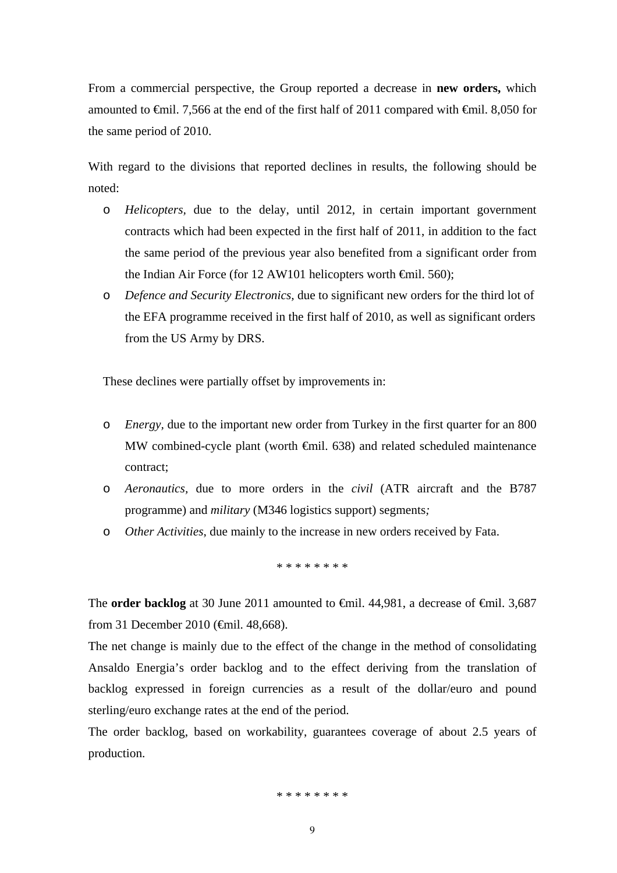From a commercial perspective, the Group reported a decrease in **new orders,** which amounted to €mil. 7,566 at the end of the first half of 2011 compared with €mil. 8,050 for the same period of 2010.

With regard to the divisions that reported declines in results, the following should be noted:

- o *Helicopters,* due to the delay, until 2012, in certain important government contracts which had been expected in the first half of 2011, in addition to the fact the same period of the previous year also benefited from a significant order from the Indian Air Force (for 12 AW101 helicopters worth  $\epsilon$ mil. 560);
- o *Defence and Security Electronics,* due to significant new orders for the third lot of the EFA programme received in the first half of 2010, as well as significant orders from the US Army by DRS.

These declines were partially offset by improvements in:

- o *Energy,* due to the important new order from Turkey in the first quarter for an 800 MW combined-cycle plant (worth €mil. 638) and related scheduled maintenance contract;
- o *Aeronautics,* due to more orders in the *civil* (ATR aircraft and the B787 programme) and *military* (M346 logistics support) segments*;*
- o *Other Activities*, due mainly to the increase in new orders received by Fata.

\* \* \* \* \* \* \* \*

The **order backlog** at 30 June 2011 amounted to <del>€</del>mil. 44,981, a decrease of <del>€</del>mil. 3,687 from 31 December 2010 (€mil. 48,668).

The net change is mainly due to the effect of the change in the method of consolidating Ansaldo Energia's order backlog and to the effect deriving from the translation of backlog expressed in foreign currencies as a result of the dollar/euro and pound sterling/euro exchange rates at the end of the period.

The order backlog, based on workability, guarantees coverage of about 2.5 years of production.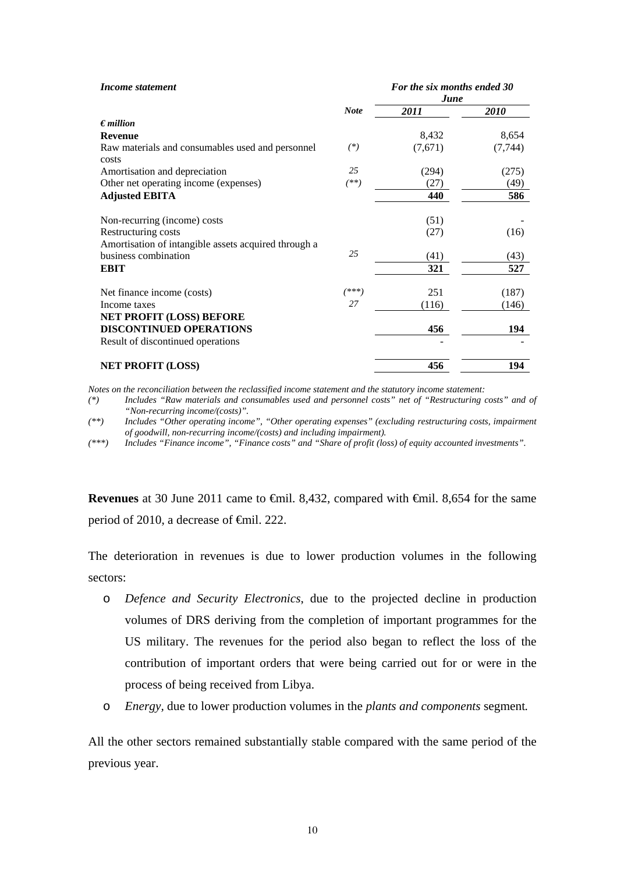| Income statement                                                             |             | For the six months ended 30<br>June |          |
|------------------------------------------------------------------------------|-------------|-------------------------------------|----------|
|                                                                              | <b>Note</b> | 2011                                | 2010     |
| $\epsilon$ <i>million</i>                                                    |             |                                     |          |
| <b>Revenue</b>                                                               |             | 8,432                               | 8,654    |
| Raw materials and consumables used and personnel<br>costs                    | $(*)$       | (7,671)                             | (7, 744) |
| Amortisation and depreciation                                                | 25          | (294)                               | (275)    |
| Other net operating income (expenses)                                        | $^{(**)}$   | (27)                                | (49)     |
| <b>Adjusted EBITA</b>                                                        |             | 440                                 | 586      |
| Non-recurring (income) costs                                                 |             | (51)                                |          |
| Restructuring costs                                                          |             | (27)                                | (16)     |
| Amortisation of intangible assets acquired through a<br>business combination | 25          | (41)                                | (43)     |
| <b>EBIT</b>                                                                  |             | 321                                 | 527      |
| Net finance income (costs)                                                   | $(***)$     | 251                                 | (187)    |
| Income taxes                                                                 | 27          | (116)                               | (146)    |
| <b>NET PROFIT (LOSS) BEFORE</b>                                              |             |                                     |          |
| <b>DISCONTINUED OPERATIONS</b>                                               |             | 456                                 | 194      |
| Result of discontinued operations                                            |             |                                     |          |
| <b>NET PROFIT (LOSS)</b>                                                     |             | 456                                 | 194      |

*Notes on the reconciliation between the reclassified income statement and the statutory income statement:* 

*(\*) Includes "Raw materials and consumables used and personnel costs" net of "Restructuring costs" and of "Non-recurring income/(costs)".* 

*(\*\*) Includes "Other operating income", "Other operating expenses" (excluding restructuring costs, impairment of goodwill, non-recurring income/(costs) and including impairment).* 

*(\*\*\*) Includes "Finance income", "Finance costs" and "Share of profit (loss) of equity accounted investments".*

**Revenues** at 30 June 2011 came to <del>€</del>mil. 8,432, compared with <del>€</del>mil. 8,654 for the same period of 2010, a decrease of <del>€mil</del>. 222.

The deterioration in revenues is due to lower production volumes in the following sectors:

- o *Defence and Security Electronics*, due to the projected decline in production volumes of DRS deriving from the completion of important programmes for the US military. The revenues for the period also began to reflect the loss of the contribution of important orders that were being carried out for or were in the process of being received from Libya.
- o *Energy,* due to lower production volumes in the *plants and components* segment*.*

All the other sectors remained substantially stable compared with the same period of the previous year.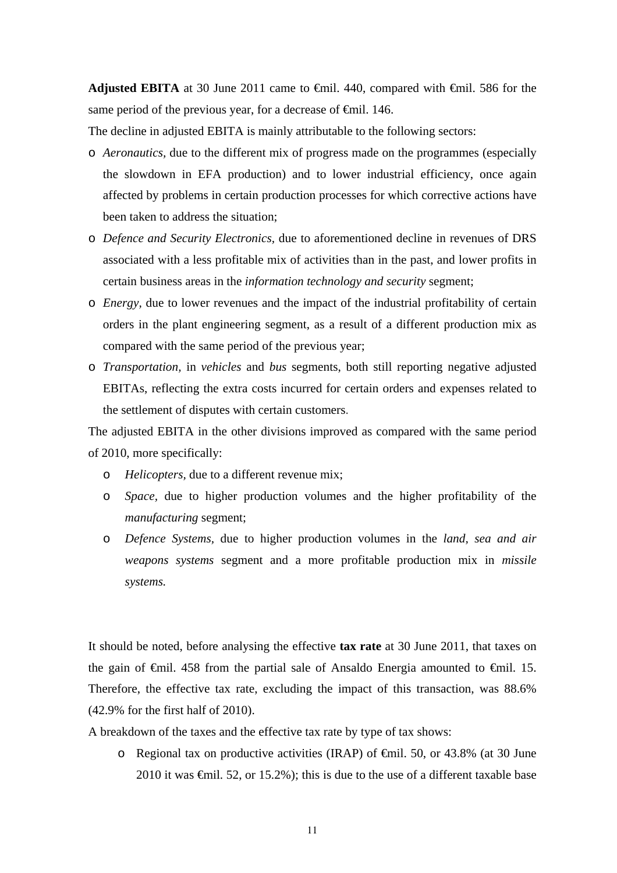**Adjusted EBITA** at 30 June 2011 came to €mil. 440, compared with €mil. 586 for the same period of the previous year, for a decrease of <del>€mil</del>. 146.

The decline in adjusted EBITA is mainly attributable to the following sectors:

- o *Aeronautics,* due to the different mix of progress made on the programmes (especially the slowdown in EFA production) and to lower industrial efficiency, once again affected by problems in certain production processes for which corrective actions have been taken to address the situation;
- o *Defence and Security Electronics,* due to aforementioned decline in revenues of DRS associated with a less profitable mix of activities than in the past, and lower profits in certain business areas in the *information technology and security* segment;
- o *Energy,* due to lower revenues and the impact of the industrial profitability of certain orders in the plant engineering segment, as a result of a different production mix as compared with the same period of the previous year;
- o *Transportation,* in *vehicles* and *bus* segments, both still reporting negative adjusted EBITAs, reflecting the extra costs incurred for certain orders and expenses related to the settlement of disputes with certain customers.

The adjusted EBITA in the other divisions improved as compared with the same period of 2010, more specifically:

- o *Helicopters,* due to a different revenue mix;
- o *Space,* due to higher production volumes and the higher profitability of the *manufacturing* segment;
- o *Defence Systems,* due to higher production volumes in the *land, sea and air weapons systems* segment and a more profitable production mix in *missile systems.*

It should be noted, before analysing the effective **tax rate** at 30 June 2011, that taxes on the gain of  $\epsilon$ mil. 458 from the partial sale of Ansaldo Energia amounted to  $\epsilon$ mil. 15. Therefore, the effective tax rate, excluding the impact of this transaction, was 88.6% (42.9% for the first half of 2010).

- A breakdown of the taxes and the effective tax rate by type of tax shows:
	- o Regional tax on productive activities (IRAP) of  $\epsilon$ mil. 50, or 43.8% (at 30 June 2010 it was  $\epsilon$ mil. 52, or 15.2%); this is due to the use of a different taxable base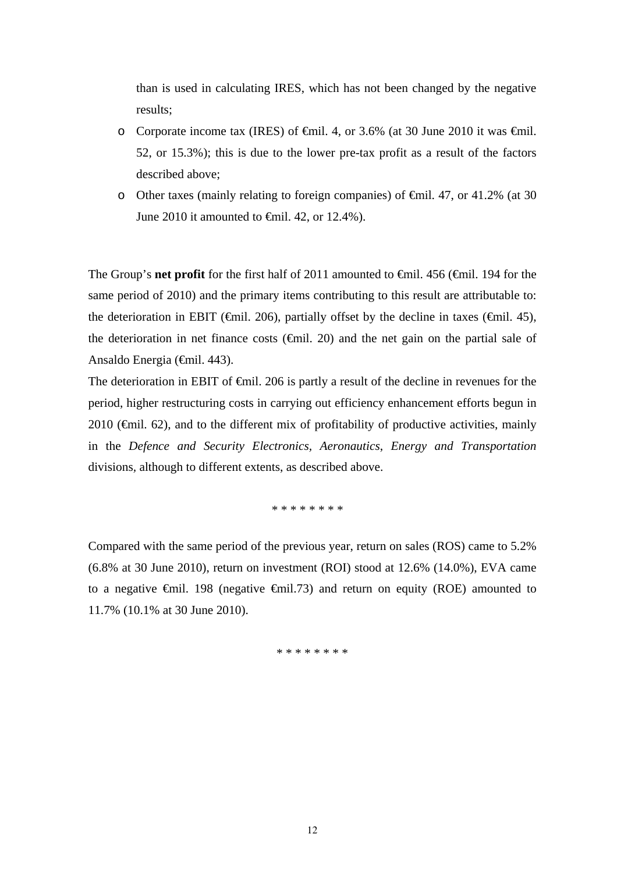than is used in calculating IRES, which has not been changed by the negative results;

- o Corporate income tax (IRES) of  $\epsilon$ mil. 4, or 3.6% (at 30 June 2010 it was  $\epsilon$ mil. 52, or 15.3%); this is due to the lower pre-tax profit as a result of the factors described above;
- o Other taxes (mainly relating to foreign companies) of €mil. 47, or 41.2% (at 30 June 2010 it amounted to €mil. 42, or 12.4%).

The Group's **net profit** for the first half of 2011 amounted to <del>€</del>mil. 456 (€mil. 194 for the same period of 2010) and the primary items contributing to this result are attributable to: the deterioration in EBIT ( $\epsilon$ mil. 206), partially offset by the decline in taxes ( $\epsilon$ mil. 45), the deterioration in net finance costs  $(\text{fmil. 20})$  and the net gain on the partial sale of Ansaldo Energia (€mil. 443).

The deterioration in EBIT of <del>€m</del>il. 206 is partly a result of the decline in revenues for the period, higher restructuring costs in carrying out efficiency enhancement efforts begun in 2010 ( $\epsilon$ mil. 62), and to the different mix of profitability of productive activities, mainly in the *Defence and Security Electronics, Aeronautics*, *Energy and Transportation*  divisions*,* although to different extents, as described above.

\* \* \* \* \* \* \* \*

Compared with the same period of the previous year, return on sales (ROS) came to 5.2% (6.8% at 30 June 2010), return on investment (ROI) stood at 12.6% (14.0%), EVA came to a negative  $\theta$ mil. 198 (negative  $\theta$ mil. 73) and return on equity (ROE) amounted to 11.7% (10.1% at 30 June 2010).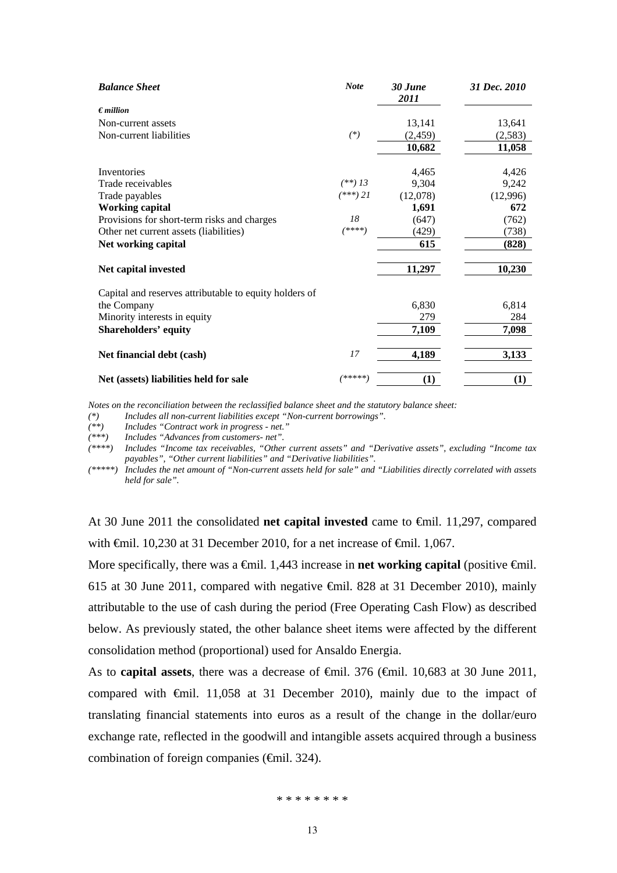| <b>Balance Sheet</b>                                   | <b>Note</b> | 30 June<br>2011 | 31 Dec. 2010 |
|--------------------------------------------------------|-------------|-----------------|--------------|
| $\epsilon$ <i>million</i>                              |             |                 |              |
| Non-current assets                                     |             | 13,141          | 13,641       |
| Non-current liabilities                                | $(*)$       | (2, 459)        | (2,583)      |
|                                                        |             | 10,682          | 11,058       |
| Inventories                                            |             | 4,465           | 4,426        |
| Trade receivables                                      | $(**)$ 13   | 9,304           | 9,242        |
| Trade payables                                         | $(***)$ 21  | (12,078)        | (12,996)     |
| <b>Working capital</b>                                 |             | 1,691           | 672          |
| Provisions for short-term risks and charges            | 18          | (647)           | (762)        |
| Other net current assets (liabilities)                 | (****)      | (429)           | (738)        |
| Net working capital                                    |             | 615             | (828)        |
| Net capital invested                                   |             | 11,297          | 10,230       |
| Capital and reserves attributable to equity holders of |             |                 |              |
| the Company                                            |             | 6,830           | 6,814        |
| Minority interests in equity                           |             | 279             | 284          |
| <b>Shareholders' equity</b>                            |             | 7,109           | 7,098        |
| Net financial debt (cash)                              | 17          | 4,189           | 3,133        |
| Net (assets) liabilities held for sale                 | *****       | (1)             | (1)          |

*Notes on the reconciliation between the reclassified balance sheet and the statutory balance sheet:* 

*(\*) Includes all non-current liabilities except "Non-current borrowings".* 

*(\*\*) Includes "Contract work in progress - net."* 

*(\*\*\*) Includes "Advances from customers- net".* 

*(\*\*\*\*) Includes "Income tax receivables, "Other current assets" and "Derivative assets", excluding "Income tax payables", "Other current liabilities" and "Derivative liabilities".* 

*(\*\*\*\*\*) Includes the net amount of "Non-current assets held for sale" and "Liabilities directly correlated with assets held for sale".* 

At 30 June 2011 the consolidated **net capital invested** came to €mil. 11,297, compared with  $\oplus$ mil. 10,230 at 31 December 2010, for a net increase of  $\oplus$ mil. 1,067.

More specifically, there was a <del>€</del>mil. 1,443 increase in **net working capital** (positive <del>€</del>mil. 615 at 30 June 2011, compared with negative €mil. 828 at 31 December 2010), mainly attributable to the use of cash during the period (Free Operating Cash Flow) as described below. As previously stated, the other balance sheet items were affected by the different consolidation method (proportional) used for Ansaldo Energia.

As to **capital assets**, there was a decrease of €mil. 376 (€mil. 10,683 at 30 June 2011, compared with  $\theta$ mil. 11,058 at 31 December 2010), mainly due to the impact of translating financial statements into euros as a result of the change in the dollar/euro exchange rate, reflected in the goodwill and intangible assets acquired through a business combination of foreign companies (€mil. 324).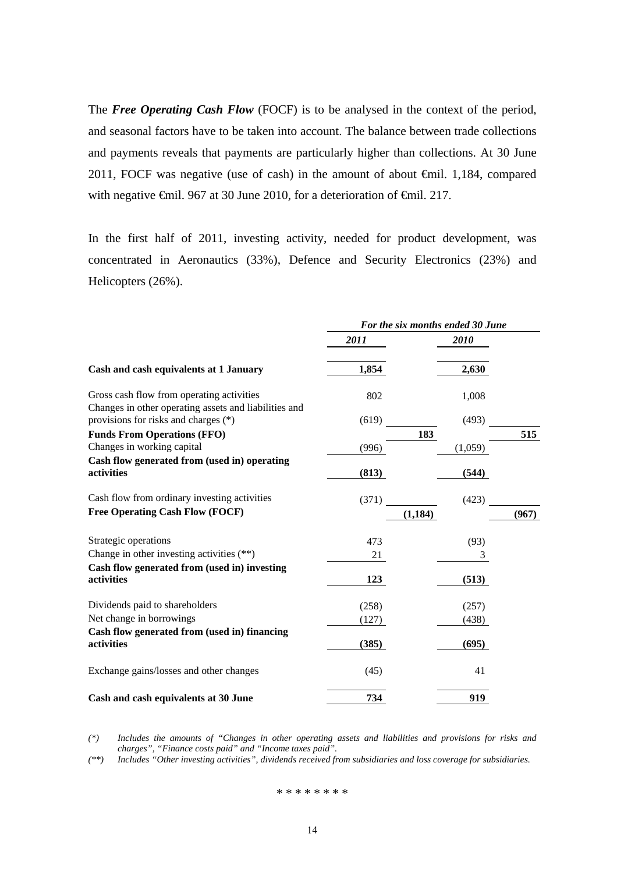The **Free Operating Cash Flow** (FOCF) is to be analysed in the context of the period, and seasonal factors have to be taken into account. The balance between trade collections and payments reveals that payments are particularly higher than collections. At 30 June 2011, FOCF was negative (use of cash) in the amount of about €mil. 1,184, compared with negative €mil. 967 at 30 June 2010, for a deterioration of €mil. 217.

In the first half of 2011, investing activity, needed for product development, was concentrated in Aeronautics (33%), Defence and Security Electronics (23%) and Helicopters (26%).

|                                                                                                    | For the six months ended 30 June |          |       |  |
|----------------------------------------------------------------------------------------------------|----------------------------------|----------|-------|--|
|                                                                                                    | 2011                             | 2010     |       |  |
| Cash and cash equivalents at 1 January                                                             | 1,854                            | 2,630    |       |  |
| Gross cash flow from operating activities<br>Changes in other operating assets and liabilities and | 802                              | 1,008    |       |  |
| provisions for risks and charges (*)                                                               | (619)                            | (493)    |       |  |
| <b>Funds From Operations (FFO)</b>                                                                 |                                  | 183      | 515   |  |
| Changes in working capital                                                                         | (996)                            | (1,059)  |       |  |
| Cash flow generated from (used in) operating<br>activities                                         | (813)                            | (544)    |       |  |
| Cash flow from ordinary investing activities                                                       | (371)                            | (423)    |       |  |
| <b>Free Operating Cash Flow (FOCF)</b>                                                             |                                  | (1, 184) | (967) |  |
| Strategic operations                                                                               | 473                              | (93)     |       |  |
| Change in other investing activities $(**)$                                                        | 21                               | 3        |       |  |
| Cash flow generated from (used in) investing<br>activities                                         | 123                              | (513)    |       |  |
| Dividends paid to shareholders                                                                     | (258)                            | (257)    |       |  |
| Net change in borrowings                                                                           | (127)                            | (438)    |       |  |
| Cash flow generated from (used in) financing<br>activities                                         | (385)                            | (695)    |       |  |
| Exchange gains/losses and other changes                                                            | (45)                             | 41       |       |  |
| Cash and cash equivalents at 30 June                                                               | 734                              | 919      |       |  |

*(\*) Includes the amounts of "Changes in other operating assets and liabilities and provisions for risks and charges", "Finance costs paid" and "Income taxes paid".* 

*(\*\*) Includes "Other investing activities", dividends received from subsidiaries and loss coverage for subsidiaries.*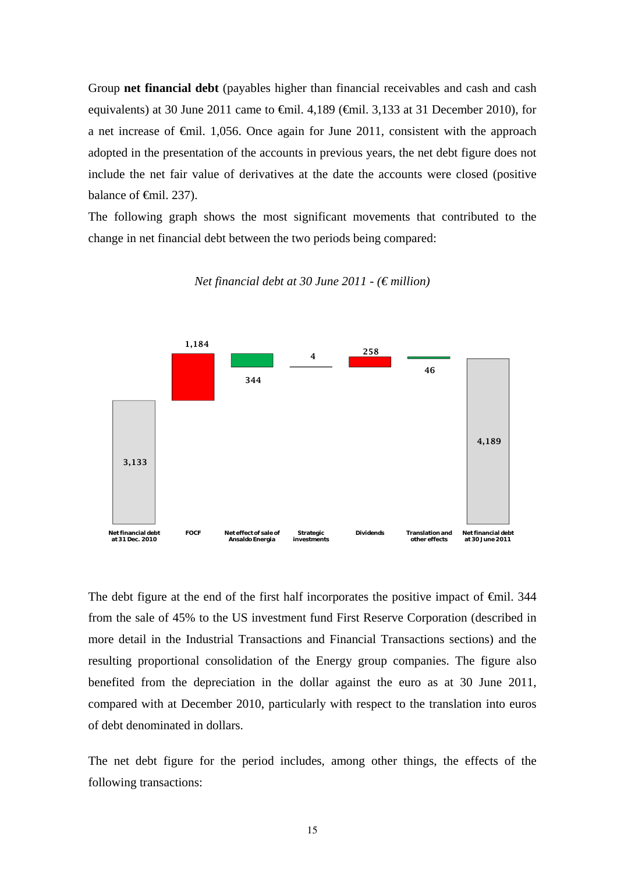Group **net financial debt** (payables higher than financial receivables and cash and cash equivalents) at 30 June 2011 came to  $\epsilon$ mil. 4,189 ( $\epsilon$ mil. 3,133 at 31 December 2010), for a net increase of €mil. 1,056. Once again for June 2011, consistent with the approach adopted in the presentation of the accounts in previous years, the net debt figure does not include the net fair value of derivatives at the date the accounts were closed (positive balance of  $\epsilon$ mil. 237).

The following graph shows the most significant movements that contributed to the change in net financial debt between the two periods being compared:



*Net financial debt at 30 June 2011 - (€ million)* 

The debt figure at the end of the first half incorporates the positive impact of €mil. 344 from the sale of 45% to the US investment fund First Reserve Corporation (described in more detail in the Industrial Transactions and Financial Transactions sections) and the resulting proportional consolidation of the Energy group companies. The figure also benefited from the depreciation in the dollar against the euro as at 30 June 2011, compared with at December 2010, particularly with respect to the translation into euros of debt denominated in dollars.

The net debt figure for the period includes, among other things, the effects of the following transactions: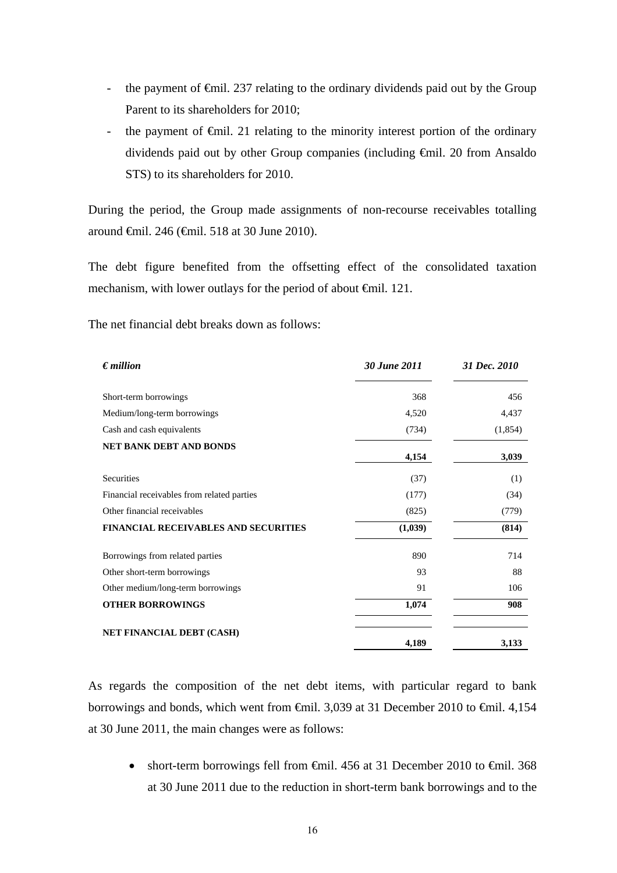- the payment of €mil. 237 relating to the ordinary dividends paid out by the Group Parent to its shareholders for 2010;
- the payment of  $\epsilon$ mil. 21 relating to the minority interest portion of the ordinary dividends paid out by other Group companies (including €mil. 20 from Ansaldo STS) to its shareholders for 2010.

During the period, the Group made assignments of non-recourse receivables totalling around €mil. 246 (€mil. 518 at 30 June 2010).

The debt figure benefited from the offsetting effect of the consolidated taxation mechanism, with lower outlays for the period of about €mil. 121.

The net financial debt breaks down as follows:

| $\epsilon$ <i>million</i>                   | 30 June 2011 | 31 Dec. 2010 |
|---------------------------------------------|--------------|--------------|
| Short-term borrowings                       | 368          | 456          |
| Medium/long-term borrowings                 | 4,520        | 4,437        |
| Cash and cash equivalents                   | (734)        | (1,854)      |
| <b>NET BANK DEBT AND BONDS</b>              | 4,154        | 3,039        |
| Securities                                  | (37)         | (1)          |
| Financial receivables from related parties  | (177)        | (34)         |
| Other financial receivables                 | (825)        | (779)        |
| <b>FINANCIAL RECEIVABLES AND SECURITIES</b> | (1,039)      | (814)        |
| Borrowings from related parties             | 890          | 714          |
| Other short-term borrowings                 | 93           | 88           |
| Other medium/long-term borrowings           | 91           | 106          |
| <b>OTHER BORROWINGS</b>                     | 1,074        | 908          |
| <b>NET FINANCIAL DEBT (CASH)</b>            | 4,189        | 3,133        |

As regards the composition of the net debt items, with particular regard to bank borrowings and bonds, which went from €mil. 3,039 at 31 December 2010 to €mil. 4,154 at 30 June 2011, the main changes were as follows:

• short-term borrowings fell from  $\theta$ mil. 456 at 31 December 2010 to  $\theta$ mil. 368 at 30 June 2011 due to the reduction in short-term bank borrowings and to the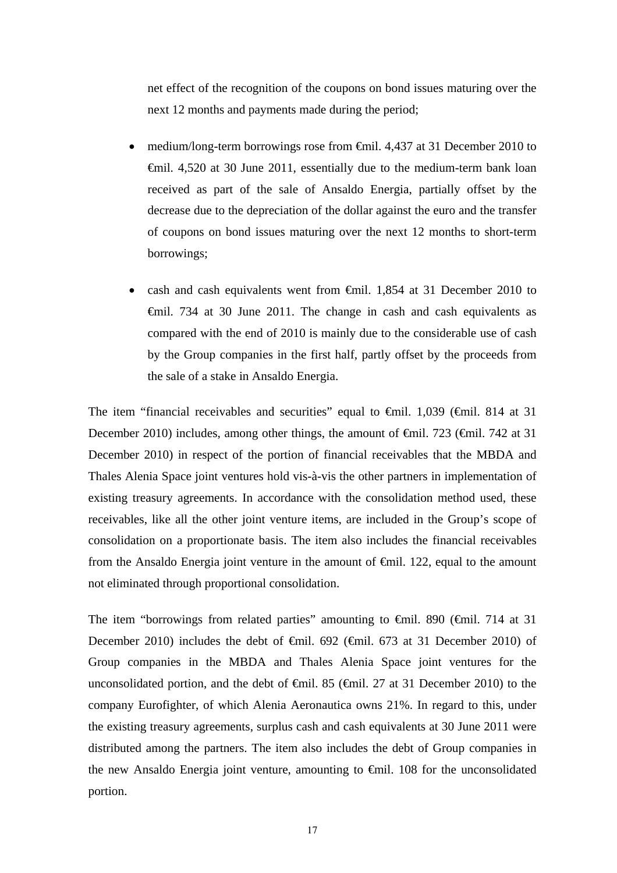net effect of the recognition of the coupons on bond issues maturing over the next 12 months and payments made during the period;

- medium/long-term borrowings rose from €mil. 4,437 at 31 December 2010 to €mil. 4,520 at 30 June 2011, essentially due to the medium-term bank loan received as part of the sale of Ansaldo Energia, partially offset by the decrease due to the depreciation of the dollar against the euro and the transfer of coupons on bond issues maturing over the next 12 months to short-term borrowings;
- cash and cash equivalents went from €mil. 1,854 at 31 December 2010 to €mil. 734 at 30 June 2011. The change in cash and cash equivalents as compared with the end of 2010 is mainly due to the considerable use of cash by the Group companies in the first half, partly offset by the proceeds from the sale of a stake in Ansaldo Energia.

The item "financial receivables and securities" equal to  $\epsilon$ mil. 1,039 ( $\epsilon$ mil. 814 at 31 December 2010) includes, among other things, the amount of  $\epsilon$ mil. 723 ( $\epsilon$ mil. 742 at 31 December 2010) in respect of the portion of financial receivables that the MBDA and Thales Alenia Space joint ventures hold vis-à-vis the other partners in implementation of existing treasury agreements. In accordance with the consolidation method used, these receivables, like all the other joint venture items, are included in the Group's scope of consolidation on a proportionate basis. The item also includes the financial receivables from the Ansaldo Energia joint venture in the amount of  $\theta$ mil. 122, equal to the amount not eliminated through proportional consolidation.

The item "borrowings from related parties" amounting to  $\epsilon$ mil. 890 ( $\epsilon$ mil. 714 at 31 December 2010) includes the debt of  $\oplus$ nil. 692 ( $\oplus$ nil. 673 at 31 December 2010) of Group companies in the MBDA and Thales Alenia Space joint ventures for the unconsolidated portion, and the debt of  $\epsilon$ mil. 85 ( $\epsilon$ mil. 27 at 31 December 2010) to the company Eurofighter, of which Alenia Aeronautica owns 21%. In regard to this, under the existing treasury agreements, surplus cash and cash equivalents at 30 June 2011 were distributed among the partners. The item also includes the debt of Group companies in the new Ansaldo Energia joint venture, amounting to €mil. 108 for the unconsolidated portion.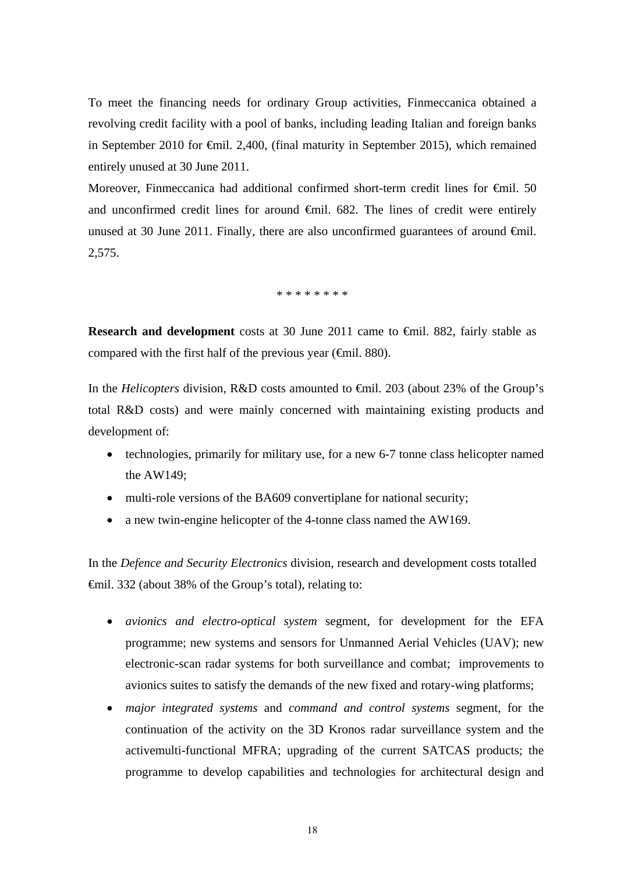To meet the financing needs for ordinary Group activities, Finmeccanica obtained a revolving credit facility with a pool of banks, including leading Italian and foreign banks in September 2010 for €mil. 2,400, (final maturity in September 2015), which remained entirely unused at 30 June 2011.

Moreover, Finmeccanica had additional confirmed short-term credit lines for <del>C</del>inil. 50 and unconfirmed credit lines for around €mil. 682. The lines of credit were entirely unused at 30 June 2011. Finally, there are also unconfirmed guarantees of around  $\epsilon$ mil. 2,575.

\* \* \* \* \* \* \* \*

**Research and development** costs at 30 June 2011 came to €mil. 882, fairly stable as compared with the first half of the previous year ( $\epsilon$ mil. 880).

In the *Helicopters* division, R&D costs amounted to €mil. 203 (about 23% of the Group's total R&D costs) and were mainly concerned with maintaining existing products and development of:

- technologies, primarily for military use, for a new 6-7 tonne class helicopter named the AW149;
- multi-role versions of the BA609 convertiplane for national security;
- a new twin-engine helicopter of the 4-tonne class named the AW169.

In the *Defence and Security Electronics* division, research and development costs totalled €mil. 332 (about 38% of the Group's total), relating to:

- *avionics and electro-optical system* segment, for development for the EFA programme; new systems and sensors for Unmanned Aerial Vehicles (UAV); new electronic-scan radar systems for both surveillance and combat; improvements to avionics suites to satisfy the demands of the new fixed and rotary-wing platforms;
- *major integrated systems* and *command and control systems* segment, for the continuation of the activity on the 3D Kronos radar surveillance system and the activemulti-functional MFRA; upgrading of the current SATCAS products; the programme to develop capabilities and technologies for architectural design and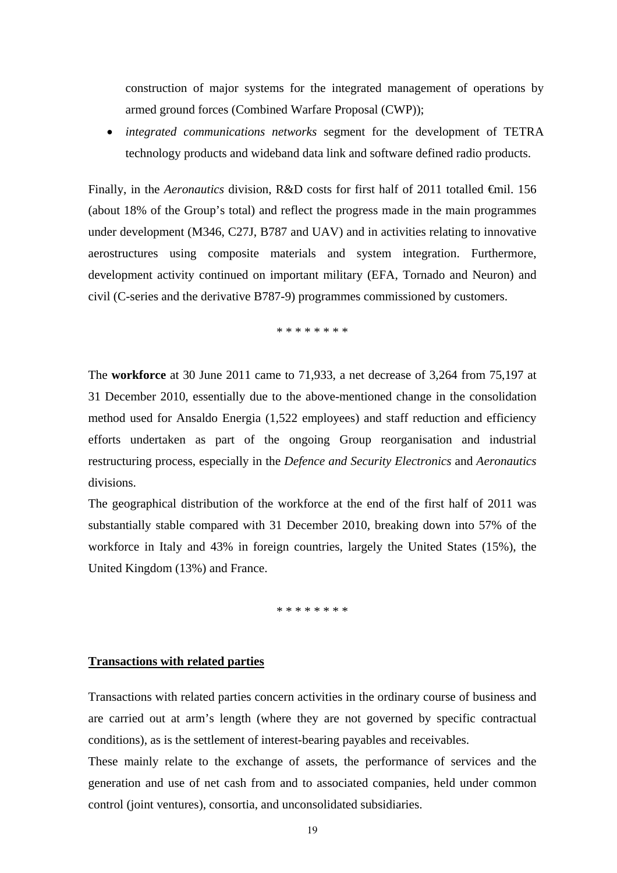construction of major systems for the integrated management of operations by armed ground forces (Combined Warfare Proposal (CWP));

 *integrated communications networks* segment for the development of TETRA technology products and wideband data link and software defined radio products.

Finally, in the *Aeronautics* division, R&D costs for first half of 2011 totalled €mil. 156 (about 18% of the Group's total) and reflect the progress made in the main programmes under development (M346, C27J, B787 and UAV) and in activities relating to innovative aerostructures using composite materials and system integration. Furthermore, development activity continued on important military (EFA, Tornado and Neuron) and civil (C-series and the derivative B787-9) programmes commissioned by customers.

\* \* \* \* \* \* \* \*

The **workforce** at 30 June 2011 came to 71,933, a net decrease of 3,264 from 75,197 at 31 December 2010, essentially due to the above-mentioned change in the consolidation method used for Ansaldo Energia (1,522 employees) and staff reduction and efficiency efforts undertaken as part of the ongoing Group reorganisation and industrial restructuring process, especially in the *Defence and Security Electronics* and *Aeronautics* divisions.

The geographical distribution of the workforce at the end of the first half of 2011 was substantially stable compared with 31 December 2010, breaking down into 57% of the workforce in Italy and 43% in foreign countries, largely the United States (15%), the United Kingdom (13%) and France.

\* \* \* \* \* \* \* \*

### **Transactions with related parties**

Transactions with related parties concern activities in the ordinary course of business and are carried out at arm's length (where they are not governed by specific contractual conditions), as is the settlement of interest-bearing payables and receivables.

These mainly relate to the exchange of assets, the performance of services and the generation and use of net cash from and to associated companies, held under common control (joint ventures), consortia, and unconsolidated subsidiaries.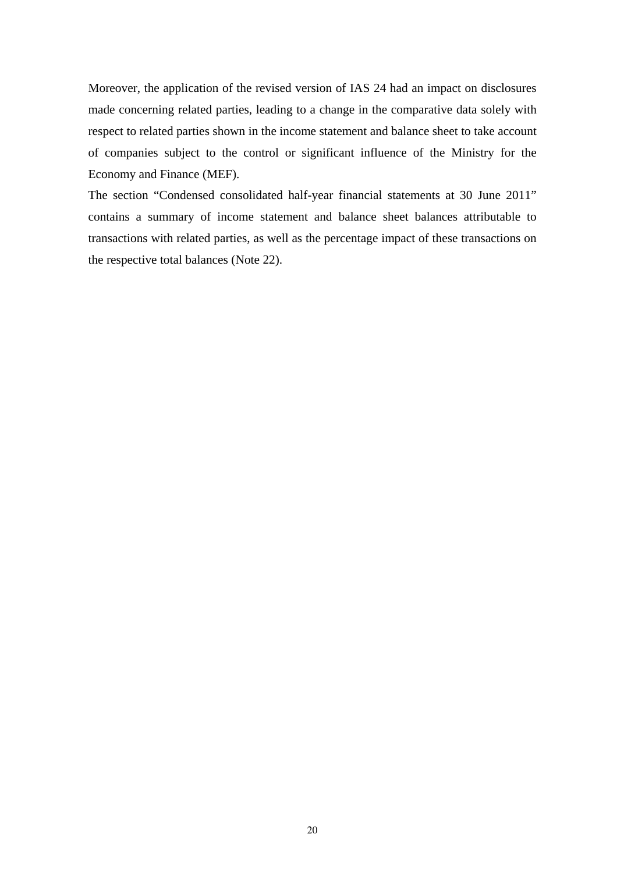Moreover, the application of the revised version of IAS 24 had an impact on disclosures made concerning related parties, leading to a change in the comparative data solely with respect to related parties shown in the income statement and balance sheet to take account of companies subject to the control or significant influence of the Ministry for the Economy and Finance (MEF).

The section "Condensed consolidated half-year financial statements at 30 June 2011" contains a summary of income statement and balance sheet balances attributable to transactions with related parties, as well as the percentage impact of these transactions on the respective total balances (Note 22).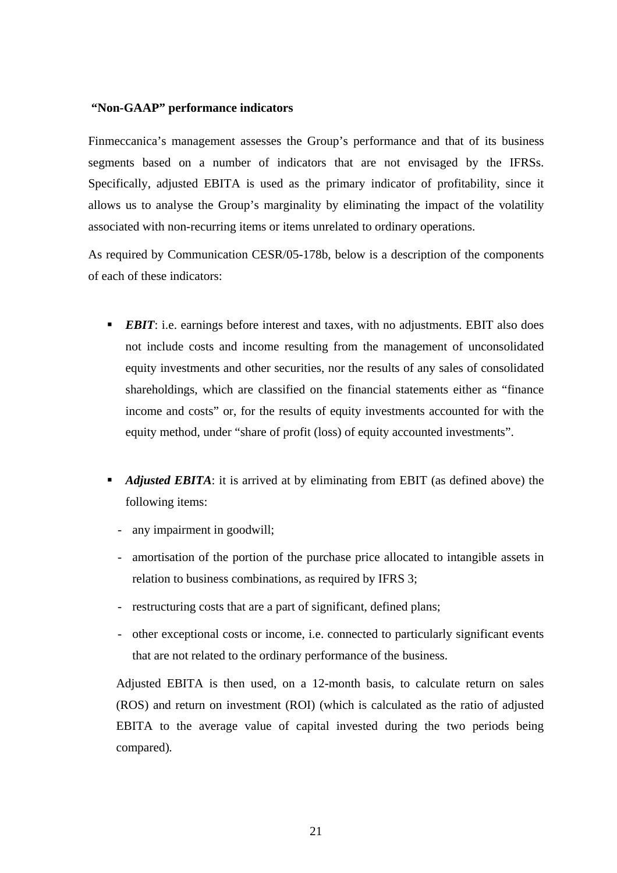### **"Non-GAAP" performance indicators**

Finmeccanica's management assesses the Group's performance and that of its business segments based on a number of indicators that are not envisaged by the IFRSs. Specifically, adjusted EBITA is used as the primary indicator of profitability, since it allows us to analyse the Group's marginality by eliminating the impact of the volatility associated with non-recurring items or items unrelated to ordinary operations.

As required by Communication CESR/05-178b, below is a description of the components of each of these indicators:

- **EBIT:** i.e. earnings before interest and taxes, with no adjustments. EBIT also does not include costs and income resulting from the management of unconsolidated equity investments and other securities, nor the results of any sales of consolidated shareholdings, which are classified on the financial statements either as "finance income and costs" or, for the results of equity investments accounted for with the equity method, under "share of profit (loss) of equity accounted investments".
- **Adjusted EBITA:** it is arrived at by eliminating from EBIT (as defined above) the following items:
	- any impairment in goodwill;
	- amortisation of the portion of the purchase price allocated to intangible assets in relation to business combinations, as required by IFRS 3;
	- restructuring costs that are a part of significant, defined plans;
	- other exceptional costs or income, i.e. connected to particularly significant events that are not related to the ordinary performance of the business.

Adjusted EBITA is then used, on a 12-month basis, to calculate return on sales (ROS) and return on investment (ROI) (which is calculated as the ratio of adjusted EBITA to the average value of capital invested during the two periods being compared)*.*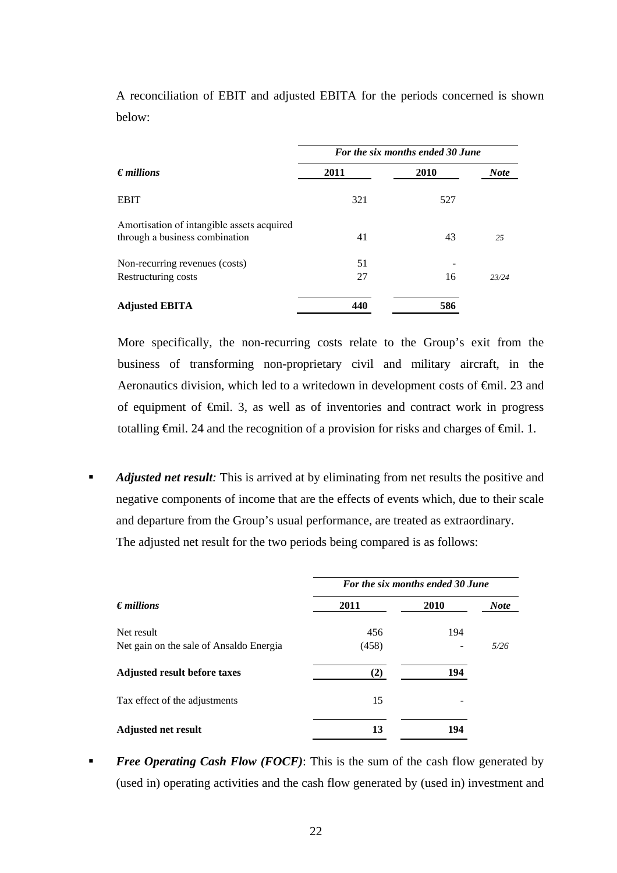|                                                                              | For the six months ended 30 June |           |             |  |
|------------------------------------------------------------------------------|----------------------------------|-----------|-------------|--|
| $\epsilon$ <i>millions</i>                                                   | 2011                             | 2010      | <b>Note</b> |  |
| <b>EBIT</b>                                                                  | 321                              | 527       |             |  |
| Amortisation of intangible assets acquired<br>through a business combination | 41                               | 43        | 25          |  |
| Non-recurring revenues (costs)                                               | 51<br>27                         |           |             |  |
| Restructuring costs<br><b>Adjusted EBITA</b>                                 | 440                              | 16<br>586 | 23/24       |  |

A reconciliation of EBIT and adjusted EBITA for the periods concerned is shown below:

More specifically, the non-recurring costs relate to the Group's exit from the business of transforming non-proprietary civil and military aircraft, in the Aeronautics division, which led to a writedown in development costs of <del>€</del>mil. 23 and of equipment of €mil. 3, as well as of inventories and contract work in progress totalling  $\epsilon$ mil. 24 and the recognition of a provision for risks and charges of  $\epsilon$ mil. 1.

 *Adjusted net result:* This is arrived at by eliminating from net results the positive and negative components of income that are the effects of events which, due to their scale and departure from the Group's usual performance, are treated as extraordinary. The adjusted net result for the two periods being compared is as follows:

|                                         | For the six months ended 30 June |      |             |  |  |
|-----------------------------------------|----------------------------------|------|-------------|--|--|
| $\epsilon$ millions                     | 2011                             | 2010 | <b>Note</b> |  |  |
| Net result                              | 456                              | 194  |             |  |  |
| Net gain on the sale of Ansaldo Energia | (458)                            |      | 5/26        |  |  |
| <b>Adjusted result before taxes</b>     | $\mathbf{2}$                     | 194  |             |  |  |
| Tax effect of the adjustments           | 15                               |      |             |  |  |
| <b>Adjusted net result</b>              | 13                               | 194  |             |  |  |

**Free Operating Cash Flow (FOCF):** This is the sum of the cash flow generated by (used in) operating activities and the cash flow generated by (used in) investment and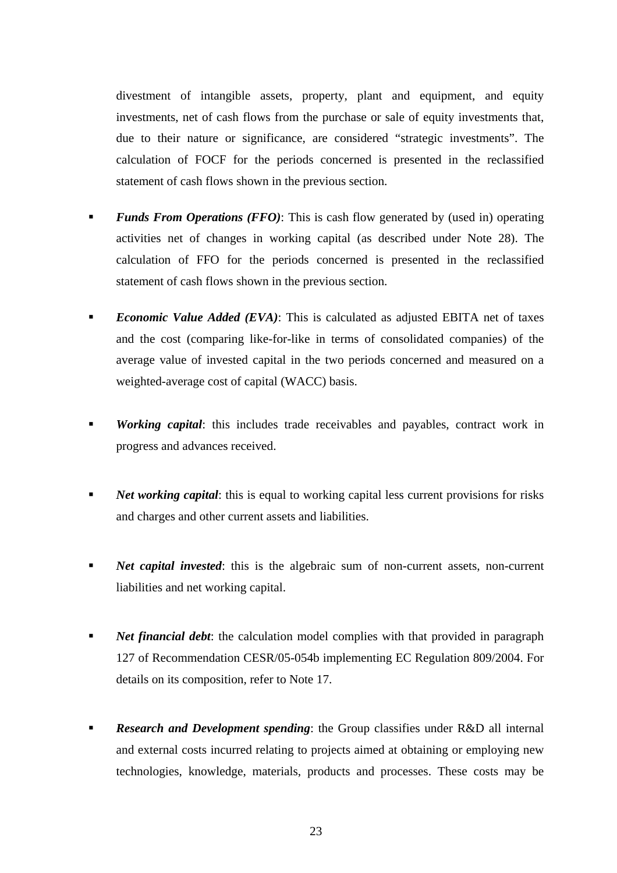divestment of intangible assets, property, plant and equipment, and equity investments, net of cash flows from the purchase or sale of equity investments that, due to their nature or significance, are considered "strategic investments". The calculation of FOCF for the periods concerned is presented in the reclassified statement of cash flows shown in the previous section.

- *Funds From Operations (FFO)*: This is cash flow generated by (used in) operating activities net of changes in working capital (as described under Note 28). The calculation of FFO for the periods concerned is presented in the reclassified statement of cash flows shown in the previous section.
- **Economic Value Added (EVA):** This is calculated as adjusted EBITA net of taxes and the cost (comparing like-for-like in terms of consolidated companies) of the average value of invested capital in the two periods concerned and measured on a weighted-average cost of capital (WACC) basis.
- *Working capital*: this includes trade receivables and payables, contract work in progress and advances received.
- *Net working capital*: this is equal to working capital less current provisions for risks and charges and other current assets and liabilities.
- **Net capital invested:** this is the algebraic sum of non-current assets, non-current liabilities and net working capital.
- *Net financial debt*: the calculation model complies with that provided in paragraph 127 of Recommendation CESR/05-054b implementing EC Regulation 809/2004. For details on its composition, refer to Note 17.
- *Research and Development spending*: the Group classifies under R&D all internal and external costs incurred relating to projects aimed at obtaining or employing new technologies, knowledge, materials, products and processes. These costs may be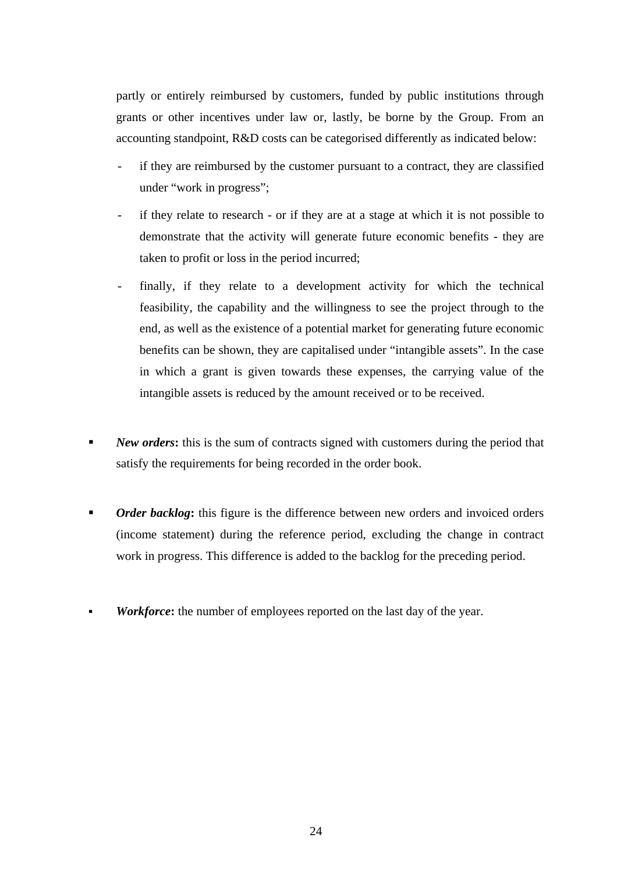partly or entirely reimbursed by customers, funded by public institutions through grants or other incentives under law or, lastly, be borne by the Group. From an accounting standpoint, R&D costs can be categorised differently as indicated below:

- if they are reimbursed by the customer pursuant to a contract, they are classified under "work in progress";
- if they relate to research or if they are at a stage at which it is not possible to demonstrate that the activity will generate future economic benefits - they are taken to profit or loss in the period incurred;
- finally, if they relate to a development activity for which the technical feasibility, the capability and the willingness to see the project through to the end, as well as the existence of a potential market for generating future economic benefits can be shown, they are capitalised under "intangible assets". In the case in which a grant is given towards these expenses, the carrying value of the intangible assets is reduced by the amount received or to be received.
- **New orders:** this is the sum of contracts signed with customers during the period that satisfy the requirements for being recorded in the order book.
- *Order backlog*: this figure is the difference between new orders and invoiced orders (income statement) during the reference period, excluding the change in contract work in progress. This difference is added to the backlog for the preceding period.
- *Workforce***:** the number of employees reported on the last day of the year.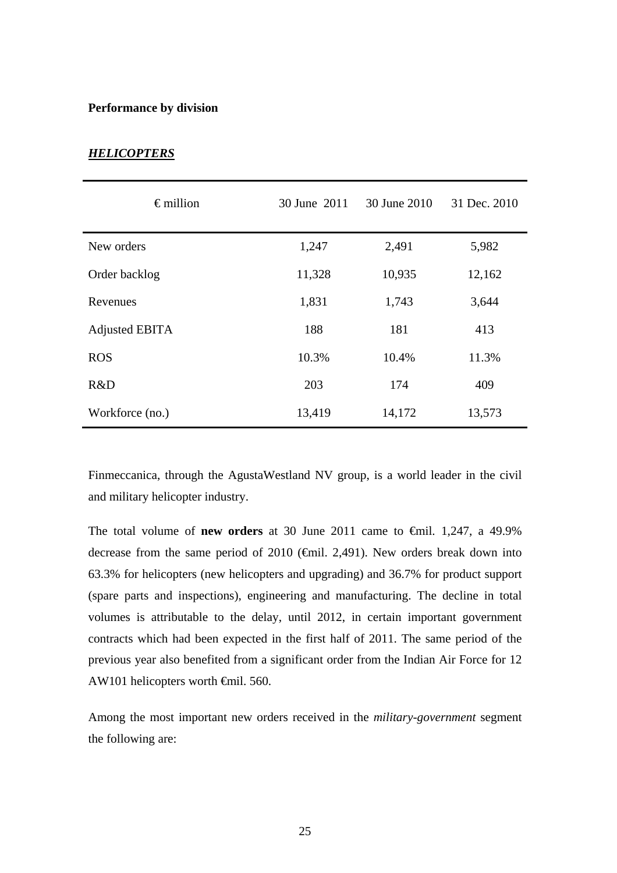### **Performance by division**

| $\epsilon$ million | 30 June 2011 | 30 June 2010 | 31 Dec. 2010 |
|--------------------|--------------|--------------|--------------|
| New orders         | 1,247        | 2,491        | 5,982        |
| Order backlog      | 11,328       | 10,935       | 12,162       |
| Revenues           | 1,831        | 1,743        | 3,644        |
| Adjusted EBITA     | 188          | 181          | 413          |
| <b>ROS</b>         | 10.3%        | 10.4%        | 11.3%        |
| R&D                | 203          | 174          | 409          |
| Workforce (no.)    | 13,419       | 14,172       | 13,573       |

# *HELICOPTERS*

Finmeccanica, through the AgustaWestland NV group, is a world leader in the civil and military helicopter industry.

The total volume of **new orders** at 30 June 2011 came to €mil. 1,247, a 49.9% decrease from the same period of 2010 ( $\epsilon$ mil. 2,491). New orders break down into 63.3% for helicopters (new helicopters and upgrading) and 36.7% for product support (spare parts and inspections), engineering and manufacturing. The decline in total volumes is attributable to the delay, until 2012, in certain important government contracts which had been expected in the first half of 2011. The same period of the previous year also benefited from a significant order from the Indian Air Force for 12 AW101 helicopters worth €mil. 560.

Among the most important new orders received in the *military-government* segment the following are: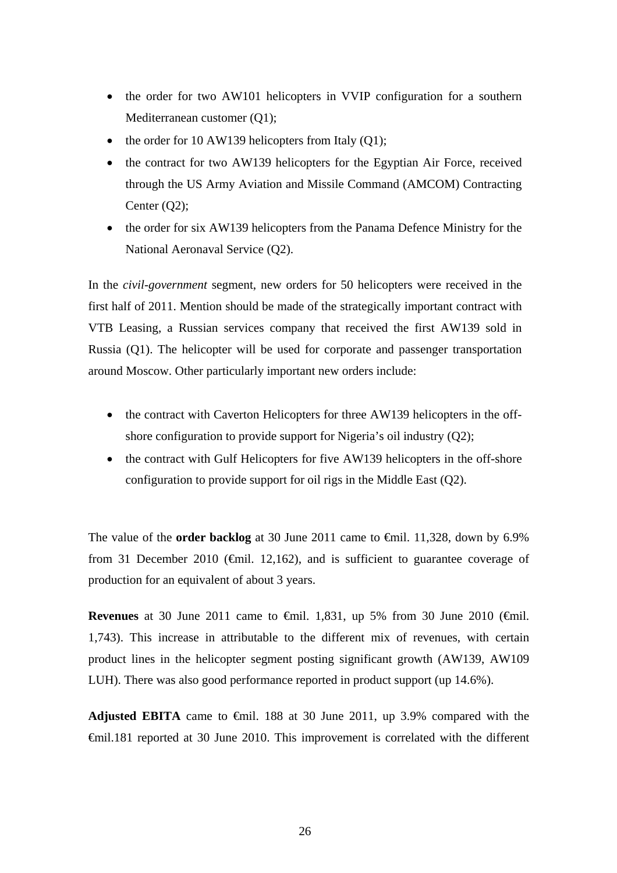- the order for two AW101 helicopters in VVIP configuration for a southern Mediterranean customer (Q1);
- the order for 10 AW139 helicopters from Italy  $(Q1)$ ;
- the contract for two AW139 helicopters for the Egyptian Air Force, received through the US Army Aviation and Missile Command (AMCOM) Contracting Center  $(Q2)$ ;
- the order for six AW139 helicopters from the Panama Defence Ministry for the National Aeronaval Service (Q2).

In the *civil-government* segment, new orders for 50 helicopters were received in the first half of 2011. Mention should be made of the strategically important contract with VTB Leasing, a Russian services company that received the first AW139 sold in Russia (Q1). The helicopter will be used for corporate and passenger transportation around Moscow. Other particularly important new orders include:

- the contract with Caverton Helicopters for three AW139 helicopters in the offshore configuration to provide support for Nigeria's oil industry (Q2);
- the contract with Gulf Helicopters for five AW139 helicopters in the off-shore configuration to provide support for oil rigs in the Middle East (Q2).

The value of the **order backlog** at 30 June 2011 came to €mil. 11,328, down by 6.9% from 31 December 2010 ( $\bigoplus$ nil. 12,162), and is sufficient to guarantee coverage of production for an equivalent of about 3 years.

**Revenues** at 30 June 2011 came to €mil. 1,831, up 5% from 30 June 2010 (€mil. 1,743). This increase in attributable to the different mix of revenues, with certain product lines in the helicopter segment posting significant growth (AW139, AW109 LUH). There was also good performance reported in product support (up 14.6%).

**Adjusted EBITA** came to  $\theta$ mil. 188 at 30 June 2011, up 3.9% compared with the €mil.181 reported at 30 June 2010. This improvement is correlated with the different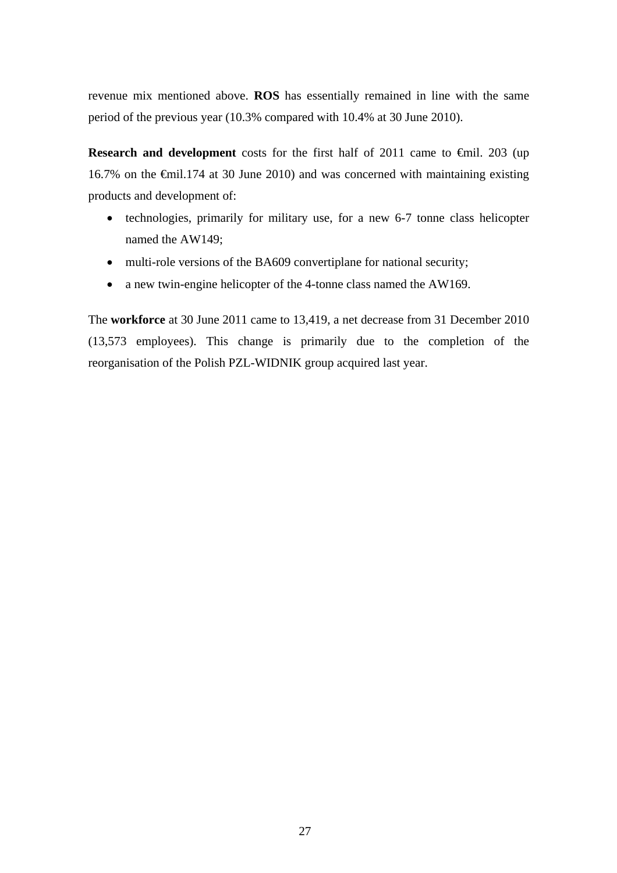revenue mix mentioned above. **ROS** has essentially remained in line with the same period of the previous year (10.3% compared with 10.4% at 30 June 2010).

**Research and development** costs for the first half of 2011 came to €mil. 203 (up 16.7% on the €mil.174 at 30 June 2010) and was concerned with maintaining existing products and development of:

- technologies, primarily for military use, for a new 6-7 tonne class helicopter named the AW149;
- multi-role versions of the BA609 convertiplane for national security;
- a new twin-engine helicopter of the 4-tonne class named the AW169.

The **workforce** at 30 June 2011 came to 13,419, a net decrease from 31 December 2010 (13,573 employees). This change is primarily due to the completion of the reorganisation of the Polish PZL-WIDNIK group acquired last year.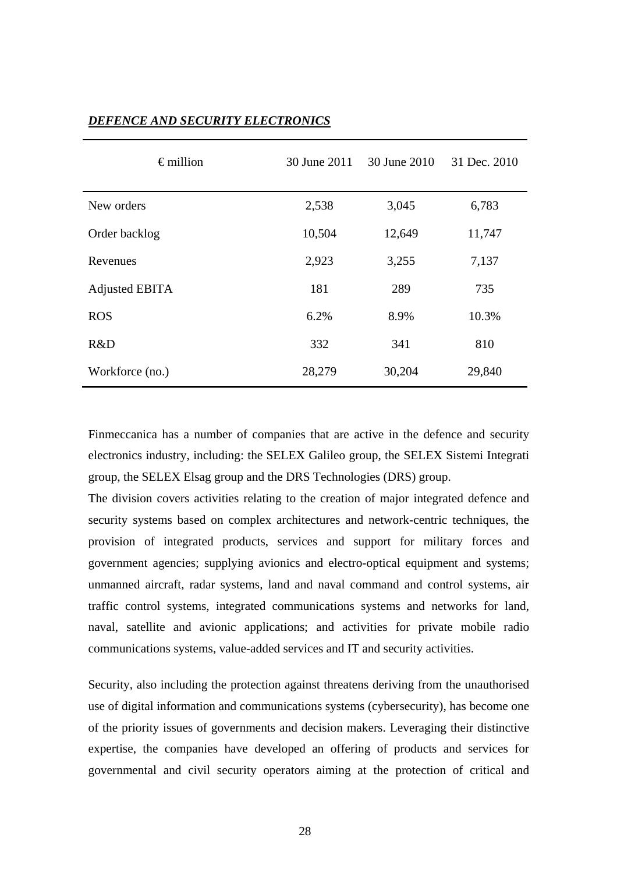| $\epsilon$ million | 30 June 2011 | 30 June 2010 | 31 Dec. 2010 |
|--------------------|--------------|--------------|--------------|
| New orders         | 2,538        | 3,045        | 6,783        |
| Order backlog      | 10,504       | 12,649       | 11,747       |
| Revenues           | 2,923        | 3,255        | 7,137        |
| Adjusted EBITA     | 181          | 289          | 735          |
| <b>ROS</b>         | 6.2%         | 8.9%         | 10.3%        |
| R&D                | 332          | 341          | 810          |
| Workforce (no.)    | 28,279       | 30,204       | 29,840       |

# *DEFENCE AND SECURITY ELECTRONICS*

Finmeccanica has a number of companies that are active in the defence and security electronics industry, including: the SELEX Galileo group, the SELEX Sistemi Integrati group, the SELEX Elsag group and the DRS Technologies (DRS) group.

The division covers activities relating to the creation of major integrated defence and security systems based on complex architectures and network-centric techniques, the provision of integrated products, services and support for military forces and government agencies; supplying avionics and electro-optical equipment and systems; unmanned aircraft, radar systems, land and naval command and control systems, air traffic control systems, integrated communications systems and networks for land, naval, satellite and avionic applications; and activities for private mobile radio communications systems, value-added services and IT and security activities.

Security, also including the protection against threatens deriving from the unauthorised use of digital information and communications systems (cybersecurity), has become one of the priority issues of governments and decision makers. Leveraging their distinctive expertise, the companies have developed an offering of products and services for governmental and civil security operators aiming at the protection of critical and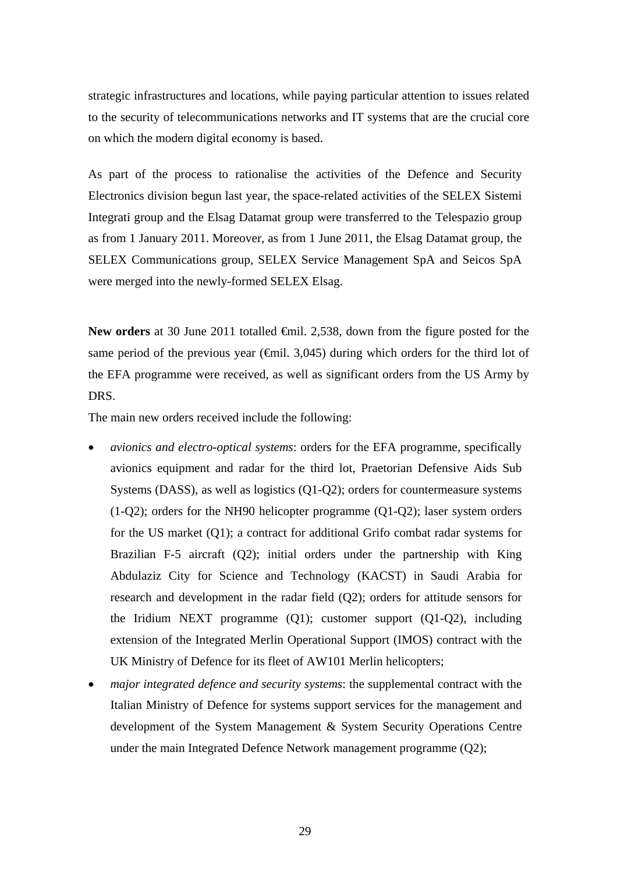strategic infrastructures and locations, while paying particular attention to issues related to the security of telecommunications networks and IT systems that are the crucial core on which the modern digital economy is based.

As part of the process to rationalise the activities of the Defence and Security Electronics division begun last year, the space-related activities of the SELEX Sistemi Integrati group and the Elsag Datamat group were transferred to the Telespazio group as from 1 January 2011. Moreover, as from 1 June 2011, the Elsag Datamat group, the SELEX Communications group, SELEX Service Management SpA and Seicos SpA were merged into the newly-formed SELEX Elsag.

New orders at 30 June 2011 totalled <del>€</del>mil. 2,538, down from the figure posted for the same period of the previous year ( $\epsilon$ mil. 3,045) during which orders for the third lot of the EFA programme were received, as well as significant orders from the US Army by DRS.

The main new orders received include the following:

- *avionics and electro-optical systems*: orders for the EFA programme, specifically avionics equipment and radar for the third lot, Praetorian Defensive Aids Sub Systems (DASS), as well as logistics (Q1-Q2); orders for countermeasure systems (1-Q2); orders for the NH90 helicopter programme (Q1-Q2); laser system orders for the US market (Q1); a contract for additional Grifo combat radar systems for Brazilian F-5 aircraft (Q2); initial orders under the partnership with King Abdulaziz City for Science and Technology (KACST) in Saudi Arabia for research and development in the radar field (Q2); orders for attitude sensors for the Iridium NEXT programme (Q1); customer support (Q1-Q2), including extension of the Integrated Merlin Operational Support (IMOS) contract with the UK Ministry of Defence for its fleet of AW101 Merlin helicopters;
- *major integrated defence and security systems*: the supplemental contract with the Italian Ministry of Defence for systems support services for the management and development of the System Management & System Security Operations Centre under the main Integrated Defence Network management programme (Q2);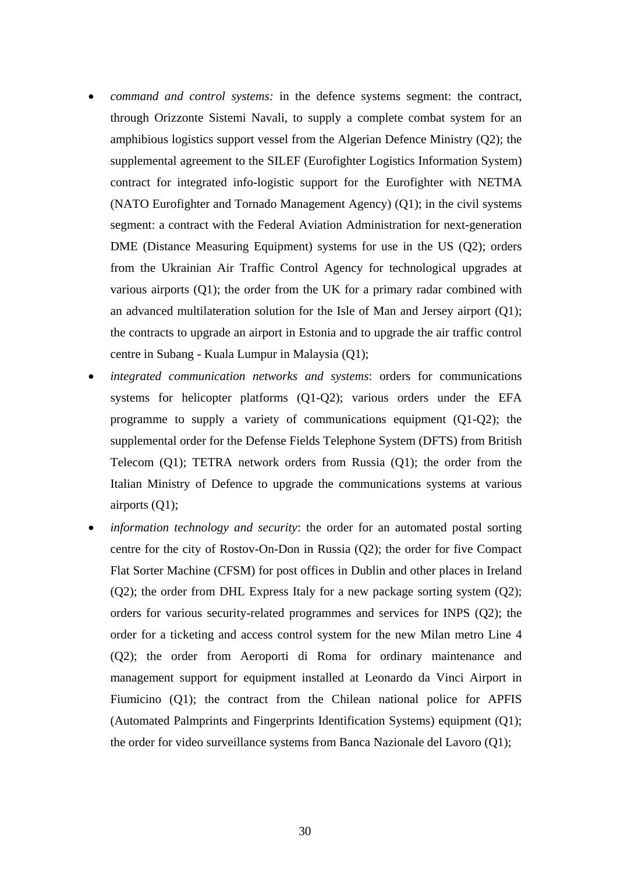- *command and control systems:* in the defence systems segment: the contract, through Orizzonte Sistemi Navali, to supply a complete combat system for an amphibious logistics support vessel from the Algerian Defence Ministry (Q2); the supplemental agreement to the SILEF (Eurofighter Logistics Information System) contract for integrated info-logistic support for the Eurofighter with NETMA (NATO Eurofighter and Tornado Management Agency) (Q1); in the civil systems segment: a contract with the Federal Aviation Administration for next-generation DME (Distance Measuring Equipment) systems for use in the US (Q2); orders from the Ukrainian Air Traffic Control Agency for technological upgrades at various airports (Q1); the order from the UK for a primary radar combined with an advanced multilateration solution for the Isle of Man and Jersey airport (Q1); the contracts to upgrade an airport in Estonia and to upgrade the air traffic control centre in Subang - Kuala Lumpur in Malaysia (Q1);
- *integrated communication networks and systems*: orders for communications systems for helicopter platforms (Q1-Q2); various orders under the EFA programme to supply a variety of communications equipment (Q1-Q2); the supplemental order for the Defense Fields Telephone System (DFTS) from British Telecom (Q1); TETRA network orders from Russia (Q1); the order from the Italian Ministry of Defence to upgrade the communications systems at various airports (Q1);
- *information technology and security*: the order for an automated postal sorting centre for the city of Rostov-On-Don in Russia (Q2); the order for five Compact Flat Sorter Machine (CFSM) for post offices in Dublin and other places in Ireland (Q2); the order from DHL Express Italy for a new package sorting system (Q2); orders for various security-related programmes and services for INPS (Q2); the order for a ticketing and access control system for the new Milan metro Line 4 (Q2); the order from Aeroporti di Roma for ordinary maintenance and management support for equipment installed at Leonardo da Vinci Airport in Fiumicino (Q1); the contract from the Chilean national police for APFIS (Automated Palmprints and Fingerprints Identification Systems) equipment (Q1); the order for video surveillance systems from Banca Nazionale del Lavoro (Q1);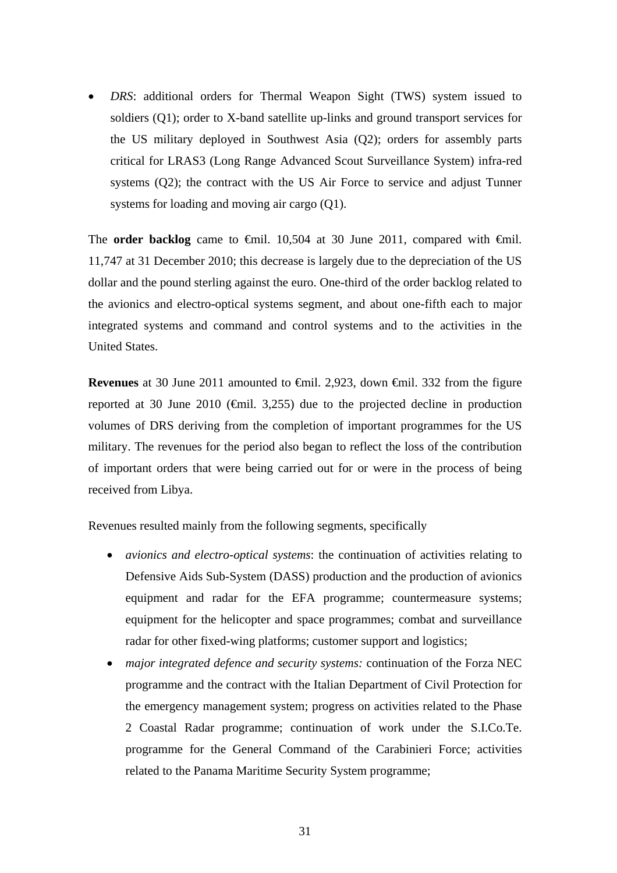*DRS*: additional orders for Thermal Weapon Sight (TWS) system issued to soldiers (Q1); order to X-band satellite up-links and ground transport services for the US military deployed in Southwest Asia (Q2); orders for assembly parts critical for LRAS3 (Long Range Advanced Scout Surveillance System) infra-red systems (Q2); the contract with the US Air Force to service and adjust Tunner systems for loading and moving air cargo (Q1).

The **order backlog** came to  $\theta$ mil. 10,504 at 30 June 2011, compared with  $\theta$ mil. 11,747 at 31 December 2010; this decrease is largely due to the depreciation of the US dollar and the pound sterling against the euro. One-third of the order backlog related to the avionics and electro-optical systems segment, and about one-fifth each to major integrated systems and command and control systems and to the activities in the United States.

**Revenues** at 30 June 2011 amounted to €mil. 2,923, down €mil. 332 from the figure reported at 30 June 2010 ( $\bigoplus$ mil. 3,255) due to the projected decline in production volumes of DRS deriving from the completion of important programmes for the US military. The revenues for the period also began to reflect the loss of the contribution of important orders that were being carried out for or were in the process of being received from Libya.

Revenues resulted mainly from the following segments, specifically

- *avionics and electro-optical systems*: the continuation of activities relating to Defensive Aids Sub-System (DASS) production and the production of avionics equipment and radar for the EFA programme; countermeasure systems; equipment for the helicopter and space programmes; combat and surveillance radar for other fixed-wing platforms; customer support and logistics;
- *major integrated defence and security systems:* continuation of the Forza NEC programme and the contract with the Italian Department of Civil Protection for the emergency management system; progress on activities related to the Phase 2 Coastal Radar programme; continuation of work under the S.I.Co.Te. programme for the General Command of the Carabinieri Force; activities related to the Panama Maritime Security System programme;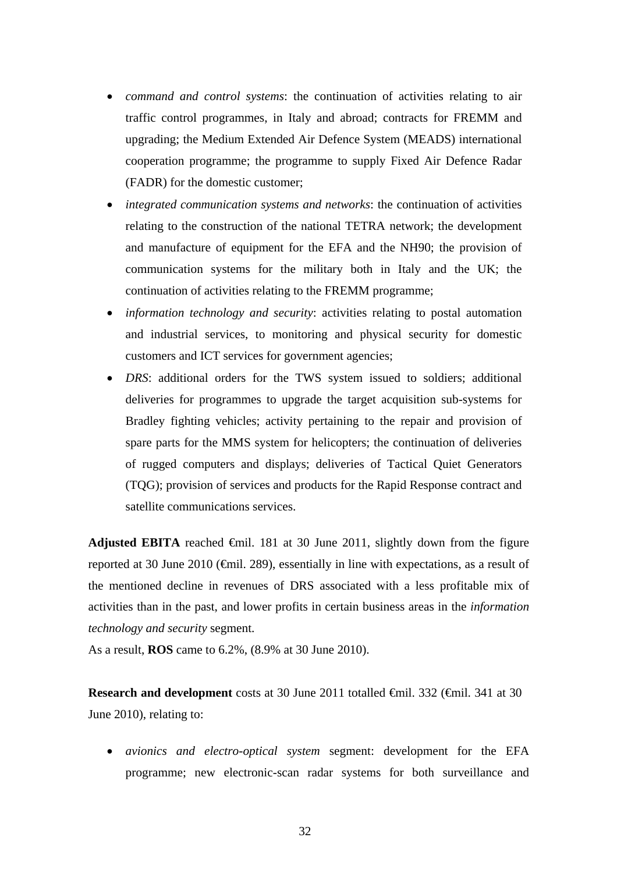- *command and control systems*: the continuation of activities relating to air traffic control programmes, in Italy and abroad; contracts for FREMM and upgrading; the Medium Extended Air Defence System (MEADS) international cooperation programme; the programme to supply Fixed Air Defence Radar (FADR) for the domestic customer;
- *integrated communication systems and networks*: the continuation of activities relating to the construction of the national TETRA network; the development and manufacture of equipment for the EFA and the NH90; the provision of communication systems for the military both in Italy and the UK; the continuation of activities relating to the FREMM programme;
- *information technology and security*: activities relating to postal automation and industrial services, to monitoring and physical security for domestic customers and ICT services for government agencies;
- *DRS*: additional orders for the TWS system issued to soldiers; additional deliveries for programmes to upgrade the target acquisition sub-systems for Bradley fighting vehicles; activity pertaining to the repair and provision of spare parts for the MMS system for helicopters; the continuation of deliveries of rugged computers and displays; deliveries of Tactical Quiet Generators (TQG); provision of services and products for the Rapid Response contract and satellite communications services.

Adjusted EBITA reached  $\oplus$ mil. 181 at 30 June 2011, slightly down from the figure reported at 30 June 2010 ( $\epsilon$ mil. 289), essentially in line with expectations, as a result of the mentioned decline in revenues of DRS associated with a less profitable mix of activities than in the past, and lower profits in certain business areas in the *information technology and security* segment.

As a result, **ROS** came to 6.2%, (8.9% at 30 June 2010).

**Research and development** costs at 30 June 2011 totalled €mil. 332 (€mil. 341 at 30 June 2010), relating to:

 *avionics and electro-optical system* segment: development for the EFA programme; new electronic-scan radar systems for both surveillance and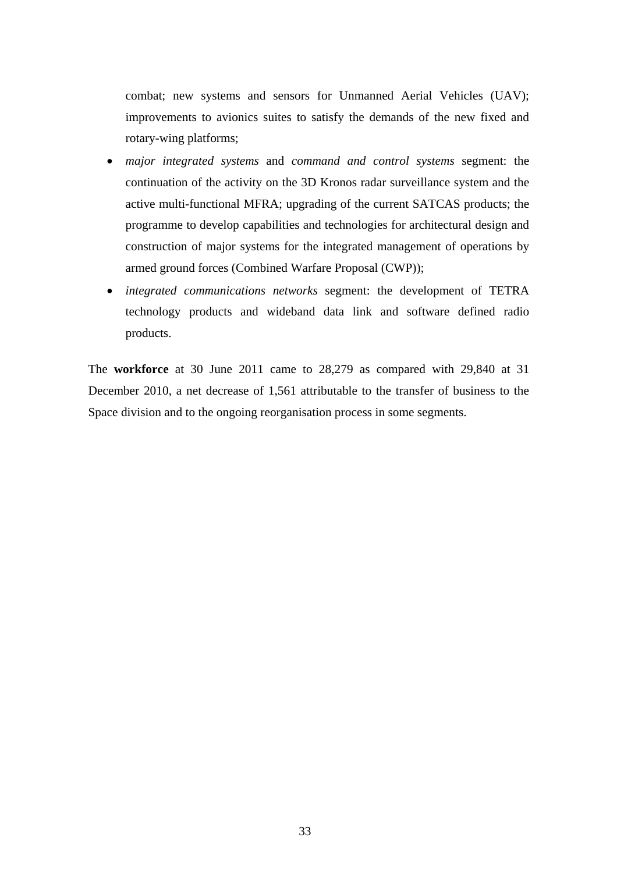combat; new systems and sensors for Unmanned Aerial Vehicles (UAV); improvements to avionics suites to satisfy the demands of the new fixed and rotary-wing platforms;

- *major integrated systems* and *command and control systems* segment: the continuation of the activity on the 3D Kronos radar surveillance system and the active multi-functional MFRA; upgrading of the current SATCAS products; the programme to develop capabilities and technologies for architectural design and construction of major systems for the integrated management of operations by armed ground forces (Combined Warfare Proposal (CWP));
- *integrated communications networks* segment: the development of TETRA technology products and wideband data link and software defined radio products.

The **workforce** at 30 June 2011 came to 28,279 as compared with 29,840 at 31 December 2010, a net decrease of 1,561 attributable to the transfer of business to the Space division and to the ongoing reorganisation process in some segments.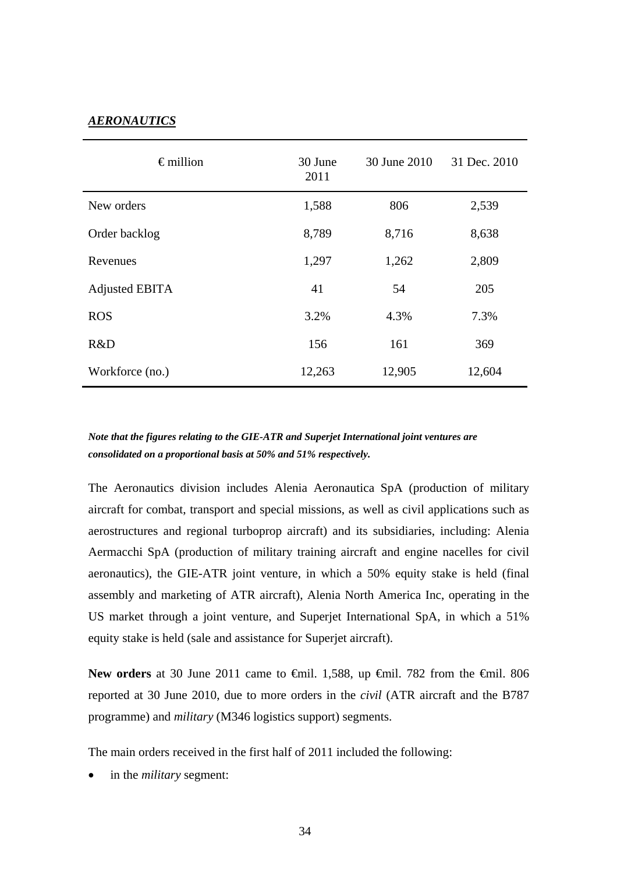# *AERONAUTICS*

| $\epsilon$ million    | 30 June<br>2011 | 30 June 2010 | 31 Dec. 2010 |
|-----------------------|-----------------|--------------|--------------|
| New orders            | 1,588           | 806          | 2,539        |
| Order backlog         | 8,789           | 8,716        | 8,638        |
| Revenues              | 1,297           | 1,262        | 2,809        |
| <b>Adjusted EBITA</b> | 41              | 54           | 205          |
| <b>ROS</b>            | 3.2%            | 4.3%         | 7.3%         |
| R&D                   | 156             | 161          | 369          |
| Workforce (no.)       | 12,263          | 12,905       | 12,604       |

*Note that the figures relating to the GIE-ATR and Superjet International joint ventures are consolidated on a proportional basis at 50% and 51% respectively.*

The Aeronautics division includes Alenia Aeronautica SpA (production of military aircraft for combat, transport and special missions, as well as civil applications such as aerostructures and regional turboprop aircraft) and its subsidiaries, including: Alenia Aermacchi SpA (production of military training aircraft and engine nacelles for civil aeronautics), the GIE-ATR joint venture, in which a 50% equity stake is held (final assembly and marketing of ATR aircraft), Alenia North America Inc, operating in the US market through a joint venture, and Superjet International SpA, in which a 51% equity stake is held (sale and assistance for Superjet aircraft).

New orders at 30 June 2011 came to <del>€</del>mil. 1,588, up <del>€</del>mil. 782 from the <del>€</del>mil. 806 reported at 30 June 2010, due to more orders in the *civil* (ATR aircraft and the B787 programme) and *military* (M346 logistics support) segments.

The main orders received in the first half of 2011 included the following:

in the *military* segment: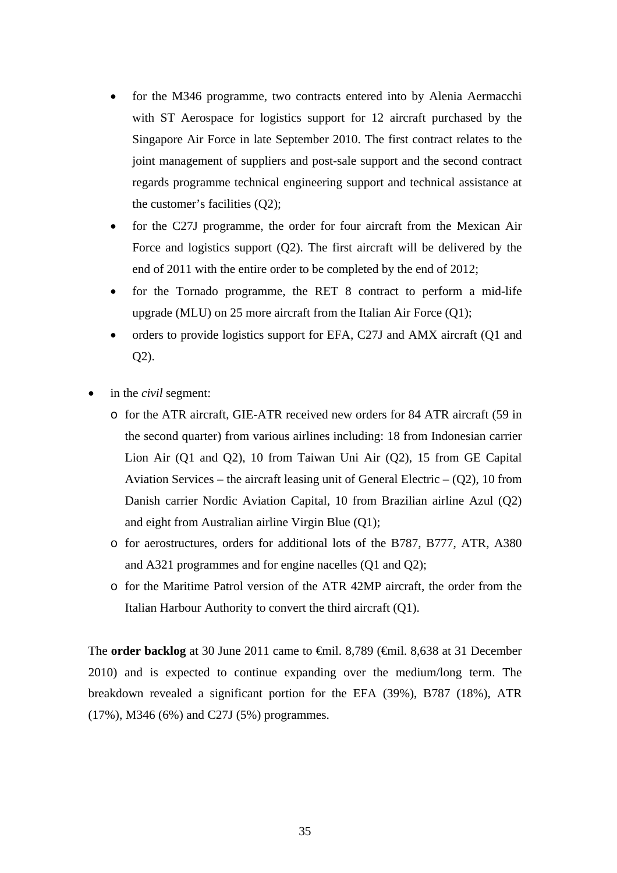- for the M346 programme, two contracts entered into by Alenia Aermacchi with ST Aerospace for logistics support for 12 aircraft purchased by the Singapore Air Force in late September 2010. The first contract relates to the joint management of suppliers and post-sale support and the second contract regards programme technical engineering support and technical assistance at the customer's facilities (Q2);
- for the C27J programme, the order for four aircraft from the Mexican Air Force and logistics support (Q2). The first aircraft will be delivered by the end of 2011 with the entire order to be completed by the end of 2012;
- for the Tornado programme, the RET 8 contract to perform a mid-life upgrade (MLU) on 25 more aircraft from the Italian Air Force (Q1);
- orders to provide logistics support for EFA, C27J and AMX aircraft (Q1 and Q2).
- in the *civil* segment:
	- o for the ATR aircraft, GIE-ATR received new orders for 84 ATR aircraft (59 in the second quarter) from various airlines including: 18 from Indonesian carrier Lion Air (Q1 and Q2), 10 from Taiwan Uni Air (Q2), 15 from GE Capital Aviation Services – the aircraft leasing unit of General Electric  $- (Q2)$ , 10 from Danish carrier Nordic Aviation Capital, 10 from Brazilian airline Azul (Q2) and eight from Australian airline Virgin Blue (Q1);
	- o for aerostructures, orders for additional lots of the B787, B777, ATR, A380 and A321 programmes and for engine nacelles (Q1 and Q2);
	- o for the Maritime Patrol version of the ATR 42MP aircraft, the order from the Italian Harbour Authority to convert the third aircraft (Q1).

The **order backlog** at 30 June 2011 came to €mil. 8,789 (€mil. 8,638 at 31 December 2010) and is expected to continue expanding over the medium/long term. The breakdown revealed a significant portion for the EFA (39%), B787 (18%), ATR (17%), M346 (6%) and C27J (5%) programmes.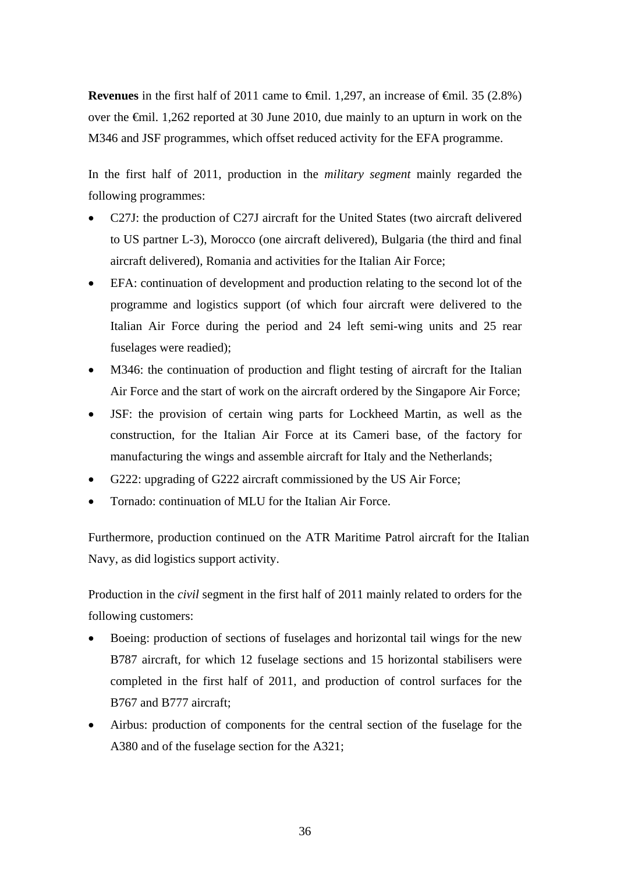**Revenues** in the first half of 2011 came to  $\theta$ mil. 1,297, an increase of  $\theta$ mil. 35 (2.8%) over the €mil. 1,262 reported at 30 June 2010, due mainly to an upturn in work on the M346 and JSF programmes, which offset reduced activity for the EFA programme.

In the first half of 2011, production in the *military segment* mainly regarded the following programmes:

- C27J: the production of C27J aircraft for the United States (two aircraft delivered to US partner L-3), Morocco (one aircraft delivered), Bulgaria (the third and final aircraft delivered), Romania and activities for the Italian Air Force;
- EFA: continuation of development and production relating to the second lot of the programme and logistics support (of which four aircraft were delivered to the Italian Air Force during the period and 24 left semi-wing units and 25 rear fuselages were readied);
- M346: the continuation of production and flight testing of aircraft for the Italian Air Force and the start of work on the aircraft ordered by the Singapore Air Force;
- JSF: the provision of certain wing parts for Lockheed Martin, as well as the construction, for the Italian Air Force at its Cameri base, of the factory for manufacturing the wings and assemble aircraft for Italy and the Netherlands;
- G222: upgrading of G222 aircraft commissioned by the US Air Force;
- Tornado: continuation of MLU for the Italian Air Force.

Furthermore, production continued on the ATR Maritime Patrol aircraft for the Italian Navy, as did logistics support activity.

Production in the *civil* segment in the first half of 2011 mainly related to orders for the following customers:

- Boeing: production of sections of fuselages and horizontal tail wings for the new B787 aircraft, for which 12 fuselage sections and 15 horizontal stabilisers were completed in the first half of 2011, and production of control surfaces for the B767 and B777 aircraft;
- Airbus: production of components for the central section of the fuselage for the A380 and of the fuselage section for the A321;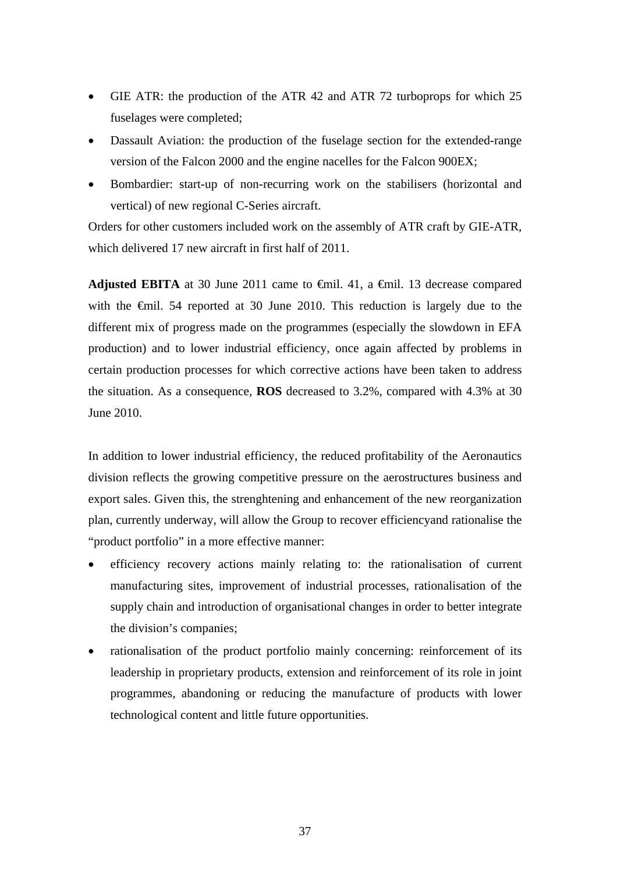- GIE ATR: the production of the ATR 42 and ATR 72 turboprops for which 25 fuselages were completed;
- Dassault Aviation: the production of the fuselage section for the extended-range version of the Falcon 2000 and the engine nacelles for the Falcon 900EX;
- Bombardier: start-up of non-recurring work on the stabilisers (horizontal and vertical) of new regional C-Series aircraft.

Orders for other customers included work on the assembly of ATR craft by GIE-ATR, which delivered 17 new aircraft in first half of 2011.

**Adjusted EBITA** at 30 June 2011 came to €mil. 41, a €mil. 13 decrease compared with the <del>€mil.</del> 54 reported at 30 June 2010. This reduction is largely due to the different mix of progress made on the programmes (especially the slowdown in EFA production) and to lower industrial efficiency, once again affected by problems in certain production processes for which corrective actions have been taken to address the situation. As a consequence, **ROS** decreased to 3.2%, compared with 4.3% at 30 June 2010.

In addition to lower industrial efficiency, the reduced profitability of the Aeronautics division reflects the growing competitive pressure on the aerostructures business and export sales. Given this, the strenghtening and enhancement of the new reorganization plan, currently underway, will allow the Group to recover efficiencyand rationalise the "product portfolio" in a more effective manner:

- efficiency recovery actions mainly relating to: the rationalisation of current manufacturing sites, improvement of industrial processes, rationalisation of the supply chain and introduction of organisational changes in order to better integrate the division's companies;
- rationalisation of the product portfolio mainly concerning: reinforcement of its leadership in proprietary products, extension and reinforcement of its role in joint programmes, abandoning or reducing the manufacture of products with lower technological content and little future opportunities.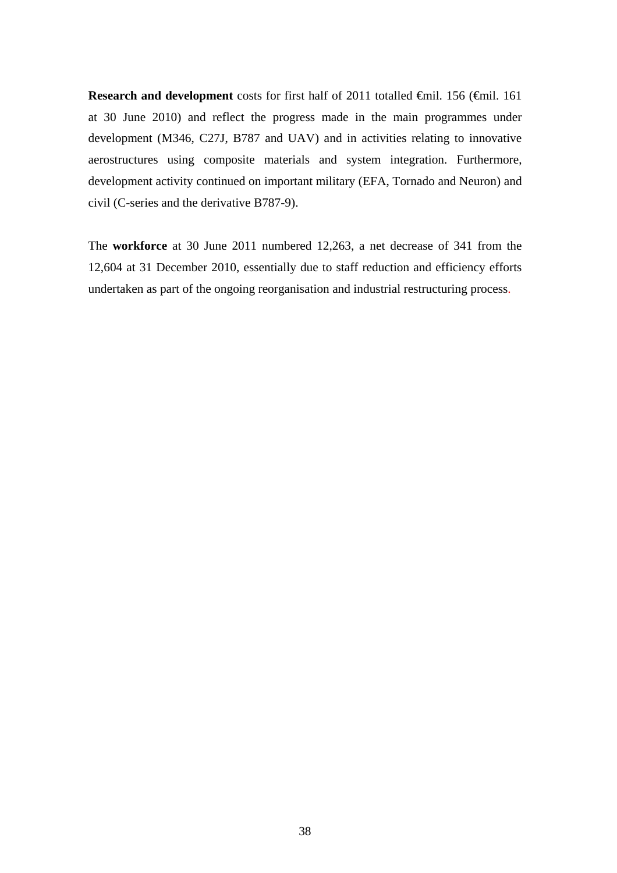Research and development costs for first half of 2011 totalled €mil. 156 (€mil. 161 at 30 June 2010) and reflect the progress made in the main programmes under development (M346, C27J, B787 and UAV) and in activities relating to innovative aerostructures using composite materials and system integration. Furthermore, development activity continued on important military (EFA, Tornado and Neuron) and civil (C-series and the derivative B787-9).

The **workforce** at 30 June 2011 numbered 12,263, a net decrease of 341 from the 12,604 at 31 December 2010, essentially due to staff reduction and efficiency efforts undertaken as part of the ongoing reorganisation and industrial restructuring process.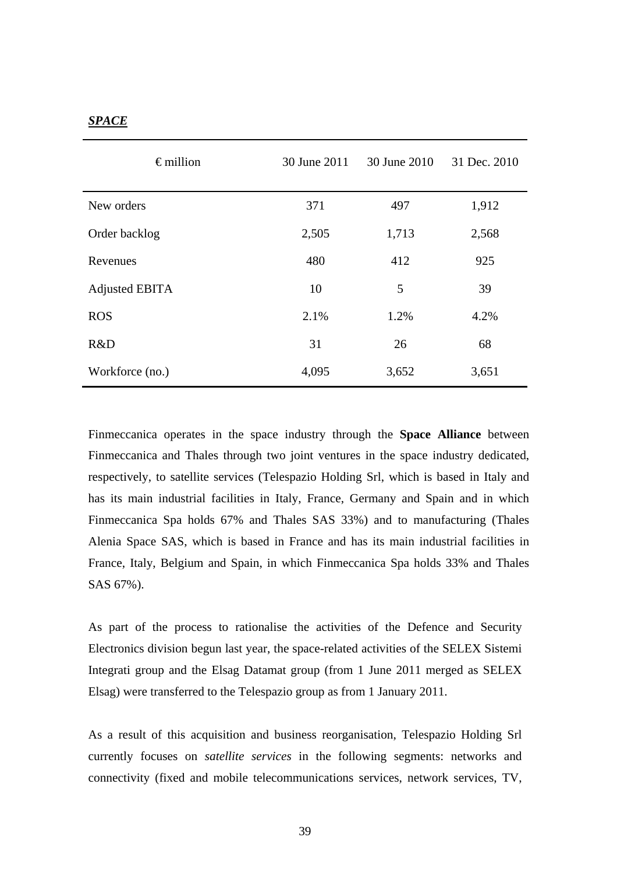### *SPACE*

| $\epsilon$ million    | 30 June 2011 | 30 June 2010 | 31 Dec. 2010 |
|-----------------------|--------------|--------------|--------------|
| New orders            | 371          | 497          | 1,912        |
| Order backlog         | 2,505        | 1,713        | 2,568        |
| Revenues              | 480          | 412          | 925          |
| <b>Adjusted EBITA</b> | 10           | 5            | 39           |
| <b>ROS</b>            | 2.1%         | 1.2%         | 4.2%         |
| R&D                   | 31           | 26           | 68           |
| Workforce (no.)       | 4,095        | 3,652        | 3,651        |

Finmeccanica operates in the space industry through the **Space Alliance** between Finmeccanica and Thales through two joint ventures in the space industry dedicated, respectively, to satellite services (Telespazio Holding Srl, which is based in Italy and has its main industrial facilities in Italy, France, Germany and Spain and in which Finmeccanica Spa holds 67% and Thales SAS 33%) and to manufacturing (Thales Alenia Space SAS, which is based in France and has its main industrial facilities in France, Italy, Belgium and Spain, in which Finmeccanica Spa holds 33% and Thales SAS 67%).

As part of the process to rationalise the activities of the Defence and Security Electronics division begun last year, the space-related activities of the SELEX Sistemi Integrati group and the Elsag Datamat group (from 1 June 2011 merged as SELEX Elsag) were transferred to the Telespazio group as from 1 January 2011.

As a result of this acquisition and business reorganisation, Telespazio Holding Srl currently focuses on *satellite services* in the following segments: networks and connectivity (fixed and mobile telecommunications services, network services, TV,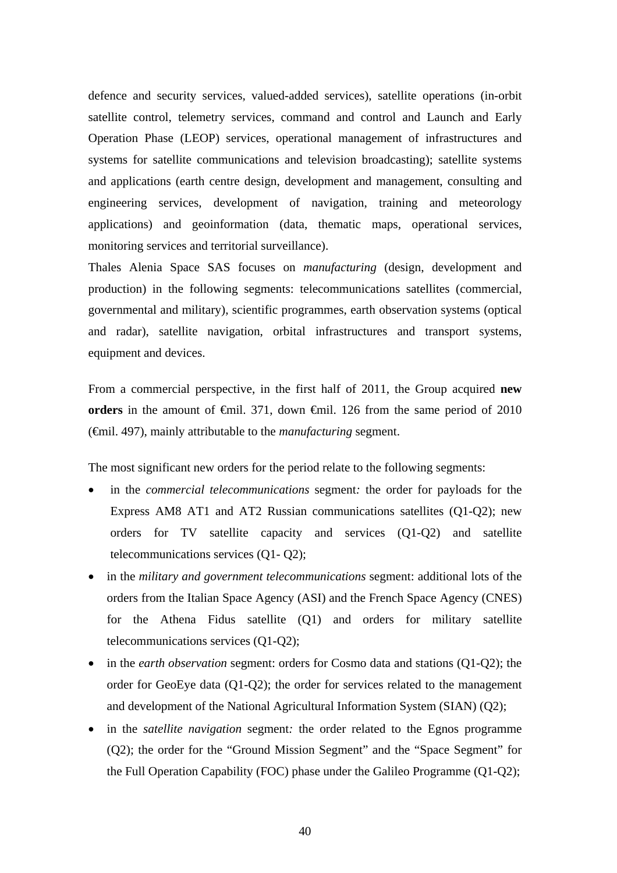defence and security services, valued-added services), satellite operations (in-orbit satellite control, telemetry services, command and control and Launch and Early Operation Phase (LEOP) services, operational management of infrastructures and systems for satellite communications and television broadcasting); satellite systems and applications (earth centre design, development and management, consulting and engineering services, development of navigation, training and meteorology applications) and geoinformation (data, thematic maps, operational services, monitoring services and territorial surveillance).

Thales Alenia Space SAS focuses on *manufacturing* (design, development and production) in the following segments: telecommunications satellites (commercial, governmental and military), scientific programmes, earth observation systems (optical and radar), satellite navigation, orbital infrastructures and transport systems, equipment and devices.

From a commercial perspective, in the first half of 2011, the Group acquired **new orders** in the amount of  $\epsilon$ mil. 371, down  $\epsilon$ mil. 126 from the same period of 2010 (€mil. 497), mainly attributable to the *manufacturing* segment.

The most significant new orders for the period relate to the following segments:

- in the *commercial telecommunications* segment*:* the order for payloads for the Express AM8 AT1 and AT2 Russian communications satellites (Q1-Q2); new orders for TV satellite capacity and services (Q1-Q2) and satellite telecommunications services (Q1- Q2);
- in the *military and government telecommunications* segment: additional lots of the orders from the Italian Space Agency (ASI) and the French Space Agency (CNES) for the Athena Fidus satellite (Q1) and orders for military satellite telecommunications services (Q1-Q2);
- in the *earth observation* segment: orders for Cosmo data and stations (Q1-Q2); the order for GeoEye data (Q1-Q2); the order for services related to the management and development of the National Agricultural Information System (SIAN) (Q2);
- in the *satellite navigation* segment*:* the order related to the Egnos programme (Q2); the order for the "Ground Mission Segment" and the "Space Segment" for the Full Operation Capability (FOC) phase under the Galileo Programme (Q1-Q2);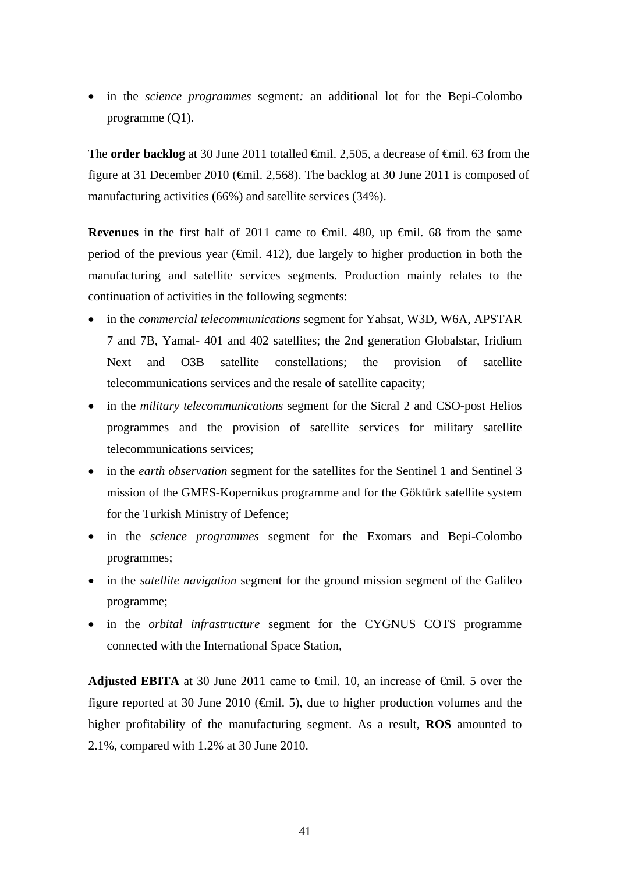in the *science programmes* segment*:* an additional lot for the Bepi-Colombo programme (Q1).

The **order backlog** at 30 June 2011 totalled <del>€</del>mil. 2,505, a decrease of <del>€</del>mil. 63 from the figure at 31 December 2010 ( $\epsilon$ mil. 2,568). The backlog at 30 June 2011 is composed of manufacturing activities (66%) and satellite services (34%).

**Revenues** in the first half of 2011 came to  $\theta$ mil. 480, up  $\theta$ mil. 68 from the same period of the previous year ( $\epsilon$ mil. 412), due largely to higher production in both the manufacturing and satellite services segments. Production mainly relates to the continuation of activities in the following segments:

- in the *commercial telecommunications* segment for Yahsat, W3D, W6A, APSTAR 7 and 7B, Yamal- 401 and 402 satellites; the 2nd generation Globalstar, Iridium Next and O3B satellite constellations; the provision of satellite telecommunications services and the resale of satellite capacity;
- in the *military telecommunications* segment for the Sicral 2 and CSO-post Helios programmes and the provision of satellite services for military satellite telecommunications services;
- in the *earth observation* segment for the satellites for the Sentinel 1 and Sentinel 3 mission of the GMES-Kopernikus programme and for the Göktürk satellite system for the Turkish Ministry of Defence;
- in the *science programmes* segment for the Exomars and Bepi-Colombo programmes;
- in the *satellite navigation* segment for the ground mission segment of the Galileo programme;
- in the *orbital infrastructure* segment for the CYGNUS COTS programme connected with the International Space Station,

**Adjusted EBITA** at 30 June 2011 came to  $\theta$ mil. 10, an increase of  $\theta$ mil. 5 over the figure reported at 30 June 2010 ( $\bigoplus$  finil. 5), due to higher production volumes and the higher profitability of the manufacturing segment. As a result, **ROS** amounted to 2.1%, compared with 1.2% at 30 June 2010.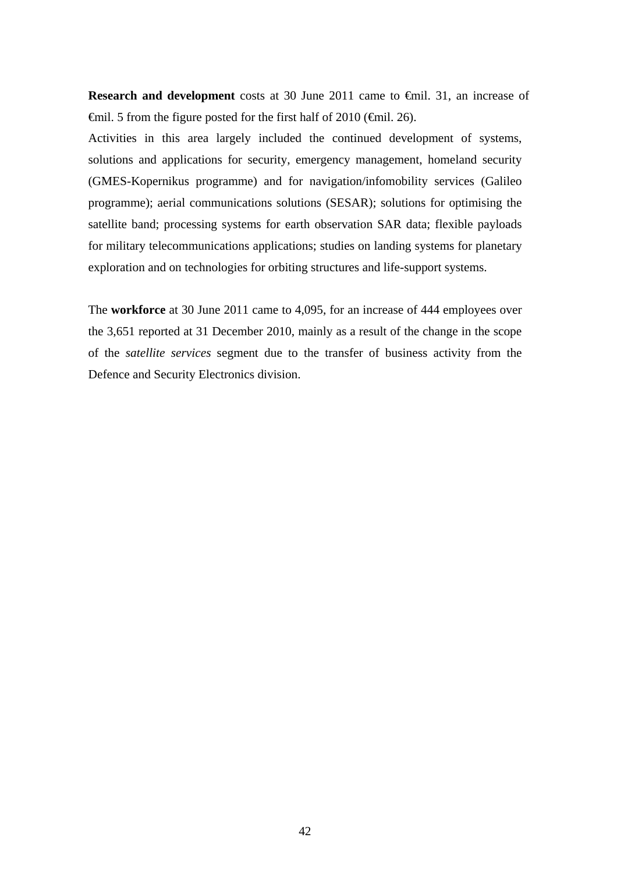**Research and development** costs at 30 June 2011 came to €mil. 31, an increase of  $\epsilon$ mil. 5 from the figure posted for the first half of 2010 ( $\epsilon$ mil. 26).

Activities in this area largely included the continued development of systems, solutions and applications for security, emergency management, homeland security (GMES-Kopernikus programme) and for navigation/infomobility services (Galileo programme); aerial communications solutions (SESAR); solutions for optimising the satellite band; processing systems for earth observation SAR data; flexible payloads for military telecommunications applications; studies on landing systems for planetary exploration and on technologies for orbiting structures and life-support systems.

The **workforce** at 30 June 2011 came to 4,095, for an increase of 444 employees over the 3,651 reported at 31 December 2010, mainly as a result of the change in the scope of the *satellite services* segment due to the transfer of business activity from the Defence and Security Electronics division.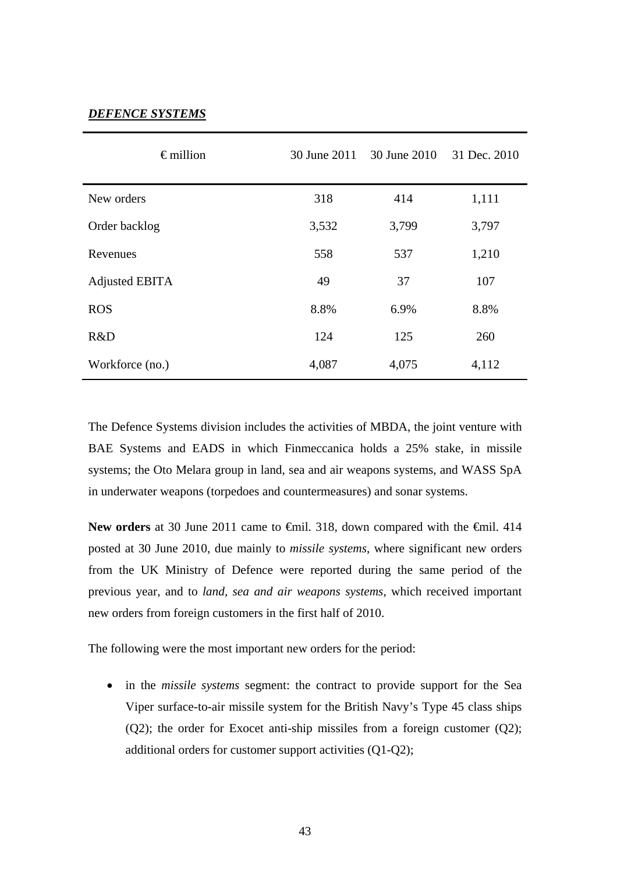### *DEFENCE SYSTEMS*

| $\epsilon$ million    | 30 June 2011 | 30 June 2010 | 31 Dec. 2010 |
|-----------------------|--------------|--------------|--------------|
| New orders            | 318          | 414          | 1,111        |
| Order backlog         | 3,532        | 3,799        | 3,797        |
| Revenues              | 558          | 537          | 1,210        |
| <b>Adjusted EBITA</b> | 49           | 37           | 107          |
| <b>ROS</b>            | 8.8%         | 6.9%         | 8.8%         |
| R&D                   | 124          | 125          | 260          |
| Workforce (no.)       | 4,087        | 4,075        | 4,112        |

The Defence Systems division includes the activities of MBDA, the joint venture with BAE Systems and EADS in which Finmeccanica holds a 25% stake, in missile systems; the Oto Melara group in land, sea and air weapons systems, and WASS SpA in underwater weapons (torpedoes and countermeasures) and sonar systems.

New orders at 30 June 2011 came to <del>€</del>mil. 318, down compared with the €mil. 414 posted at 30 June 2010, due mainly to *missile systems*, where significant new orders from the UK Ministry of Defence were reported during the same period of the previous year, and to *land, sea and air weapons systems*, which received important new orders from foreign customers in the first half of 2010.

The following were the most important new orders for the period:

 in the *missile systems* segment: the contract to provide support for the Sea Viper surface-to-air missile system for the British Navy's Type 45 class ships (Q2); the order for Exocet anti-ship missiles from a foreign customer (Q2); additional orders for customer support activities (Q1-Q2);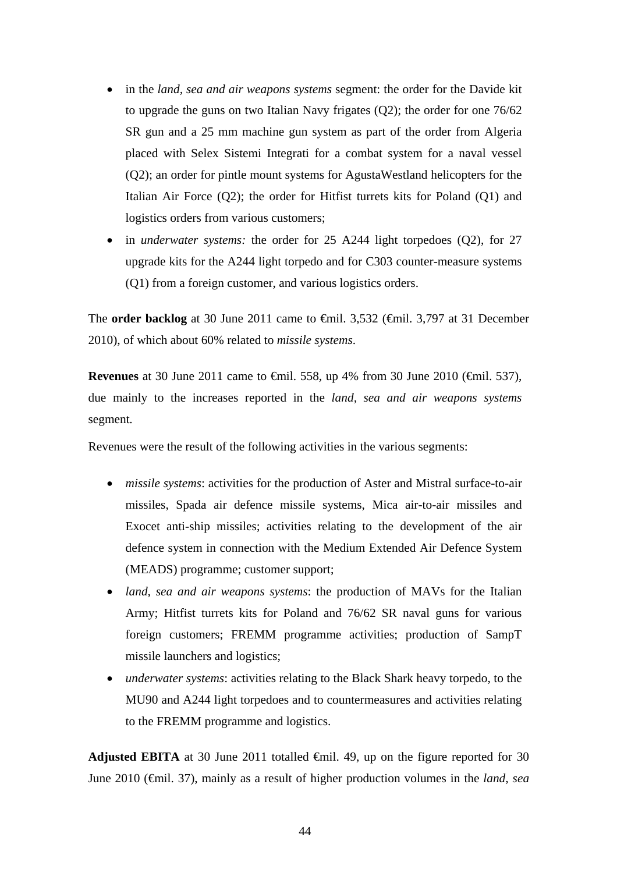- in the *land, sea and air weapons systems* segment: the order for the Davide kit to upgrade the guns on two Italian Navy frigates (Q2); the order for one 76/62 SR gun and a 25 mm machine gun system as part of the order from Algeria placed with Selex Sistemi Integrati for a combat system for a naval vessel (Q2); an order for pintle mount systems for AgustaWestland helicopters for the Italian Air Force (Q2); the order for Hitfist turrets kits for Poland (Q1) and logistics orders from various customers;
- in *underwater systems:* the order for 25 A244 light torpedoes (Q2), for 27 upgrade kits for the A244 light torpedo and for C303 counter-measure systems (Q1) from a foreign customer, and various logistics orders.

The **order backlog** at 30 June 2011 came to <del>€</del>mil. 3,532 (€mil. 3,797 at 31 December 2010), of which about 60% related to *missile systems*.

**Revenues** at 30 June 2011 came to <del>€</del>mil. 558, up 4% from 30 June 2010 (€mil. 537), due mainly to the increases reported in the *land, sea and air weapons systems* segment*.*

Revenues were the result of the following activities in the various segments:

- *missile systems*: activities for the production of Aster and Mistral surface-to-air missiles, Spada air defence missile systems, Mica air-to-air missiles and Exocet anti-ship missiles; activities relating to the development of the air defence system in connection with the Medium Extended Air Defence System (MEADS) programme; customer support;
- *land, sea and air weapons systems*: the production of MAVs for the Italian Army; Hitfist turrets kits for Poland and 76/62 SR naval guns for various foreign customers; FREMM programme activities; production of SampT missile launchers and logistics;
- *underwater systems*: activities relating to the Black Shark heavy torpedo, to the MU90 and A244 light torpedoes and to countermeasures and activities relating to the FREMM programme and logistics.

Adjusted EBITA at 30 June 2011 totalled  $\oplus$ mil. 49, up on the figure reported for 30 June 2010 (€mil. 37), mainly as a result of higher production volumes in the *land, sea*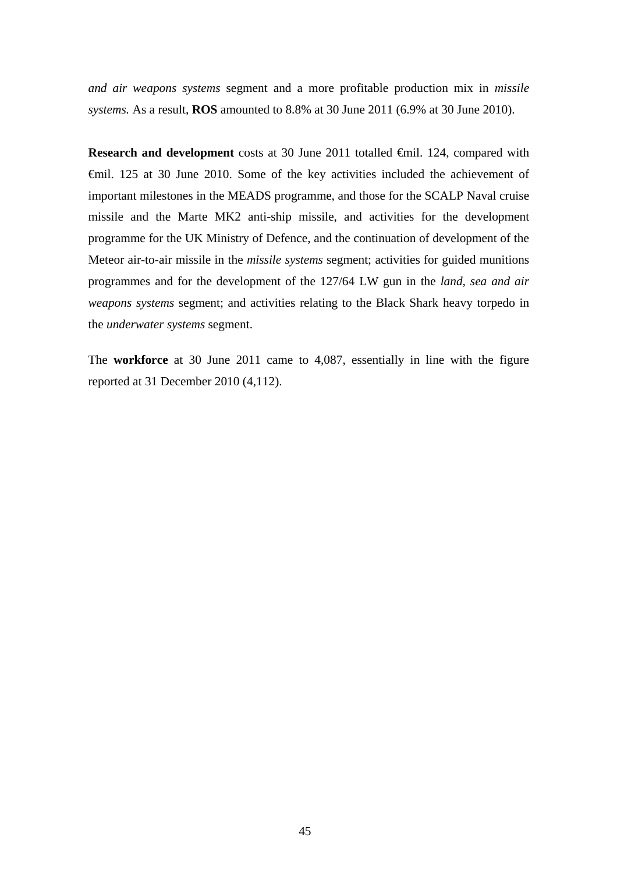*and air weapons systems* segment and a more profitable production mix in *missile systems.* As a result, **ROS** amounted to 8.8% at 30 June 2011 (6.9% at 30 June 2010).

**Research and development** costs at 30 June 2011 totalled €mil. 124, compared with €mil. 125 at 30 June 2010. Some of the key activities included the achievement of important milestones in the MEADS programme, and those for the SCALP Naval cruise missile and the Marte MK2 anti-ship missile, and activities for the development programme for the UK Ministry of Defence, and the continuation of development of the Meteor air-to-air missile in the *missile systems* segment; activities for guided munitions programmes and for the development of the 127/64 LW gun in the *land, sea and air weapons systems* segment; and activities relating to the Black Shark heavy torpedo in the *underwater systems* segment.

The **workforce** at 30 June 2011 came to 4,087, essentially in line with the figure reported at 31 December 2010 (4,112).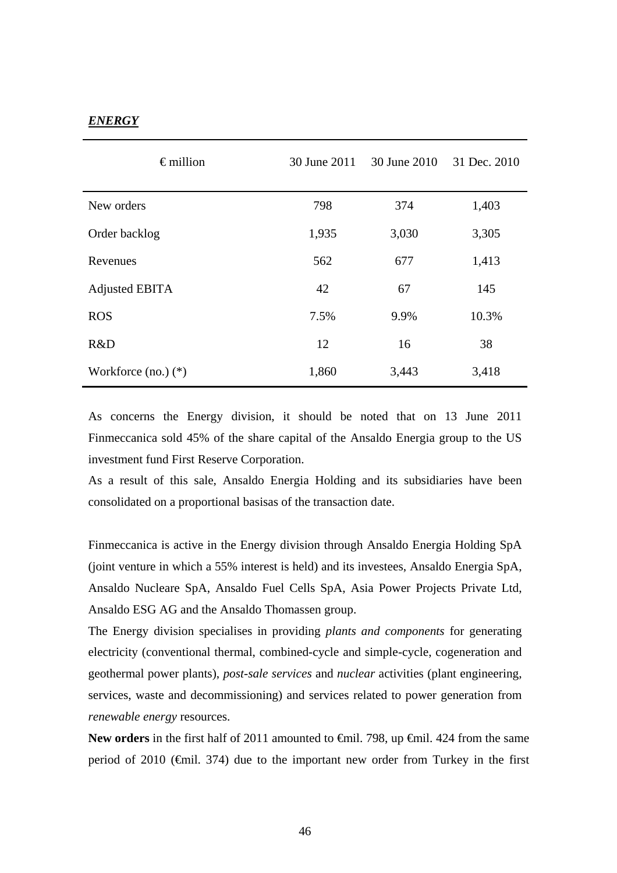### *ENERGY*

| $\epsilon$ million      | 30 June 2011 | 30 June 2010 | 31 Dec. 2010 |
|-------------------------|--------------|--------------|--------------|
| New orders              | 798          | 374          | 1,403        |
| Order backlog           | 1,935        | 3,030        | 3,305        |
| Revenues                | 562          | 677          | 1,413        |
| <b>Adjusted EBITA</b>   | 42           | 67           | 145          |
| <b>ROS</b>              | 7.5%         | 9.9%         | 10.3%        |
| R&D                     | 12           | 16           | 38           |
| Workforce $(no.)$ $(*)$ | 1,860        | 3,443        | 3,418        |

As concerns the Energy division, it should be noted that on 13 June 2011 Finmeccanica sold 45% of the share capital of the Ansaldo Energia group to the US investment fund First Reserve Corporation.

As a result of this sale, Ansaldo Energia Holding and its subsidiaries have been consolidated on a proportional basisas of the transaction date.

Finmeccanica is active in the Energy division through Ansaldo Energia Holding SpA (joint venture in which a 55% interest is held) and its investees, Ansaldo Energia SpA, Ansaldo Nucleare SpA, Ansaldo Fuel Cells SpA, Asia Power Projects Private Ltd, Ansaldo ESG AG and the Ansaldo Thomassen group.

The Energy division specialises in providing *plants and components* for generating electricity (conventional thermal, combined-cycle and simple-cycle, cogeneration and geothermal power plants), *post-sale services* and *nuclear* activities (plant engineering, services, waste and decommissioning) and services related to power generation from *renewable energy* resources.

New orders in the first half of 2011 amounted to <del>€mil</del>. 798, up <del>€mil.</del> 424 from the same period of 2010 ( $\epsilon$ mil. 374) due to the important new order from Turkey in the first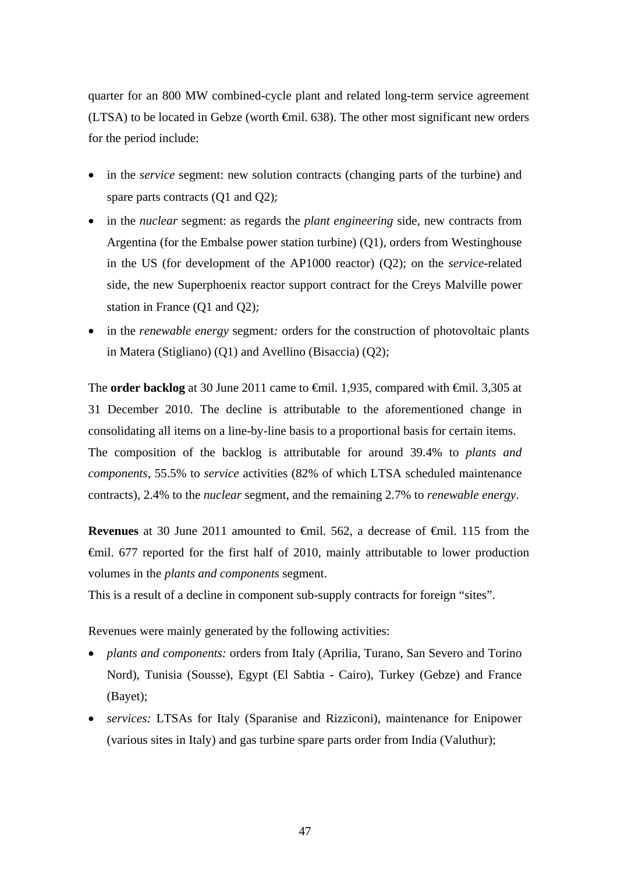quarter for an 800 MW combined-cycle plant and related long-term service agreement (LTSA) to be located in Gebze (worth  $\epsilon$ mil. 638). The other most significant new orders for the period include:

- in the *service* segment: new solution contracts (changing parts of the turbine) and spare parts contracts (Q1 and Q2);
- in the *nuclear* segment: as regards the *plant engineering* side, new contracts from Argentina (for the Embalse power station turbine) (Q1), orders from Westinghouse in the US (for development of the AP1000 reactor) (Q2); on the *service*-related side, the new Superphoenix reactor support contract for the Creys Malville power station in France (Q1 and Q2);
- in the *renewable energy* segment: orders for the construction of photovoltaic plants in Matera (Stigliano) (Q1) and Avellino (Bisaccia) (Q2);

The **order backlog** at 30 June 2011 came to <del>€mil.</del> 1,935, compared with <del>€mil.</del> 3,305 at 31 December 2010. The decline is attributable to the aforementioned change in consolidating all items on a line-by-line basis to a proportional basis for certain items. The composition of the backlog is attributable for around 39.4% to *plants and components*, 55.5% to *service* activities (82% of which LTSA scheduled maintenance contracts), 2.4% to the *nuclear* segment, and the remaining 2.7% to *renewable energy*.

**Revenues** at 30 June 2011 amounted to €mil. 562, a decrease of €mil. 115 from the €mil. 677 reported for the first half of 2010, mainly attributable to lower production volumes in the *plants and components* segment.

This is a result of a decline in component sub-supply contracts for foreign "sites".

Revenues were mainly generated by the following activities:

- *plants and components:* orders from Italy (Aprilia, Turano, San Severo and Torino Nord), Tunisia (Sousse), Egypt (El Sabtia - Cairo), Turkey (Gebze) and France (Bayet);
- *services:* LTSAs for Italy (Sparanise and Rizziconi), maintenance for Enipower (various sites in Italy) and gas turbine spare parts order from India (Valuthur);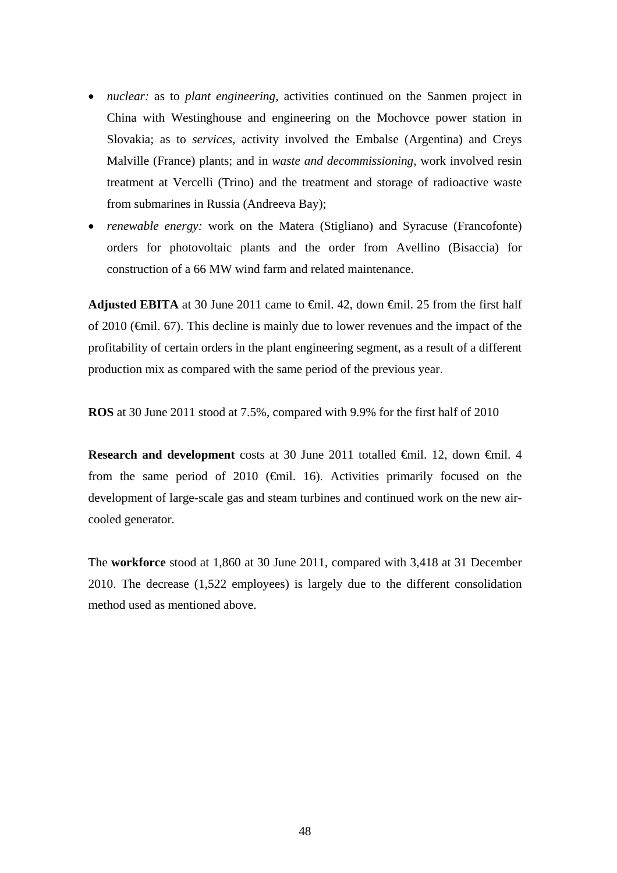- *nuclear:* as to *plant engineering*, activities continued on the Sanmen project in China with Westinghouse and engineering on the Mochovce power station in Slovakia; as to *services*, activity involved the Embalse (Argentina) and Creys Malville (France) plants; and in *waste and decommissioning*, work involved resin treatment at Vercelli (Trino) and the treatment and storage of radioactive waste from submarines in Russia (Andreeva Bay);
- *renewable energy:* work on the Matera (Stigliano) and Syracuse (Francofonte) orders for photovoltaic plants and the order from Avellino (Bisaccia) for construction of a 66 MW wind farm and related maintenance.

**Adjusted EBITA** at 30 June 2011 came to  $\oplus$  iil. 42, down  $\oplus$  iil. 25 from the first half of 2010 (€mil. 67). This decline is mainly due to lower revenues and the impact of the profitability of certain orders in the plant engineering segment, as a result of a different production mix as compared with the same period of the previous year.

**ROS** at 30 June 2011 stood at 7.5%, compared with 9.9% for the first half of 2010

**Research and development** costs at 30 June 2011 totalled €mil. 12, down €mil. 4 from the same period of 2010 ( $\bigoplus$ mil. 16). Activities primarily focused on the development of large-scale gas and steam turbines and continued work on the new aircooled generator.

The **workforce** stood at 1,860 at 30 June 2011, compared with 3,418 at 31 December 2010. The decrease (1,522 employees) is largely due to the different consolidation method used as mentioned above.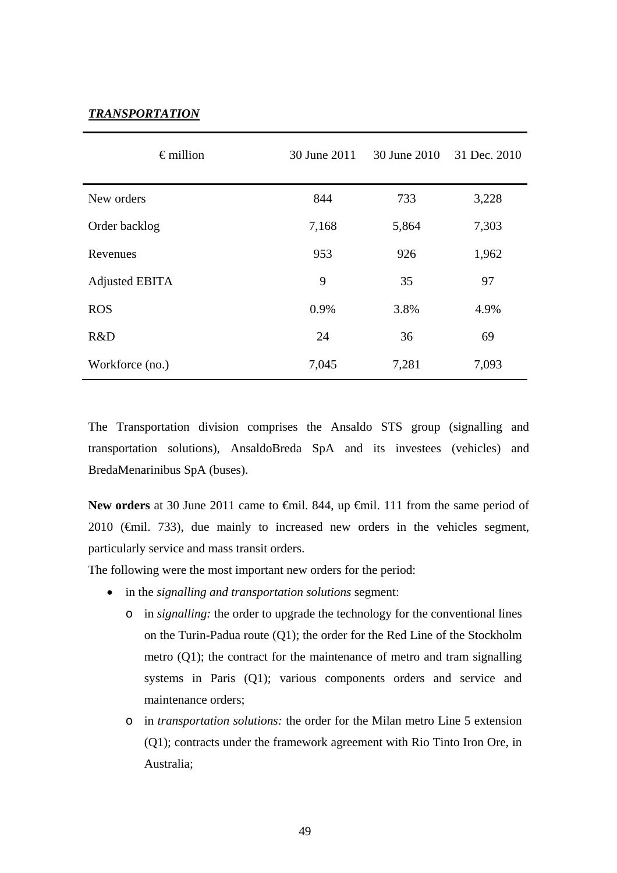### *TRANSPORTATION*

| $\epsilon$ million    | 30 June 2011 | 30 June 2010 | 31 Dec. 2010 |
|-----------------------|--------------|--------------|--------------|
| New orders            | 844          | 733          | 3,228        |
| Order backlog         | 7,168        | 5,864        | 7,303        |
| Revenues              | 953          | 926          | 1,962        |
| <b>Adjusted EBITA</b> | 9            | 35           | 97           |
| <b>ROS</b>            | 0.9%         | 3.8%         | 4.9%         |
| R&D                   | 24           | 36           | 69           |
| Workforce (no.)       | 7,045        | 7,281        | 7,093        |

The Transportation division comprises the Ansaldo STS group (signalling and transportation solutions), AnsaldoBreda SpA and its investees (vehicles) and BredaMenarinibus SpA (buses).

New orders at 30 June 2011 came to <del>€</del>mil. 844, up <del>€</del>mil. 111 from the same period of 2010 ( $\epsilon$ mil. 733), due mainly to increased new orders in the vehicles segment, particularly service and mass transit orders.

The following were the most important new orders for the period:

- in the *signalling and transportation solutions* segment:
	- o in *signalling:* the order to upgrade the technology for the conventional lines on the Turin-Padua route (Q1); the order for the Red Line of the Stockholm metro (Q1); the contract for the maintenance of metro and tram signalling systems in Paris (Q1); various components orders and service and maintenance orders;
	- o in *transportation solutions:* the order for the Milan metro Line 5 extension (Q1); contracts under the framework agreement with Rio Tinto Iron Ore, in Australia;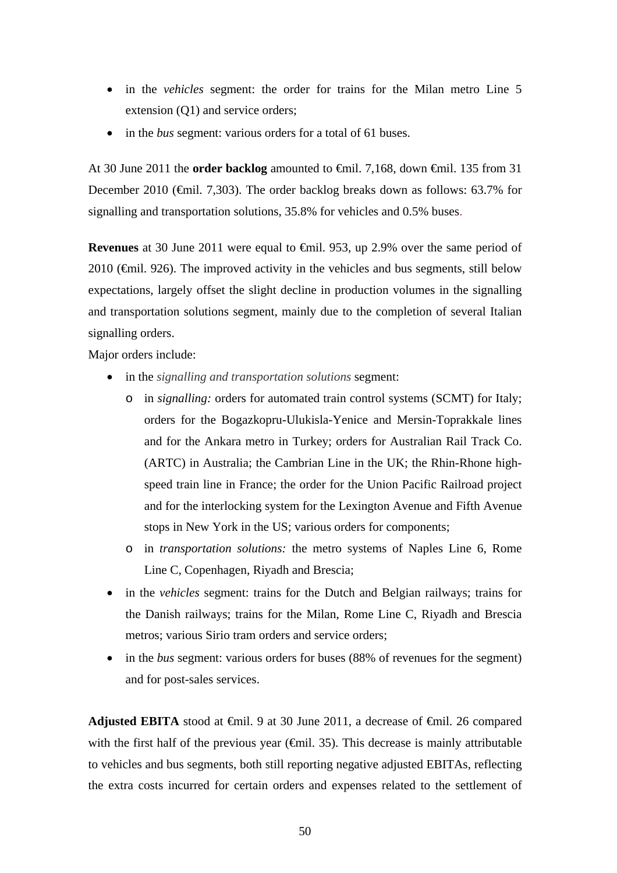- in the *vehicles* segment: the order for trains for the Milan metro Line 5 extension (Q1) and service orders;
- in the *bus* segment: various orders for a total of 61 buses.

At 30 June 2011 the **order backlog** amounted to €mil. 7,168, down €mil. 135 from 31 December 2010 (€mil. 7,303). The order backlog breaks down as follows: 63.7% for signalling and transportation solutions, 35.8% for vehicles and 0.5% buses.

**Revenues** at 30 June 2011 were equal to €mil. 953, up 2.9% over the same period of  $2010$  ( $\bigoplus$ mil. 926). The improved activity in the vehicles and bus segments, still below expectations, largely offset the slight decline in production volumes in the signalling and transportation solutions segment, mainly due to the completion of several Italian signalling orders.

Major orders include:

- in the *signalling and transportation solutions* segment:
	- o in *signalling:* orders for automated train control systems (SCMT) for Italy; orders for the Bogazkopru-Ulukisla-Yenice and Mersin-Toprakkale lines and for the Ankara metro in Turkey; orders for Australian Rail Track Co. (ARTC) in Australia; the Cambrian Line in the UK; the Rhin-Rhone highspeed train line in France; the order for the Union Pacific Railroad project and for the interlocking system for the Lexington Avenue and Fifth Avenue stops in New York in the US; various orders for components;
	- o in *transportation solutions:* the metro systems of Naples Line 6, Rome Line C, Copenhagen, Riyadh and Brescia;
- in the *vehicles* segment: trains for the Dutch and Belgian railways; trains for the Danish railways; trains for the Milan, Rome Line C, Riyadh and Brescia metros; various Sirio tram orders and service orders;
- in the *bus* segment: various orders for buses (88% of revenues for the segment) and for post-sales services.

Adjusted EBITA stood at <del>C</del>mil. 9 at 30 June 2011, a decrease of <del>C</del>mil. 26 compared with the first half of the previous year  $(\text{fmil. 35})$ . This decrease is mainly attributable to vehicles and bus segments, both still reporting negative adjusted EBITAs, reflecting the extra costs incurred for certain orders and expenses related to the settlement of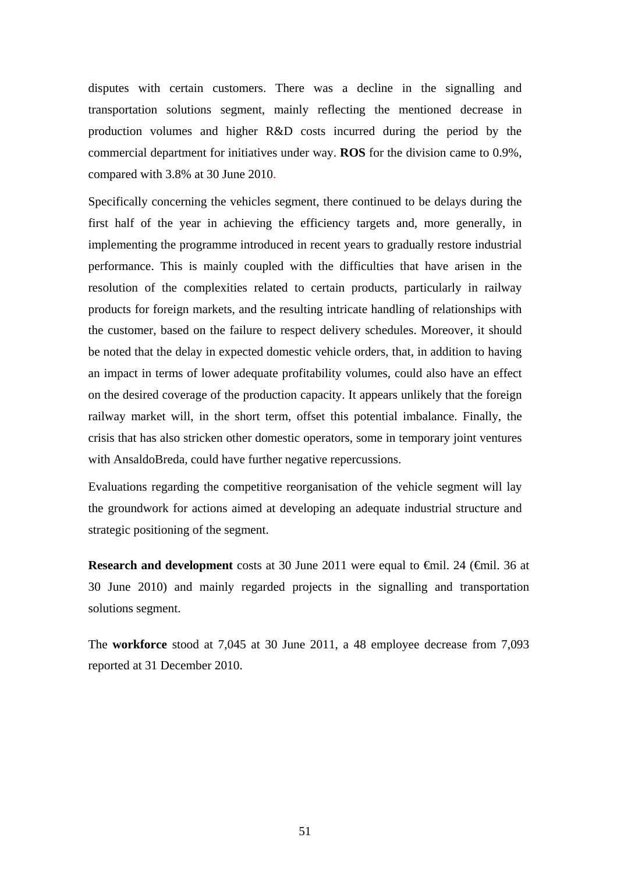disputes with certain customers. There was a decline in the signalling and transportation solutions segment, mainly reflecting the mentioned decrease in production volumes and higher R&D costs incurred during the period by the commercial department for initiatives under way. **ROS** for the division came to 0.9%, compared with 3.8% at 30 June 2010.

Specifically concerning the vehicles segment, there continued to be delays during the first half of the year in achieving the efficiency targets and, more generally, in implementing the programme introduced in recent years to gradually restore industrial performance. This is mainly coupled with the difficulties that have arisen in the resolution of the complexities related to certain products, particularly in railway products for foreign markets, and the resulting intricate handling of relationships with the customer, based on the failure to respect delivery schedules. Moreover, it should be noted that the delay in expected domestic vehicle orders, that, in addition to having an impact in terms of lower adequate profitability volumes, could also have an effect on the desired coverage of the production capacity. It appears unlikely that the foreign railway market will, in the short term, offset this potential imbalance. Finally, the crisis that has also stricken other domestic operators, some in temporary joint ventures with AnsaldoBreda, could have further negative repercussions.

Evaluations regarding the competitive reorganisation of the vehicle segment will lay the groundwork for actions aimed at developing an adequate industrial structure and strategic positioning of the segment.

**Research and development** costs at 30 June 2011 were equal to €mil. 24 (€mil. 36 at 30 June 2010) and mainly regarded projects in the signalling and transportation solutions segment.

The **workforce** stood at 7,045 at 30 June 2011, a 48 employee decrease from 7,093 reported at 31 December 2010.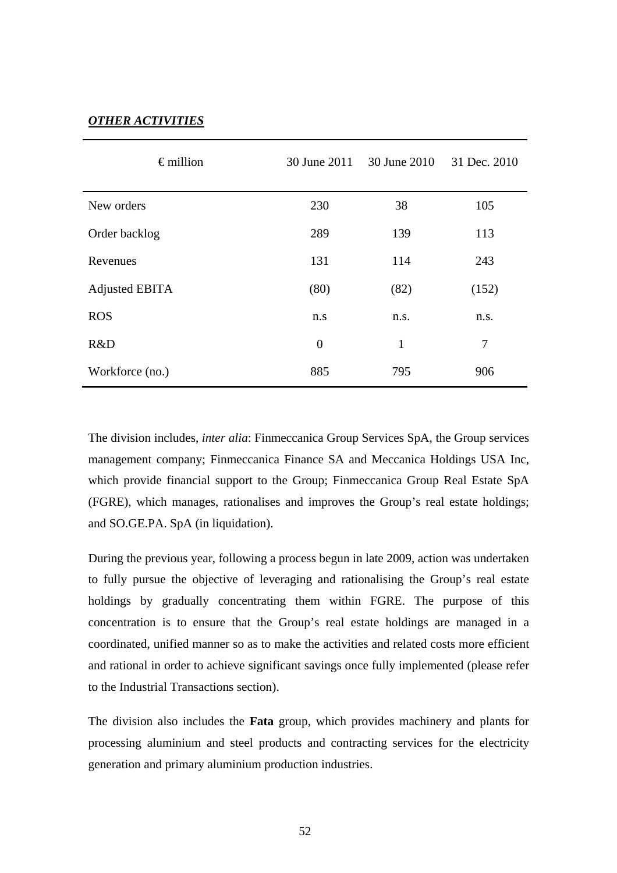### *OTHER ACTIVITIES*

| $\epsilon$ million | 30 June 2011   | 30 June 2010 | 31 Dec. 2010   |
|--------------------|----------------|--------------|----------------|
| New orders         | 230            | 38           | 105            |
| Order backlog      | 289            | 139          | 113            |
| Revenues           | 131            | 114          | 243            |
| Adjusted EBITA     | (80)           | (82)         | (152)          |
| <b>ROS</b>         | n.s            | n.s.         | n.s.           |
| R&D                | $\overline{0}$ | $\mathbf{1}$ | $\overline{7}$ |
| Workforce (no.)    | 885            | 795          | 906            |

The division includes, *inter alia*: Finmeccanica Group Services SpA, the Group services management company; Finmeccanica Finance SA and Meccanica Holdings USA Inc, which provide financial support to the Group; Finmeccanica Group Real Estate SpA (FGRE), which manages, rationalises and improves the Group's real estate holdings; and SO.GE.PA. SpA (in liquidation).

During the previous year, following a process begun in late 2009, action was undertaken to fully pursue the objective of leveraging and rationalising the Group's real estate holdings by gradually concentrating them within FGRE. The purpose of this concentration is to ensure that the Group's real estate holdings are managed in a coordinated, unified manner so as to make the activities and related costs more efficient and rational in order to achieve significant savings once fully implemented (please refer to the Industrial Transactions section).

The division also includes the **Fata** group, which provides machinery and plants for processing aluminium and steel products and contracting services for the electricity generation and primary aluminium production industries.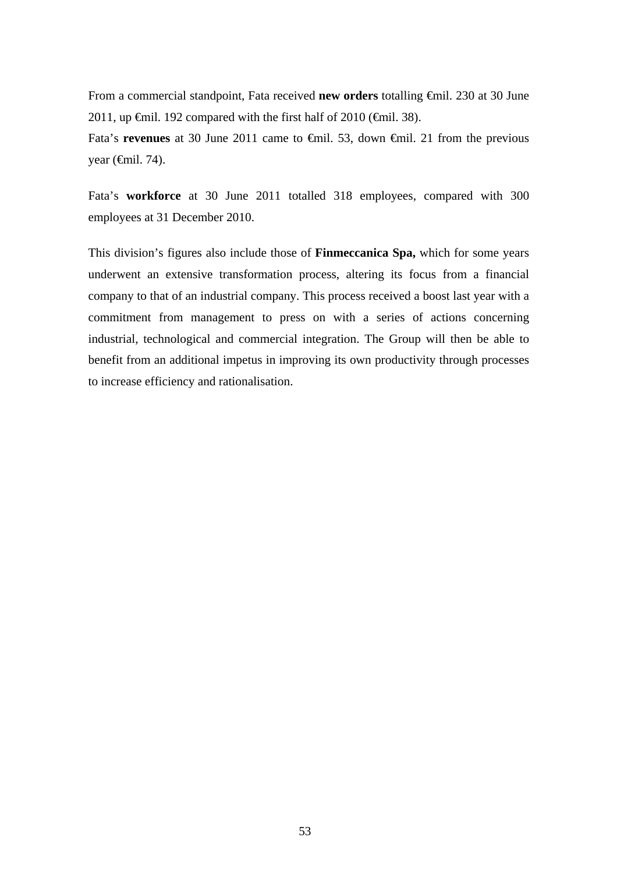From a commercial standpoint, Fata received **new orders** totalling €mil. 230 at 30 June 2011, up  $\epsilon$ mil. 192 compared with the first half of 2010 ( $\epsilon$ mil. 38).

Fata's **revenues** at 30 June 2011 came to €mil. 53, down €mil. 21 from the previous year  $(\oplus$ mil. 74).

Fata's **workforce** at 30 June 2011 totalled 318 employees, compared with 300 employees at 31 December 2010.

This division's figures also include those of **Finmeccanica Spa,** which for some years underwent an extensive transformation process, altering its focus from a financial company to that of an industrial company. This process received a boost last year with a commitment from management to press on with a series of actions concerning industrial, technological and commercial integration. The Group will then be able to benefit from an additional impetus in improving its own productivity through processes to increase efficiency and rationalisation.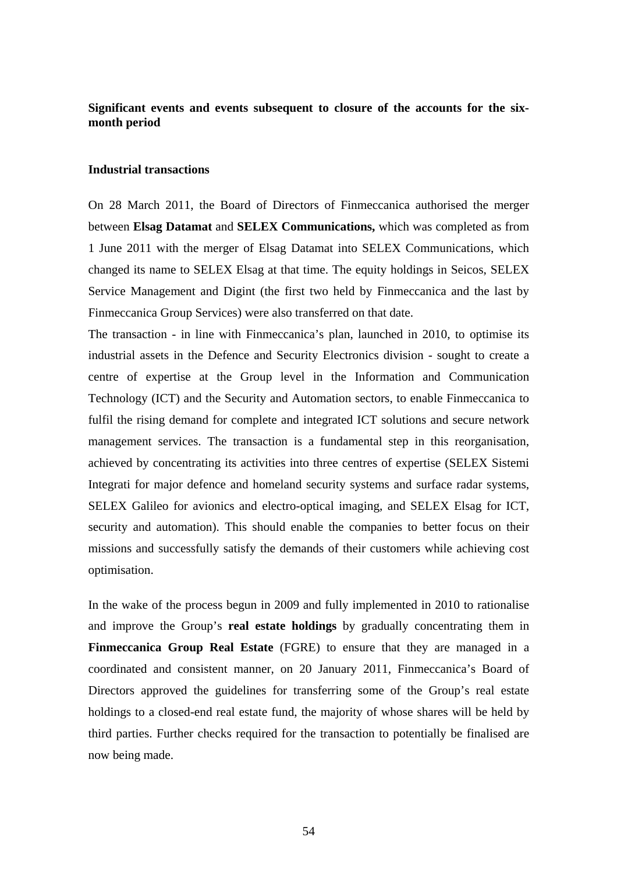### **Significant events and events subsequent to closure of the accounts for the sixmonth period**

### **Industrial transactions**

On 28 March 2011, the Board of Directors of Finmeccanica authorised the merger between **Elsag Datamat** and **SELEX Communications,** which was completed as from 1 June 2011 with the merger of Elsag Datamat into SELEX Communications, which changed its name to SELEX Elsag at that time. The equity holdings in Seicos, SELEX Service Management and Digint (the first two held by Finmeccanica and the last by Finmeccanica Group Services) were also transferred on that date.

The transaction - in line with Finmeccanica's plan, launched in 2010, to optimise its industrial assets in the Defence and Security Electronics division - sought to create a centre of expertise at the Group level in the Information and Communication Technology (ICT) and the Security and Automation sectors, to enable Finmeccanica to fulfil the rising demand for complete and integrated ICT solutions and secure network management services. The transaction is a fundamental step in this reorganisation, achieved by concentrating its activities into three centres of expertise (SELEX Sistemi Integrati for major defence and homeland security systems and surface radar systems, SELEX Galileo for avionics and electro-optical imaging, and SELEX Elsag for ICT, security and automation). This should enable the companies to better focus on their missions and successfully satisfy the demands of their customers while achieving cost optimisation.

In the wake of the process begun in 2009 and fully implemented in 2010 to rationalise and improve the Group's **real estate holdings** by gradually concentrating them in **Finmeccanica Group Real Estate** (FGRE) to ensure that they are managed in a coordinated and consistent manner, on 20 January 2011, Finmeccanica's Board of Directors approved the guidelines for transferring some of the Group's real estate holdings to a closed-end real estate fund, the majority of whose shares will be held by third parties. Further checks required for the transaction to potentially be finalised are now being made.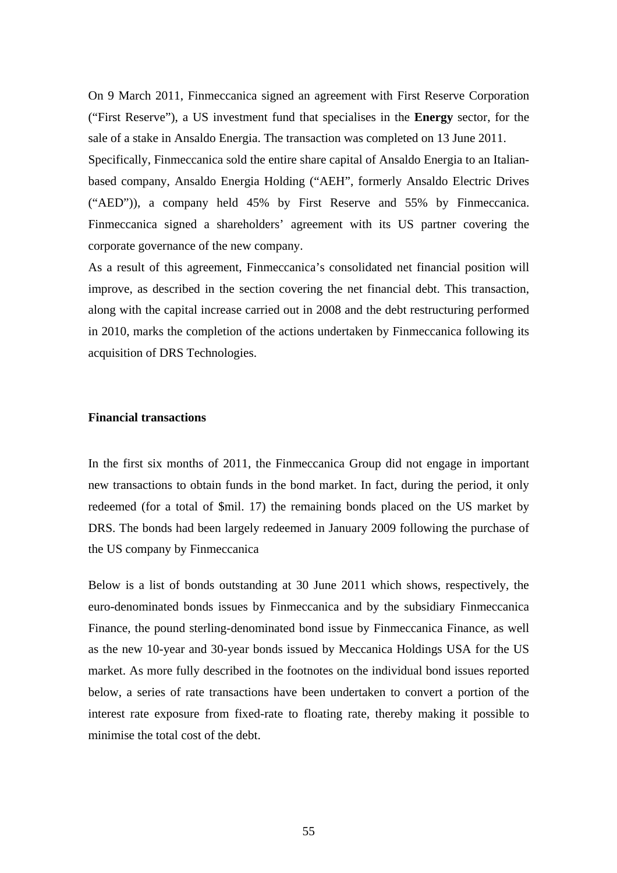On 9 March 2011, Finmeccanica signed an agreement with First Reserve Corporation ("First Reserve"), a US investment fund that specialises in the **Energy** sector, for the sale of a stake in Ansaldo Energia. The transaction was completed on 13 June 2011.

Specifically, Finmeccanica sold the entire share capital of Ansaldo Energia to an Italianbased company, Ansaldo Energia Holding ("AEH", formerly Ansaldo Electric Drives ("AED")), a company held 45% by First Reserve and 55% by Finmeccanica. Finmeccanica signed a shareholders' agreement with its US partner covering the corporate governance of the new company.

As a result of this agreement, Finmeccanica's consolidated net financial position will improve, as described in the section covering the net financial debt. This transaction, along with the capital increase carried out in 2008 and the debt restructuring performed in 2010, marks the completion of the actions undertaken by Finmeccanica following its acquisition of DRS Technologies.

### **Financial transactions**

In the first six months of 2011, the Finmeccanica Group did not engage in important new transactions to obtain funds in the bond market. In fact, during the period, it only redeemed (for a total of \$mil. 17) the remaining bonds placed on the US market by DRS. The bonds had been largely redeemed in January 2009 following the purchase of the US company by Finmeccanica

Below is a list of bonds outstanding at 30 June 2011 which shows, respectively, the euro-denominated bonds issues by Finmeccanica and by the subsidiary Finmeccanica Finance, the pound sterling-denominated bond issue by Finmeccanica Finance, as well as the new 10-year and 30-year bonds issued by Meccanica Holdings USA for the US market. As more fully described in the footnotes on the individual bond issues reported below, a series of rate transactions have been undertaken to convert a portion of the interest rate exposure from fixed-rate to floating rate, thereby making it possible to minimise the total cost of the debt.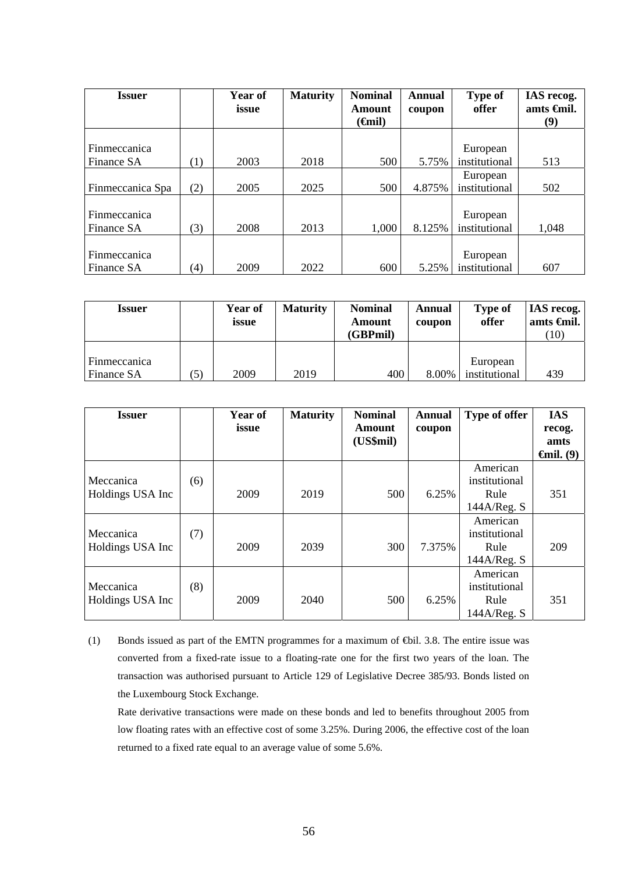| <b>Issuer</b>       |     | Year of<br>issue | <b>Maturity</b> | <b>Nominal</b><br>Amount | <b>Annual</b><br>coupon | <b>Type of</b><br>offer | IAS recog.<br>amts <del>C</del> inil. |
|---------------------|-----|------------------|-----------------|--------------------------|-------------------------|-------------------------|---------------------------------------|
|                     |     |                  |                 | ( <del>G</del> nil)      |                         |                         | (9)                                   |
|                     |     |                  |                 |                          |                         |                         |                                       |
| <b>Finmeccanica</b> |     |                  |                 |                          |                         | European                |                                       |
| Finance SA          | (1) | 2003             | 2018            | 500                      | 5.75%                   | institutional           | 513                                   |
|                     |     |                  |                 |                          |                         | European                |                                       |
| Finmeccanica Spa    | (2) | 2005             | 2025            | 500                      | 4.875%                  | institutional           | 502                                   |
|                     |     |                  |                 |                          |                         |                         |                                       |
| Finmeccanica        |     |                  |                 |                          |                         | European                |                                       |
| Finance SA          | (3) | 2008             | 2013            | 1,000                    | 8.125%                  | institutional           | 1,048                                 |
|                     |     |                  |                 |                          |                         |                         |                                       |
| Finmeccanica        |     |                  |                 |                          |                         | European                |                                       |
| Finance SA          | (4) | 2009             | 2022            | 600                      | 5.25%                   | institutional           | 607                                   |

| Issuer                            |     | <b>Year of</b><br>issue | <b>Maturity</b> | <b>Nominal</b><br>Amount<br>(GBPmil) | Annual<br>coupon | Type of<br>offer          | <b>IAS</b> recog.<br>amts $\epsilon$ mil.<br>(10) |
|-----------------------------------|-----|-------------------------|-----------------|--------------------------------------|------------------|---------------------------|---------------------------------------------------|
| Finmeccanica<br><b>Finance SA</b> | (5) | 2009                    | 2019            | 400                                  | 8.00%            | European<br>institutional | 439                                               |

| <b>Issuer</b>                 |     | Year of<br>issue | <b>Maturity</b> | <b>Nominal</b><br>Amount<br>(US\$mil) | Annual<br>coupon | Type of offer                                    | <b>IAS</b><br>recog.<br>amts<br>$\boldsymbol{\Theta}$ mil. (9) |
|-------------------------------|-----|------------------|-----------------|---------------------------------------|------------------|--------------------------------------------------|----------------------------------------------------------------|
| Meccanica<br>Holdings USA Inc | (6) | 2009             | 2019            | 500                                   | 6.25%            | American<br>institutional<br>Rule<br>144A/Reg. S | 351                                                            |
| Meccanica<br>Holdings USA Inc | (7) | 2009             | 2039            | 300                                   | 7.375%           | American<br>institutional<br>Rule<br>144A/Reg. S | 209                                                            |
| Meccanica<br>Holdings USA Inc | (8) | 2009             | 2040            | 500                                   | 6.25%            | American<br>institutional<br>Rule<br>144A/Reg. S | 351                                                            |

(1) Bonds issued as part of the EMTN programmes for a maximum of €bil. 3.8. The entire issue was converted from a fixed-rate issue to a floating-rate one for the first two years of the loan. The transaction was authorised pursuant to Article 129 of Legislative Decree 385/93. Bonds listed on the Luxembourg Stock Exchange.

Rate derivative transactions were made on these bonds and led to benefits throughout 2005 from low floating rates with an effective cost of some 3.25%. During 2006, the effective cost of the loan returned to a fixed rate equal to an average value of some 5.6%.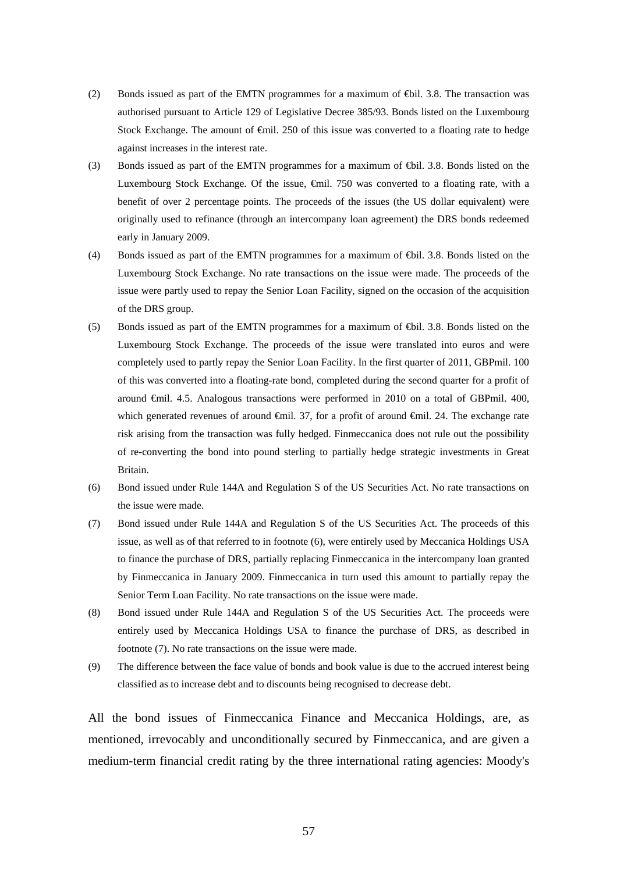- (2) Bonds issued as part of the EMTN programmes for a maximum of €bil. 3.8. The transaction was authorised pursuant to Article 129 of Legislative Decree 385/93. Bonds listed on the Luxembourg Stock Exchange. The amount of €mil. 250 of this issue was converted to a floating rate to hedge against increases in the interest rate.
- (3) Bonds issued as part of the EMTN programmes for a maximum of €bil. 3.8. Bonds listed on the Luxembourg Stock Exchange. Of the issue, €mil. 750 was converted to a floating rate, with a benefit of over 2 percentage points. The proceeds of the issues (the US dollar equivalent) were originally used to refinance (through an intercompany loan agreement) the DRS bonds redeemed early in January 2009.
- (4) Bonds issued as part of the EMTN programmes for a maximum of €bil. 3.8. Bonds listed on the Luxembourg Stock Exchange. No rate transactions on the issue were made. The proceeds of the issue were partly used to repay the Senior Loan Facility, signed on the occasion of the acquisition of the DRS group.
- (5) Bonds issued as part of the EMTN programmes for a maximum of €bil. 3.8. Bonds listed on the Luxembourg Stock Exchange. The proceeds of the issue were translated into euros and were completely used to partly repay the Senior Loan Facility. In the first quarter of 2011, GBPmil. 100 of this was converted into a floating-rate bond, completed during the second quarter for a profit of around €mil. 4.5. Analogous transactions were performed in 2010 on a total of GBPmil. 400, which generated revenues of around €mil. 37, for a profit of around €mil. 24. The exchange rate risk arising from the transaction was fully hedged. Finmeccanica does not rule out the possibility of re-converting the bond into pound sterling to partially hedge strategic investments in Great Britain.
- (6) Bond issued under Rule 144A and Regulation S of the US Securities Act. No rate transactions on the issue were made.
- (7) Bond issued under Rule 144A and Regulation S of the US Securities Act. The proceeds of this issue, as well as of that referred to in footnote (6), were entirely used by Meccanica Holdings USA to finance the purchase of DRS, partially replacing Finmeccanica in the intercompany loan granted by Finmeccanica in January 2009. Finmeccanica in turn used this amount to partially repay the Senior Term Loan Facility. No rate transactions on the issue were made.
- (8) Bond issued under Rule 144A and Regulation S of the US Securities Act. The proceeds were entirely used by Meccanica Holdings USA to finance the purchase of DRS, as described in footnote (7). No rate transactions on the issue were made.
- (9) The difference between the face value of bonds and book value is due to the accrued interest being classified as to increase debt and to discounts being recognised to decrease debt.

All the bond issues of Finmeccanica Finance and Meccanica Holdings, are, as mentioned, irrevocably and unconditionally secured by Finmeccanica, and are given a medium-term financial credit rating by the three international rating agencies: Moody's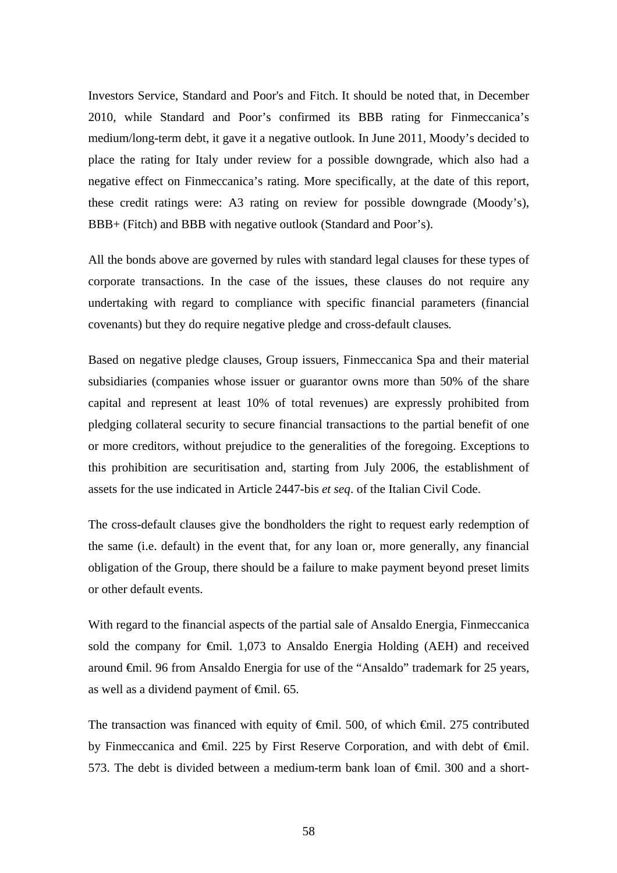Investors Service, Standard and Poor's and Fitch. It should be noted that, in December 2010, while Standard and Poor's confirmed its BBB rating for Finmeccanica's medium/long-term debt, it gave it a negative outlook. In June 2011, Moody's decided to place the rating for Italy under review for a possible downgrade, which also had a negative effect on Finmeccanica's rating. More specifically, at the date of this report, these credit ratings were: A3 rating on review for possible downgrade (Moody's), BBB+ (Fitch) and BBB with negative outlook (Standard and Poor's).

All the bonds above are governed by rules with standard legal clauses for these types of corporate transactions. In the case of the issues, these clauses do not require any undertaking with regard to compliance with specific financial parameters (financial covenants) but they do require negative pledge and cross-default clauses*.*

Based on negative pledge clauses, Group issuers, Finmeccanica Spa and their material subsidiaries (companies whose issuer or guarantor owns more than 50% of the share capital and represent at least 10% of total revenues) are expressly prohibited from pledging collateral security to secure financial transactions to the partial benefit of one or more creditors, without prejudice to the generalities of the foregoing. Exceptions to this prohibition are securitisation and, starting from July 2006, the establishment of assets for the use indicated in Article 2447-bis *et seq*. of the Italian Civil Code.

The cross-default clauses give the bondholders the right to request early redemption of the same (i.e. default) in the event that, for any loan or, more generally, any financial obligation of the Group, there should be a failure to make payment beyond preset limits or other default events.

With regard to the financial aspects of the partial sale of Ansaldo Energia, Finmeccanica sold the company for €mil. 1,073 to Ansaldo Energia Holding (AEH) and received around €mil. 96 from Ansaldo Energia for use of the "Ansaldo" trademark for 25 years, as well as a dividend payment of  $\epsilon$ mil. 65.

The transaction was financed with equity of <del>€mil</del>. 500, of which €mil. 275 contributed by Finmeccanica and €mil. 225 by First Reserve Corporation, and with debt of €mil. 573. The debt is divided between a medium-term bank loan of €mil. 300 and a short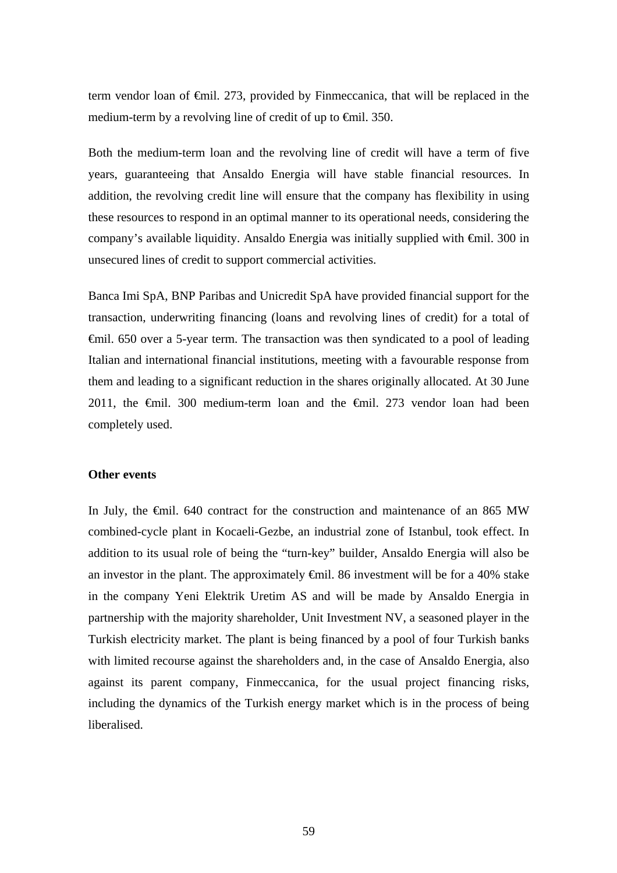term vendor loan of €mil. 273, provided by Finmeccanica, that will be replaced in the medium-term by a revolving line of credit of up to  $\epsilon$ mil. 350.

Both the medium-term loan and the revolving line of credit will have a term of five years, guaranteeing that Ansaldo Energia will have stable financial resources. In addition, the revolving credit line will ensure that the company has flexibility in using these resources to respond in an optimal manner to its operational needs, considering the company's available liquidity. Ansaldo Energia was initially supplied with €mil. 300 in unsecured lines of credit to support commercial activities.

Banca Imi SpA, BNP Paribas and Unicredit SpA have provided financial support for the transaction, underwriting financing (loans and revolving lines of credit) for a total of €mil. 650 over a 5-year term. The transaction was then syndicated to a pool of leading Italian and international financial institutions, meeting with a favourable response from them and leading to a significant reduction in the shares originally allocated. At 30 June 2011, the  $\epsilon$ mil. 300 medium-term loan and the  $\epsilon$ mil. 273 vendor loan had been completely used.

### **Other events**

In July, the €mil. 640 contract for the construction and maintenance of an 865 MW combined-cycle plant in Kocaeli-Gezbe, an industrial zone of Istanbul, took effect. In addition to its usual role of being the "turn-key" builder, Ansaldo Energia will also be an investor in the plant. The approximately  $\oplus$  finil. 86 investment will be for a 40% stake in the company Yeni Elektrik Uretim AS and will be made by Ansaldo Energia in partnership with the majority shareholder, Unit Investment NV, a seasoned player in the Turkish electricity market. The plant is being financed by a pool of four Turkish banks with limited recourse against the shareholders and, in the case of Ansaldo Energia, also against its parent company, Finmeccanica, for the usual project financing risks, including the dynamics of the Turkish energy market which is in the process of being liberalised.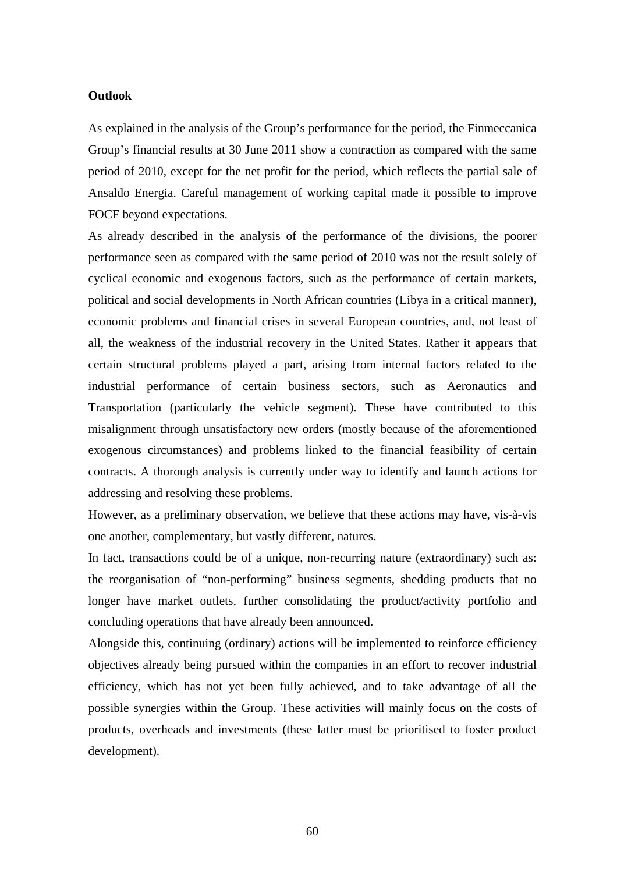### **Outlook**

As explained in the analysis of the Group's performance for the period, the Finmeccanica Group's financial results at 30 June 2011 show a contraction as compared with the same period of 2010, except for the net profit for the period, which reflects the partial sale of Ansaldo Energia. Careful management of working capital made it possible to improve FOCF beyond expectations.

As already described in the analysis of the performance of the divisions, the poorer performance seen as compared with the same period of 2010 was not the result solely of cyclical economic and exogenous factors, such as the performance of certain markets, political and social developments in North African countries (Libya in a critical manner), economic problems and financial crises in several European countries, and, not least of all, the weakness of the industrial recovery in the United States. Rather it appears that certain structural problems played a part, arising from internal factors related to the industrial performance of certain business sectors, such as Aeronautics and Transportation (particularly the vehicle segment). These have contributed to this misalignment through unsatisfactory new orders (mostly because of the aforementioned exogenous circumstances) and problems linked to the financial feasibility of certain contracts. A thorough analysis is currently under way to identify and launch actions for addressing and resolving these problems.

However, as a preliminary observation, we believe that these actions may have, vis-à-vis one another, complementary, but vastly different, natures.

In fact, transactions could be of a unique, non-recurring nature (extraordinary) such as: the reorganisation of "non-performing" business segments, shedding products that no longer have market outlets, further consolidating the product/activity portfolio and concluding operations that have already been announced.

Alongside this, continuing (ordinary) actions will be implemented to reinforce efficiency objectives already being pursued within the companies in an effort to recover industrial efficiency, which has not yet been fully achieved, and to take advantage of all the possible synergies within the Group. These activities will mainly focus on the costs of products, overheads and investments (these latter must be prioritised to foster product development).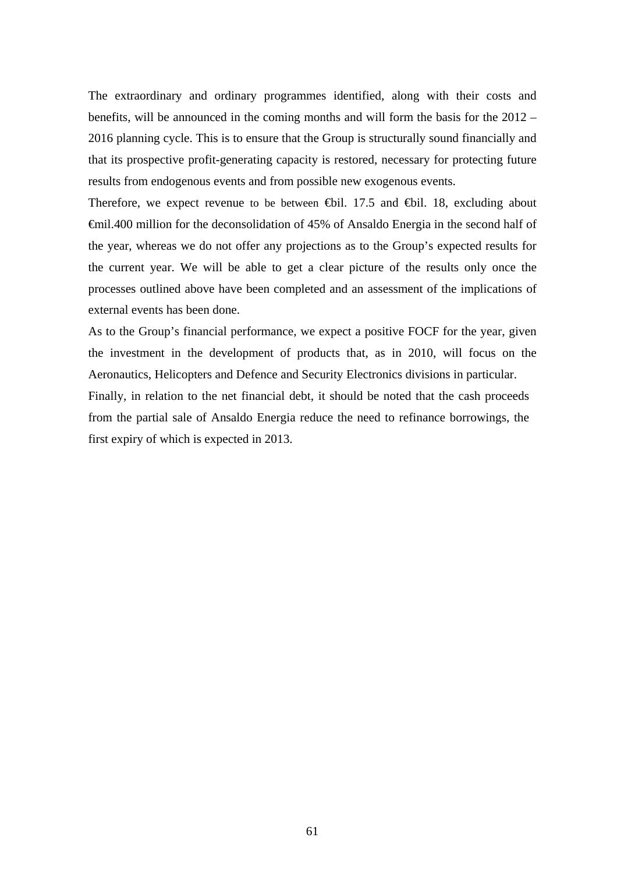The extraordinary and ordinary programmes identified, along with their costs and benefits, will be announced in the coming months and will form the basis for the 2012 – 2016 planning cycle. This is to ensure that the Group is structurally sound financially and that its prospective profit-generating capacity is restored, necessary for protecting future results from endogenous events and from possible new exogenous events.

Therefore, we expect revenue to be between  $\oplus$ il. 17.5 and  $\oplus$ il. 18, excluding about €mil.400 million for the deconsolidation of 45% of Ansaldo Energia in the second half of the year, whereas we do not offer any projections as to the Group's expected results for the current year. We will be able to get a clear picture of the results only once the processes outlined above have been completed and an assessment of the implications of external events has been done.

As to the Group's financial performance, we expect a positive FOCF for the year, given the investment in the development of products that, as in 2010, will focus on the Aeronautics, Helicopters and Defence and Security Electronics divisions in particular. Finally, in relation to the net financial debt, it should be noted that the cash proceeds from the partial sale of Ansaldo Energia reduce the need to refinance borrowings, the first expiry of which is expected in 2013.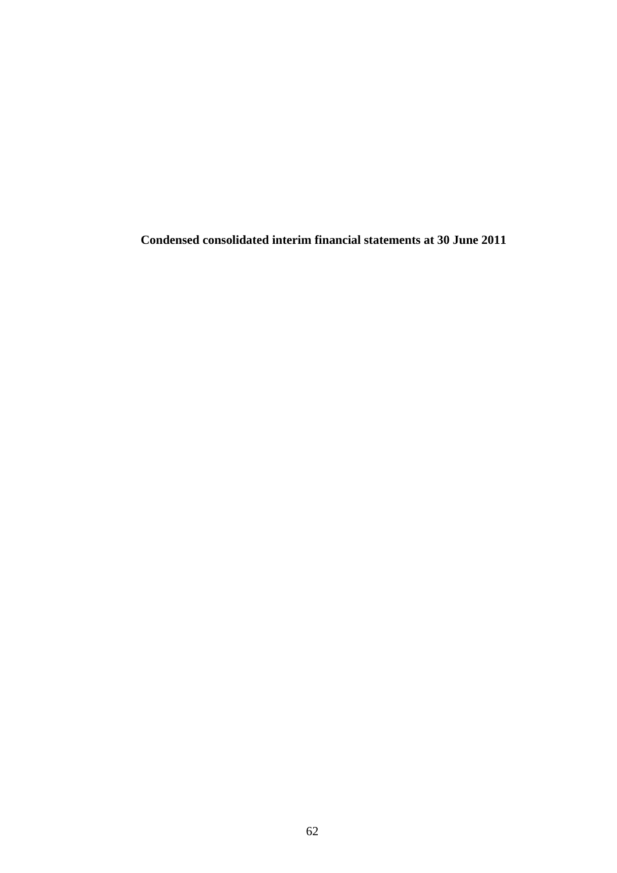**Condensed consolidated interim financial statements at 30 June 2011**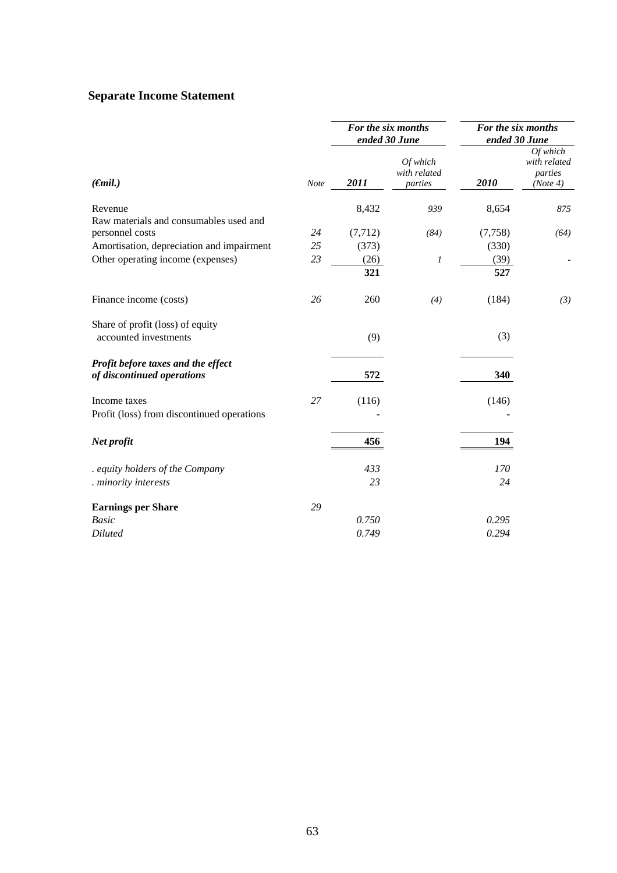## **Separate Income Statement**

|                                            |             |          | For the six months<br>ended 30 June | For the six months<br>ended 30 June |                                                 |  |
|--------------------------------------------|-------------|----------|-------------------------------------|-------------------------------------|-------------------------------------------------|--|
| $(\epsilon mil.)$                          | <b>Note</b> | 2011     | Of which<br>with related<br>parties | 2010                                | Of which<br>with related<br>parties<br>(Note 4) |  |
| Revenue                                    |             | 8,432    | 939                                 | 8,654                               | 875                                             |  |
| Raw materials and consumables used and     |             |          |                                     |                                     |                                                 |  |
| personnel costs                            | 24          | (7, 712) | (84)                                | (7, 758)                            | (64)                                            |  |
| Amortisation, depreciation and impairment  | 25          | (373)    |                                     | (330)                               |                                                 |  |
| Other operating income (expenses)          | 23          | (26)     | 1                                   | (39)                                |                                                 |  |
|                                            |             | 321      |                                     | 527                                 |                                                 |  |
| Finance income (costs)                     | 26          | 260      | (4)                                 | (184)                               | (3)                                             |  |
| Share of profit (loss) of equity           |             |          |                                     |                                     |                                                 |  |
| accounted investments                      |             | (9)      |                                     | (3)                                 |                                                 |  |
| Profit before taxes and the effect         |             |          |                                     |                                     |                                                 |  |
| of discontinued operations                 |             | 572      |                                     | 340                                 |                                                 |  |
| Income taxes                               | 27          | (116)    |                                     | (146)                               |                                                 |  |
| Profit (loss) from discontinued operations |             |          |                                     |                                     |                                                 |  |
| Net profit                                 |             | 456      |                                     | 194                                 |                                                 |  |
| . equity holders of the Company            |             | 433      |                                     | 170                                 |                                                 |  |
| . minority interests                       |             | 23       |                                     | 24                                  |                                                 |  |
| <b>Earnings per Share</b>                  | 29          |          |                                     |                                     |                                                 |  |
| <b>Basic</b>                               |             | 0.750    |                                     | 0.295                               |                                                 |  |
|                                            |             | 0.749    |                                     | 0.294                               |                                                 |  |
| Diluted                                    |             |          |                                     |                                     |                                                 |  |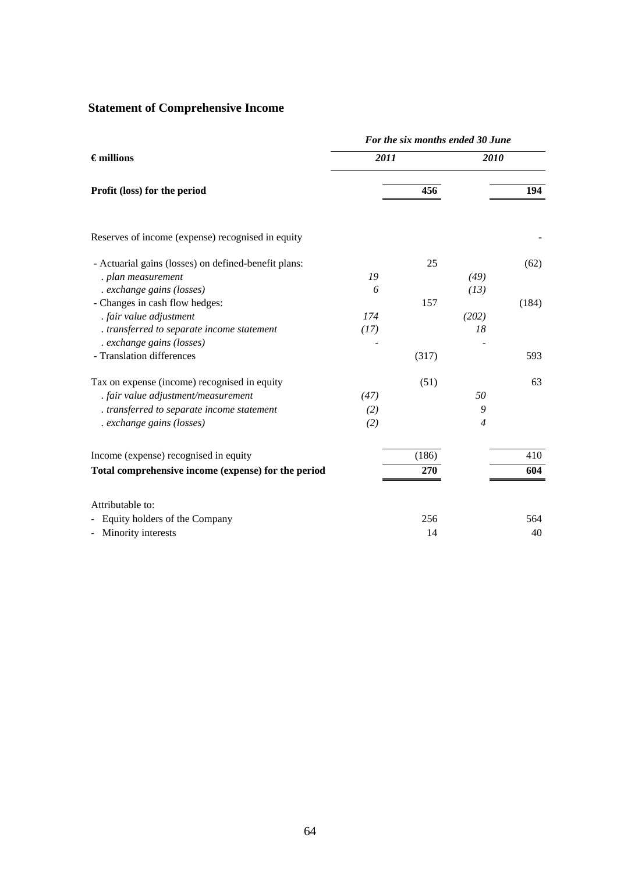# **Statement of Comprehensive Income**

|                                                      | For the six months ended 30 June |       |                |       |  |  |  |
|------------------------------------------------------|----------------------------------|-------|----------------|-------|--|--|--|
| $\epsilon$ millions                                  | 2011                             |       | 2010           |       |  |  |  |
| Profit (loss) for the period                         |                                  | 456   |                | 194   |  |  |  |
| Reserves of income (expense) recognised in equity    |                                  |       |                |       |  |  |  |
| - Actuarial gains (losses) on defined-benefit plans: |                                  | 25    |                | (62)  |  |  |  |
| . plan measurement                                   | 19                               |       | (49)           |       |  |  |  |
| . exchange gains (losses)                            | 6                                |       | (13)           |       |  |  |  |
| - Changes in cash flow hedges:                       |                                  | 157   |                | (184) |  |  |  |
| . fair value adjustment                              | 174                              |       | (202)          |       |  |  |  |
| . transferred to separate income statement           | (17)                             |       | 18             |       |  |  |  |
| . exchange gains (losses)                            |                                  |       |                |       |  |  |  |
| - Translation differences                            |                                  | (317) |                | 593   |  |  |  |
| Tax on expense (income) recognised in equity         |                                  | (51)  |                | 63    |  |  |  |
| . fair value adjustment/measurement                  | (47)                             |       | 50             |       |  |  |  |
| . transferred to separate income statement           | (2)                              |       | 9              |       |  |  |  |
| . exchange gains (losses)                            | (2)                              |       | $\overline{4}$ |       |  |  |  |
| Income (expense) recognised in equity                |                                  | (186) |                | 410   |  |  |  |
| Total comprehensive income (expense) for the period  |                                  | 270   |                | 604   |  |  |  |
| Attributable to:                                     |                                  |       |                |       |  |  |  |
| Equity holders of the Company                        |                                  | 256   |                | 564   |  |  |  |
| - Minority interests                                 |                                  | 14    |                | 40    |  |  |  |
|                                                      |                                  |       |                |       |  |  |  |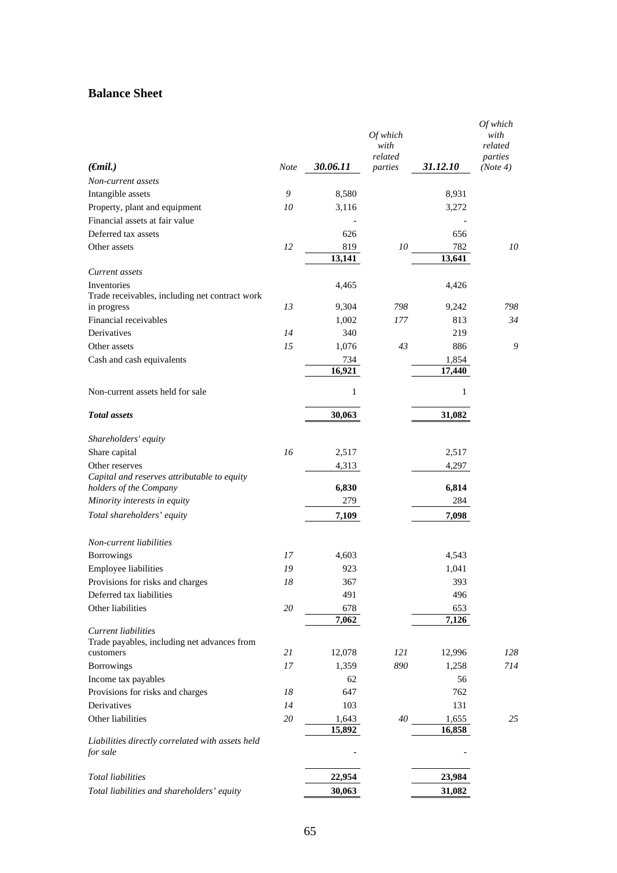## **Balance Sheet**

|                                                                       |             |               | Of which<br>with<br>related |               | Of which<br>with<br>related<br>parties |
|-----------------------------------------------------------------------|-------------|---------------|-----------------------------|---------------|----------------------------------------|
| $(\epsilon$ mil.)                                                     | <b>Note</b> | 30.06.11      | parties                     | 31.12.10      | (Note 4)                               |
| Non-current assets                                                    |             |               |                             |               |                                        |
| Intangible assets                                                     | 9           | 8,580         |                             | 8,931         |                                        |
| Property, plant and equipment                                         | 10          | 3,116         |                             | 3,272         |                                        |
| Financial assets at fair value                                        |             |               |                             |               |                                        |
| Deferred tax assets                                                   |             | 626           |                             | 656           |                                        |
| Other assets                                                          | 12          | 819<br>13,141 | 10                          | 782<br>13,641 | 10                                     |
| Current assets                                                        |             |               |                             |               |                                        |
| Inventories<br>Trade receivables, including net contract work         |             | 4,465         |                             | 4,426         |                                        |
| in progress                                                           | 13          | 9,304         | 798                         | 9,242         | 798                                    |
| Financial receivables                                                 |             | 1,002         | 177                         | 813           | 34                                     |
| Derivatives                                                           | 14          | 340           |                             | 219           |                                        |
| Other assets                                                          | 15          | 1,076         | 43                          | 886           | 9                                      |
| Cash and cash equivalents                                             |             | 734           |                             | 1,854         |                                        |
|                                                                       |             | 16,921        |                             | 17,440        |                                        |
| Non-current assets held for sale                                      |             | 1             |                             | $\mathbf{1}$  |                                        |
| <b>Total</b> assets                                                   |             | 30,063        |                             | 31,082        |                                        |
| Shareholders' equity                                                  |             |               |                             |               |                                        |
| Share capital                                                         | 16          | 2,517         |                             | 2,517         |                                        |
| Other reserves                                                        |             | 4,313         |                             | 4,297         |                                        |
| Capital and reserves attributable to equity<br>holders of the Company |             | 6,830         |                             | 6,814         |                                        |
| Minority interests in equity                                          |             | 279           |                             | 284           |                                        |
| Total shareholders' equity                                            |             | 7,109         |                             | 7,098         |                                        |
| Non-current liabilities                                               |             |               |                             |               |                                        |
| <b>Borrowings</b>                                                     | 17          | 4,603         |                             | 4,543         |                                        |
| Employee liabilities                                                  | 19          | 923           |                             | 1,041         |                                        |
| Provisions for risks and charges                                      | $18\,$      | 367           |                             | 393           |                                        |
| Deferred tax liabilities                                              |             | 491           |                             | 496           |                                        |
| Other liabilities                                                     | 20          | 678           |                             | 653           |                                        |
|                                                                       |             | 7,062         |                             | 7,126         |                                        |
| Current liabilities<br>Trade payables, including net advances from    |             |               |                             |               |                                        |
| customers                                                             | 21          | 12,078        | 121                         | 12,996        | 128                                    |
| Borrowings                                                            | 17          | 1,359         | 890                         | 1,258         | 714                                    |
| Income tax payables                                                   |             | 62            |                             | 56            |                                        |
| Provisions for risks and charges                                      | 18          | 647           |                             | 762           |                                        |
| Derivatives                                                           | 14          | 103           |                             | 131           |                                        |
| Other liabilities                                                     | 20          | 1,643         | 40                          | 1,655         | 25                                     |
|                                                                       |             | 15,892        |                             | 16,858        |                                        |
| Liabilities directly correlated with assets held<br>for sale          |             |               |                             |               |                                        |
| <b>Total liabilities</b>                                              |             | 22,954        |                             | 23,984        |                                        |
|                                                                       |             | 30,063        |                             |               |                                        |
| Total liabilities and shareholders' equity                            |             |               |                             | 31,082        |                                        |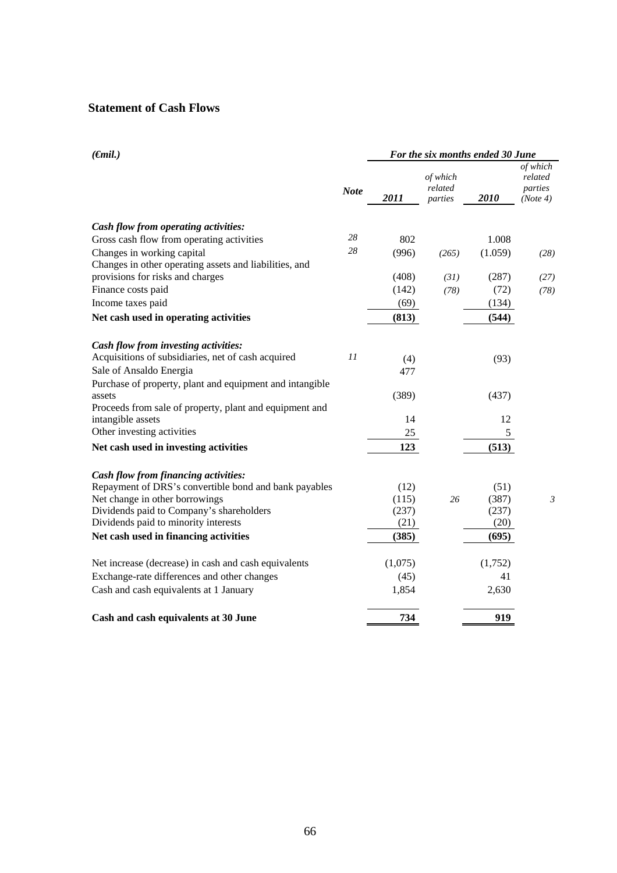## **Statement of Cash Flows**

| $(\epsilon mil.)$                                        |             | For the six months ended 30 June |                                |         |                                            |  |
|----------------------------------------------------------|-------------|----------------------------------|--------------------------------|---------|--------------------------------------------|--|
|                                                          | <b>Note</b> | 2011                             | of which<br>related<br>parties | 2010    | of which<br>related<br>parties<br>(Note 4) |  |
| Cash flow from operating activities:                     |             |                                  |                                |         |                                            |  |
| Gross cash flow from operating activities                | 28          | 802                              |                                | 1.008   |                                            |  |
| Changes in working capital                               | 28          | (996)                            | (265)                          | (1.059) | (28)                                       |  |
| Changes in other operating assets and liabilities, and   |             |                                  |                                |         |                                            |  |
| provisions for risks and charges                         |             | (408)                            | (31)                           | (287)   | (27)                                       |  |
| Finance costs paid                                       |             | (142)                            | (78)                           | (72)    | (78)                                       |  |
| Income taxes paid                                        |             | (69)                             |                                | (134)   |                                            |  |
| Net cash used in operating activities                    |             | (813)                            |                                | (544)   |                                            |  |
| Cash flow from investing activities:                     |             |                                  |                                |         |                                            |  |
| Acquisitions of subsidiaries, net of cash acquired       | 11          | (4)                              |                                | (93)    |                                            |  |
| Sale of Ansaldo Energia                                  |             | 477                              |                                |         |                                            |  |
| Purchase of property, plant and equipment and intangible |             |                                  |                                |         |                                            |  |
| assets                                                   |             | (389)                            |                                | (437)   |                                            |  |
| Proceeds from sale of property, plant and equipment and  |             |                                  |                                |         |                                            |  |
| intangible assets                                        |             | 14                               |                                | 12      |                                            |  |
| Other investing activities                               |             | 25                               |                                | 5       |                                            |  |
| Net cash used in investing activities                    |             | 123                              |                                | (513)   |                                            |  |
| Cash flow from financing activities:                     |             |                                  |                                |         |                                            |  |
| Repayment of DRS's convertible bond and bank payables    |             | (12)                             |                                | (51)    |                                            |  |
| Net change in other borrowings                           |             | (115)                            | 26                             | (387)   | $\mathfrak{Z}$                             |  |
| Dividends paid to Company's shareholders                 |             | (237)                            |                                | (237)   |                                            |  |
| Dividends paid to minority interests                     |             | (21)                             |                                | (20)    |                                            |  |
| Net cash used in financing activities                    |             | (385)                            |                                | (695)   |                                            |  |
| Net increase (decrease) in cash and cash equivalents     |             | (1,075)                          |                                | (1,752) |                                            |  |
| Exchange-rate differences and other changes              |             | (45)                             |                                | 41      |                                            |  |
| Cash and cash equivalents at 1 January                   |             | 1,854                            |                                | 2,630   |                                            |  |
| Cash and cash equivalents at 30 June                     |             | 734                              |                                | 919     |                                            |  |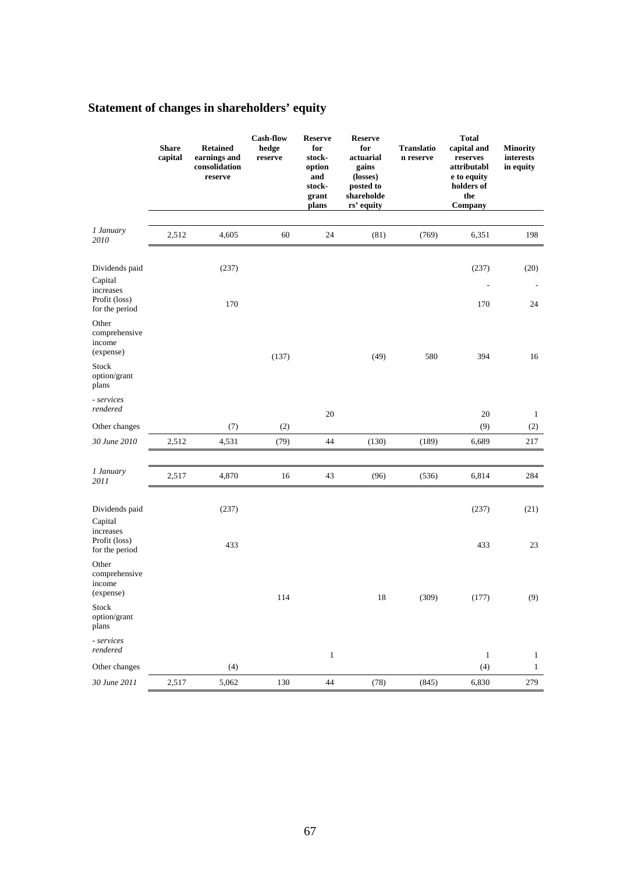# **Statement of changes in shareholders' equity**

|                                                         | <b>Share</b><br>capital | <b>Retained</b><br>earnings and<br>consolidation<br>reserve | <b>Cash-flow</b><br>hedge<br>reserve | <b>Reserve</b><br>for<br>stock-<br>option<br>and<br>stock-<br>grant<br>plans | <b>Reserve</b><br>for<br>actuarial<br>gains<br>(losses)<br>posted to<br>shareholde<br>rs' equity | <b>Translatio</b><br>n reserve | <b>Total</b><br>capital and<br>reserves<br>attributabl<br>e to equity<br>holders of<br>the<br>Company | <b>Minority</b><br>interests<br>in equity |
|---------------------------------------------------------|-------------------------|-------------------------------------------------------------|--------------------------------------|------------------------------------------------------------------------------|--------------------------------------------------------------------------------------------------|--------------------------------|-------------------------------------------------------------------------------------------------------|-------------------------------------------|
| 1 January<br>2010                                       | 2,512                   | 4,605                                                       | 60                                   | 24                                                                           | (81)                                                                                             | (769)                          | 6,351                                                                                                 | 198                                       |
|                                                         |                         |                                                             |                                      |                                                                              |                                                                                                  |                                |                                                                                                       |                                           |
| Dividends paid<br>Capital<br>increases<br>Profit (loss) |                         | (237)                                                       |                                      |                                                                              |                                                                                                  |                                | (237)                                                                                                 | (20)                                      |
| for the period                                          |                         | 170                                                         |                                      |                                                                              |                                                                                                  |                                | 170                                                                                                   | 24                                        |
| Other<br>comprehensive<br>income<br>(expense)           |                         |                                                             | (137)                                |                                                                              | (49)                                                                                             | 580                            | 394                                                                                                   | 16                                        |
| Stock<br>option/grant<br>plans                          |                         |                                                             |                                      |                                                                              |                                                                                                  |                                |                                                                                                       |                                           |
| - services<br>rendered                                  |                         |                                                             |                                      | 20                                                                           |                                                                                                  |                                | 20                                                                                                    | $\mathbf{1}$                              |
| Other changes                                           |                         | (7)                                                         | (2)                                  |                                                                              |                                                                                                  |                                | (9)                                                                                                   | (2)                                       |
| 30 June 2010                                            | 2,512                   | 4,531                                                       | (79)                                 | 44                                                                           | (130)                                                                                            | (189)                          | 6,689                                                                                                 | 217                                       |
|                                                         |                         |                                                             |                                      |                                                                              |                                                                                                  |                                |                                                                                                       |                                           |
| 1 January<br>2011                                       | 2,517                   | 4,870                                                       | 16                                   | 43                                                                           | (96)                                                                                             | (536)                          | 6,814                                                                                                 | 284                                       |
| Dividends paid<br>Capital<br>increases                  |                         | (237)                                                       |                                      |                                                                              |                                                                                                  |                                | (237)                                                                                                 | (21)                                      |
| Profit (loss)<br>for the period                         |                         | 433                                                         |                                      |                                                                              |                                                                                                  |                                | 433                                                                                                   | 23                                        |
| Other<br>comprehensive<br>income<br>(expense)           |                         |                                                             | 114                                  |                                                                              | $18\,$                                                                                           | (309)                          | (177)                                                                                                 | (9)                                       |
| Stock<br>option/grant<br>plans                          |                         |                                                             |                                      |                                                                              |                                                                                                  |                                |                                                                                                       |                                           |
| - services<br>rendered                                  |                         |                                                             |                                      | $\mathbf{1}$                                                                 |                                                                                                  |                                | $\mathbf{1}$                                                                                          | $\mathbf{1}$                              |
| Other changes                                           |                         | (4)                                                         |                                      |                                                                              |                                                                                                  |                                | (4)                                                                                                   | $\mathbf{1}$                              |
| 30 June 2011                                            | 2,517                   | 5,062                                                       | 130                                  | $44\,$                                                                       | (78)                                                                                             | (845)                          | 6,830                                                                                                 | 279                                       |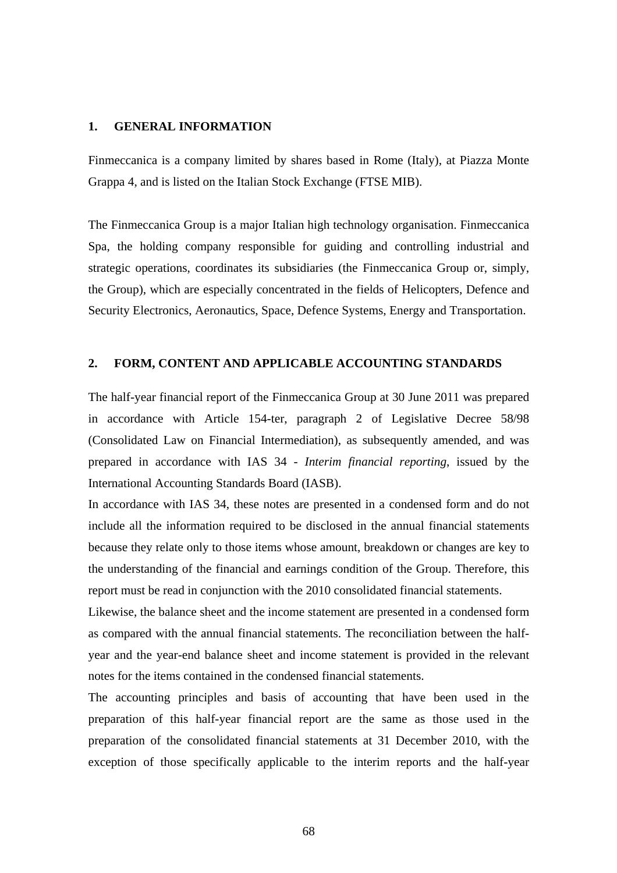### **1. GENERAL INFORMATION**

Finmeccanica is a company limited by shares based in Rome (Italy), at Piazza Monte Grappa 4, and is listed on the Italian Stock Exchange (FTSE MIB).

The Finmeccanica Group is a major Italian high technology organisation. Finmeccanica Spa, the holding company responsible for guiding and controlling industrial and strategic operations, coordinates its subsidiaries (the Finmeccanica Group or, simply, the Group), which are especially concentrated in the fields of Helicopters, Defence and Security Electronics, Aeronautics, Space, Defence Systems, Energy and Transportation.

### **2. FORM, CONTENT AND APPLICABLE ACCOUNTING STANDARDS**

The half-year financial report of the Finmeccanica Group at 30 June 2011 was prepared in accordance with Article 154-ter, paragraph 2 of Legislative Decree 58/98 (Consolidated Law on Financial Intermediation), as subsequently amended, and was prepared in accordance with IAS 34 - *Interim financial reporting*, issued by the International Accounting Standards Board (IASB).

In accordance with IAS 34, these notes are presented in a condensed form and do not include all the information required to be disclosed in the annual financial statements because they relate only to those items whose amount, breakdown or changes are key to the understanding of the financial and earnings condition of the Group. Therefore, this report must be read in conjunction with the 2010 consolidated financial statements.

Likewise, the balance sheet and the income statement are presented in a condensed form as compared with the annual financial statements. The reconciliation between the halfyear and the year-end balance sheet and income statement is provided in the relevant notes for the items contained in the condensed financial statements.

The accounting principles and basis of accounting that have been used in the preparation of this half-year financial report are the same as those used in the preparation of the consolidated financial statements at 31 December 2010, with the exception of those specifically applicable to the interim reports and the half-year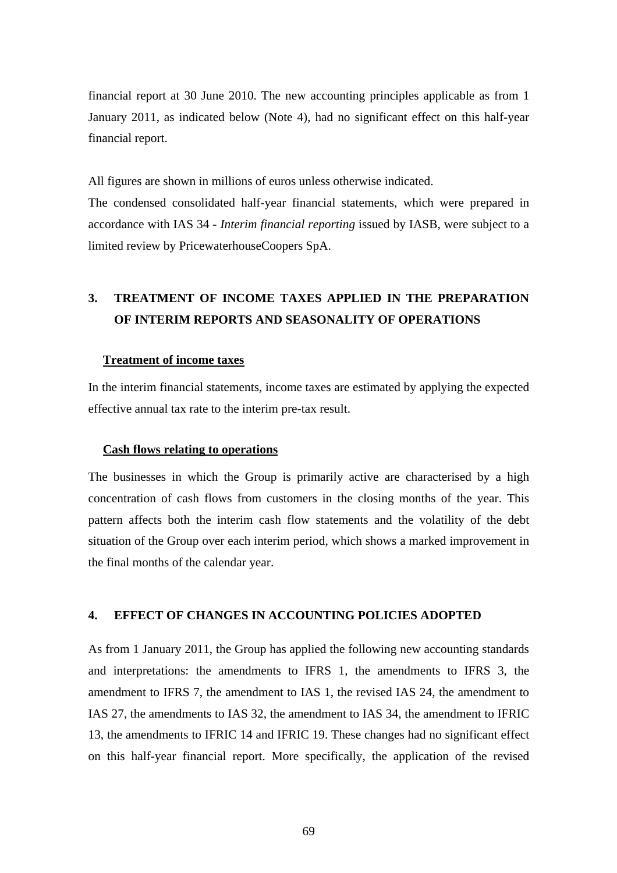financial report at 30 June 2010. The new accounting principles applicable as from 1 January 2011, as indicated below (Note 4), had no significant effect on this half-year financial report.

All figures are shown in millions of euros unless otherwise indicated.

The condensed consolidated half-year financial statements, which were prepared in accordance with IAS 34 - *Interim financial reporting* issued by IASB, were subject to a limited review by PricewaterhouseCoopers SpA.

# **3. TREATMENT OF INCOME TAXES APPLIED IN THE PREPARATION OF INTERIM REPORTS AND SEASONALITY OF OPERATIONS**

#### **Treatment of income taxes**

In the interim financial statements, income taxes are estimated by applying the expected effective annual tax rate to the interim pre-tax result.

#### **Cash flows relating to operations**

The businesses in which the Group is primarily active are characterised by a high concentration of cash flows from customers in the closing months of the year. This pattern affects both the interim cash flow statements and the volatility of the debt situation of the Group over each interim period, which shows a marked improvement in the final months of the calendar year.

#### **4. EFFECT OF CHANGES IN ACCOUNTING POLICIES ADOPTED**

As from 1 January 2011, the Group has applied the following new accounting standards and interpretations: the amendments to IFRS 1, the amendments to IFRS 3, the amendment to IFRS 7, the amendment to IAS 1, the revised IAS 24, the amendment to IAS 27, the amendments to IAS 32, the amendment to IAS 34, the amendment to IFRIC 13, the amendments to IFRIC 14 and IFRIC 19. These changes had no significant effect on this half-year financial report. More specifically, the application of the revised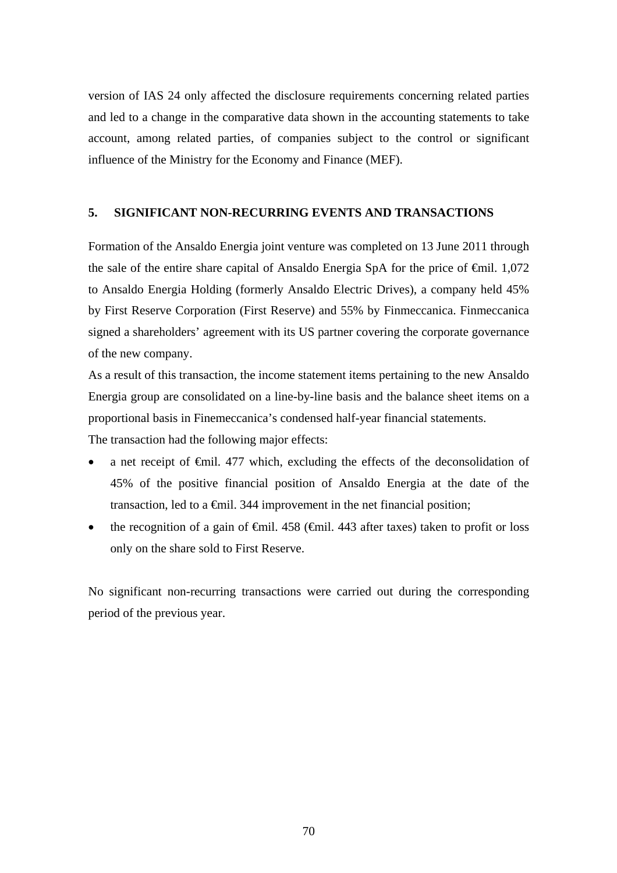version of IAS 24 only affected the disclosure requirements concerning related parties and led to a change in the comparative data shown in the accounting statements to take account, among related parties, of companies subject to the control or significant influence of the Ministry for the Economy and Finance (MEF).

### **5. SIGNIFICANT NON-RECURRING EVENTS AND TRANSACTIONS**

Formation of the Ansaldo Energia joint venture was completed on 13 June 2011 through the sale of the entire share capital of Ansaldo Energia SpA for the price of  $\epsilon$ mil. 1,072 to Ansaldo Energia Holding (formerly Ansaldo Electric Drives), a company held 45% by First Reserve Corporation (First Reserve) and 55% by Finmeccanica. Finmeccanica signed a shareholders' agreement with its US partner covering the corporate governance of the new company.

As a result of this transaction, the income statement items pertaining to the new Ansaldo Energia group are consolidated on a line-by-line basis and the balance sheet items on a proportional basis in Finemeccanica's condensed half-year financial statements.

The transaction had the following major effects:

- a net receipt of €mil. 477 which, excluding the effects of the deconsolidation of 45% of the positive financial position of Ansaldo Energia at the date of the transaction, led to a  $\epsilon$ mil. 344 improvement in the net financial position;
- the recognition of a gain of  $\epsilon$ mil. 458 ( $\epsilon$ mil. 443 after taxes) taken to profit or loss only on the share sold to First Reserve.

No significant non-recurring transactions were carried out during the corresponding period of the previous year.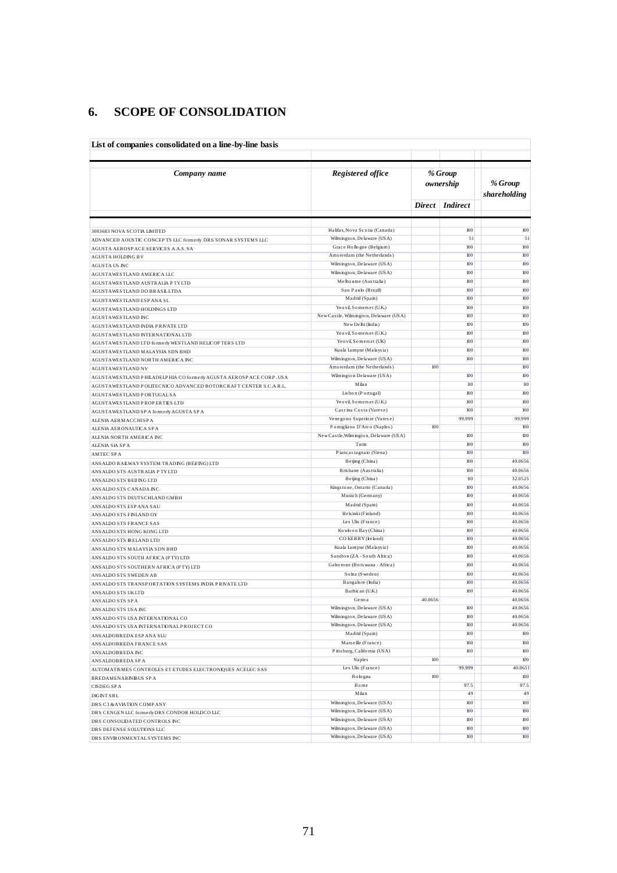## **6. SCOPE OF CONSOLIDATION**

| List of companies consolidated on a line-by-line basis                                      |                                                   |                      |                 |                         |  |  |  |  |
|---------------------------------------------------------------------------------------------|---------------------------------------------------|----------------------|-----------------|-------------------------|--|--|--|--|
| Company name                                                                                | Registered office                                 | % Group<br>ownership |                 | % Group<br>shareholding |  |  |  |  |
|                                                                                             |                                                   |                      | Direct Indirect |                         |  |  |  |  |
|                                                                                             | Halifax, Nova Scotia (Canada)                     |                      | 100             | 100                     |  |  |  |  |
| 3083683 NOVA SCOTIA LIMITED<br>ADVANCED AOUSTIC CONCEPTS LLC formerly DRS SONAR SYSTEMS LLC | Wilmington, Delaware (USA)                        |                      | 51              | 51                      |  |  |  |  |
| AGUSTA AEROSP ACE SERVICES A.A.S. SA                                                        | Grace Hollogne (Belgium)                          |                      | 100             | 100                     |  |  |  |  |
| <b>AGUSTA HOLDING BV</b>                                                                    | Amsterdam (the Netherlands)                       |                      | $100$           | 100                     |  |  |  |  |
| <b>AGUSTA US INC</b>                                                                        | Wilmington, Delaware (USA)                        |                      | 100             | 100                     |  |  |  |  |
| AGUSTAWESTLAND AMERICA LLC                                                                  | Wilmington, Delaware (USA)                        |                      | 100             | 100                     |  |  |  |  |
| AGUSTAWESTLAND AUSTRALIA PTY LTD                                                            | Melbourne (Australia)                             |                      | 100             | 100                     |  |  |  |  |
| AGUSTAWESTLAND DO BRASILLTDA                                                                | Sao Paulo (Brazil)                                |                      | 100             | 100                     |  |  |  |  |
| AGUSTAWESTLAND ESP ANA SL                                                                   | Madrid (Spain)                                    |                      | 100             | 100                     |  |  |  |  |
| AGUSTAWESTLAND HOLDINGS LTD                                                                 | Yeovil, Somers et (U.K.)                          |                      | 100             | 100                     |  |  |  |  |
| AGUSTAWESTLAND INC                                                                          | New Castle, Wilmington, Delaware (USA)            |                      | 100             | 100                     |  |  |  |  |
| AGUSTAWESTLAND INDIA PRIVATE LTD                                                            | New Delhi (India)                                 |                      | 100             | 100                     |  |  |  |  |
| AGUSTAWESTLAND INTERNATIONAL LTD                                                            | Yeovil, Somers et (U.K.)                          |                      | 100             | 100<br>100              |  |  |  |  |
| AGUSTAWESTLAND LTD formerly WESTLAND HELICOP TERS LTD                                       | Yeovil, Somers et (UK)<br>Kuala Lumpur (Malaysia) |                      | 100<br>100      | 100                     |  |  |  |  |
| AGUSTAWESTLAND MALAYSIA SDN BHD                                                             | Wilmington, Delaware (USA)                        |                      | 100             | 100                     |  |  |  |  |
| AGUSTAWESTLAND NORTH AMERICA INC<br><b>AGUSTAWESTLAND NV</b>                                | Amsterdam (the Netherlands)                       | 100                  |                 | 100                     |  |  |  |  |
| AGUSTAWESTLAND PHILADELPHIA CO formerly AGUSTA AEROSP ACE CORP. USA                         | Wilmington Delaware (USA)                         |                      | 100             | 100                     |  |  |  |  |
| AGUSTAWESTLAND POLITECNICO ADVANCED ROTORCRAFT CENTER S.C.A R.L.                            | Milan                                             |                      | 80              | 80                      |  |  |  |  |
| AGUSTAWESTLAND PORTUGAL SA                                                                  | Lisbon (Portugal)                                 |                      | 100             | 100                     |  |  |  |  |
| AGUSTAWESTLAND PROPERTIES LTD                                                               | Yeovil, Somers et (U.K.)                          |                      | 100             | 100                     |  |  |  |  |
| AGUSTAWESTLAND SP A formerly AGUSTA SP A                                                    | Cascina Costa (Varese)                            |                      | 100             | 100                     |  |  |  |  |
| ALENIA AERMACCHISPA                                                                         | Venegono Superiore (Varese)                       |                      | 99.999          | 99.999                  |  |  |  |  |
| ALENIA AERONAUTICA SPA                                                                      | Pomigliano D'Arco (Naples)                        | 100                  |                 | 100                     |  |  |  |  |
| ALENIA NORTH AMERICA INC                                                                    | New Castle, Wilmington, Delaware (USA)            |                      | 100             | 100                     |  |  |  |  |
| ALENIA SIA SPA                                                                              | Turin                                             |                      | 100             | 100                     |  |  |  |  |
| <b>AMTEC SPA</b>                                                                            | Piancas tagnaio (Siena)                           |                      | 100             | 100                     |  |  |  |  |
| ANS ALDO RAILWAY SYSTEM TRADING (BEIJING) LTD                                               | Beijing (China)                                   |                      | 100             | 40.0656                 |  |  |  |  |
| ANSALDO STS AUSTRALIA PTYLTD                                                                | Brisbane (Australia)                              |                      | 100             | 40.0656                 |  |  |  |  |
| ANS ALDO STS BEIJ ING LTD                                                                   | Beijing (China)                                   |                      | 80              | 32.0525                 |  |  |  |  |
| ANSALDO STS CANADA INC.                                                                     | Kingstone, Ontario (Canada)                       |                      | 100             | 40.0656                 |  |  |  |  |
| ANSALDO STS DEUTSCHLAND GMBH                                                                | Munich (Germany)                                  |                      | 100             | 40.0656                 |  |  |  |  |
| ANSALDO STS ESP ANA SAU                                                                     | Madrid (Spain)<br>Hels inki (Finland)             |                      | 100<br>100      | 40.0656<br>40.0656      |  |  |  |  |
| ANSALDO STS FINLAND OY                                                                      | Les Ulis (France)                                 |                      | 100             | 40.0656                 |  |  |  |  |
| ANS ALDO STS FRANCE SAS                                                                     | Ko wlo on Bay (China)                             |                      | $100$           | 40.0656                 |  |  |  |  |
| ANSALDO STS HONG KONG LTD<br>ANS ALDO STS IRELAND LTD                                       | CO KERRY (Ireland)                                |                      | 100             | 40.0656                 |  |  |  |  |
| ANSALDO STS MALAYSIA SDN BHD                                                                | Kuala Lumpur (Malaysia)                           |                      | $100$           | 40.0656                 |  |  |  |  |
| ANSALDO STS SOUTH AFRICA (PTY) LTD                                                          | Sandton (ZA - South Africa)                       |                      | 100             | 40.0656                 |  |  |  |  |
| ANS ALDO STS SOUTHERN AFRICA (PTY) LTD                                                      | Gaborone (Bots wana - Africa)                     |                      | $100$           | 40.0656                 |  |  |  |  |
| ANSALDO STS SWEDEN AB                                                                       | Solna (Sweden)                                    |                      | 100             | 40.0656                 |  |  |  |  |
| ANS ALDO STS TRANSP ORTATION SYSTEMS INDIA PRIVATE LTD                                      | Bangalore (India)                                 |                      | 100             | 40.0656                 |  |  |  |  |
| ANSALDO STS UKLTD                                                                           | Barbican (U.K.)                                   |                      | 100             | 40.0656                 |  |  |  |  |
| ANS ALDO STS SP A                                                                           | Genoa                                             | 40.0656              |                 | 40.0656                 |  |  |  |  |
| ANSALDO STS USA INC                                                                         | Wilmington, Delaware (USA)                        |                      | 100             | 40.0656                 |  |  |  |  |
| ANSALDO STS USA INTERNATIONAL CO                                                            | Wilmington, Delaware (USA)                        |                      | 100             | 40.0656                 |  |  |  |  |
| ANSALDO STS USA INTERNATIONAL PROJECT CO                                                    | Wilmington, Delaware (USA)                        |                      | 100             | 40.0656                 |  |  |  |  |
| ANS ALDOBREDA ESP ANA SLU                                                                   | Madrid (Spain)                                    |                      | 100             | 100                     |  |  |  |  |
| ANS ALDOBREDA FRANCE SAS                                                                    | Mars eille (France)                               |                      | $100\,$         | 100                     |  |  |  |  |
| ANS ALDOBREDA INC                                                                           | Pitts burg, California (USA)                      |                      | 100             | 100                     |  |  |  |  |
| ANS ALDOBREDA SPA                                                                           | Naples                                            | 100                  |                 | 100<br>40.0651          |  |  |  |  |
| AUTOMATISMES CONTROLES ET ETUDES ELECTRONIQUES ACELEC SAS                                   | Les Ulis (France)                                 |                      | 99.999          |                         |  |  |  |  |
| <b>BREDAMENARINIBUS SPA</b>                                                                 | Bologna                                           | 100                  |                 | 100<br>87.5             |  |  |  |  |
| CISDEG SPA                                                                                  | Rome<br>Milan                                     |                      | 87.5<br>49      | 49                      |  |  |  |  |
| <b>DIGINT SRL</b>                                                                           | Wilmington, Delaware (USA)                        |                      | 100             | 100                     |  |  |  |  |
| DRS C3 & AVIATION COMP ANY                                                                  | Wilmington, Delaware (USA)                        |                      | 100             | 100                     |  |  |  |  |
| DRS CENGEN LLC formerly DRS CONDOR HOLDCO LLC<br>DRS CONSOLIDATED CONTROLS INC              | Wilmington, Delaware (USA)                        |                      | 100             | 100                     |  |  |  |  |
| DRS DEFENSE SOLUTIONS LLC                                                                   | Wilmington, Delaware (USA)                        |                      | 100             | 100                     |  |  |  |  |
| DRS ENVIRONMENTAL SYSTEMS INC                                                               | Wilmington, Delaware (USA)                        |                      | 100             | 100                     |  |  |  |  |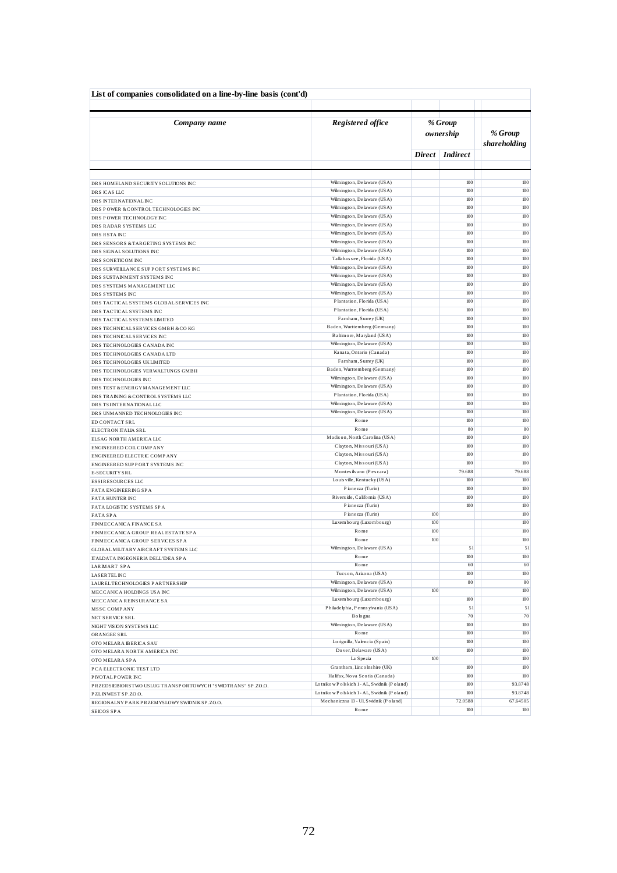| List of companies consolidated on a line-by-line basis (cont'd)    |                                                                                              |                      |                 |                         |  |  |  |
|--------------------------------------------------------------------|----------------------------------------------------------------------------------------------|----------------------|-----------------|-------------------------|--|--|--|
| Company name                                                       | Registered office                                                                            | % Group<br>ownership |                 | % Group<br>shareholding |  |  |  |
|                                                                    |                                                                                              | Direct               | <b>Indirect</b> |                         |  |  |  |
|                                                                    |                                                                                              |                      |                 |                         |  |  |  |
| DRS HOMELAND SECURITY SOLUTIONS INC                                | Wilmington, Delaware (USA)                                                                   |                      | 100             | 100                     |  |  |  |
| DRS ICAS LLC                                                       | Wilmington, Delaware (USA)                                                                   |                      | 100             | 100                     |  |  |  |
| DRS INTERNATIONAL INC                                              | Wilmington, Delaware (USA)                                                                   |                      | $100$           | 100                     |  |  |  |
| DRS POWER & CONTROL TECHNOLOGIES INC                               | Wilmington, Delaware (USA)                                                                   |                      | 100             | 100                     |  |  |  |
| DRS POWER TECHNOLOGY INC                                           | Wilmington, Delaware (USA)<br>Wilmington, Delaware (USA)                                     |                      | 100<br>100      | 100<br>100              |  |  |  |
| DRS RADAR SYSTEMS LLC<br>DRS RSTA INC                              | Wilmington, Delaware (USA)                                                                   |                      | $100$           | 100                     |  |  |  |
| DRS SENSORS & TARGETING SYSTEMS INC                                | Wilmington, Delaware (USA)                                                                   |                      | 100             | 100                     |  |  |  |
| DRS SIGNAL SOLUTIONS INC                                           | Wilmington, Delaware (USA)                                                                   |                      | $100$           | 100                     |  |  |  |
| DRS SONETICOM INC                                                  | Tallahassee, Florida (USA)                                                                   |                      | 100             | 100                     |  |  |  |
| DRS SURVEILLANCE SUPPORT SYSTEMS INC                               | Wilmington, Delaware (USA)                                                                   |                      | $100$           | 100                     |  |  |  |
| DRS SUSTAINMENT SYSTEMS INC                                        | Wilmington, Delaware (USA)                                                                   |                      | 100             | 100                     |  |  |  |
| DRS SYSTEMS MANAGEMENT LLC                                         | Wilmington, Delaware (USA)                                                                   |                      | $100$           | 100                     |  |  |  |
| DRS SYSTEMS INC                                                    | Wilmington, Delaware (USA)                                                                   |                      | 100             | 100                     |  |  |  |
| DRS TACTICAL SYSTEMS GLOBAL SERVICES INC                           | Plantation, Florida (USA)                                                                    |                      | 100             | 100                     |  |  |  |
| DRS TACTICAL SYSTEMS INC                                           | Plantation, Florida (USA)<br>Farnham, Surrey (UK)                                            |                      | 100<br>100      | 100<br>100              |  |  |  |
| DRS TACTICAL SYSTEMS LIMITED<br>DRS TECHNICAL SERVICES GMBH & COKG | Baden, Wurttemberg (Germany)                                                                 |                      | 100             | 100                     |  |  |  |
| DRS TECHNICAL SERVICES INC                                         | Baltimore, Maryland (USA)                                                                    |                      | 100             | 100                     |  |  |  |
| DRS TECHNOLOGIES CANADA INC                                        | Wilmington, Delaware (USA)                                                                   |                      | $100$           | 100                     |  |  |  |
| DRS TECHNOLOGIES CANADA LTD                                        | Kanata, Ontario (Canada)                                                                     |                      | 100             | 100                     |  |  |  |
| DRS TECHNOLOGIES UKLIMITED                                         | Farnham, Surrey (UK)                                                                         |                      | $100$           | 100                     |  |  |  |
| DRS TECHNOLOGIES VERWALTUNGS GMBH                                  | Baden, Wurttemberg (Germany)                                                                 |                      | 100             | 100                     |  |  |  |
| DRS TECHNOLOGIES INC                                               | Wilmington, Delaware (USA)                                                                   |                      | $100$           | 100                     |  |  |  |
| DRS TEST & ENERGY MANAGEMENT LLC                                   | Wilmington, Delaware (USA)                                                                   |                      | 100             | 100                     |  |  |  |
| DRS TRAINING & CONTROLS YSTEMS LLC                                 | Plantation, Florida (USA)                                                                    |                      | $100$           | 100                     |  |  |  |
| DRS TSIINTERNATIONAL LLC                                           | Wilmington, Delaware (USA)<br>Wilmington, Delaware (USA)                                     |                      | 100<br>100      | 100<br>100              |  |  |  |
| DRS UNMANNED TECHNOLOGIES INC                                      | Rome                                                                                         |                      | 100             | 100                     |  |  |  |
| ED CONTACT SRL<br>ELECTRON ITALIA SRL                              | Rome                                                                                         |                      | 80              | 80                      |  |  |  |
| ELSAG NORTH AMERICA LLC                                            | Madison, North Carolina (USA)                                                                |                      | 100             | 100                     |  |  |  |
| ENGINEERED COIL COMPANY                                            | Clayton, Missouri (USA)                                                                      |                      | 100             | 100                     |  |  |  |
| ENGINEERED ELECTRIC COMPANY                                        | Clayton, Missouri (USA)                                                                      |                      | 100             | 100                     |  |  |  |
| ENGINEERED SUPPORT SYSTEMS INC                                     | Clayton, Missouri (USA)                                                                      |                      | 100             | 100                     |  |  |  |
| E-SECURITY SRL                                                     | Montesilvano (Pescara)                                                                       |                      | 79.688          | 79.688                  |  |  |  |
| ESSIRESOURCES LLC                                                  | Louis ville, Kentucky (USA)                                                                  |                      | 100             | 100                     |  |  |  |
| FATA ENGINEERING SPA                                               | Pianezza (Turin)                                                                             |                      | 100<br>100      | 100<br>100              |  |  |  |
| FATA HUNTER INC                                                    | Rivers ide, California (USA)<br>Pianezza (Turin)                                             |                      | 100             | 100                     |  |  |  |
| FATA LOGISTIC SYSTEMS SPA                                          | Pianezza (Turin)                                                                             | 100                  |                 | 100                     |  |  |  |
| <b>FATASPA</b><br>FINMECCANICA FINANCE SA                          | Luxembourg (Luxembourg)                                                                      | 100                  |                 | 100                     |  |  |  |
| FINMECCANICA GROUP REALESTATE SPA                                  | Rome                                                                                         | 100                  |                 | 100                     |  |  |  |
| FINMECCANICA GROUP SERVICES SPA                                    | Rome                                                                                         | 100                  |                 | 100                     |  |  |  |
| GLOBAL MILITARY AIRCRAFT SYSTEMS LLC                               | Wilmington, Delaware (USA)                                                                   |                      | 51              | 51                      |  |  |  |
| ITALDATA INGEGNERIA DELL'IDEA SPA                                  | Rome                                                                                         |                      | 100             | 100                     |  |  |  |
| LARMART SPA                                                        | Rome                                                                                         |                      | 60              | 60                      |  |  |  |
| <b>LASERTEL INC</b>                                                | Tucson, Arizona (USA)                                                                        |                      | 100             | 100                     |  |  |  |
| LAUREL TECHNOLOGIES PARTNERSHIP                                    | Wilmington, Delaware (USA)<br>Wilmington, Delaware (USA)                                     | 100                  | 80              | 80<br>100               |  |  |  |
| MECCANICA HOLDINGS USA INC                                         | Luxe mbo urg (Luxe mbo urg)                                                                  |                      | 100             | 100                     |  |  |  |
| MECCANICA REINSURANCE SA<br><b>MSSC COMPANY</b>                    | Philadelphia, Penns ylvania (USA)                                                            |                      | 51              | 51                      |  |  |  |
| NET SERVICE SRL                                                    | Bologna                                                                                      |                      | 70              | 70                      |  |  |  |
| NIGHT VISION SYSTEMS LLC                                           | Wilmington, Delaware (USA)                                                                   |                      | 100             | 100                     |  |  |  |
| ORANGEE SRL                                                        | Rome                                                                                         |                      | 100             | 100                     |  |  |  |
| OTO MELARA BERICA SAU                                              | Lo riguilla, Valencia (Spain)                                                                |                      | 100             | 100                     |  |  |  |
| OTO MELARA NORTH AMERICA INC                                       | Do ver, De la ware (USA)                                                                     |                      | 100             | 100                     |  |  |  |
| OTO MELARA SPA                                                     | La Spezia                                                                                    | 100                  |                 | 100                     |  |  |  |
| P CA ELECTRONIC TEST LTD                                           | Grantham, Lincolnshire (UK)                                                                  |                      | 100             | 100                     |  |  |  |
| P IVOTAL POWER INC                                                 | Halifax, Nova Scotia (Canada)                                                                |                      | 100             | 100                     |  |  |  |
| PRZEDSEBIORSTWO USLUG TRANSPORTOWYCH "SWIDTRANS" SP.ZO.O.          | Lotniko w P o ls kich 1 - AL, S widnik (P o land)<br>LotnikowPolskich 1-AL, Swidnik (Poland) |                      | 100<br>100      | 93.8748<br>93.8748      |  |  |  |
| PZLINWEST SP.ZO.O.                                                 | Mechaniczna 13 - Ul, Swidnik (Poland)                                                        |                      | 72.0588         | 67.64505                |  |  |  |
| REGIONALNYPARKPRZEMYSLOWYSWIDNIKSP.ZO.O.<br>SEICOS SPA             | Rome                                                                                         |                      | 100             | 100                     |  |  |  |
|                                                                    |                                                                                              |                      |                 |                         |  |  |  |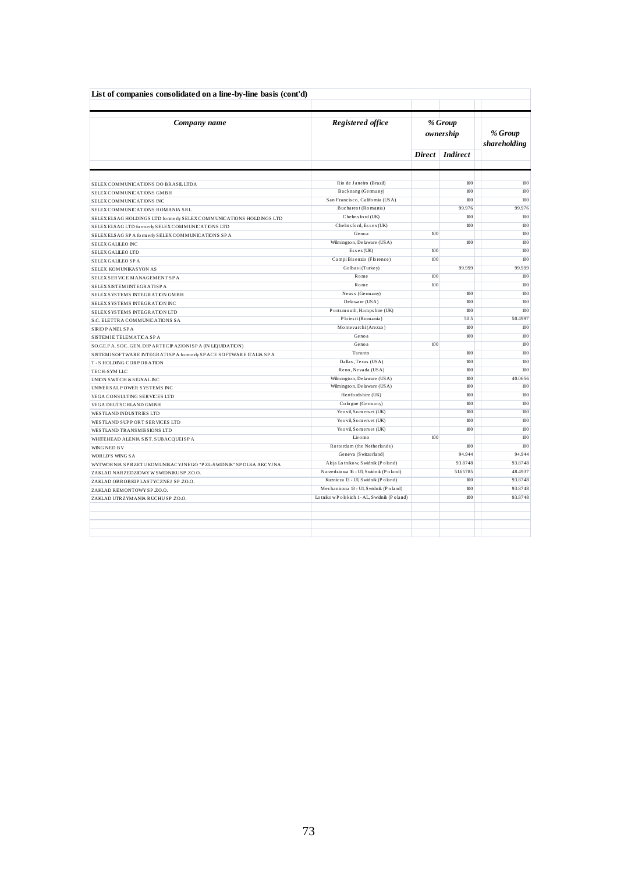| List of companies consolidated on a line-by-line basis (cont'd)     |                                                   |     |                      |                         |
|---------------------------------------------------------------------|---------------------------------------------------|-----|----------------------|-------------------------|
| Company name                                                        | Registered office                                 |     | % Group<br>ownership | % Group<br>shareholding |
|                                                                     |                                                   |     | Direct   Indirect    |                         |
|                                                                     |                                                   |     | 100                  | 100                     |
| SELEX COMMUNICATIONS DO BRASILLTDA                                  | Rio de Janeiro (Brazil)                           |     |                      | 100                     |
| SELEX COMMUNICATIONS GMBH                                           | Backnang (Germany)                                |     | 100                  |                         |
| SELEX COMMUNICATIONS INC                                            | San Francisco, California (USA)                   |     | 100                  | 100                     |
| SELEX COMMUNICATIONS ROMANIA SRL                                    | Bucharest (Romania)                               |     | 99.976               | 99.976                  |
| SELEXELS AG HOLDINGS LTD formerly SELEX COMMUNICATIONS HOLDINGS LTD | Chelms ford (UK)                                  |     | 100                  | 100                     |
| SELEXELS AG LTD formerly SELEX COMMUNICATIONS LTD                   | Chelms ford, Essex (UK)                           |     | 100                  | 100                     |
| SELEXELS AG SP A formerly SELEXCOMMUNICATIONS SP A                  | Genoa                                             | 100 |                      | 100                     |
| SELEX GALLEO INC                                                    | Wilmington, De la ware (USA)                      |     | 100                  | 100                     |
| SELEX GALLEO LTD                                                    | $Essex$ (UK)                                      | 100 |                      | 100                     |
| SELEX GALLEO SPA                                                    | Campi Bisenzio (Florence)                         | 100 |                      | 100                     |
| SELEX KOMUNIKASYON AS                                               | Golbasi (Turkey)                                  |     | 99.999               | 99.999                  |
| SELEX SERVICE MANAGEMENT SPA                                        | Rome                                              | 100 |                      | 100                     |
| <b>SELEX SISTEMINTEGRATISP A</b>                                    | Rome                                              | 100 |                      | 100                     |
| SELEX SYSTEMS INTEGRATION GMBH                                      | Neuss (Germany)                                   |     | 100                  | 100                     |
| SELEX SYSTEMS INTEGRATION INC                                       | Delaware (USA)                                    |     | 100                  | 100                     |
| SELEX SYSTEMS INTEGRATION LTD                                       | Ports mouth, Hampshire (UK)                       |     | 100                  | 100                     |
| S.C. ELETTRA COMMUNICATIONS SA                                      | Ploiesti (Romania)                                |     | 50.5                 | 50.4997                 |
| SIRIO PANEL SPA                                                     | Montevarchi (Arezzo)                              |     | 100                  | 100                     |
| SISTEMIE TELEMATICA SPA                                             | Genoa                                             |     | $100$                | 100                     |
| SO.GE.PA. SOC. GEN. DIP ARTEC PAZIONISPA (IN LIQUIDATION)           | Genoa                                             | 100 |                      | 100                     |
| SISTEMISOFTWARE INTEGRATISP A formerly SP ACE SOFTWARE ITALIA SP A  | Taranto                                           |     | 100                  | 100                     |
| T-S HOLDING CORPORATION                                             | Dallas, Texas (USA)                               |     | 100                  | 100                     |
| TECH-SYM LLC                                                        | Reno, Nevada (USA)                                |     | 100                  | 100                     |
| UNION SWITCH & SIGNAL INC                                           | Wilmington, Delaware (USA)                        |     | 100                  | 40.0656                 |
| UNIVER SALP OWER SYSTEMS INC                                        | Wilmington, Delaware (USA)                        |     | 100                  | 100                     |
| VEGA CONSULTING SERVICES LTD                                        | Hertfords hire (UK)                               |     | 100                  | 100                     |
| VEGA DEUTS CHLAND GMBH                                              | Cologne (Germany)                                 |     | 100                  | 100                     |
| <b>WESTLAND INDUSTRIES LTD</b>                                      | Yeovil, Somers et (UK)                            |     | 100                  | 100                     |
| WESTLAND SUPPORT SERVICES LTD                                       | Yeovil, Somers et (UK)                            |     | 100                  | 100                     |
| WESTLAND TRANSMISSIONS LTD                                          | Yeovil, Somers et (UK)                            |     | 100                  | 100                     |
| WHITEHEAD ALENIA SIST. SUBACQUEISPA                                 | Livo mo                                           | 100 |                      | 100                     |
| WING NED BV                                                         | Rotterdam (the Netherlands)                       |     | 100                  | 100                     |
| <b>WORLD'S WING SA</b>                                              | Geneva (Switzerland)                              |     | 94.944               | 94.944                  |
| WYTWORNIA SPRZETU KOMUNIKACYJ NEGO "PZL-SWIDNIK" SPOLKA AKCYJ NA    | Aleja Lotnikow, Swidnik (Poland)                  |     | 93.8748              | 93.8748                 |
| ZAKLAD NARZEDZIOWY W SWIDNIKU SP.ZO.O.                              | Narzedzio wa 16 - Ul, Swidnik (Poland)            |     | 51.65785             | 48.4937                 |
| ZAKLAD OBROBKIP LASTYCZNEJ SP.ZO.O.                                 | Kuznicza 13 - Ul. S widnik (Poland)               |     | 100                  | 93.8748                 |
| ZAKLAD REMONTOWY SP ZO.O.                                           | Mechaniczna 13 - Ul, Swidnik (Poland)             |     | 100                  | 93.8748                 |
| ZAKLAD UTRZYMANIA RUCHU SP.ZO.O.                                    | Lotniko w P o ls kich 1 - AL, S widnik (P o land) |     | 100                  | 93.8748                 |
|                                                                     |                                                   |     |                      |                         |
|                                                                     |                                                   |     |                      |                         |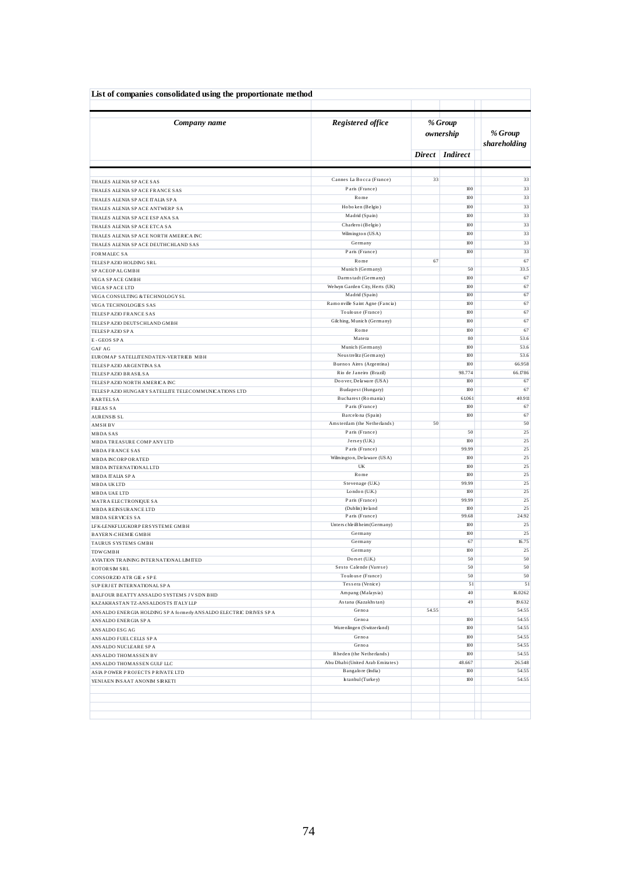| List of companies consolidated using the proportionate method        |                                                  |       |                      |                         |  |
|----------------------------------------------------------------------|--------------------------------------------------|-------|----------------------|-------------------------|--|
| Company name                                                         | Registered office                                |       | % Group<br>ownership | % Group<br>shareholding |  |
|                                                                      |                                                  |       | Direct   Indirect    |                         |  |
| THALES ALENIA SP ACE SAS                                             | Cannes La Bocca (France)                         | 33    |                      | 33                      |  |
| THALES ALENIA SP ACE FRANCE SAS                                      | Paris (France)                                   |       | 100                  | 33                      |  |
| THALES ALENIA SP ACE ITALIA SP A                                     | Rome                                             |       | 100                  | 33                      |  |
| THALES ALENIA SP ACE ANTWERP SA                                      | Hoboken (Belgio)                                 |       | 100                  | 33                      |  |
| THALES ALENIA SP ACE ESP ANA SA                                      | Madrid (Spain)                                   |       | 100                  | 33                      |  |
| THALES ALENIA SP ACE ETCA SA                                         | Charleroi (Belgio)                               |       | 100                  | 33                      |  |
| THALES ALENIA SP ACE NORTH AMERICA INC                               | Wilmington (USA)                                 |       | $100$                | 33                      |  |
| THALES ALENIA SP ACE DEUTHCHLAND SAS                                 | Germany                                          |       | 100                  | 33                      |  |
| <b>FORMALEC SA</b>                                                   | Paris (France)                                   |       | 100                  | 33                      |  |
| TELESP AZIO HOLDING SRL                                              | Rome                                             | 67    |                      | 67                      |  |
| SP ACEOP AL GMBH                                                     | Munich (Germany)                                 |       | 50                   | 33.5                    |  |
| VEGA SP ACE GMBH                                                     | Darmstadt (Germany)                              |       | 100                  | 67                      |  |
| VEGA SP ACE LTD                                                      | Welwyn Garden City, Herts (UK)                   |       | 100                  | 67                      |  |
| VEGA CONSULTING & TECHNOLOGY SL                                      | Madrid (Spain)<br>Ramonville Saint Agne (Fancia) |       | 100<br>100           | 67<br>67                |  |
| <b>VEGA TECHNOLOGIES SAS</b>                                         | Toulouse (France)                                |       | 100                  | 67                      |  |
| TELESP AZIO FRANCE SAS<br>TELESP AZIO DEUTS CHLAND GMBH              | Gilching, Munich (Germany)                       |       | 100                  | 67                      |  |
| TELESPAZIO SPA                                                       | $R$ ome                                          |       | $100$                | 67                      |  |
| E-GEOS SPA                                                           | Matera                                           |       | 80                   | 53.6                    |  |
| <b>GAF AG</b>                                                        | Munich (Germany)                                 |       | 100                  | 53.6                    |  |
| EUROMAP SATELLITENDATEN-VERTRIEB MBH                                 | Neus trelitz (Germany)                           |       | 100                  | 53.6                    |  |
| TELESP AZIO ARGENTINA SA                                             | Buenos Aires (Argentina)                         |       | 100                  | 66.958                  |  |
| TELESPAZIO BRASILSA                                                  | Rio de Janeiro (Brazil)                          |       | 98.774               | 66.1786                 |  |
| TELESPAZIO NORTH AMERICA INC                                         | Doover, Delaware (USA)                           |       | 100                  | 67                      |  |
| TELESPAZIO HUNGARY SATELLITE TELECOMMUNICATIONS LTD                  | Budapest (Hungary)                               |       | 100                  | 67                      |  |
| <b>RARTELSA</b>                                                      | Bucharest (Romania)                              |       | 61.061               | 40.911                  |  |
| <b>FILEAS SA</b>                                                     | Paris (France)<br>Barcelona (Spain)              |       | 100<br>100           | 67<br>67                |  |
| <b>AURENSIS SL</b>                                                   | Amsterdam (the Netherlands)                      | 50    |                      | 50                      |  |
| <b>AMSHBV</b><br>MBDA SAS                                            | Paris (France)                                   |       | 50                   | 25                      |  |
| MBDA TREASURE COMP ANY LTD                                           | Jersey (U.K.)                                    |       | 100                  | 25                      |  |
| <b>MBDA FRANCE SAS</b>                                               | Paris (France)                                   |       | 99.99                | 25                      |  |
| <b>MBDA INCORPORATED</b>                                             | Wilmington, Delaware (USA)                       |       | 100                  | 25                      |  |
| <b>MBDA INTERNATIONAL LTD</b>                                        | UK                                               |       | 100                  | 25                      |  |
| MBDA ITALIA SPA                                                      | Rome                                             |       | 100                  | 25                      |  |
| MBDA UKLTD                                                           | Stevenage (U.K.)                                 |       | 99.99                | 25                      |  |
| <b>MBDA UAE LTD</b>                                                  | London (U.K.)                                    |       | 100                  | 25                      |  |
| MATRA ELECTRONIQUE SA                                                | Paris (France)                                   |       | 99.99                | 25<br>25                |  |
| <b>MBDA REINSURANCE LTD</b><br><b>MBDA SERVICES SA</b>               | (Dublin) Ireland<br>Paris (France)               |       | 100<br>99.68         | 24.92                   |  |
| LFK-LENKFLUGKORPERSYSTEME GMBH                                       | Unters chleiBheim (Germany)                      |       | 100                  | 25                      |  |
| <b>BAYERN-CHEMIE GMBH</b>                                            | Germany                                          |       | 100                  | 25                      |  |
| TAURUS SYSTEMS GMBH                                                  | Germany                                          |       | 67                   | 16.75                   |  |
| <b>TDW GMBH</b>                                                      | Germany                                          |       | 100                  | 25                      |  |
| AVIATION TRAINING INTERNATIONAL LIMITED                              | Dorset (U.K.)                                    |       | 50                   | 50                      |  |
| ROTORSM SRL                                                          | Sesto Calende (Varese)                           |       | 50                   | 50                      |  |
| CONSORZIO ATR GIE e SPE                                              | Toulouse (France)                                |       | 50                   | 50                      |  |
| SUP ERJET INTERNATIONAL SPA                                          | Tessera (Venice)                                 |       | 51                   | 51                      |  |
| BALFOUR BEATTY ANS ALDO SYSTEMS JV SDN BHD                           | Ampang (Malaysia)                                |       | 40                   | 16.0262                 |  |
| KAZAKHASTAN TZ-ANSALDOSTS ITALY LLP                                  | Astana (Kazakhstan)                              |       | 49                   | 19.632                  |  |
| ANS ALDO ENERGIA HOLDING SP A formerly ANS ALDO ELECTRIC DRIVES SP A | Genoa                                            | 54.55 |                      | 54.55                   |  |
| ANS ALDO ENERGIA SP A                                                | Genoa<br>Wurenlingen (Switzerland)               |       | 100<br>100           | 54.55<br>54.55          |  |
| ANS ALDO ESG AG                                                      | Genoa                                            |       | 100                  | 54.55                   |  |
| ANS ALDO FUEL CELLS SP A                                             | Genoa                                            |       | 100                  | 54.55                   |  |
| ANS ALDO NUCLEARE SPA<br>ANSALDO THOMASSEN BV                        | Rheden (the Netherlands)                         |       | 100                  | 54.55                   |  |
| ANSALDO THOMASSEN GULF LLC                                           | Abu Dhabi (United Arab Emirates)                 |       | 48.667               | 26.548                  |  |
| ASIA POWER PROJECTS PRIVATE LTD                                      | Bangalore (India)                                |       | 100                  | 54.55                   |  |
| YENIAEN INSAAT ANONIM SIRKETI                                        | Istanbul (Turkey)                                |       | 100                  | 54.55                   |  |
|                                                                      |                                                  |       |                      |                         |  |
|                                                                      |                                                  |       |                      |                         |  |
|                                                                      |                                                  |       |                      |                         |  |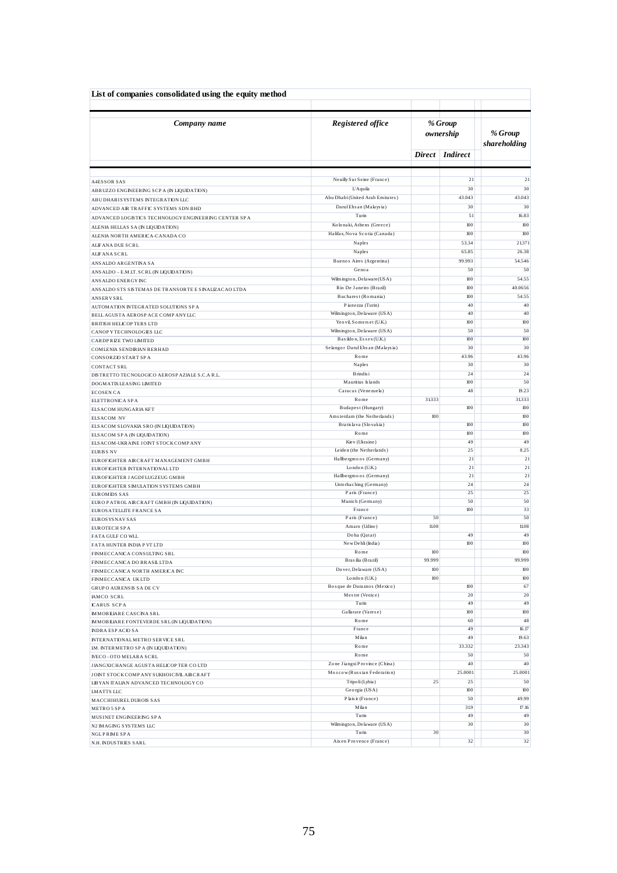| List of companies consolidated using the equity method                       |                                                      |               |                      |                         |  |
|------------------------------------------------------------------------------|------------------------------------------------------|---------------|----------------------|-------------------------|--|
| Company name                                                                 | Registered office                                    |               | % Group<br>ownership | % Group<br>shareholding |  |
|                                                                              |                                                      |               | Direct Indirect      |                         |  |
| <b>A4ESSOR SAS</b>                                                           | Neuilly Sur Seine (France)                           |               | 21                   | 21                      |  |
| ABRUZZO ENGINEERING SCPA (IN LIQUIDATION)                                    | L'Aquila                                             |               | 30                   | 30                      |  |
| ABUDHABISYSTEMS INTEGRATION LLC                                              | Abu Dhabi (United Arab Emirates)                     |               | 43.043               | 43.043                  |  |
| ADVANCED AIR TRAFFIC SYSTEMS SDN BHD                                         | Darul Ehsan (Malaysia)                               |               | 30                   | 30                      |  |
| ADVANCED LOGISTICS TECHNOLOGY ENGINEERING CENTER SP A                        | Turin                                                |               | 51                   | 16.83                   |  |
| ALENIA HELLAS SA (IN LIQUIDATION)                                            | Kolonaki, Athens (Greece)                            |               | 100                  | 100                     |  |
| ALENIA NORTH AMERICA-CANADA CO                                               | Halifax, Nova Scotia (Canada)                        |               | 100                  | 100                     |  |
| ALIFANA DUE SCRL                                                             | Naples                                               |               | 53.34                | 21.371                  |  |
| ALIFANA SCRL                                                                 | Naples                                               |               | 65.85<br>99.993      | 26.38<br>54.546         |  |
| ANSALDO ARGENTINA SA                                                         | Buenos Aires (Argentina)<br>Genoa                    |               | 50                   | 50                      |  |
| ANSALDO - E.M.IT. SCRL (IN LIQUIDATION)                                      | Wilmington, Delaware (USA)                           |               | 100                  | 54.55                   |  |
| ANS ALDO ENERGY INC<br>ANS ALDO STS SISTEMAS DE TRANSORTE E SINALIZACAO LTDA | Rio De Janeiro (Brazil)                              |               | 100                  | 40.0656                 |  |
| <b>ANSERVSRL</b>                                                             | Bucharest (Romania)                                  |               | 100                  | 54.55                   |  |
| AUTOMATION INTEGRATED SOLUTIONS SPA                                          | Pianezza (Turin)                                     |               | 40                   | 40                      |  |
| BELLAGUSTA AEROSPACE COMPANYLLC                                              | Wilmington, Delaware (USA)                           |               | 40                   | 40                      |  |
| <b>BRITSH HELICOPTERS LTD</b>                                                | Yeovil, Somers et (U.K.)                             |               | 100                  | 100                     |  |
| CANOP Y TECHNOLOGIES LLC                                                     | Wilmington, Delaware (USA)                           |               | 50                   | 50                      |  |
| CARDPRIZE TWO LIMITED                                                        | Basildon, Essex (U.K.)                               |               | 100<br>30            | 100<br>30               |  |
| COMLENIA SENDIRIAN BERHAD                                                    | Selangor Darul Ehs an (Malaysia)<br>Rome             |               | 43.96                | 43.96                   |  |
| CONSORZIO START SPA<br>CONTACT SRL                                           | Naples                                               |               | 30                   | 30                      |  |
| DISTRETTO TECNOLOGICO AEROSP AZIALE S.C.A R.L.                               | Brindis i                                            |               | 24                   | 24                      |  |
| DOGMATIX LEASING LIMITED                                                     | Mauritius Islands                                    |               | 100                  | 50                      |  |
| <b>ECOSEN CA</b>                                                             | Caracas (Venezuela)                                  |               | 48                   | 19.23                   |  |
| ELETTRONICA SPA                                                              | Rome                                                 | 31.333        |                      | 31333                   |  |
| ELSACOM HUNGARIA KFT                                                         | Budapest (Hungary)                                   |               | $100$                | 100                     |  |
| <b>ELSACOM NV</b>                                                            | Amsterdam (the Netherlands)<br>Bratislava (Slovakia) | 100           | 100                  | 100<br>100              |  |
| ELSACOM SLOVAKIA SRO (IN LIQUIDATION)<br>ELSACOM SPA (IN LIQUIDATION)        | Rome                                                 |               | 100                  | 100                     |  |
| ELSACOM-UKRAINE JOINT STOCK COMPANY                                          | Kie v (Ukraine)                                      |               | 49                   | 49                      |  |
| <b>EURISS NV</b>                                                             | Leiden (the Netherlands)                             |               | 25                   | 8.25                    |  |
| EUROFIGHTER AIRCRAFT MANAGEMENT GMBH                                         | Hallbergmoos (Germany)                               |               | 21                   | 21                      |  |
| EUROFIGHTER INTERNATIONAL LTD                                                | London (U.K.)                                        |               | 21                   | 21                      |  |
| EUROFIGHTER JAGDFLUGZEUG GMBH                                                | Hallbergmoos (Germany)                               |               | 21                   | 21                      |  |
| EUROFIGHTER SIMULATION SYSTEMS GMBH                                          | Unterhaching (Germany)<br>Paris (France)             |               | 24<br>25             | 24<br>25                |  |
| <b>EUROMIDS SAS</b><br>EURO PATROL AIRCRAFT GMBH (IN LIQUIDATION)            | Munich (Germany)                                     |               | 50                   | 50                      |  |
| EUROS ATELLITE FRANCE SA                                                     | France                                               |               | $100\,$              | 33                      |  |
| <b>EUROS YS NAV SAS</b>                                                      | Paris (France)                                       | 50            |                      | 50                      |  |
| EUROTECH SPA                                                                 | Amaro (Udine)                                        | 11.08         |                      | 11.08                   |  |
| FATA GULF CO WLL                                                             | Doha (Qatar)                                         |               | 49                   | 49                      |  |
| FATA HUNTER INDIA P VT LTD                                                   | New Dehli (India)                                    |               | 100                  | 100                     |  |
| FINMECCANICA CONSULTING SRL                                                  | Rome.<br>Brasilia (Brazil)                           | 100<br>99.999 |                      | 100<br>99.999           |  |
| FINMECCANICA DO BRASILLTDA                                                   | Do ver, De laware (USA)                              | 100           |                      | $100\,$                 |  |
| FINMECCANICA NORTH AMERICA INC<br>FINMECCANICA UKLTD                         | London (U.K.)                                        | 100           |                      | 100                     |  |
| GRUP O AURENSIS SA DE CV                                                     | Bosque de Duraznos (Mexico)                          |               | 100                  | 67                      |  |
| IAMCO SCRL                                                                   | Mestre (Venice)                                      |               | 20                   | 20                      |  |
| <b>ICARUS SCPA</b>                                                           | Turin                                                |               | 49                   | 49                      |  |
| <b>MMOBILIARE CASCINA SRL</b>                                                | Gallarate (Varese)                                   |               | 100                  | 100                     |  |
| <b>IMMOBILIARE FONTEVERDE SRL (IN LIQUIDATION)</b>                           | Rome                                                 |               | 60                   | 48                      |  |
| <b>INDRA ESPACIO SA</b>                                                      | France<br>Milan                                      |               | 49                   | 16.17                   |  |
| INTERNATIONAL METRO SERVICE SRL                                              | Rome                                                 |               | 49<br>33.332         | 19.63<br>23.343         |  |
| IM. INTERMETRO SPA (IN LIQUIDATION)<br>IVECO - OTO MELARA SCRL               | Rome                                                 |               | 50                   | 50                      |  |
| JIANGXICHANGE AGUSTA HELICOPTER CO LTD                                       | Zone Jiangxi Province (China)                        |               | 40                   | 40                      |  |
| JOINT STOCK COMPANY SUKHOICIVILAIRCRAFT                                      | Moscow (Russian Federation)                          |               | 25.0001              | 25.0001                 |  |
| LIBYAN ITALIAN ADVANCED TECHNOLOGY CO                                        | Tripo li (Lybia)                                     | 25            | 25                   | 50                      |  |
| LMATTS LLC                                                                   | Georgia (USA)                                        |               | 100                  | $100\,$                 |  |
| MACCHIHURELDUBOIS SAS                                                        | Plais ir (France)                                    |               | 50                   | 49.99                   |  |
| METRO 5 SPA                                                                  | Milan                                                |               | 319                  | 17.16                   |  |
| MUSINET ENGINEERING SPA                                                      | Turin                                                |               | 49                   | 49                      |  |
| N2 IMAGING SYSTEMS LLC                                                       | Wilmington, Delaware (USA)                           |               | 30                   | 30                      |  |
| NGLPRIMESPA                                                                  | Turin<br>Aixen Provence (France)                     | 30            | 32                   | 30<br>32                |  |
| N.H. INDUSTRIES SARL                                                         |                                                      |               |                      |                         |  |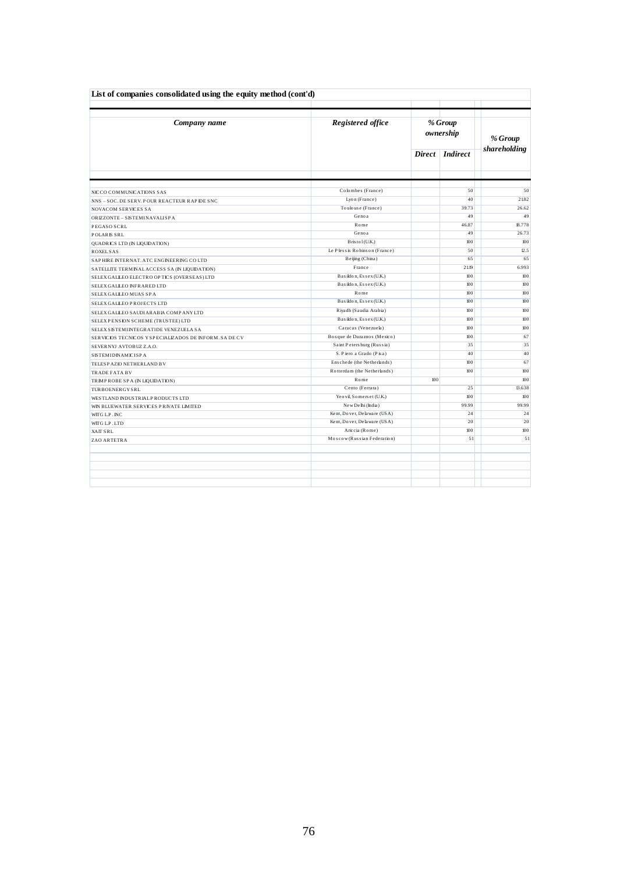| List of companies consolidated using the equity method (cont'd) |                              |                      |                 |              |  |  |  |  |  |
|-----------------------------------------------------------------|------------------------------|----------------------|-----------------|--------------|--|--|--|--|--|
| Company name                                                    | Registered office            | % Group<br>ownership |                 | % Group      |  |  |  |  |  |
|                                                                 |                              |                      | Direct Indirect | shareholding |  |  |  |  |  |
|                                                                 | Colombes (France)            |                      | 50              | 50           |  |  |  |  |  |
| NICCO COMMUNICATIONS SAS                                        | Lyon (France)                |                      | 40              | 21.82        |  |  |  |  |  |
| NNS - SOC. DE SERV. POUR REACTEUR RAP IDE SNC                   | Toulouse (France)            |                      | 39.73           | 26.62        |  |  |  |  |  |
| <b>NOVACOM SERVICES SA</b>                                      | Genoa                        |                      | 49              | 49           |  |  |  |  |  |
| ORIZZONTE - SISTEMINAVALISPA                                    | Rome                         |                      |                 | 18.778       |  |  |  |  |  |
| PEGASO SCRL                                                     |                              |                      | 46.87           |              |  |  |  |  |  |
| <b>POLARIS SRL</b>                                              | Genoa                        |                      | 49              | 26.73        |  |  |  |  |  |
| QUADRICS LTD (IN LIQUIDATION)                                   | Bristol(U.K.)                |                      | $100$<br>50     | 100          |  |  |  |  |  |
| <b>ROXEL SAS</b>                                                | Le Plessis Robinson (France) |                      |                 | 12.5<br>65   |  |  |  |  |  |
| SAPHIRE INTERNAT. ATC ENGINEERING COLTD                         | Beijing (China)<br>France    | 65                   |                 |              |  |  |  |  |  |
| SATELLITE TERMINAL ACCESS SA (IN LIQUIDATION)                   |                              | 21.19                |                 | 6.993        |  |  |  |  |  |
| SELEX GALLEO ELECTRO OPTICS (OVERSEAS) LTD                      | Basildon, Essex (U.K.)       | 100                  |                 | 100          |  |  |  |  |  |
| SELEX GALLEO INFRARED LTD                                       | Basildon, Essex (U.K.)       | 100                  |                 | 100          |  |  |  |  |  |
| SELEX GALLEO MUAS SPA                                           | Rome                         |                      | $100$           | 100          |  |  |  |  |  |
| SELEX GALLEO PROJECTS LTD                                       | Basildon, Essex (U.K.)       |                      | 100             | 100          |  |  |  |  |  |
| SELEX GALLEO SAUDIARABIA COMPANYLTD                             | Riyadh (Saudia Arabia)       |                      | $100$           | 100          |  |  |  |  |  |
| SELEXPENSION SCHEME (TRUSTEE) LTD                               | Basildon, Essex (U.K.)       |                      | 100             | 100          |  |  |  |  |  |
| SELEX SISTEMINTEGRATIDE VENEZUELA SA                            | Caracas (Venezuela)          |                      | 100             | 100          |  |  |  |  |  |
| SERVICIOS TECNICOS Y SPECIALIZADOS DE INFORM. SA DE CV          | Bosque de Duraznos (Mexico)  |                      | 100             | 67           |  |  |  |  |  |
| SEVERNYJ AVTOBUZ Z.A.O.                                         | Saint Petersburg (Russia)    |                      | 35              | 35           |  |  |  |  |  |
| <b>SISTEMIDINAMICISPA</b>                                       | S. Piero a Grado (Pisa)      |                      | 40              | 40           |  |  |  |  |  |
| TELESP AZIO NETHERLAND BV                                       | Enschede (the Netherlands)   |                      | 100             | 67           |  |  |  |  |  |
| <b>TRADE FATA BV</b>                                            | Rotterdam (the Netherlands)  |                      | $100$           | 100          |  |  |  |  |  |
| TRIMPROBE SPA (IN LIQUIDATION)                                  | Rome                         | 100                  |                 | 100          |  |  |  |  |  |
| TURBOENERGYSRL                                                  | Cento (Ferrara)              |                      | 25              | 13.638       |  |  |  |  |  |
| WESTLAND INDUSTRIAL PRODUCTS LTD                                | Yeovil, Somers et (U.K.)     |                      | $100$           | 100          |  |  |  |  |  |
| WIN BLUEWATER SERVICES PRIVATE LIMITED                          | New Delhi (India)            |                      | 99.99           | 99.99        |  |  |  |  |  |
| WITG L.P. INC                                                   | Kent, Dover, Delaware (USA)  |                      | 24              | 24           |  |  |  |  |  |
| WITG L.P. LTD                                                   | Kent, Dover, Delaware (USA)  |                      | 20              | 20           |  |  |  |  |  |
| <b>XAIT SRL</b>                                                 | Ariccia (Rome)               |                      | 100             | 100          |  |  |  |  |  |
| ZAO ARTETRA                                                     | Moscow (Russian Federation)  |                      | 51              | 51           |  |  |  |  |  |
|                                                                 |                              |                      |                 |              |  |  |  |  |  |
|                                                                 |                              |                      |                 |              |  |  |  |  |  |
|                                                                 |                              |                      |                 |              |  |  |  |  |  |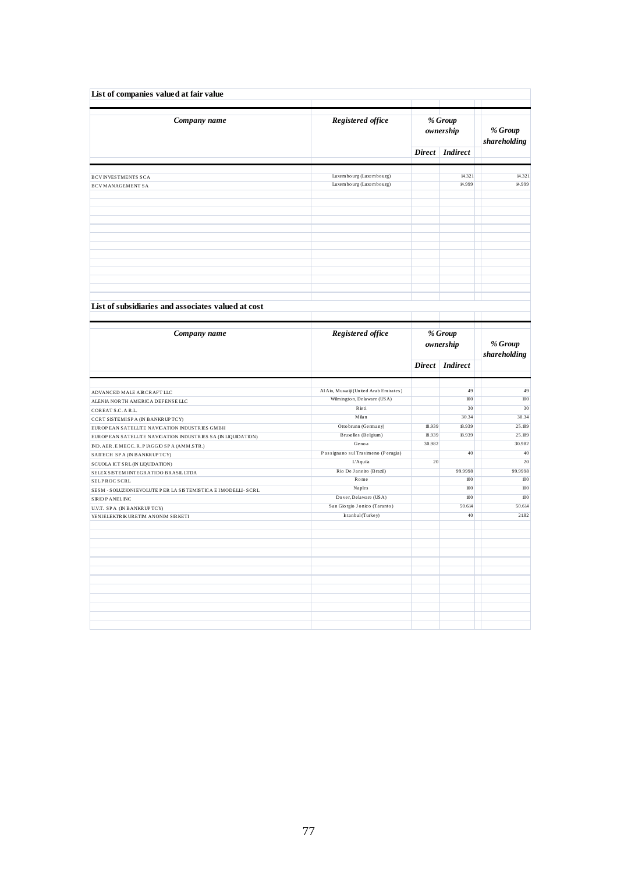| List of companies valued at fair value                           |                                        |                      |                      |                         |
|------------------------------------------------------------------|----------------------------------------|----------------------|----------------------|-------------------------|
| Company name                                                     | Registered office                      |                      | % Group<br>ownership | % Group<br>shareholding |
|                                                                  |                                        |                      | Direct Indirect      |                         |
| <b>BCVINVESTMENTS SCA</b>                                        | Luxembourg (Luxembourg)                |                      | 14.321               | 14.321                  |
| <b>BCVMANAGEMENT SA</b>                                          | Luxe mbo urg (Luxe mbo urg)            |                      | 14.999               | 14.999                  |
|                                                                  |                                        |                      |                      |                         |
|                                                                  |                                        |                      |                      |                         |
|                                                                  |                                        |                      |                      |                         |
| List of subsidiaries and associates valued at cost               |                                        |                      |                      |                         |
| Company name                                                     | Registered office                      | % Group<br>ownership |                      | $\%$ Group              |
|                                                                  |                                        |                      | Direct Indirect      | shareholding            |
|                                                                  | Al Ain, Muwaiji (United Arab Emirates) |                      | 49                   | 49                      |
| ADVANCED MALE AIRCRAFT LLC                                       | Wilmington, Delaware (USA)             |                      | 100                  | 100                     |
| ALENIA NORTH AMERICA DEFENSE LLC                                 | Rieti                                  |                      | 30                   | 30                      |
| COREAT S.C. A R.L.                                               |                                        |                      |                      |                         |
| CCRT SISTEMISP A (IN BANKR UPTCY)                                | Milan                                  |                      | 30.34                | 30.34                   |
| EUROP EAN SATELLITE NAVIGATION INDUSTRIES GMBH                   | Otto brunn (Germany)                   | 18.939               | 18.939               | 25.189                  |
| EUROPEAN SATELLITE NAVIGATION INDUSTRIES SA (IN LIQUIDATION)     | Bruxelles (Belgium)                    | 18.939               | 18.939               | 25.189                  |
| ND. AER. E MECC. R. P IAGGIO SP A (AMM.STR.)                     | Genoa                                  | 30.982               |                      | 30.982                  |
| SAITECH SPA (IN BANKRUPTCY)                                      | Passignano sul Trasimeno (Perugia)     |                      | 40                   | 40                      |
| SCUOLA ICT SRL (IN LIQUIDATION)                                  | L'Aquila                               | 20                   |                      | 20                      |
| SELEX SISTEMINTEGRATIDO BRASILLTDA                               | Rio De Janeiro (Brazil)                |                      | 99.9998              | 99.9998                 |
| SELPROC SCRL                                                     | Rome<br>Naples                         |                      | $100\,$<br>100       | $100$<br>100            |
| SESM - SOLUZIONIEVOLUTE PER LA SISTEMISTICA E IMODELLI - SCRL    | Do ver, De laware (USA)                |                      | 100                  | 100                     |
| <b>SRIOPANELINC</b>                                              | San Giorgio Jonico (Taranto)           |                      | 50.614               | 50.614                  |
| U.V.T. SPA (IN BANKRUPTCY)<br>YENIELEKTRIK URETIM ANONIM SIRKETI | Istanbul (Turkey)                      |                      | 40                   | 21.82                   |
|                                                                  |                                        |                      |                      |                         |
|                                                                  |                                        |                      |                      |                         |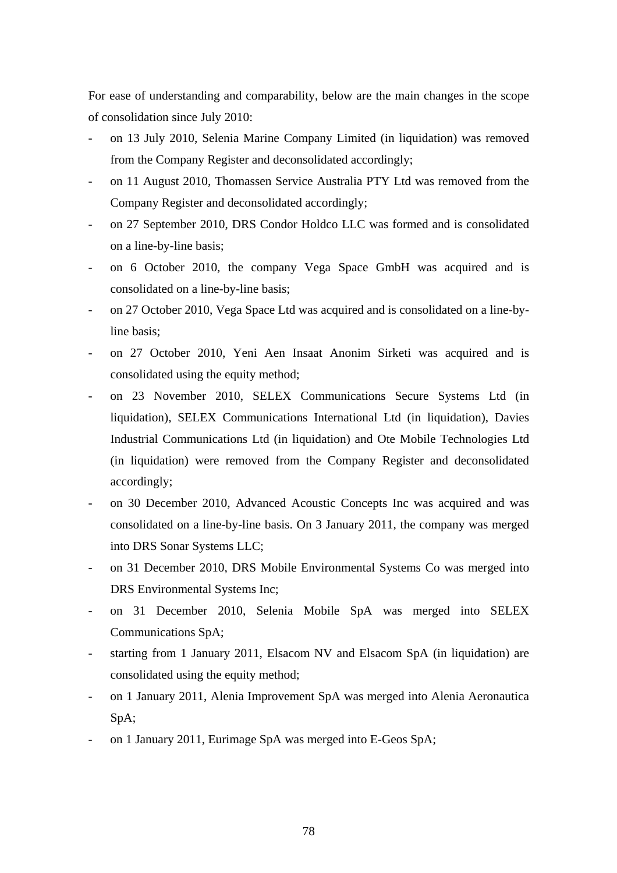For ease of understanding and comparability, below are the main changes in the scope of consolidation since July 2010:

- on 13 July 2010, Selenia Marine Company Limited (in liquidation) was removed from the Company Register and deconsolidated accordingly;
- on 11 August 2010, Thomassen Service Australia PTY Ltd was removed from the Company Register and deconsolidated accordingly;
- on 27 September 2010, DRS Condor Holdco LLC was formed and is consolidated on a line-by-line basis;
- on 6 October 2010, the company Vega Space GmbH was acquired and is consolidated on a line-by-line basis;
- on 27 October 2010, Vega Space Ltd was acquired and is consolidated on a line-byline basis;
- on 27 October 2010, Yeni Aen Insaat Anonim Sirketi was acquired and is consolidated using the equity method;
- on 23 November 2010, SELEX Communications Secure Systems Ltd (in liquidation), SELEX Communications International Ltd (in liquidation), Davies Industrial Communications Ltd (in liquidation) and Ote Mobile Technologies Ltd (in liquidation) were removed from the Company Register and deconsolidated accordingly;
- on 30 December 2010, Advanced Acoustic Concepts Inc was acquired and was consolidated on a line-by-line basis. On 3 January 2011, the company was merged into DRS Sonar Systems LLC;
- on 31 December 2010, DRS Mobile Environmental Systems Co was merged into DRS Environmental Systems Inc;
- on 31 December 2010, Selenia Mobile SpA was merged into SELEX Communications SpA;
- starting from 1 January 2011, Elsacom NV and Elsacom SpA (in liquidation) are consolidated using the equity method;
- on 1 January 2011, Alenia Improvement SpA was merged into Alenia Aeronautica SpA;
- on 1 January 2011, Eurimage SpA was merged into E-Geos SpA;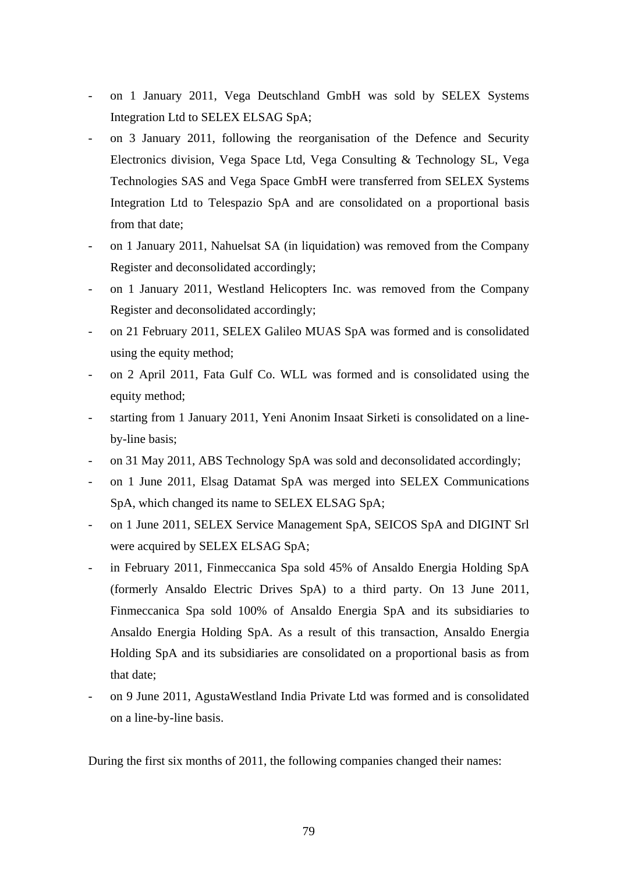- on 1 January 2011, Vega Deutschland GmbH was sold by SELEX Systems Integration Ltd to SELEX ELSAG SpA;
- on 3 January 2011, following the reorganisation of the Defence and Security Electronics division, Vega Space Ltd, Vega Consulting & Technology SL, Vega Technologies SAS and Vega Space GmbH were transferred from SELEX Systems Integration Ltd to Telespazio SpA and are consolidated on a proportional basis from that date;
- on 1 January 2011, Nahuelsat SA (in liquidation) was removed from the Company Register and deconsolidated accordingly;
- on 1 January 2011, Westland Helicopters Inc. was removed from the Company Register and deconsolidated accordingly;
- on 21 February 2011, SELEX Galileo MUAS SpA was formed and is consolidated using the equity method;
- on 2 April 2011, Fata Gulf Co. WLL was formed and is consolidated using the equity method;
- starting from 1 January 2011, Yeni Anonim Insaat Sirketi is consolidated on a lineby-line basis;
- on 31 May 2011, ABS Technology SpA was sold and deconsolidated accordingly;
- on 1 June 2011, Elsag Datamat SpA was merged into SELEX Communications SpA, which changed its name to SELEX ELSAG SpA;
- on 1 June 2011, SELEX Service Management SpA, SEICOS SpA and DIGINT Srl were acquired by SELEX ELSAG SpA;
- in February 2011, Finmeccanica Spa sold 45% of Ansaldo Energia Holding SpA (formerly Ansaldo Electric Drives SpA) to a third party. On 13 June 2011, Finmeccanica Spa sold 100% of Ansaldo Energia SpA and its subsidiaries to Ansaldo Energia Holding SpA. As a result of this transaction, Ansaldo Energia Holding SpA and its subsidiaries are consolidated on a proportional basis as from that date;
- on 9 June 2011, AgustaWestland India Private Ltd was formed and is consolidated on a line-by-line basis.

During the first six months of 2011, the following companies changed their names: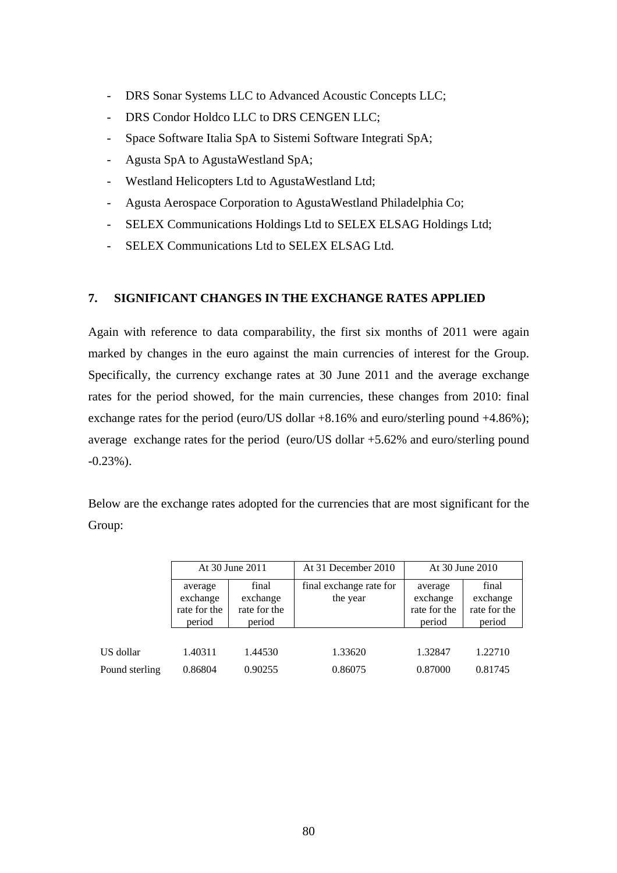- DRS Sonar Systems LLC to Advanced Acoustic Concepts LLC;
- DRS Condor Holdco LLC to DRS CENGEN LLC;
- Space Software Italia SpA to Sistemi Software Integrati SpA;
- Agusta SpA to AgustaWestland SpA;
- Westland Helicopters Ltd to AgustaWestland Ltd;
- Agusta Aerospace Corporation to AgustaWestland Philadelphia Co;
- SELEX Communications Holdings Ltd to SELEX ELSAG Holdings Ltd;
- SELEX Communications Ltd to SELEX ELSAG Ltd.

### **7. SIGNIFICANT CHANGES IN THE EXCHANGE RATES APPLIED**

Again with reference to data comparability, the first six months of 2011 were again marked by changes in the euro against the main currencies of interest for the Group. Specifically, the currency exchange rates at 30 June 2011 and the average exchange rates for the period showed, for the main currencies, these changes from 2010: final exchange rates for the period (euro/US dollar  $+8.16\%$  and euro/sterling pound  $+4.86\%$ ); average exchange rates for the period (euro/US dollar +5.62% and euro/sterling pound -0.23%).

Below are the exchange rates adopted for the currencies that are most significant for the Group:

|                | At 30 June 2011                               |                                             | At 31 December 2010                 | At 30 June 2010                               |                                             |  |
|----------------|-----------------------------------------------|---------------------------------------------|-------------------------------------|-----------------------------------------------|---------------------------------------------|--|
|                | average<br>exchange<br>rate for the<br>period | final<br>exchange<br>rate for the<br>period | final exchange rate for<br>the year | average<br>exchange<br>rate for the<br>period | final<br>exchange<br>rate for the<br>period |  |
|                |                                               |                                             |                                     |                                               |                                             |  |
| US dollar      | 1.40311                                       | 1.44530                                     | 1.33620                             | 1.32847                                       | 1.22710                                     |  |
| Pound sterling | 0.86804                                       | 0.90255                                     | 0.86075                             | 0.87000                                       | 0.81745                                     |  |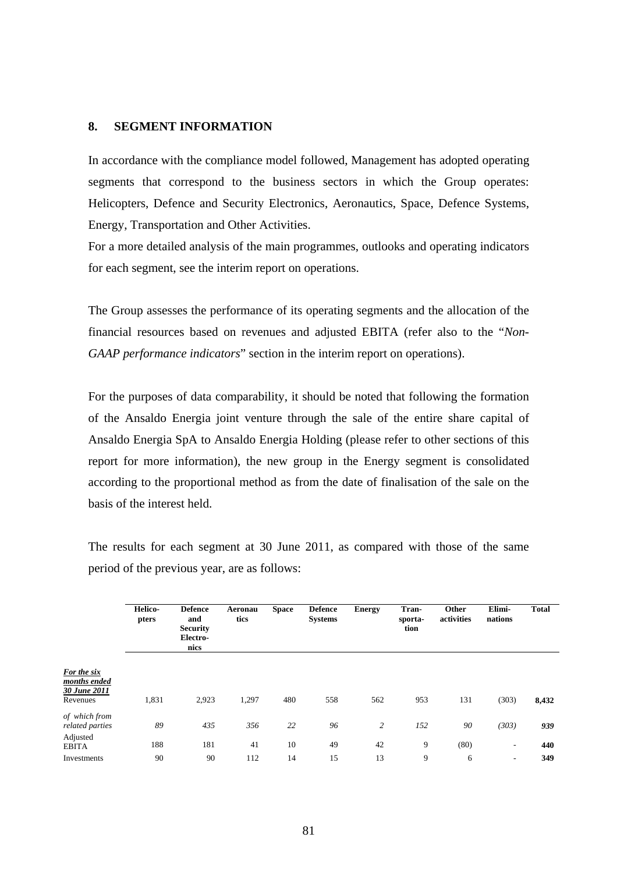#### **8. SEGMENT INFORMATION**

In accordance with the compliance model followed, Management has adopted operating segments that correspond to the business sectors in which the Group operates: Helicopters, Defence and Security Electronics, Aeronautics, Space, Defence Systems, Energy, Transportation and Other Activities.

For a more detailed analysis of the main programmes, outlooks and operating indicators for each segment, see the interim report on operations.

The Group assesses the performance of its operating segments and the allocation of the financial resources based on revenues and adjusted EBITA (refer also to the "*Non-GAAP performance indicators*" section in the interim report on operations).

For the purposes of data comparability, it should be noted that following the formation of the Ansaldo Energia joint venture through the sale of the entire share capital of Ansaldo Energia SpA to Ansaldo Energia Holding (please refer to other sections of this report for more information), the new group in the Energy segment is consolidated according to the proportional method as from the date of finalisation of the sale on the basis of the interest held.

The results for each segment at 30 June 2011, as compared with those of the same period of the previous year, are as follows:

|                                                         | Helico-<br>pters | <b>Defence</b><br>and<br><b>Security</b><br>Electro-<br>nics | Aeronau<br>tics | <b>Space</b> | <b>Defence</b><br><b>Systems</b> | <b>Energy</b> | Tran-<br>sporta-<br>tion | Other<br>activities | Elimi-<br>nations | <b>Total</b> |
|---------------------------------------------------------|------------------|--------------------------------------------------------------|-----------------|--------------|----------------------------------|---------------|--------------------------|---------------------|-------------------|--------------|
| For the six<br>months ended<br>30 June 2011<br>Revenues | 1,831            | 2,923                                                        | 1,297           | 480          | 558                              | 562           | 953                      | 131                 | (303)             | 8,432        |
| of which from<br>related parties                        | 89               | 435                                                          | 356             | 22           | 96                               | 2             | 152                      | 90                  | (303)             | 939          |
| Adjusted<br><b>EBITA</b><br>Investments                 | 188<br>90        | 181<br>90                                                    | 41<br>112       | 10<br>14     | 49<br>15                         | 42<br>13      | 9<br>9                   | (80)<br>6           | ۰.<br>۰.          | 440<br>349   |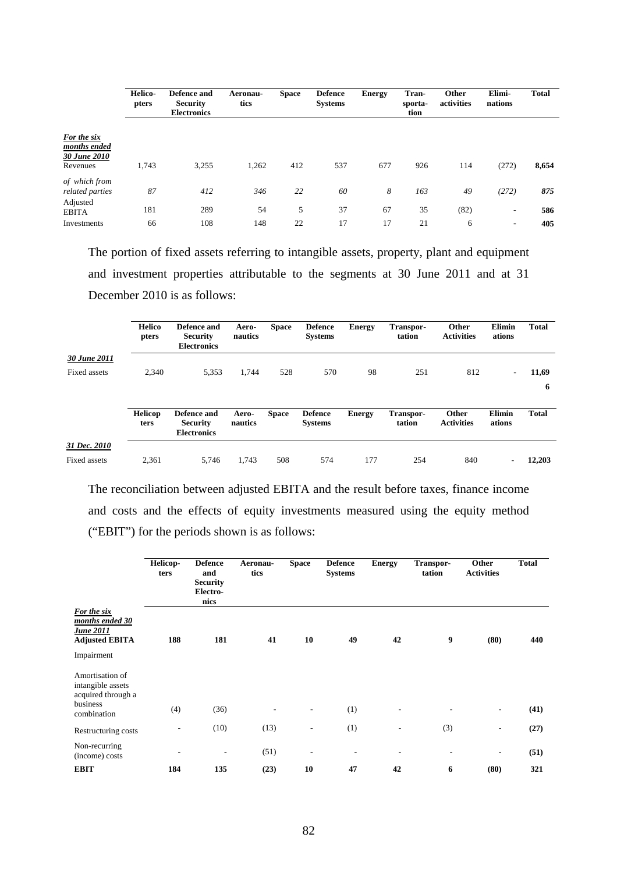|                                                              | Helico-<br>pters | Defence and<br><b>Security</b><br><b>Electronics</b> | Aeronau-<br>tics | <b>Space</b> | <b>Defence</b><br><b>Systems</b> | <b>Energy</b> | Tran-<br>sporta-<br>tion | Other<br>activities | Elimi-<br>nations | <b>Total</b> |
|--------------------------------------------------------------|------------------|------------------------------------------------------|------------------|--------------|----------------------------------|---------------|--------------------------|---------------------|-------------------|--------------|
| For the six<br>months ended<br>30 June 2010<br>Revenues      | 1,743            | 3,255                                                | 1,262            | 412          | 537                              | 677           | 926                      | 114                 | (272)             | 8,654        |
| of which from<br>related parties<br>Adjusted<br><b>EBITA</b> | 87<br>181        | 412<br>289                                           | 346<br>54        | 22<br>5      | 60<br>37                         | 8<br>67       | 163<br>35                | 49<br>(82)          | (272)<br>-        | 875<br>586   |
| Investments                                                  | 66               | 108                                                  | 148              | 22           | 17                               | 17            | 21                       | 6                   | -                 | 405          |

The portion of fixed assets referring to intangible assets, property, plant and equipment and investment properties attributable to the segments at 30 June 2011 and at 31 December 2010 is as follows:

|                     | <b>Helico</b><br>pters | Defence and<br><b>Security</b><br><b>Electronics</b> | Aero-<br>nautics | Space        | <b>Defence</b><br><b>Systems</b> | <b>Energy</b> | Transpor-<br>tation | Other<br><b>Activities</b> | Elimin<br>ations         | <b>Total</b> |
|---------------------|------------------------|------------------------------------------------------|------------------|--------------|----------------------------------|---------------|---------------------|----------------------------|--------------------------|--------------|
| 30 June 2011        |                        |                                                      |                  |              |                                  |               |                     |                            |                          |              |
| Fixed assets        | 2,340                  | 5,353                                                | 1.744            | 528          | 570                              | 98            | 251                 | 812                        | $\overline{\phantom{a}}$ | 11,69        |
|                     |                        |                                                      |                  |              |                                  |               |                     |                            |                          | 6            |
|                     | <b>Helicop</b><br>ters | Defence and<br><b>Security</b><br><b>Electronics</b> | Aero-<br>nautics | <b>Space</b> | <b>Defence</b><br><b>Systems</b> | <b>Energy</b> | Transpor-<br>tation | Other<br><b>Activities</b> | Elimin<br>ations         | <b>Total</b> |
| 31 Dec. 2010        |                        |                                                      |                  |              |                                  |               |                     |                            |                          |              |
| <b>Fixed assets</b> | 2.361                  | 5.746                                                | 1.743            | 508          | 574                              | 177           | 254                 | 840                        | $\overline{\phantom{a}}$ | 12.203       |

The reconciliation between adjusted EBITA and the result before taxes, finance income and costs and the effects of equity investments measured using the equity method ("EBIT") for the periods shown is as follows:

|                                                                                    | Helicop-<br>ters | <b>Defence</b><br>and<br><b>Security</b><br>Electro-<br>nics | Aeronau-<br>tics | <b>Space</b>             | <b>Defence</b><br><b>Systems</b> | <b>Energy</b> | Transpor-<br>tation | Other<br><b>Activities</b> | <b>Total</b> |
|------------------------------------------------------------------------------------|------------------|--------------------------------------------------------------|------------------|--------------------------|----------------------------------|---------------|---------------------|----------------------------|--------------|
| <b>For the six</b><br>months ended 30<br><b>June 2011</b><br><b>Adjusted EBITA</b> | 188              | 181                                                          | 41               | 10                       | 49                               | 42            | 9                   | (80)                       | 440          |
| Impairment<br>Amortisation of<br>intangible assets<br>acquired through a           |                  |                                                              |                  |                          |                                  |               |                     |                            |              |
| business<br>combination                                                            | (4)              | (36)                                                         |                  |                          | (1)                              |               |                     | ٠                          | (41)         |
| Restructuring costs                                                                |                  | (10)                                                         | (13)             | $\overline{\phantom{a}}$ | (1)                              | -             | (3)                 | -                          | (27)         |
| Non-recurring<br>(income) costs                                                    | ٠                | ٠                                                            | (51)             | ٠                        | $\overline{\phantom{a}}$         | ۰             | ۰                   | $\overline{\phantom{a}}$   | (51)         |
| <b>EBIT</b>                                                                        | 184              | 135                                                          | (23)             | 10                       | 47                               | 42            | 6                   | (80)                       | 321          |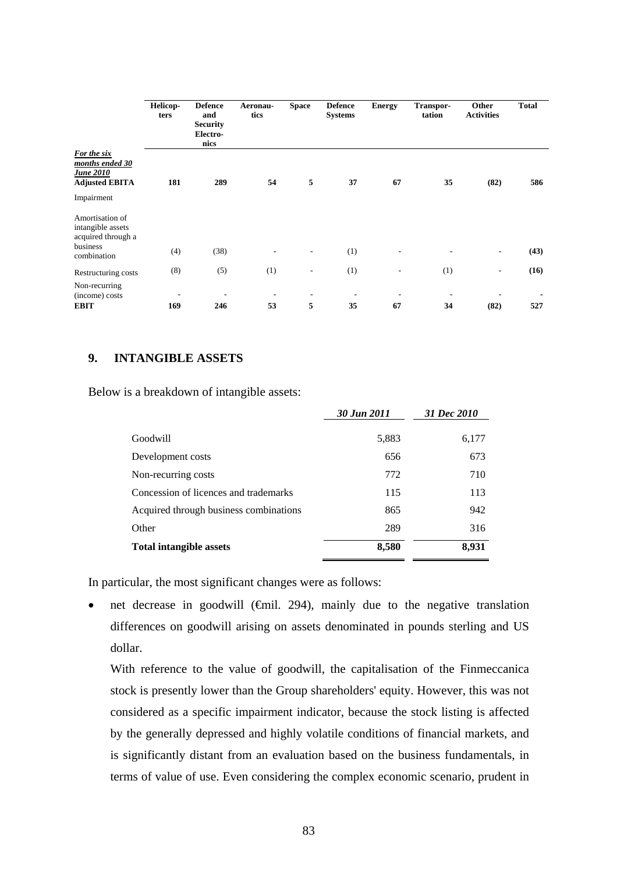| Helicop-<br>ters | <b>Defence</b><br>and<br><b>Security</b><br>Electro-<br>nics | Aeronau-<br>tics | <b>Space</b> | <b>Defence</b><br><b>Systems</b> | <b>Energy</b> | Transpor-<br>tation | Other<br><b>Activities</b>   | <b>Total</b> |
|------------------|--------------------------------------------------------------|------------------|--------------|----------------------------------|---------------|---------------------|------------------------------|--------------|
| 181              | 289                                                          | 54               | 5            | 37                               | 67            | 35                  | (82)                         | 586          |
|                  |                                                              |                  |              |                                  |               |                     |                              |              |
|                  |                                                              |                  |              |                                  |               |                     |                              |              |
|                  |                                                              |                  |              |                                  | ۰             |                     | ٠                            | (43)         |
| (8)              | (5)                                                          | (1)              | ٠            | (1)                              | ÷             | (1)                 | $\qquad \qquad \blacksquare$ | (16)         |
| ٠<br>169         | 246                                                          | 53               | 5            | 35                               | 67            | 34                  | (82)                         | 527          |
|                  | (4)                                                          | (38)             |              |                                  | (1)           |                     |                              |              |

## **9. INTANGIBLE ASSETS**

Below is a breakdown of intangible assets:

|                                        | 30 Jun 2011 | 31 Dec 2010 |
|----------------------------------------|-------------|-------------|
| Goodwill                               | 5,883       | 6,177       |
| Development costs                      | 656         | 673         |
| Non-recurring costs                    | 772         | 710         |
| Concession of licences and trademarks  | 115         | 113         |
| Acquired through business combinations | 865         | 942         |
| Other                                  | 289         | 316         |
| <b>Total intangible assets</b>         | 8,580       | 8,931       |

In particular, the most significant changes were as follows:

net decrease in goodwill ( $\oplus$ mil. 294), mainly due to the negative translation differences on goodwill arising on assets denominated in pounds sterling and US dollar.

With reference to the value of goodwill, the capitalisation of the Finmeccanica stock is presently lower than the Group shareholders' equity. However, this was not considered as a specific impairment indicator, because the stock listing is affected by the generally depressed and highly volatile conditions of financial markets, and is significantly distant from an evaluation based on the business fundamentals, in terms of value of use. Even considering the complex economic scenario, prudent in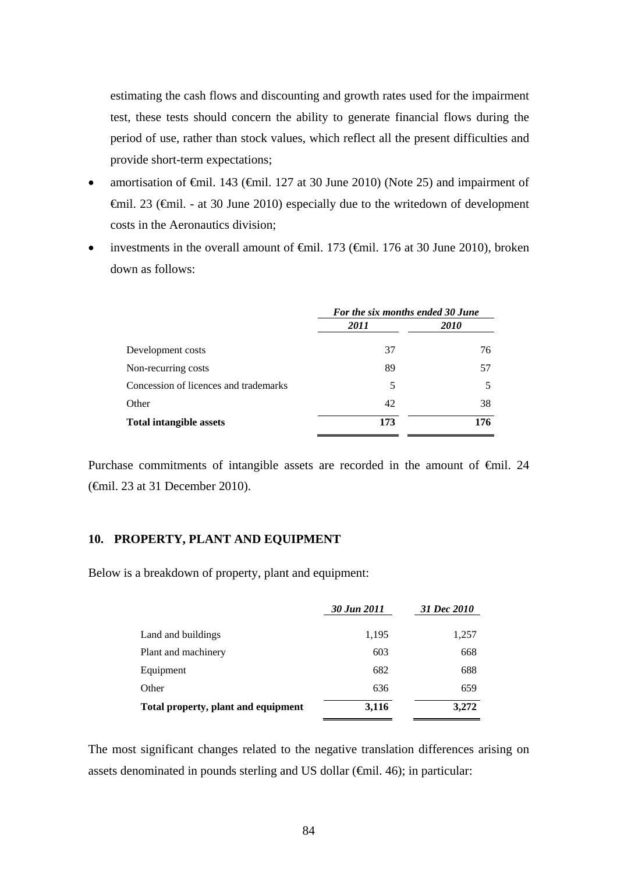estimating the cash flows and discounting and growth rates used for the impairment test, these tests should concern the ability to generate financial flows during the period of use, rather than stock values, which reflect all the present difficulties and provide short-term expectations;

- amortisation of  $\oplus$ mil. 143 ( $\oplus$ mil. 127 at 30 June 2010) (Note 25) and impairment of €mil. 23 (€mil. - at 30 June 2010) especially due to the writedown of development costs in the Aeronautics division;
- investments in the overall amount of €mil. 173 (€mil. 176 at 30 June 2010), broken down as follows:

|                                       | For the six months ended 30 June |             |  |
|---------------------------------------|----------------------------------|-------------|--|
|                                       | 2011                             | <i>2010</i> |  |
| Development costs                     | 37                               | 76          |  |
| Non-recurring costs                   | 89                               | 57          |  |
| Concession of licences and trademarks | 5                                | 5           |  |
| Other                                 | 42                               | 38          |  |
| <b>Total intangible assets</b>        | 173                              | 176         |  |
|                                       |                                  |             |  |

Purchase commitments of intangible assets are recorded in the amount of €mil. 24 (€mil. 23 at 31 December 2010).

### **10. PROPERTY, PLANT AND EQUIPMENT**

Below is a breakdown of property, plant and equipment:

|                                     | 30 Jun 2011 | 31 Dec 2010 |
|-------------------------------------|-------------|-------------|
| Land and buildings                  | 1,195       | 1,257       |
| Plant and machinery                 | 603         | 668         |
| Equipment                           | 682         | 688         |
| Other                               | 636         | 659         |
| Total property, plant and equipment | 3,116       | 3,272       |

The most significant changes related to the negative translation differences arising on assets denominated in pounds sterling and US dollar  $(\text{fmil. } 46)$ ; in particular: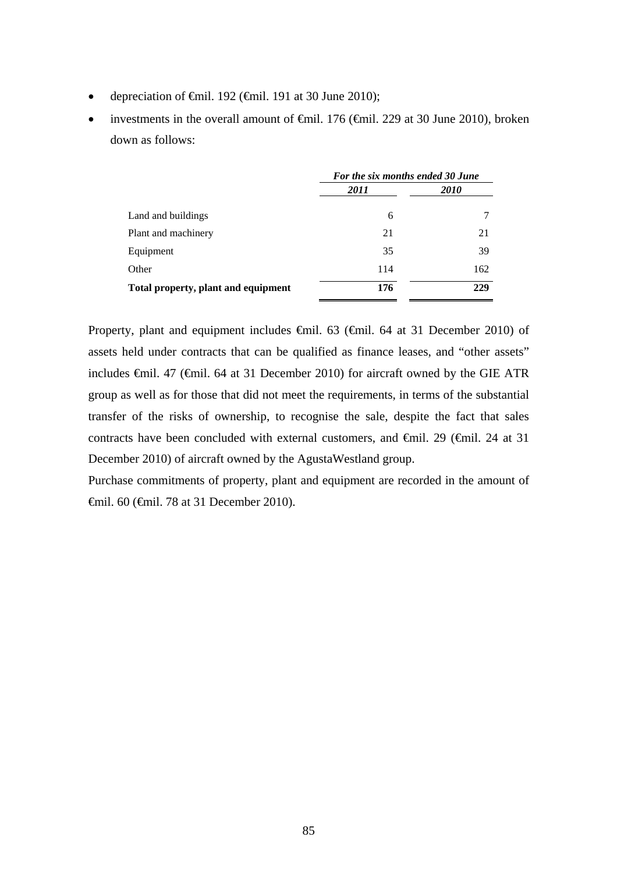- depreciation of  $\epsilon$ mil. 192 ( $\epsilon$ mil. 191 at 30 June 2010);
- investments in the overall amount of €mil. 176 (€mil. 229 at 30 June 2010), broken down as follows:

|                                     | For the six months ended 30 June |      |  |
|-------------------------------------|----------------------------------|------|--|
|                                     | 2011                             | 2010 |  |
| Land and buildings                  | 6                                |      |  |
| Plant and machinery                 | 21                               | 21   |  |
| Equipment                           | 35                               | 39   |  |
| Other                               | 114                              | 162  |  |
| Total property, plant and equipment | 176                              | 229  |  |

Property, plant and equipment includes €mil. 63 (€mil. 64 at 31 December 2010) of assets held under contracts that can be qualified as finance leases, and "other assets" includes €mil. 47 (€mil. 64 at 31 December 2010) for aircraft owned by the GIE ATR group as well as for those that did not meet the requirements, in terms of the substantial transfer of the risks of ownership, to recognise the sale, despite the fact that sales contracts have been concluded with external customers, and €mil. 29 (€mil. 24 at 31 December 2010) of aircraft owned by the AgustaWestland group.

Purchase commitments of property, plant and equipment are recorded in the amount of €mil. 60 (€mil. 78 at 31 December 2010).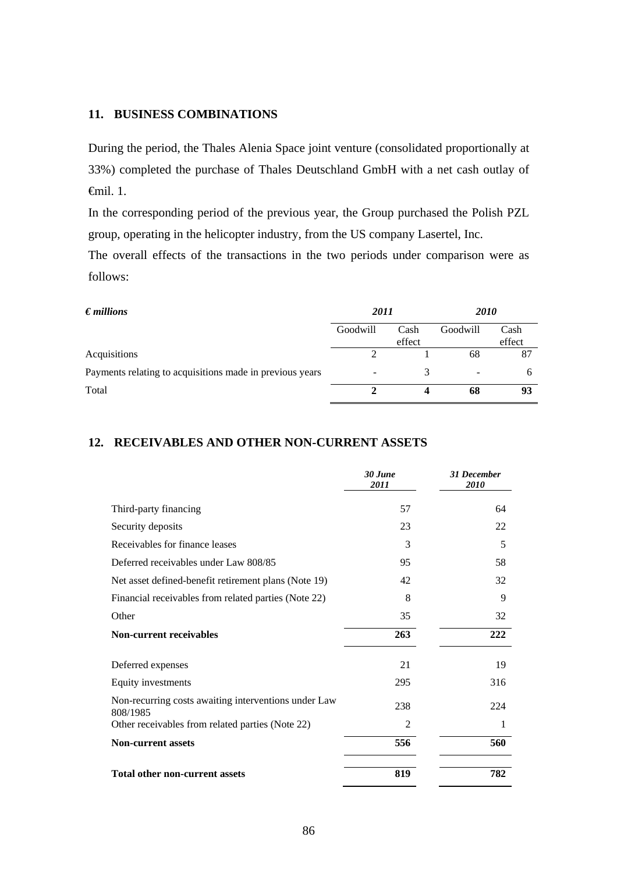### **11. BUSINESS COMBINATIONS**

During the period, the Thales Alenia Space joint venture (consolidated proportionally at 33%) completed the purchase of Thales Deutschland GmbH with a net cash outlay of €mil. 1.

In the corresponding period of the previous year, the Group purchased the Polish PZL group, operating in the helicopter industry, from the US company Lasertel, Inc.

The overall effects of the transactions in the two periods under comparison were as follows:

| $\bm{\epsilon}$ millions                                 | 2011     |        | <i>2010</i> |        |
|----------------------------------------------------------|----------|--------|-------------|--------|
|                                                          | Goodwill | Cash   | Goodwill    | Cash   |
|                                                          |          | effect |             | effect |
| Acquisitions                                             |          |        | 68          | 87     |
| Payments relating to acquisitions made in previous years |          | 3      |             | b      |
| Total                                                    |          |        | 68          | 93     |

## **12. RECEIVABLES AND OTHER NON-CURRENT ASSETS**

|                                                                  | 30 June<br>2011 | <b>31 December</b><br>2010 |
|------------------------------------------------------------------|-----------------|----------------------------|
| Third-party financing                                            | 57              | 64                         |
| Security deposits                                                | 23              | 22                         |
| Receivables for finance leases                                   | 3               | 5                          |
| Deferred receivables under Law 808/85                            | 95              | 58                         |
| Net asset defined-benefit retirement plans (Note 19)             | 42              | 32                         |
| Financial receivables from related parties (Note 22)             | 8               | 9                          |
| Other                                                            | 35              | 32                         |
| <b>Non-current receivables</b>                                   | 263             | 222                        |
| Deferred expenses                                                | 21              | 19                         |
| Equity investments                                               | 295             | 316                        |
| Non-recurring costs awaiting interventions under Law<br>808/1985 | 238             | 224                        |
| Other receivables from related parties (Note 22)                 | $\overline{2}$  | 1                          |
| <b>Non-current assets</b>                                        | 556             | 560                        |
| <b>Total other non-current assets</b>                            | 819             | 782                        |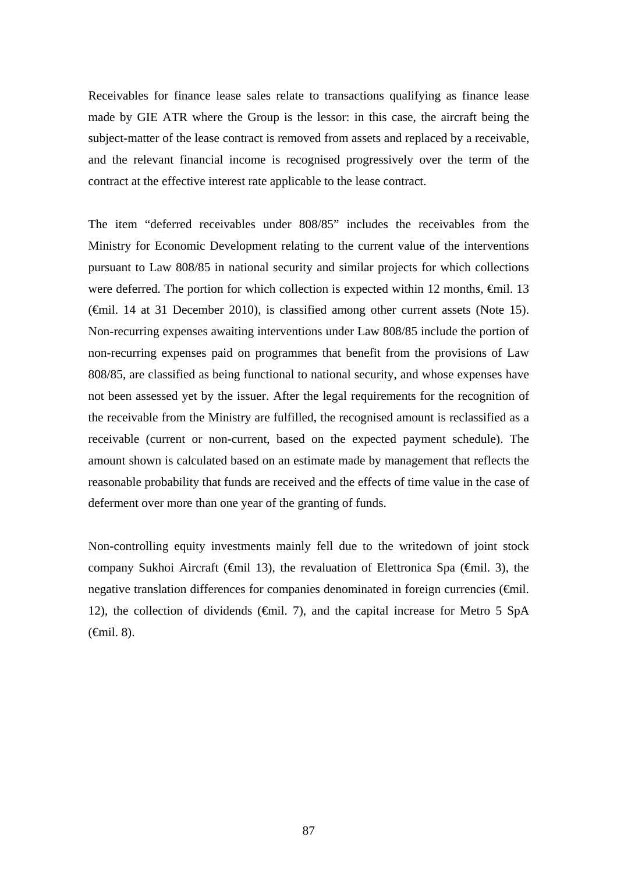Receivables for finance lease sales relate to transactions qualifying as finance lease made by GIE ATR where the Group is the lessor: in this case, the aircraft being the subject-matter of the lease contract is removed from assets and replaced by a receivable, and the relevant financial income is recognised progressively over the term of the contract at the effective interest rate applicable to the lease contract.

The item "deferred receivables under 808/85" includes the receivables from the Ministry for Economic Development relating to the current value of the interventions pursuant to Law 808/85 in national security and similar projects for which collections were deferred. The portion for which collection is expected within 12 months, €mil. 13 (€mil. 14 at 31 December 2010), is classified among other current assets (Note 15). Non-recurring expenses awaiting interventions under Law 808/85 include the portion of non-recurring expenses paid on programmes that benefit from the provisions of Law 808/85, are classified as being functional to national security, and whose expenses have not been assessed yet by the issuer. After the legal requirements for the recognition of the receivable from the Ministry are fulfilled, the recognised amount is reclassified as a receivable (current or non-current, based on the expected payment schedule). The amount shown is calculated based on an estimate made by management that reflects the reasonable probability that funds are received and the effects of time value in the case of deferment over more than one year of the granting of funds.

Non-controlling equity investments mainly fell due to the writedown of joint stock company Sukhoi Aircraft ( $\epsilon$ mil 13), the revaluation of Elettronica Spa ( $\epsilon$ mil. 3), the negative translation differences for companies denominated in foreign currencies (€mil. 12), the collection of dividends ( $\epsilon$ mil. 7), and the capital increase for Metro 5 SpA  $(\text{fail. } 8)$ .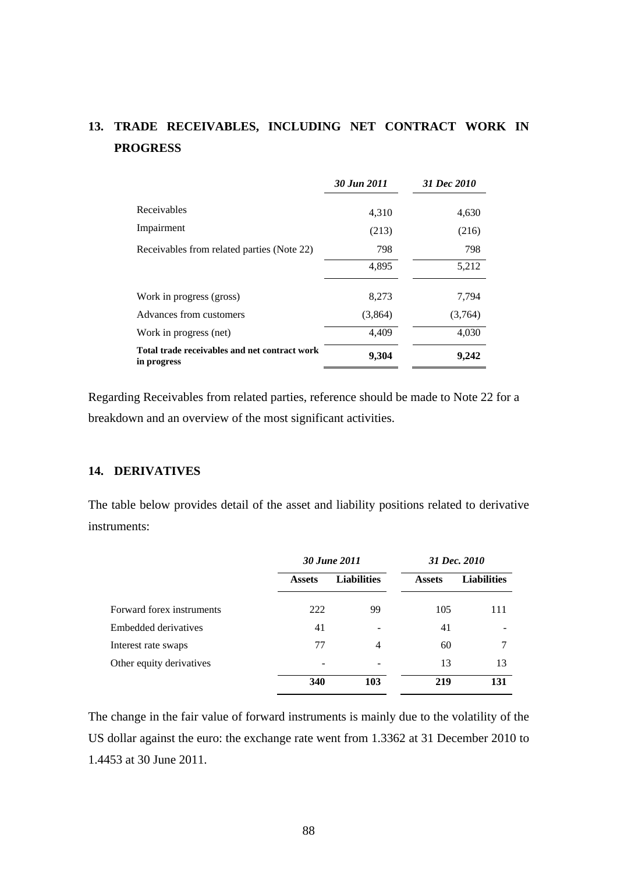# **13. TRADE RECEIVABLES, INCLUDING NET CONTRACT WORK IN PROGRESS**

|                                                              | 30 Jun 2011 | 31 Dec 2010 |
|--------------------------------------------------------------|-------------|-------------|
| Receivables                                                  | 4,310       | 4,630       |
| Impairment                                                   | (213)       | (216)       |
| Receivables from related parties (Note 22)                   | 798         | 798         |
|                                                              | 4,895       | 5,212       |
| Work in progress (gross)                                     | 8,273       | 7,794       |
| Advances from customers                                      | (3,864)     | (3,764)     |
| Work in progress (net)                                       | 4,409       | 4,030       |
| Total trade receivables and net contract work<br>in progress | 9,304       | 9,242       |

Regarding Receivables from related parties, reference should be made to Note 22 for a breakdown and an overview of the most significant activities.

# **14. DERIVATIVES**

The table below provides detail of the asset and liability positions related to derivative instruments:

|                           | 30 June 2011  |                    |               | 31 Dec. 2010       |
|---------------------------|---------------|--------------------|---------------|--------------------|
|                           | <b>Assets</b> | <b>Liabilities</b> | <b>Assets</b> | <b>Liabilities</b> |
| Forward forex instruments | 222           | 99                 | 105           | 111                |
| Embedded derivatives      | 41            |                    | 41            |                    |
| Interest rate swaps       | 77            | 4                  | 60            |                    |
| Other equity derivatives  |               |                    | 13            | 13                 |
|                           | 340           | 103                | 219           | 131                |

The change in the fair value of forward instruments is mainly due to the volatility of the US dollar against the euro: the exchange rate went from 1.3362 at 31 December 2010 to 1.4453 at 30 June 2011.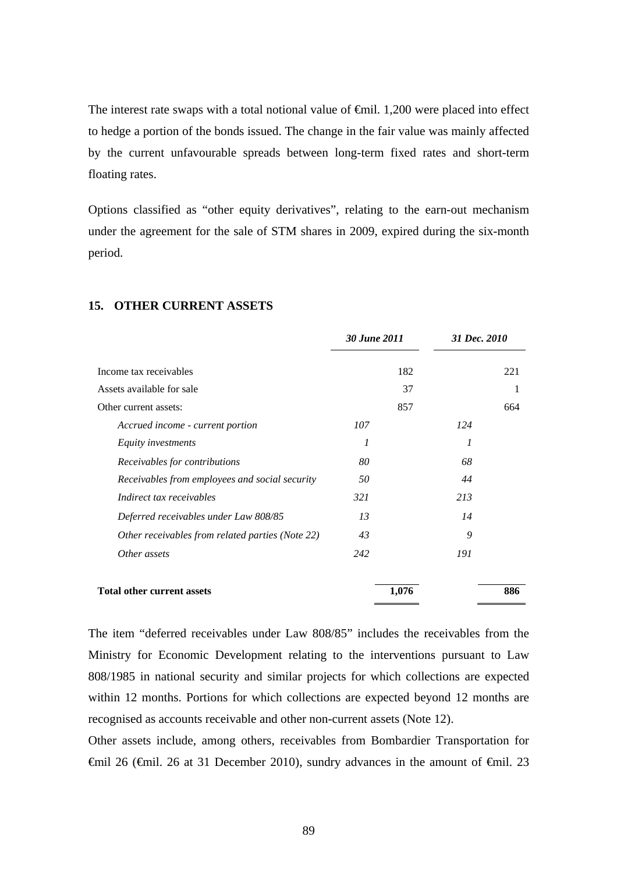The interest rate swaps with a total notional value of <del>€</del>mil. 1,200 were placed into effect to hedge a portion of the bonds issued. The change in the fair value was mainly affected by the current unfavourable spreads between long-term fixed rates and short-term floating rates.

Options classified as "other equity derivatives", relating to the earn-out mechanism under the agreement for the sale of STM shares in 2009, expired during the six-month period.

|                                                  | 30 June 2011 | 31 Dec. 2010 |     |
|--------------------------------------------------|--------------|--------------|-----|
| Income tax receivables                           | 182          |              | 221 |
| Assets available for sale                        | 37           |              | 1   |
| Other current assets:                            | 857          |              | 664 |
| Accrued income - current portion                 | 107          | 124          |     |
| Equity investments                               | 1            | 1            |     |
| Receivables for contributions                    | 80           | 68           |     |
| Receivables from employees and social security   | 50           | 44           |     |
| Indirect tax receivables                         | 321          | 213          |     |
| Deferred receivables under Law 808/85            | 13           | 14           |     |
| Other receivables from related parties (Note 22) | 43           | 9            |     |
| Other assets                                     | 242          | 191          |     |
| <b>Total other current assets</b>                | 1,076        |              | 886 |

#### **15. OTHER CURRENT ASSETS**

The item "deferred receivables under Law 808/85" includes the receivables from the Ministry for Economic Development relating to the interventions pursuant to Law 808/1985 in national security and similar projects for which collections are expected within 12 months. Portions for which collections are expected beyond 12 months are recognised as accounts receivable and other non-current assets (Note 12).

Other assets include, among others, receivables from Bombardier Transportation for  $\theta$   $\theta$  = 126 ( $\theta$ mil. 26 at 31 December 2010), sundry advances in the amount of  $\theta$ mil. 23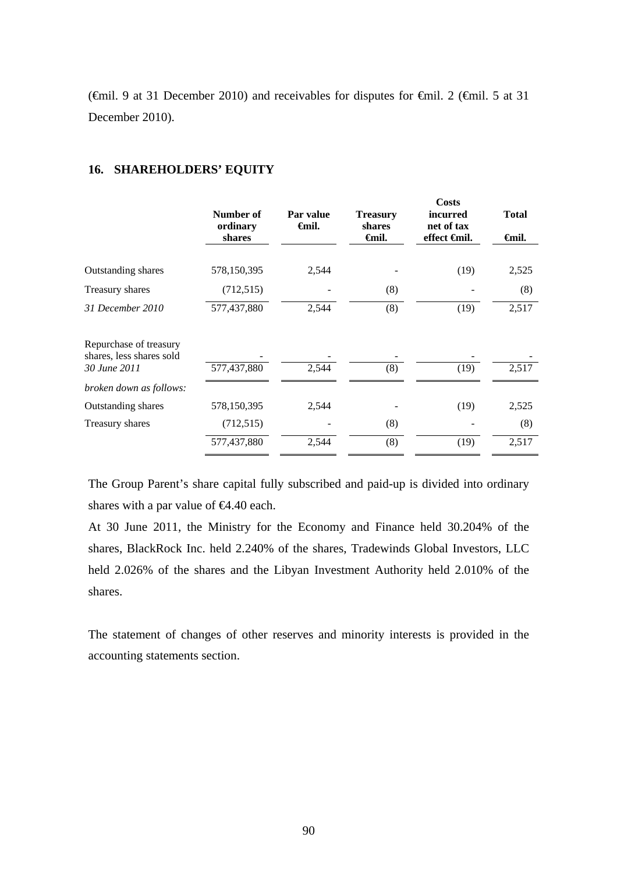( $\epsilon$ mil. 9 at 31 December 2010) and receivables for disputes for  $\epsilon$ mil. 2 ( $\epsilon$ mil. 5 at 31 December 2010).

|                                                    | Number of<br>ordinary<br>shares | Par value<br>Gmil. | <b>Treasury</b><br>shares<br>Gmil. | <b>Costs</b><br><i>incurred</i><br>net of tax<br>effect <del>€</del> mil. | <b>Total</b><br><b>∈mil.</b> |
|----------------------------------------------------|---------------------------------|--------------------|------------------------------------|---------------------------------------------------------------------------|------------------------------|
|                                                    |                                 |                    |                                    |                                                                           |                              |
| Outstanding shares                                 | 578,150,395                     | 2,544              |                                    | (19)                                                                      | 2,525                        |
| Treasury shares                                    | (712, 515)                      |                    | (8)                                |                                                                           | (8)                          |
| 31 December 2010                                   | 577,437,880                     | 2,544              | (8)                                | (19)                                                                      | 2,517                        |
| Repurchase of treasury<br>shares, less shares sold |                                 |                    |                                    |                                                                           |                              |
| 30 June 2011                                       | 577,437,880                     | 2,544              | (8)                                | (19)                                                                      | 2,517                        |
| broken down as follows:                            |                                 |                    |                                    |                                                                           |                              |
| <b>Outstanding shares</b>                          | 578,150,395                     | 2,544              |                                    | (19)                                                                      | 2,525                        |
| Treasury shares                                    | (712, 515)                      |                    | (8)                                |                                                                           | (8)                          |
|                                                    | 577,437,880                     | 2,544              | (8)                                | (19)                                                                      | 2,517                        |

### **16. SHAREHOLDERS' EQUITY**

The Group Parent's share capital fully subscribed and paid-up is divided into ordinary shares with a par value of  $\epsilon 4.40$  each.

At 30 June 2011, the Ministry for the Economy and Finance held 30.204% of the shares, BlackRock Inc. held 2.240% of the shares, Tradewinds Global Investors, LLC held 2.026% of the shares and the Libyan Investment Authority held 2.010% of the shares.

The statement of changes of other reserves and minority interests is provided in the accounting statements section.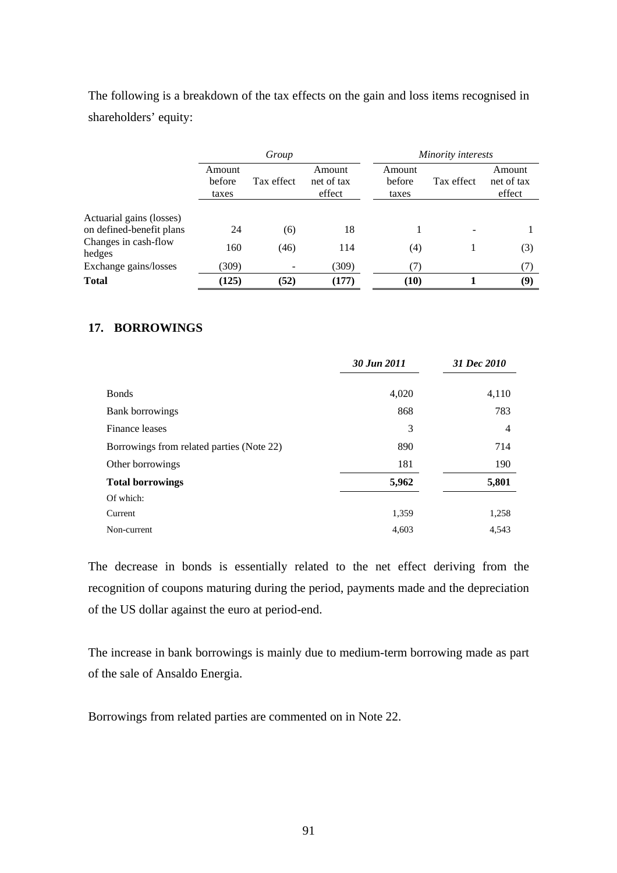The following is a breakdown of the tax effects on the gain and loss items recognised in shareholders' equity:

|                                |                           | Group      |                                | Minority interests        |            |                                |
|--------------------------------|---------------------------|------------|--------------------------------|---------------------------|------------|--------------------------------|
|                                | Amount<br>before<br>taxes | Tax effect | Amount<br>net of tax<br>effect | Amount<br>before<br>taxes | Tax effect | Amount<br>net of tax<br>effect |
| Actuarial gains (losses)       |                           |            |                                |                           |            |                                |
| on defined-benefit plans       | 24                        | (6)        | 18                             |                           |            |                                |
| Changes in cash-flow<br>hedges | 160                       | (46)       | 114                            | (4)                       |            | (3)                            |
| Exchange gains/losses          | (309)                     |            | (309)                          | (7)                       |            | (7)                            |
| <b>Total</b>                   | (125)                     | (52)       | (177)                          | (10)                      |            | (9)                            |

# **17. BORROWINGS**

|                                           | 30 Jun 2011 | 31 Dec 2010 |
|-------------------------------------------|-------------|-------------|
| <b>B</b> onds                             | 4,020       | 4,110       |
| Bank borrowings                           | 868         | 783         |
| Finance leases                            | 3           | 4           |
| Borrowings from related parties (Note 22) | 890         | 714         |
| Other borrowings                          | 181         | 190         |
| <b>Total borrowings</b>                   | 5,962       | 5,801       |
| Of which:                                 |             |             |
| Current                                   | 1,359       | 1,258       |
| Non-current                               | 4,603       | 4,543       |

The decrease in bonds is essentially related to the net effect deriving from the recognition of coupons maturing during the period, payments made and the depreciation of the US dollar against the euro at period-end.

The increase in bank borrowings is mainly due to medium-term borrowing made as part of the sale of Ansaldo Energia.

Borrowings from related parties are commented on in Note 22.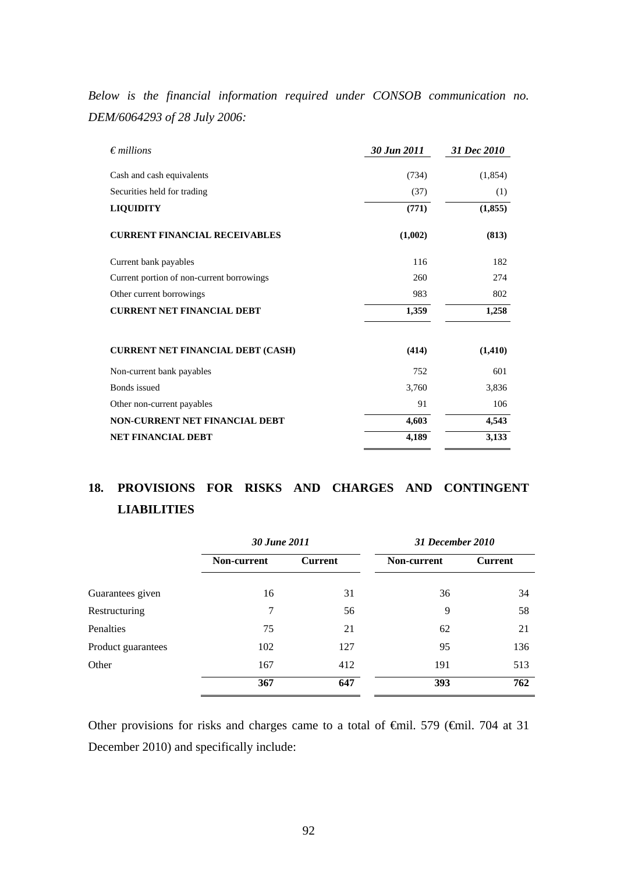*Below is the financial information required under CONSOB communication no. DEM/6064293 of 28 July 2006:* 

| $\epsilon$ millions                       | 30 Jun 2011 | 31 Dec 2010 |
|-------------------------------------------|-------------|-------------|
| Cash and cash equivalents                 | (734)       | (1,854)     |
| Securities held for trading               | (37)        | (1)         |
| <b>LIQUIDITY</b>                          | (771)       | (1, 855)    |
| <b>CURRENT FINANCIAL RECEIVABLES</b>      | (1,002)     | (813)       |
| Current bank payables                     | 116         | 182         |
| Current portion of non-current borrowings | 260         | 274         |
| Other current borrowings                  | 983         | 802         |
| <b>CURRENT NET FINANCIAL DEBT</b>         | 1,359       | 1,258       |
| <b>CURRENT NET FINANCIAL DEBT (CASH)</b>  | (414)       | (1, 410)    |
| Non-current bank payables                 | 752         | 601         |
| <b>Bonds</b> issued                       | 3,760       | 3,836       |
| Other non-current payables                | 91          | 106         |
| NON-CURRENT NET FINANCIAL DEBT            | 4,603       | 4,543       |
| <b>NET FINANCIAL DEBT</b>                 | 4,189       | 3,133       |

# **18. PROVISIONS FOR RISKS AND CHARGES AND CONTINGENT LIABILITIES**

|                    | 30 June 2011 |                | 31 December 2010 |                |  |  |
|--------------------|--------------|----------------|------------------|----------------|--|--|
|                    | Non-current  | <b>Current</b> | Non-current      | <b>Current</b> |  |  |
| Guarantees given   | 16           | 31             | 36               | 34             |  |  |
| Restructuring      | 7            | 56             | 9                | 58             |  |  |
| Penalties          | 75           | 21             | 62               | 21             |  |  |
| Product guarantees | 102          | 127            | 95               | 136            |  |  |
| Other              | 167          | 412            | 191              | 513            |  |  |
|                    | 367          | 647            | 393              | 762            |  |  |

Other provisions for risks and charges came to a total of  $\theta$ mil. 579 ( $\theta$ mil. 704 at 31 December 2010) and specifically include: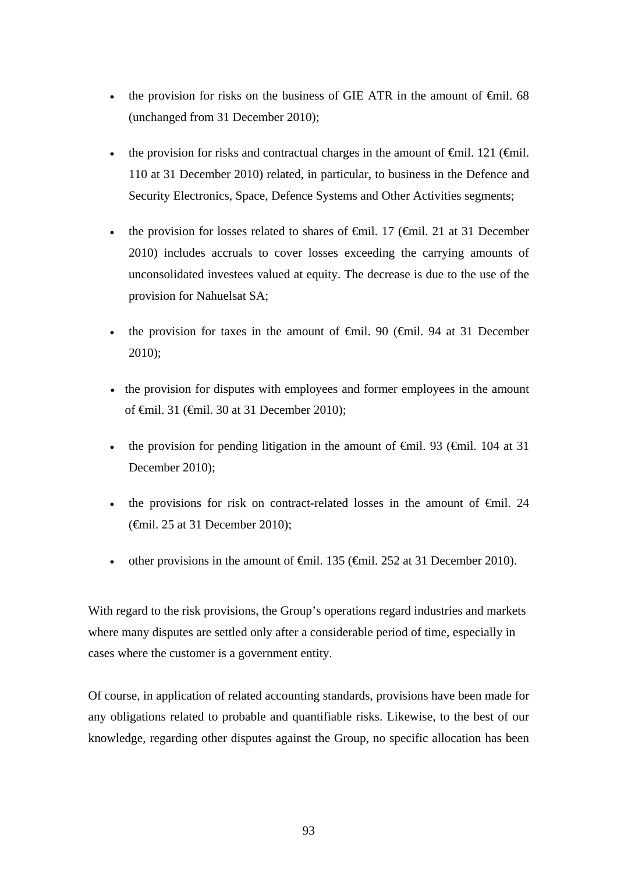- the provision for risks on the business of GIE ATR in the amount of  $\epsilon$ mil. 68 (unchanged from 31 December 2010);
- the provision for risks and contractual charges in the amount of  $\epsilon$ mil. 121 ( $\epsilon$ mil. 110 at 31 December 2010) related, in particular, to business in the Defence and Security Electronics, Space, Defence Systems and Other Activities segments;
- the provision for losses related to shares of  $\epsilon$ mil. 17 ( $\epsilon$ mil. 21 at 31 December 2010) includes accruals to cover losses exceeding the carrying amounts of unconsolidated investees valued at equity. The decrease is due to the use of the provision for Nahuelsat SA;
- the provision for taxes in the amount of  $\epsilon$ mil. 90 ( $\epsilon$ mil. 94 at 31 December 2010);
- the provision for disputes with employees and former employees in the amount of €mil. 31 (€mil. 30 at 31 December 2010);
- the provision for pending litigation in the amount of  $\theta$ mil. 93 ( $\theta$ mil. 104 at 31 December 2010);
- the provisions for risk on contract-related losses in the amount of  $\epsilon$ mil. 24 (€mil. 25 at 31 December 2010);
- other provisions in the amount of  $\theta$ mil. 135 ( $\theta$ mil. 252 at 31 December 2010).

With regard to the risk provisions, the Group's operations regard industries and markets where many disputes are settled only after a considerable period of time, especially in cases where the customer is a government entity.

Of course, in application of related accounting standards, provisions have been made for any obligations related to probable and quantifiable risks. Likewise, to the best of our knowledge, regarding other disputes against the Group, no specific allocation has been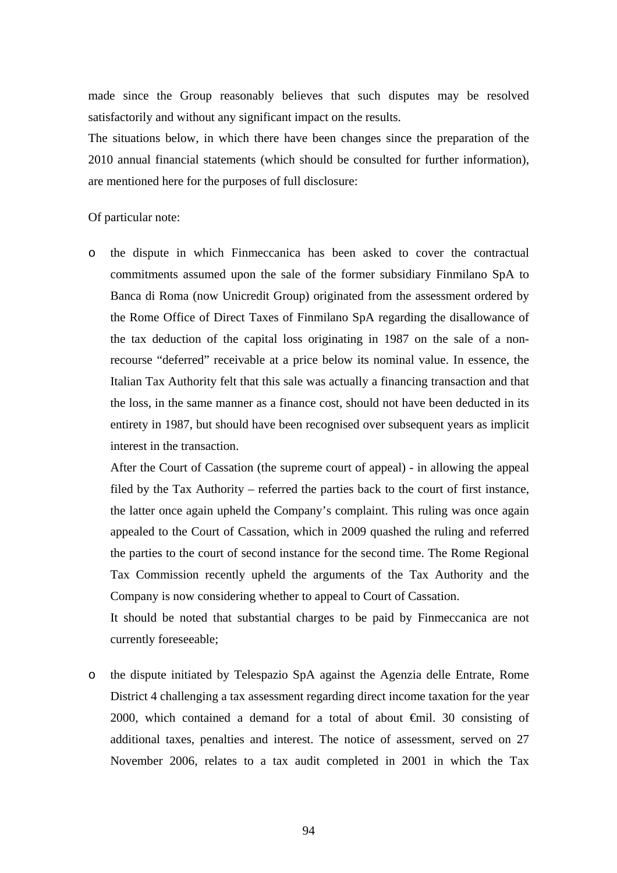made since the Group reasonably believes that such disputes may be resolved satisfactorily and without any significant impact on the results.

The situations below, in which there have been changes since the preparation of the 2010 annual financial statements (which should be consulted for further information), are mentioned here for the purposes of full disclosure:

#### Of particular note:

o the dispute in which Finmeccanica has been asked to cover the contractual commitments assumed upon the sale of the former subsidiary Finmilano SpA to Banca di Roma (now Unicredit Group) originated from the assessment ordered by the Rome Office of Direct Taxes of Finmilano SpA regarding the disallowance of the tax deduction of the capital loss originating in 1987 on the sale of a nonrecourse "deferred" receivable at a price below its nominal value. In essence, the Italian Tax Authority felt that this sale was actually a financing transaction and that the loss, in the same manner as a finance cost, should not have been deducted in its entirety in 1987, but should have been recognised over subsequent years as implicit interest in the transaction.

After the Court of Cassation (the supreme court of appeal) - in allowing the appeal filed by the Tax Authority – referred the parties back to the court of first instance, the latter once again upheld the Company's complaint. This ruling was once again appealed to the Court of Cassation, which in 2009 quashed the ruling and referred the parties to the court of second instance for the second time. The Rome Regional Tax Commission recently upheld the arguments of the Tax Authority and the Company is now considering whether to appeal to Court of Cassation.

It should be noted that substantial charges to be paid by Finmeccanica are not currently foreseeable;

o the dispute initiated by Telespazio SpA against the Agenzia delle Entrate, Rome District 4 challenging a tax assessment regarding direct income taxation for the year 2000, which contained a demand for a total of about  $\oplus$  mil. 30 consisting of additional taxes, penalties and interest. The notice of assessment, served on 27 November 2006, relates to a tax audit completed in 2001 in which the Tax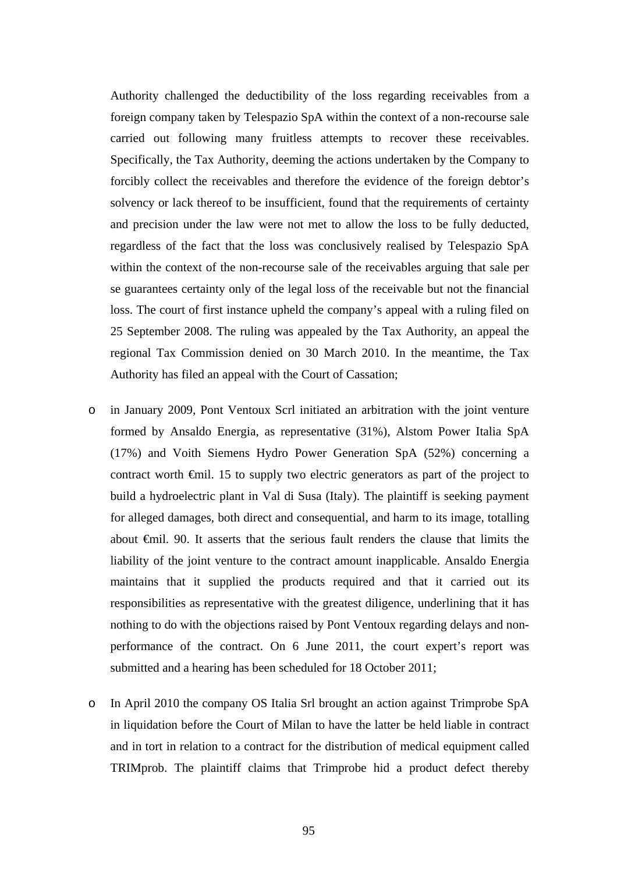Authority challenged the deductibility of the loss regarding receivables from a foreign company taken by Telespazio SpA within the context of a non-recourse sale carried out following many fruitless attempts to recover these receivables. Specifically, the Tax Authority, deeming the actions undertaken by the Company to forcibly collect the receivables and therefore the evidence of the foreign debtor's solvency or lack thereof to be insufficient, found that the requirements of certainty and precision under the law were not met to allow the loss to be fully deducted, regardless of the fact that the loss was conclusively realised by Telespazio SpA within the context of the non-recourse sale of the receivables arguing that sale per se guarantees certainty only of the legal loss of the receivable but not the financial loss. The court of first instance upheld the company's appeal with a ruling filed on 25 September 2008. The ruling was appealed by the Tax Authority, an appeal the regional Tax Commission denied on 30 March 2010. In the meantime, the Tax Authority has filed an appeal with the Court of Cassation;

- o in January 2009, Pont Ventoux Scrl initiated an arbitration with the joint venture formed by Ansaldo Energia, as representative (31%), Alstom Power Italia SpA (17%) and Voith Siemens Hydro Power Generation SpA (52%) concerning a contract worth €mil. 15 to supply two electric generators as part of the project to build a hydroelectric plant in Val di Susa (Italy). The plaintiff is seeking payment for alleged damages, both direct and consequential, and harm to its image, totalling about €mil. 90. It asserts that the serious fault renders the clause that limits the liability of the joint venture to the contract amount inapplicable. Ansaldo Energia maintains that it supplied the products required and that it carried out its responsibilities as representative with the greatest diligence, underlining that it has nothing to do with the objections raised by Pont Ventoux regarding delays and nonperformance of the contract. On 6 June 2011, the court expert's report was submitted and a hearing has been scheduled for 18 October 2011;
- o In April 2010 the company OS Italia Srl brought an action against Trimprobe SpA in liquidation before the Court of Milan to have the latter be held liable in contract and in tort in relation to a contract for the distribution of medical equipment called TRIMprob. The plaintiff claims that Trimprobe hid a product defect thereby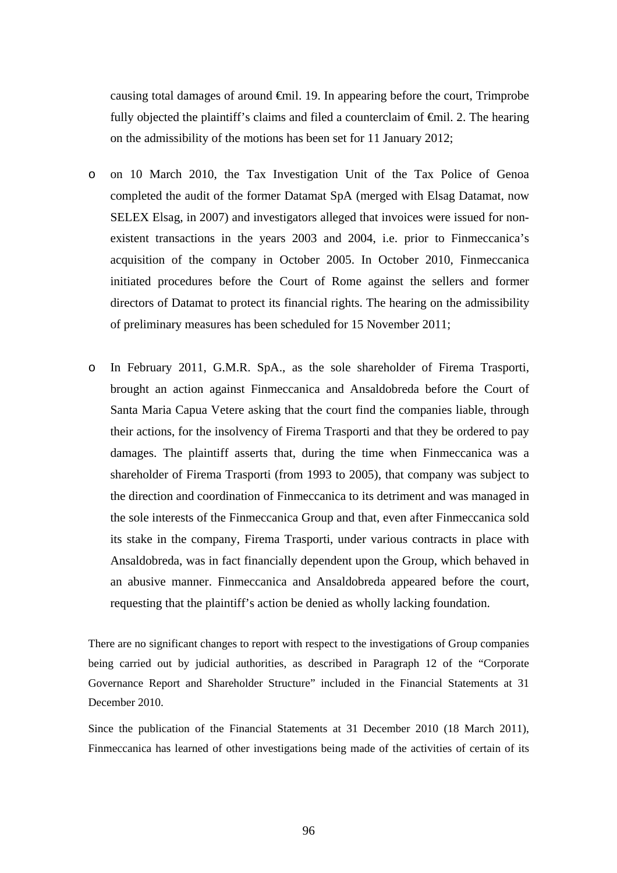causing total damages of around  $\oplus$ mil. 19. In appearing before the court, Trimprobe fully objected the plaintiff's claims and filed a counterclaim of  $\epsilon$ mil. 2. The hearing on the admissibility of the motions has been set for 11 January 2012;

- o on 10 March 2010, the Tax Investigation Unit of the Tax Police of Genoa completed the audit of the former Datamat SpA (merged with Elsag Datamat, now SELEX Elsag, in 2007) and investigators alleged that invoices were issued for nonexistent transactions in the years 2003 and 2004, i.e. prior to Finmeccanica's acquisition of the company in October 2005. In October 2010, Finmeccanica initiated procedures before the Court of Rome against the sellers and former directors of Datamat to protect its financial rights. The hearing on the admissibility of preliminary measures has been scheduled for 15 November 2011;
- o In February 2011, G.M.R. SpA., as the sole shareholder of Firema Trasporti, brought an action against Finmeccanica and Ansaldobreda before the Court of Santa Maria Capua Vetere asking that the court find the companies liable, through their actions, for the insolvency of Firema Trasporti and that they be ordered to pay damages. The plaintiff asserts that, during the time when Finmeccanica was a shareholder of Firema Trasporti (from 1993 to 2005), that company was subject to the direction and coordination of Finmeccanica to its detriment and was managed in the sole interests of the Finmeccanica Group and that, even after Finmeccanica sold its stake in the company, Firema Trasporti, under various contracts in place with Ansaldobreda, was in fact financially dependent upon the Group, which behaved in an abusive manner. Finmeccanica and Ansaldobreda appeared before the court, requesting that the plaintiff's action be denied as wholly lacking foundation.

There are no significant changes to report with respect to the investigations of Group companies being carried out by judicial authorities, as described in Paragraph 12 of the "Corporate Governance Report and Shareholder Structure" included in the Financial Statements at 31 December 2010.

Since the publication of the Financial Statements at 31 December 2010 (18 March 2011), Finmeccanica has learned of other investigations being made of the activities of certain of its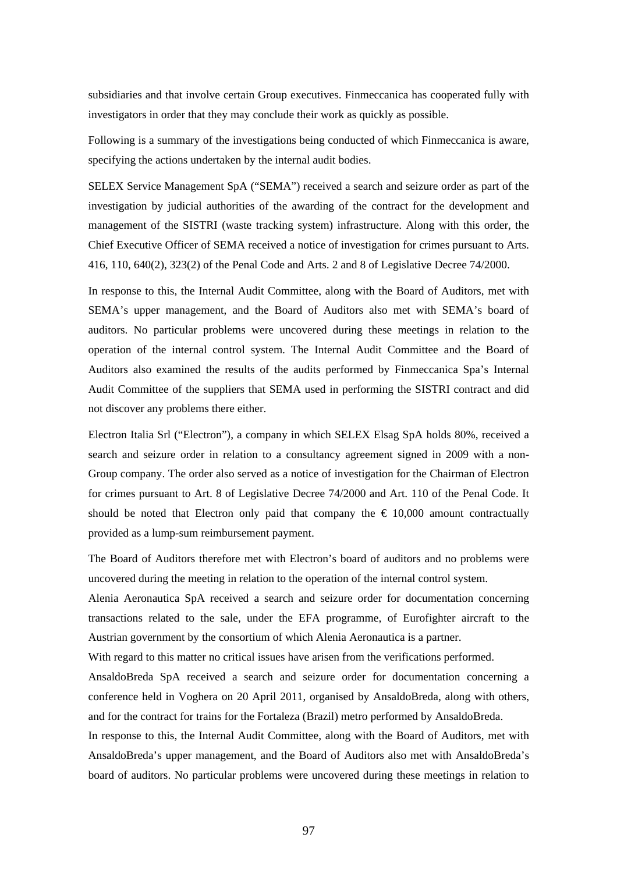subsidiaries and that involve certain Group executives. Finmeccanica has cooperated fully with investigators in order that they may conclude their work as quickly as possible.

Following is a summary of the investigations being conducted of which Finmeccanica is aware, specifying the actions undertaken by the internal audit bodies.

SELEX Service Management SpA ("SEMA") received a search and seizure order as part of the investigation by judicial authorities of the awarding of the contract for the development and management of the SISTRI (waste tracking system) infrastructure. Along with this order, the Chief Executive Officer of SEMA received a notice of investigation for crimes pursuant to Arts. 416, 110, 640(2), 323(2) of the Penal Code and Arts. 2 and 8 of Legislative Decree 74/2000.

In response to this, the Internal Audit Committee, along with the Board of Auditors, met with SEMA's upper management, and the Board of Auditors also met with SEMA's board of auditors. No particular problems were uncovered during these meetings in relation to the operation of the internal control system. The Internal Audit Committee and the Board of Auditors also examined the results of the audits performed by Finmeccanica Spa's Internal Audit Committee of the suppliers that SEMA used in performing the SISTRI contract and did not discover any problems there either.

Electron Italia Srl ("Electron"), a company in which SELEX Elsag SpA holds 80%, received a search and seizure order in relation to a consultancy agreement signed in 2009 with a non-Group company. The order also served as a notice of investigation for the Chairman of Electron for crimes pursuant to Art. 8 of Legislative Decree 74/2000 and Art. 110 of the Penal Code. It should be noted that Electron only paid that company the  $\epsilon$  10,000 amount contractually provided as a lump-sum reimbursement payment.

The Board of Auditors therefore met with Electron's board of auditors and no problems were uncovered during the meeting in relation to the operation of the internal control system.

Alenia Aeronautica SpA received a search and seizure order for documentation concerning transactions related to the sale, under the EFA programme, of Eurofighter aircraft to the Austrian government by the consortium of which Alenia Aeronautica is a partner.

With regard to this matter no critical issues have arisen from the verifications performed.

AnsaldoBreda SpA received a search and seizure order for documentation concerning a conference held in Voghera on 20 April 2011, organised by AnsaldoBreda, along with others, and for the contract for trains for the Fortaleza (Brazil) metro performed by AnsaldoBreda.

In response to this, the Internal Audit Committee, along with the Board of Auditors, met with AnsaldoBreda's upper management, and the Board of Auditors also met with AnsaldoBreda's board of auditors. No particular problems were uncovered during these meetings in relation to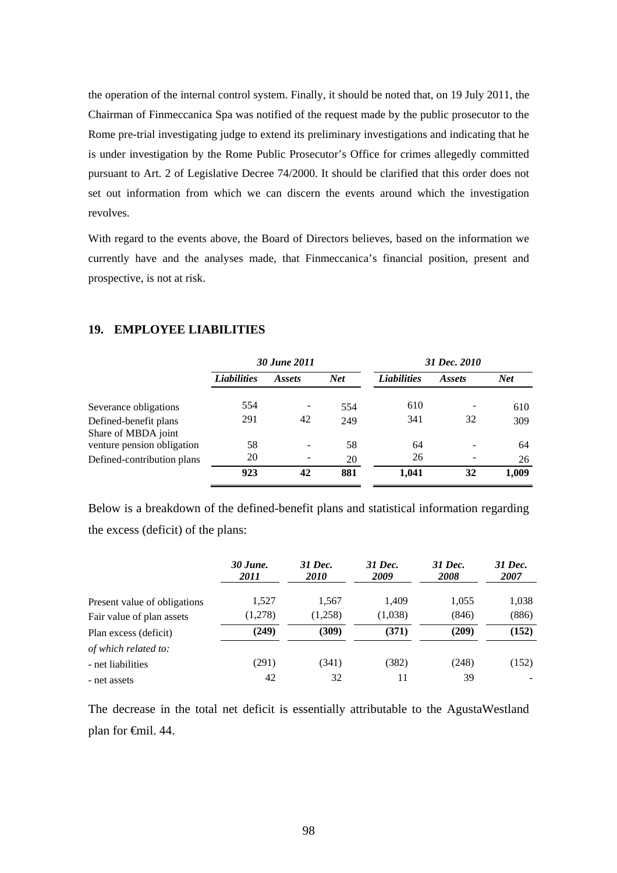the operation of the internal control system. Finally, it should be noted that, on 19 July 2011, the Chairman of Finmeccanica Spa was notified of the request made by the public prosecutor to the Rome pre-trial investigating judge to extend its preliminary investigations and indicating that he is under investigation by the Rome Public Prosecutor's Office for crimes allegedly committed pursuant to Art. 2 of Legislative Decree 74/2000. It should be clarified that this order does not set out information from which we can discern the events around which the investigation revolves.

With regard to the events above, the Board of Directors believes, based on the information we currently have and the analyses made, that Finmeccanica's financial position, present and prospective, is not at risk.

#### **19. EMPLOYEE LIABILITIES**

|                                              | 30 June 2011       |               |            |                    | 31 Dec. 2010  |       |
|----------------------------------------------|--------------------|---------------|------------|--------------------|---------------|-------|
|                                              | <b>Liabilities</b> | <i>Assets</i> | <b>Net</b> | <b>Liabilities</b> | <i>Assets</i> | Net   |
| Severance obligations                        | 554                |               | 554        | 610                |               | 610   |
| Defined-benefit plans<br>Share of MBDA joint | 291                | 42            | 249        | 341                | 32            | 309   |
| venture pension obligation                   | 58                 |               | 58         | 64                 |               | 64    |
| Defined-contribution plans                   | 20                 |               | 20         | 26                 |               | 26    |
|                                              | 923                | 42            | 881        | 1,041              | 32            | 1,009 |

Below is a breakdown of the defined-benefit plans and statistical information regarding the excess (deficit) of the plans:

|                              | 30 June.<br><i>2011</i> | 31 Dec.<br><i>2010</i> | 31 Dec.<br>2009 | 31 Dec.<br>2008 | 31 Dec.<br>2007 |
|------------------------------|-------------------------|------------------------|-----------------|-----------------|-----------------|
| Present value of obligations | 1.527                   | 1,567                  | 1.409           | 1,055           | 1,038           |
| Fair value of plan assets    | (1,278)                 | (1,258)                | (1,038)         | (846)           | (886)           |
| Plan excess (deficit)        | (249)                   | (309)                  | (371)           | (209)           | (152)           |
| of which related to:         |                         |                        |                 |                 |                 |
| - net liabilities            | (291)                   | (341)                  | (382)           | (248)           | (152)           |
| - net assets                 | 42                      | 32                     | 11              | 39              |                 |

The decrease in the total net deficit is essentially attributable to the AgustaWestland plan for €mil. 44.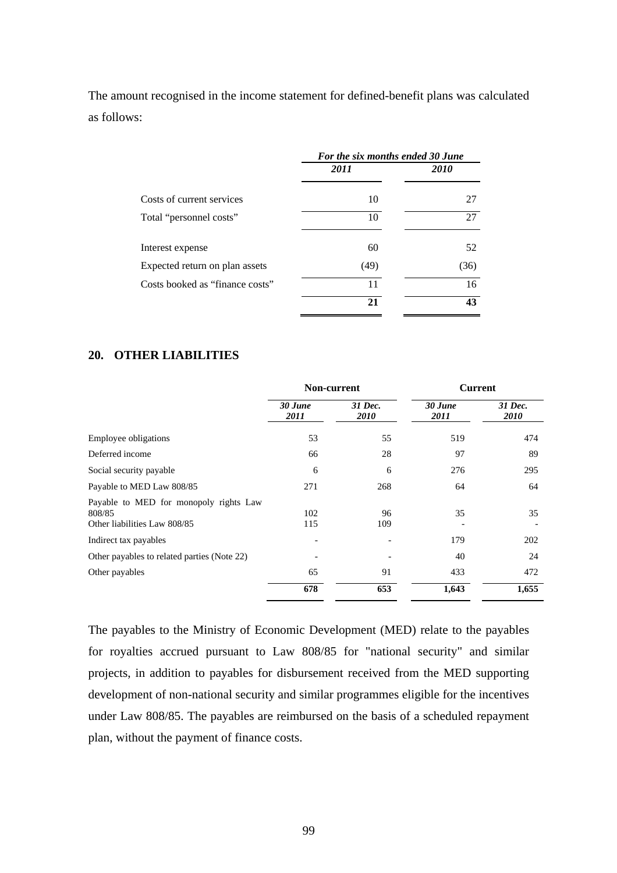The amount recognised in the income statement for defined-benefit plans was calculated as follows:

|                                 | For the six months ended 30 June |             |  |  |  |
|---------------------------------|----------------------------------|-------------|--|--|--|
|                                 | 2011                             | <i>2010</i> |  |  |  |
| Costs of current services       | 10                               | 27          |  |  |  |
| Total "personnel costs"         | 10                               | 27          |  |  |  |
| Interest expense                | 60                               | 52          |  |  |  |
| Expected return on plan assets  | (49)                             | (36)        |  |  |  |
| Costs booked as "finance costs" | 11                               | 16          |  |  |  |
|                                 | 21                               | 43          |  |  |  |

#### **20. OTHER LIABILITIES**

|                                                                                  | Non-current     |                        | <b>Current</b>  |                 |
|----------------------------------------------------------------------------------|-----------------|------------------------|-----------------|-----------------|
|                                                                                  | 30 June<br>2011 | 31 Dec.<br><i>2010</i> | 30 June<br>2011 | 31 Dec.<br>2010 |
| Employee obligations                                                             | 53              | 55                     | 519             | 474             |
| Deferred income                                                                  | 66              | 28                     | 97              | 89              |
| Social security payable                                                          | 6               | 6                      | 276             | 295             |
| Payable to MED Law 808/85                                                        | 271             | 268                    | 64              | 64              |
| Payable to MED for monopoly rights Law<br>808/85<br>Other liabilities Law 808/85 | 102<br>115      | 96<br>109              | 35              | 35              |
| Indirect tax payables                                                            |                 |                        | 179             | 202             |
| Other payables to related parties (Note 22)                                      |                 |                        | 40              | 24              |
| Other payables                                                                   | 65              | 91                     | 433             | 472             |
|                                                                                  | 678             | 653                    | 1,643           | 1,655           |

The payables to the Ministry of Economic Development (MED) relate to the payables for royalties accrued pursuant to Law 808/85 for "national security" and similar projects, in addition to payables for disbursement received from the MED supporting development of non-national security and similar programmes eligible for the incentives under Law 808/85. The payables are reimbursed on the basis of a scheduled repayment plan, without the payment of finance costs.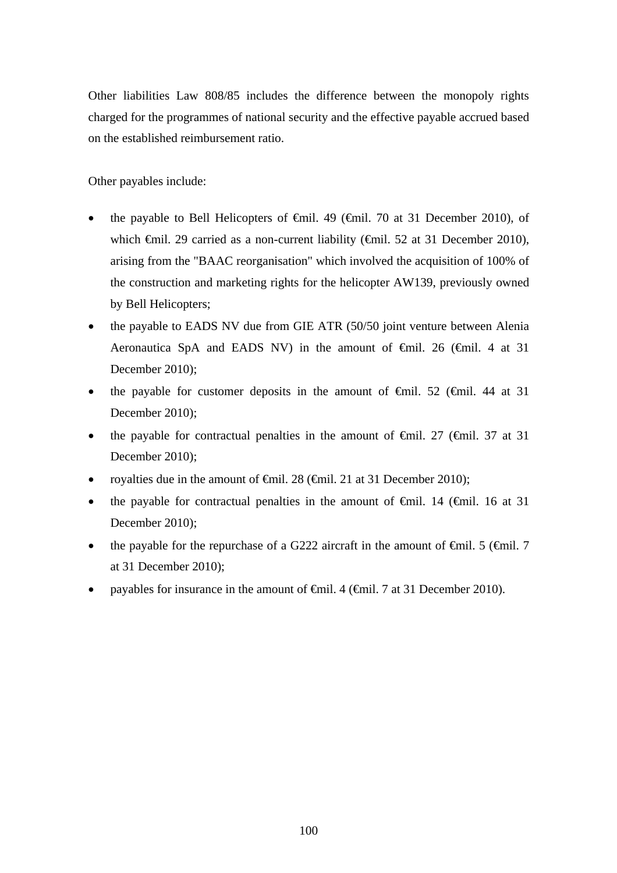Other liabilities Law 808/85 includes the difference between the monopoly rights charged for the programmes of national security and the effective payable accrued based on the established reimbursement ratio.

Other payables include:

- the payable to Bell Helicopters of  $\epsilon$ mil. 49 ( $\epsilon$ mil. 70 at 31 December 2010), of which €mil. 29 carried as a non-current liability (€mil. 52 at 31 December 2010), arising from the "BAAC reorganisation" which involved the acquisition of 100% of the construction and marketing rights for the helicopter AW139, previously owned by Bell Helicopters;
- the payable to EADS NV due from GIE ATR (50/50 joint venture between Alenia Aeronautica SpA and EADS NV) in the amount of <del>€mil.</del> 26 (€mil. 4 at 31 December 2010);
- the payable for customer deposits in the amount of  $\theta$ mil. 52 ( $\theta$ mil. 44 at 31 December 2010);
- the payable for contractual penalties in the amount of  $\theta$ mil. 27 ( $\theta$ mil. 37 at 31 December 2010);
- royalties due in the amount of €mil. 28 (€mil. 21 at 31 December 2010);
- the payable for contractual penalties in the amount of  $\theta$ mil. 14 ( $\theta$ mil. 16 at 31 December 2010);
- the payable for the repurchase of a G222 aircraft in the amount of  $\epsilon$ mil. 5 ( $\epsilon$ mil. 7 at 31 December 2010);
- payables for insurance in the amount of €mil. 4 (€mil. 7 at 31 December 2010).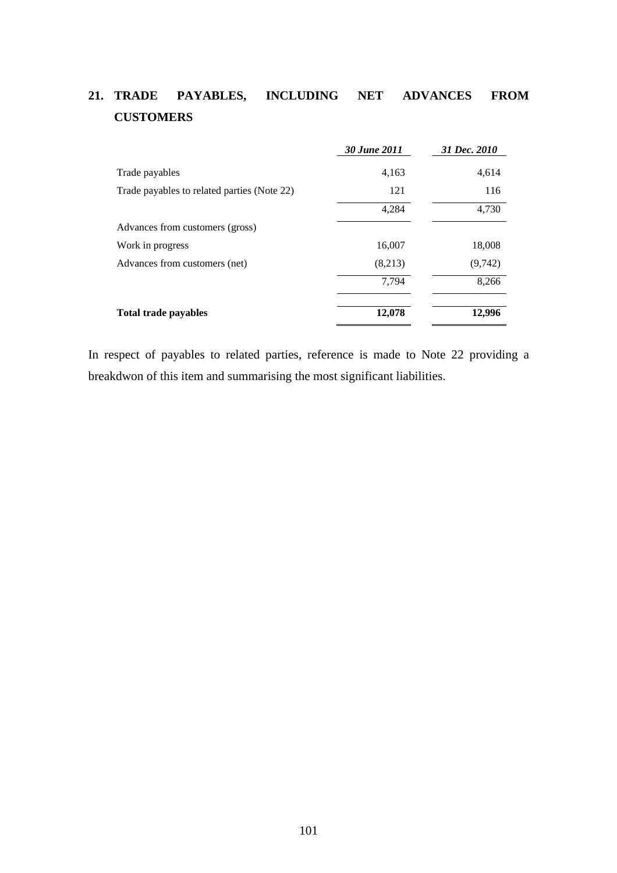# **21. TRADE PAYABLES, INCLUDING NET ADVANCES FROM CUSTOMERS**

|                                             | 30 June 2011 | 31 Dec. 2010 |
|---------------------------------------------|--------------|--------------|
| Trade payables                              | 4,163        | 4,614        |
| Trade payables to related parties (Note 22) | 121          | 116          |
|                                             | 4,284        | 4,730        |
| Advances from customers (gross)             |              |              |
| Work in progress                            | 16,007       | 18,008       |
| Advances from customers (net)               | (8,213)      | (9, 742)     |
|                                             | 7.794        | 8,266        |
| <b>Total trade payables</b>                 | 12,078       | 12.996       |

In respect of payables to related parties, reference is made to Note 22 providing a breakdwon of this item and summarising the most significant liabilities.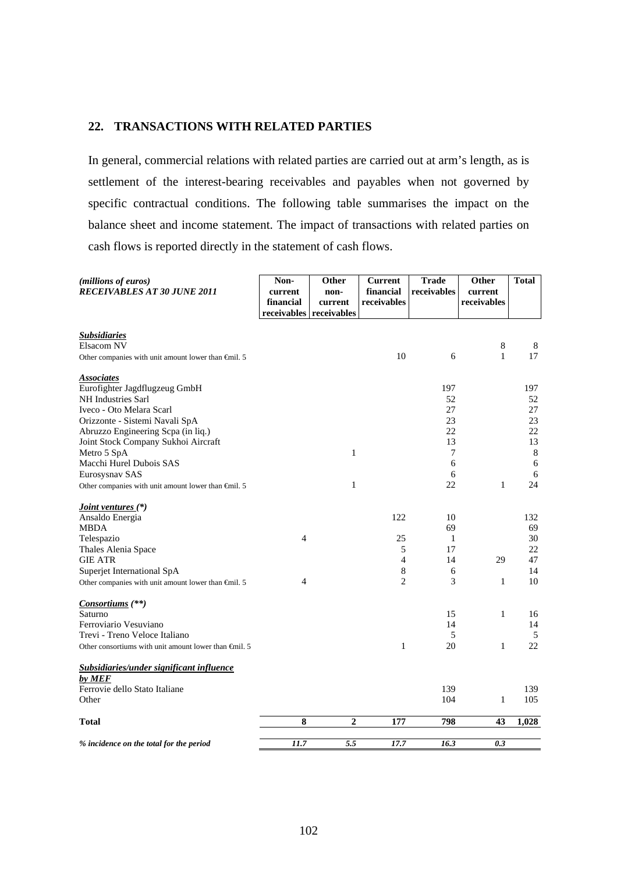### **22. TRANSACTIONS WITH RELATED PARTIES**

In general, commercial relations with related parties are carried out at arm's length, as is settlement of the interest-bearing receivables and payables when not governed by specific contractual conditions. The following table summarises the impact on the balance sheet and income statement. The impact of transactions with related parties on cash flows is reported directly in the statement of cash flows.

| (millions of euros)<br><b>RECEIVABLES AT 30 JUNE 2011</b>            | Non-<br>current<br>financial | Other<br>non-<br>current | <b>Current</b><br>financial<br>receivables | <b>Trade</b><br>receivables | Other<br>current<br>receivables | <b>Total</b> |
|----------------------------------------------------------------------|------------------------------|--------------------------|--------------------------------------------|-----------------------------|---------------------------------|--------------|
|                                                                      | receivables receivables      |                          |                                            |                             |                                 |              |
| <b>Subsidiaries</b>                                                  |                              |                          |                                            |                             |                                 |              |
| Elsacom NV                                                           |                              |                          |                                            |                             | 8                               | 8            |
| Other companies with unit amount lower than $\bigoplus$ nil. 5       |                              |                          | 10                                         | 6                           | 1                               | 17           |
| <b>Associates</b>                                                    |                              |                          |                                            |                             |                                 |              |
| Eurofighter Jagdflugzeug GmbH                                        |                              |                          |                                            | 197                         |                                 | 197          |
| NH Industries Sarl                                                   |                              |                          |                                            | 52                          |                                 | 52           |
| Iveco - Oto Melara Scarl                                             |                              |                          |                                            | 27<br>23                    |                                 | 27<br>23     |
| Orizzonte - Sistemi Navali SpA<br>Abruzzo Engineering Scpa (in liq.) |                              |                          |                                            | 22                          |                                 | 22           |
| Joint Stock Company Sukhoi Aircraft                                  |                              |                          |                                            | 13                          |                                 | 13           |
| Metro 5 SpA                                                          |                              | 1                        |                                            | 7                           |                                 | 8            |
| Macchi Hurel Dubois SAS                                              |                              |                          |                                            | 6                           |                                 | 6            |
| Eurosysnav SAS                                                       |                              |                          |                                            | 6                           |                                 | 6            |
| Other companies with unit amount lower than $\epsilon$ mil. 5        |                              | $\mathbf{1}$             |                                            | 22                          | $\mathbf{1}$                    | 24           |
| <i>Joint ventures</i> (*)                                            |                              |                          |                                            |                             |                                 |              |
| Ansaldo Energia                                                      |                              |                          | 122                                        | 10                          |                                 | 132          |
| MBDA                                                                 |                              |                          |                                            | 69                          |                                 | 69           |
| Telespazio                                                           | $\overline{4}$               |                          | 25                                         | 1                           |                                 | 30           |
| Thales Alenia Space                                                  |                              |                          | 5                                          | 17                          |                                 | 22           |
| <b>GIE ATR</b>                                                       |                              |                          | $\overline{4}$                             | 14                          | 29                              | 47           |
| Superjet International SpA                                           | 4                            |                          | 8<br>2                                     | 6<br>3                      | 1                               | 14<br>10     |
| Other companies with unit amount lower than $\epsilon$ mil. 5        |                              |                          |                                            |                             |                                 |              |
| <i>Consortiums</i> (**)                                              |                              |                          |                                            |                             |                                 |              |
| Saturno                                                              |                              |                          |                                            | 15                          | $\mathbf{1}$                    | 16           |
| Ferroviario Vesuviano<br>Trevi - Treno Veloce Italiano               |                              |                          |                                            | 14<br>5                     |                                 | 14<br>5      |
| Other consortiums with unit amount lower than $\epsilon$ mil. 5      |                              |                          | 1                                          | 20                          | $\mathbf{1}$                    | 22           |
|                                                                      |                              |                          |                                            |                             |                                 |              |
| <b>Subsidiaries/under significant influence</b><br>by MEF            |                              |                          |                                            |                             |                                 |              |
| Ferrovie dello Stato Italiane                                        |                              |                          |                                            | 139                         |                                 | 139          |
| Other                                                                |                              |                          |                                            | 104                         | $\mathbf{1}$                    | 105          |
| Total                                                                | 8                            | $\overline{2}$           | 177                                        | 798                         | 43                              | 1,028        |
|                                                                      |                              |                          |                                            |                             |                                 |              |
| % incidence on the total for the period                              | 11.7                         | 5.5                      | 17.7                                       | 16.3                        | 0.3                             |              |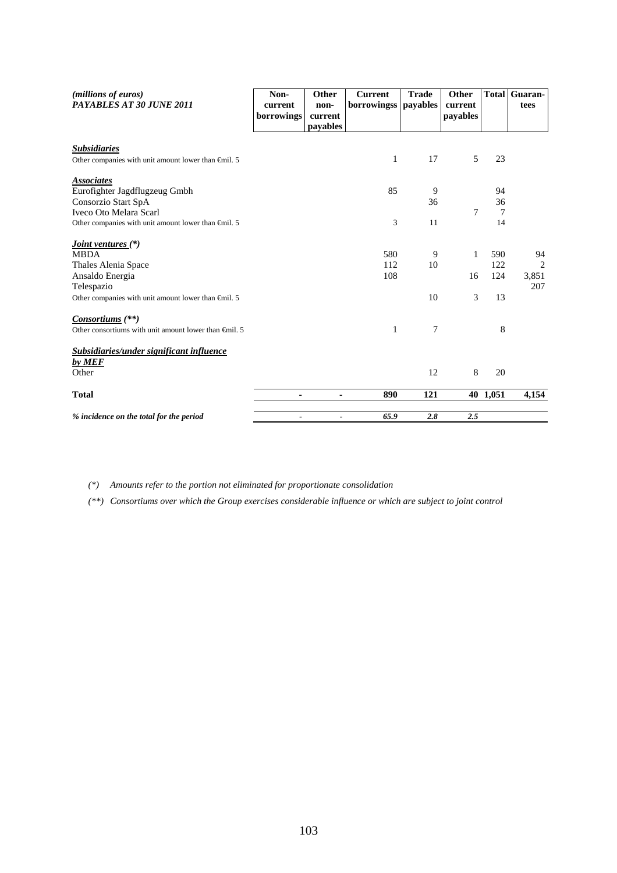| (millions of euros)<br>PAYABLES AT 30 JUNE 2011                                         | Non-<br>current<br>borrowings | Other<br>non-<br>current | <b>Current</b><br><b>borrowingss</b> | <b>Trade</b><br>payables | Other<br>current<br>payables | <b>Total</b> | Guaran-<br>tees |
|-----------------------------------------------------------------------------------------|-------------------------------|--------------------------|--------------------------------------|--------------------------|------------------------------|--------------|-----------------|
|                                                                                         |                               | payables                 |                                      |                          |                              |              |                 |
|                                                                                         |                               |                          |                                      |                          |                              |              |                 |
| <u>Subsidiaries</u><br>Other companies with unit amount lower than $\epsilon$ mil. 5    |                               |                          | $\mathbf{1}$                         | 17                       | 5                            | 23           |                 |
| <b>Associates</b>                                                                       |                               |                          |                                      |                          |                              |              |                 |
| Eurofighter Jagdflugzeug Gmbh                                                           |                               |                          | 85                                   | 9                        |                              | 94           |                 |
| Consorzio Start SpA                                                                     |                               |                          |                                      | 36                       |                              | 36           |                 |
| Iveco Oto Melara Scarl<br>Other companies with unit amount lower than $\epsilon$ mil. 5 |                               |                          | 3                                    | 11                       | 7                            | 7<br>14      |                 |
|                                                                                         |                               |                          |                                      |                          |                              |              |                 |
| <i><u><b>Joint ventures (*)</b></u></i><br><b>MBDA</b>                                  |                               |                          | 580                                  | 9                        | 1                            | 590          | 94              |
| Thales Alenia Space                                                                     |                               |                          | 112                                  | 10                       |                              | 122          | 2               |
| Ansaldo Energia                                                                         |                               |                          | 108                                  |                          | 16                           | 124          | 3,851           |
| Telespazio                                                                              |                               |                          |                                      |                          |                              |              | 207             |
| Other companies with unit amount lower than $\epsilon$ mil. 5                           |                               |                          |                                      | 10                       | 3                            | 13           |                 |
| Consortiums (**)                                                                        |                               |                          |                                      |                          |                              |              |                 |
| Other consortiums with unit amount lower than $\epsilon$ mil. 5                         |                               |                          | 1                                    | 7                        |                              | 8            |                 |
| <b>Subsidiaries/under significant influence</b>                                         |                               |                          |                                      |                          |                              |              |                 |
| by MEF                                                                                  |                               |                          |                                      |                          |                              |              |                 |
| Other                                                                                   |                               |                          |                                      | 12                       | 8                            | 20           |                 |
| <b>Total</b>                                                                            | ٠                             | ٠                        | 890                                  | 121                      |                              | 40 1,051     | 4,154           |
| % incidence on the total for the period                                                 | $\qquad \qquad \blacksquare$  | $\blacksquare$           | 65.9                                 | 2.8                      | 2.5                          |              |                 |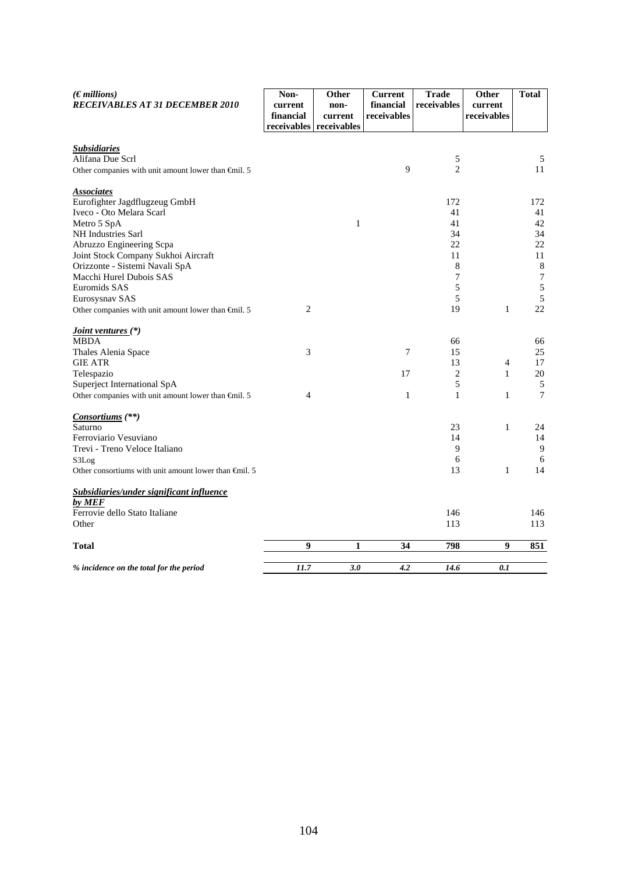| $(E$ <i>millions</i> )<br>RECEIVABLES AT 31 DECEMBER 2010             | Non-<br>current<br>financial<br>receivables receivables | Other<br>non-<br>current | <b>Current</b><br>financial<br>receivables | <b>Trade</b><br>receivables | Other<br>current<br>receivables | <b>Total</b>     |
|-----------------------------------------------------------------------|---------------------------------------------------------|--------------------------|--------------------------------------------|-----------------------------|---------------------------------|------------------|
|                                                                       |                                                         |                          |                                            |                             |                                 |                  |
| <i><b>Subsidiaries</b></i><br>Alifana Due Scrl                        |                                                         |                          |                                            | 5                           |                                 | 5                |
| Other companies with unit amount lower than $\bigoplus$ nil. 5        |                                                         |                          | 9                                          | $\overline{2}$              |                                 | 11               |
| <b>Associates</b>                                                     |                                                         |                          |                                            |                             |                                 |                  |
| Eurofighter Jagdflugzeug GmbH                                         |                                                         |                          |                                            | 172                         |                                 | 172              |
| Iveco - Oto Melara Scarl                                              |                                                         |                          |                                            | 41                          |                                 | 41               |
| Metro 5 SpA                                                           |                                                         | $\mathbf{1}$             |                                            | 41                          |                                 | 42               |
| NH Industries Sarl                                                    |                                                         |                          |                                            | 34                          |                                 | 34               |
| Abruzzo Engineering Scpa                                              |                                                         |                          |                                            | 22                          |                                 | 22               |
| Joint Stock Company Sukhoi Aircraft<br>Orizzonte - Sistemi Navali SpA |                                                         |                          |                                            | 11<br>8                     |                                 | 11<br>$\,8\,$    |
| Macchi Hurel Dubois SAS                                               |                                                         |                          |                                            | 7                           |                                 | $\boldsymbol{7}$ |
| Euromids SAS                                                          |                                                         |                          |                                            | 5                           |                                 | $\sqrt{5}$       |
| Eurosysnav SAS                                                        |                                                         |                          |                                            | 5                           |                                 | 5                |
| Other companies with unit amount lower than $\epsilon$ mil. 5         | 2                                                       |                          |                                            | 19                          | $\mathbf{1}$                    | 22               |
| <i><u><b>Joint ventures</b></u></i> (*)                               |                                                         |                          |                                            |                             |                                 |                  |
| MBDA                                                                  |                                                         |                          |                                            | 66                          |                                 | 66               |
| Thales Alenia Space                                                   | 3                                                       |                          | $\tau$                                     | 15                          |                                 | 25               |
| <b>GIE ATR</b>                                                        |                                                         |                          |                                            | 13                          | 4                               | 17               |
| Telespazio                                                            |                                                         |                          | 17                                         | 2                           | $\mathbf{1}$                    | 20               |
| Superject International SpA                                           |                                                         |                          |                                            | 5                           |                                 | $\sqrt{5}$       |
| Other companies with unit amount lower than $\epsilon$ mil. 5         | 4                                                       |                          | 1                                          | 1                           | 1                               | $\tau$           |
| Consortiums (**)                                                      |                                                         |                          |                                            |                             |                                 |                  |
| Saturno                                                               |                                                         |                          |                                            | 23                          | $\mathbf{1}$                    | 24               |
| Ferroviario Vesuviano                                                 |                                                         |                          |                                            | 14                          |                                 | 14               |
| Trevi - Treno Veloce Italiano                                         |                                                         |                          |                                            | 9                           |                                 | 9                |
| S3Log                                                                 |                                                         |                          |                                            | 6<br>13                     | 1                               | 6<br>14          |
| Other consortiums with unit amount lower than €mil. 5                 |                                                         |                          |                                            |                             |                                 |                  |
| Subsidiaries/under significant influence<br>by MEF                    |                                                         |                          |                                            |                             |                                 |                  |
| Ferrovie dello Stato Italiane                                         |                                                         |                          |                                            | 146                         |                                 | 146              |
| Other                                                                 |                                                         |                          |                                            | 113                         |                                 | 113              |
| <b>Total</b>                                                          | 9                                                       | 1                        | 34                                         | 798                         | 9                               | 851              |
| % incidence on the total for the period                               | 11.7                                                    | 3.0                      | 4.2                                        | 14.6                        | 0.1                             |                  |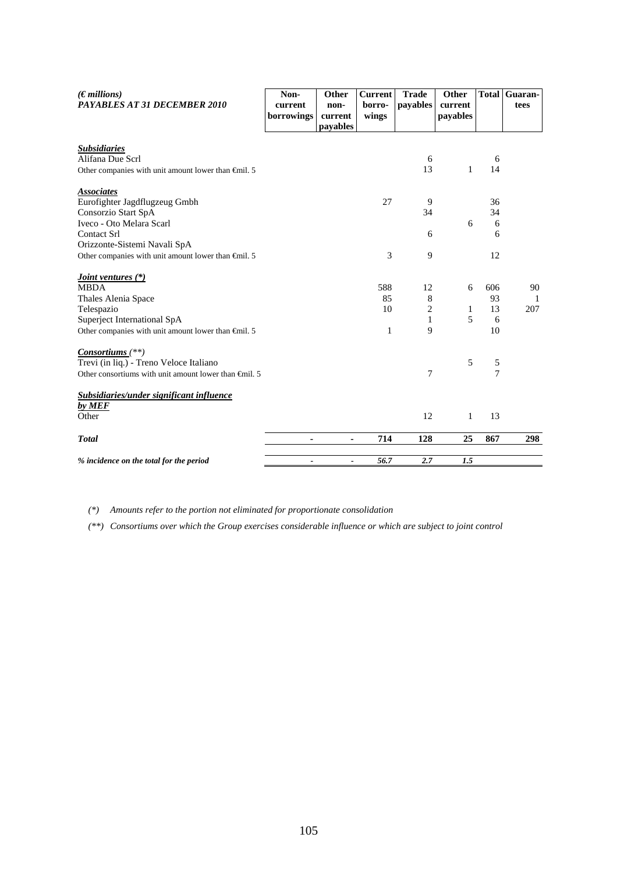| (Emillions)<br><b>PAYABLES AT 31 DECEMBER 2010</b>                                                       | Non-<br>current<br>borrowings | Other<br>non-<br>current | <b>Current</b><br>borro-<br>wings | <b>Trade</b><br>payables | Other<br>current<br>payables |                     | <b>Total Guaran-</b><br>tees |
|----------------------------------------------------------------------------------------------------------|-------------------------------|--------------------------|-----------------------------------|--------------------------|------------------------------|---------------------|------------------------------|
|                                                                                                          |                               | payables                 |                                   |                          |                              |                     |                              |
|                                                                                                          |                               |                          |                                   |                          |                              |                     |                              |
| <u>Subsidiaries</u><br>Alifana Due Scrl                                                                  |                               |                          |                                   | 6                        |                              | 6                   |                              |
| Other companies with unit amount lower than $\epsilon$ mil. 5                                            |                               |                          |                                   | 13                       | 1                            | 14                  |                              |
| <b>Associates</b>                                                                                        |                               |                          |                                   |                          |                              |                     |                              |
| Eurofighter Jagdflugzeug Gmbh                                                                            |                               |                          | 27                                | 9                        |                              | 36                  |                              |
| Consorzio Start SpA                                                                                      |                               |                          |                                   | 34                       |                              | 34                  |                              |
| Iveco - Oto Melara Scarl                                                                                 |                               |                          |                                   |                          | 6                            | 6                   |                              |
| <b>Contact Srl</b>                                                                                       |                               |                          |                                   | 6                        |                              | 6                   |                              |
| Orizzonte-Sistemi Navali SpA                                                                             |                               |                          |                                   |                          |                              |                     |                              |
| Other companies with unit amount lower than €mil. 5                                                      |                               |                          | 3                                 | 9                        |                              | 12                  |                              |
|                                                                                                          |                               |                          |                                   |                          |                              |                     |                              |
| <i><u><b>Joint ventures (*)</b></u></i><br><b>MBDA</b>                                                   |                               |                          | 588                               | 12                       | 6                            | 606                 | 90                           |
| Thales Alenia Space                                                                                      |                               |                          | 85                                | 8                        |                              | 93                  | $\mathbf{1}$                 |
| Telespazio                                                                                               |                               |                          | 10                                | $\overline{c}$           | 1                            | 13                  | 207                          |
| Superject International SpA                                                                              |                               |                          |                                   | 1                        | 5                            | 6                   |                              |
| Other companies with unit amount lower than $\epsilon$ mil. 5                                            |                               |                          | 1                                 | 9                        |                              | 10                  |                              |
|                                                                                                          |                               |                          |                                   |                          |                              |                     |                              |
| $Consortiums$ <sup>(**)</sup>                                                                            |                               |                          |                                   |                          | 5                            |                     |                              |
| Trevi (in liq.) - Treno Veloce Italiano<br>Other consortiums with unit amount lower than $\oplus$ nil. 5 |                               |                          |                                   | 7                        |                              | 5<br>$\overline{7}$ |                              |
|                                                                                                          |                               |                          |                                   |                          |                              |                     |                              |
| <u>Subsidiaries/under significant influence</u>                                                          |                               |                          |                                   |                          |                              |                     |                              |
| by MEF                                                                                                   |                               |                          |                                   |                          |                              |                     |                              |
| Other                                                                                                    |                               |                          |                                   | 12                       | 1                            | 13                  |                              |
| <b>Total</b>                                                                                             | ۰                             | $\blacksquare$           | 714                               | 128                      | 25                           | 867                 | 298                          |
| % incidence on the total for the period                                                                  | $\overline{\phantom{a}}$      | $\blacksquare$           | 56.7                              | 2.7                      | 1.5                          |                     |                              |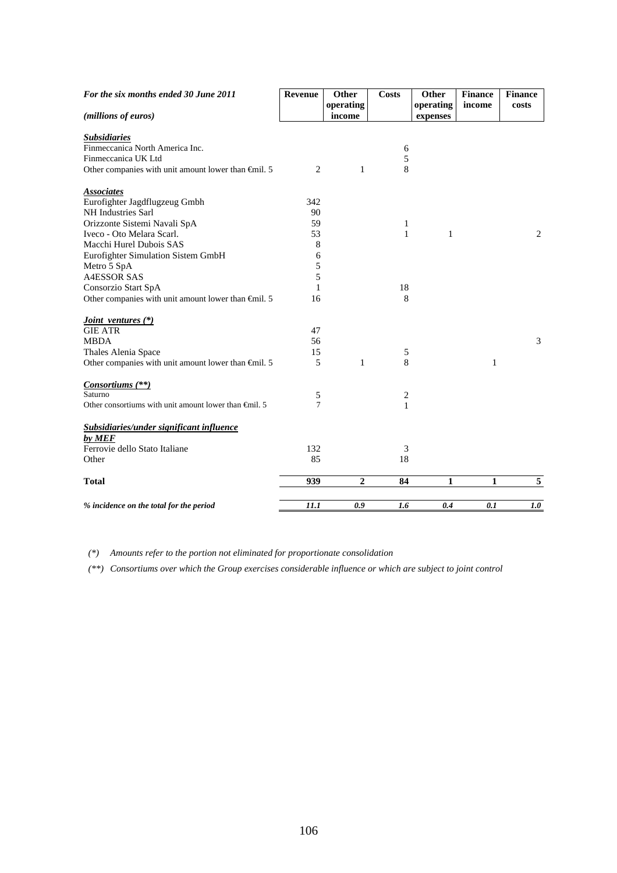| For the six months ended 30 June 2011                         | Revenue        | Other          | <b>Costs</b>   | Other        | <b>Finance</b> | <b>Finance</b> |
|---------------------------------------------------------------|----------------|----------------|----------------|--------------|----------------|----------------|
|                                                               |                | operating      |                | operating    | income         | costs          |
| (millions of euros)                                           |                | income         |                | expenses     |                |                |
| <b>Subsidiaries</b>                                           |                |                |                |              |                |                |
| Finmeccanica North America Inc.                               |                |                | 6              |              |                |                |
| Finmeccanica UK Ltd                                           |                |                | 5              |              |                |                |
| Other companies with unit amount lower than $\epsilon$ mil. 5 | $\overline{c}$ | $\mathbf{1}$   | 8              |              |                |                |
| <b>Associates</b>                                             |                |                |                |              |                |                |
| Eurofighter Jagdflugzeug Gmbh                                 | 342            |                |                |              |                |                |
| <b>NH</b> Industries Sarl                                     | 90             |                |                |              |                |                |
| Orizzonte Sistemi Navali SpA                                  | 59             |                | 1              |              |                |                |
| Iveco - Oto Melara Scarl.                                     | 53             |                | $\mathbf{1}$   | $\mathbf{1}$ |                | 2              |
| Macchi Hurel Dubois SAS                                       | 8              |                |                |              |                |                |
| Eurofighter Simulation Sistem GmbH                            | 6              |                |                |              |                |                |
| Metro 5 SpA                                                   | 5              |                |                |              |                |                |
| <b>A4ESSOR SAS</b>                                            | 5              |                |                |              |                |                |
| Consorzio Start SpA                                           | 1              |                | 18             |              |                |                |
| Other companies with unit amount lower than $\epsilon$ mil. 5 | 16             |                | 8              |              |                |                |
| <i>Joint ventures</i> (*)                                     |                |                |                |              |                |                |
| <b>GIE ATR</b>                                                | 47             |                |                |              |                |                |
| <b>MBDA</b>                                                   | 56             |                |                |              |                | 3              |
| Thales Alenia Space                                           | 15             |                | 5              |              |                |                |
| Other companies with unit amount lower than $\epsilon$ mil. 5 | 5              | $\mathbf{1}$   | 8              |              | $\mathbf{1}$   |                |
| Consortiums (**)                                              |                |                |                |              |                |                |
| Saturno                                                       | 5              |                | $\overline{c}$ |              |                |                |
| Other consortiums with unit amount lower than $\oplus$ nil. 5 | 7              |                | 1              |              |                |                |
| Subsidiaries/under significant influence                      |                |                |                |              |                |                |
| by MEF                                                        |                |                |                |              |                |                |
| Ferrovie dello Stato Italiane                                 | 132            |                | 3              |              |                |                |
| Other                                                         | 85             |                | 18             |              |                |                |
| <b>Total</b>                                                  | 939            | $\overline{2}$ | 84             | 1            | 1              | $\sqrt{5}$     |
| % incidence on the total for the period                       | 11.1           | 0.9            | 1.6            | 0.4          | 0.1            | 1.0            |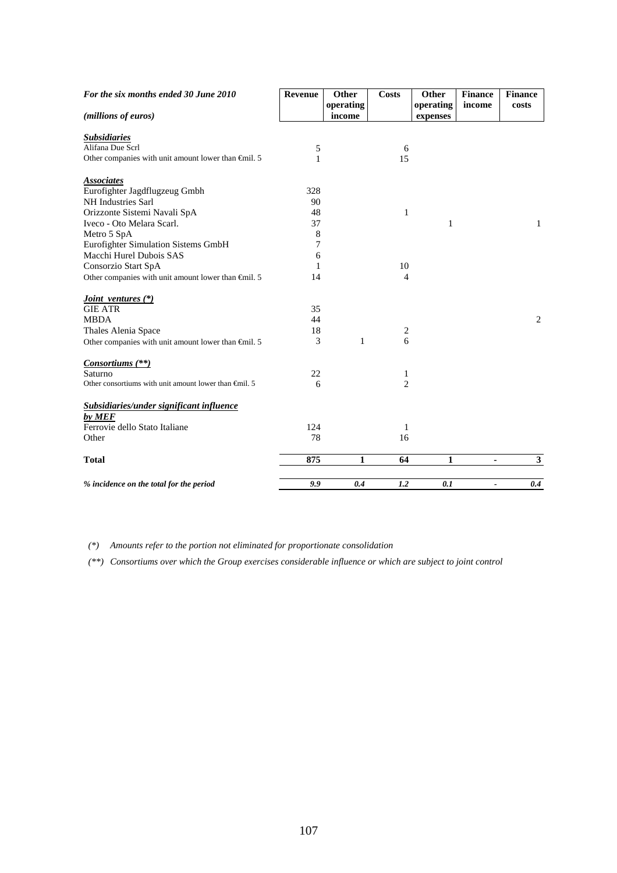| For the six months ended 30 June 2010                           | Revenue | Other     | <b>Costs</b>   | Other     | <b>Finance</b>        | <b>Finance</b> |
|-----------------------------------------------------------------|---------|-----------|----------------|-----------|-----------------------|----------------|
|                                                                 |         | operating |                | operating | income                | costs          |
| (millions of euros)                                             |         | income    |                | expenses  |                       |                |
| <b>Subsidiaries</b>                                             |         |           |                |           |                       |                |
| Alifana Due Scrl                                                | 5       |           | 6              |           |                       |                |
| Other companies with unit amount lower than $\epsilon$ mil. 5   | 1       |           | 15             |           |                       |                |
| <b>Associates</b>                                               |         |           |                |           |                       |                |
| Eurofighter Jagdflugzeug Gmbh                                   | 328     |           |                |           |                       |                |
| <b>NH</b> Industries Sarl                                       | 90      |           |                |           |                       |                |
| Orizzonte Sistemi Navali SpA                                    | 48      |           | 1              |           |                       |                |
| Iveco - Oto Melara Scarl.                                       | 37      |           |                | 1         |                       | 1              |
| Metro 5 SpA                                                     | 8       |           |                |           |                       |                |
| Eurofighter Simulation Sistems GmbH                             | 7       |           |                |           |                       |                |
| Macchi Hurel Dubois SAS                                         | 6       |           |                |           |                       |                |
| Consorzio Start SpA                                             | 1       |           | 10             |           |                       |                |
| Other companies with unit amount lower than $\epsilon$ mil. 5   | 14      |           | 4              |           |                       |                |
| <i>Joint ventures</i> (*)                                       |         |           |                |           |                       |                |
| <b>GIE ATR</b>                                                  | 35      |           |                |           |                       |                |
| <b>MBDA</b>                                                     | 44      |           |                |           |                       | 2              |
| Thales Alenia Space                                             | 18      |           | 2              |           |                       |                |
| Other companies with unit amount lower than $\oplus$ nil. 5     | 3       | 1         | 6              |           |                       |                |
| Consortiums (**)                                                |         |           |                |           |                       |                |
| Saturno                                                         | 22      |           | 1              |           |                       |                |
| Other consortiums with unit amount lower than $\bigoplus$ il. 5 | 6       |           | $\overline{c}$ |           |                       |                |
| <b>Subsidiaries/under significant influence</b>                 |         |           |                |           |                       |                |
| by MEF                                                          |         |           |                |           |                       |                |
| Ferrovie dello Stato Italiane                                   | 124     |           | 1              |           |                       |                |
| Other                                                           | 78      |           | 16             |           |                       |                |
|                                                                 |         |           |                |           |                       |                |
| <b>Total</b>                                                    | 875     | 1         | 64             | 1         | ٠                     | 3              |
| % incidence on the total for the period                         | 9.9     | 0.4       | 1.2            | 0.1       | $\tilde{\phantom{a}}$ | 0.4            |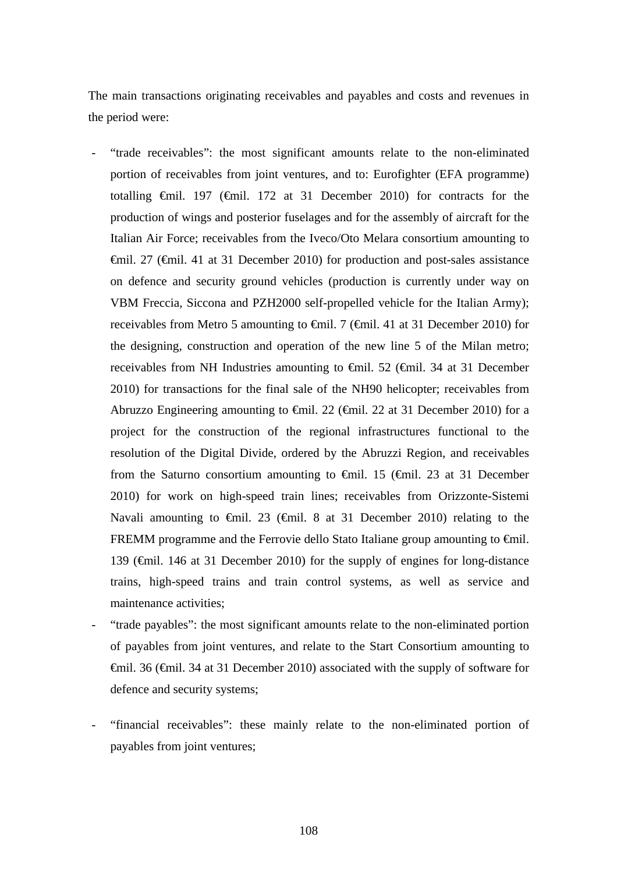The main transactions originating receivables and payables and costs and revenues in the period were:

- "trade receivables": the most significant amounts relate to the non-eliminated portion of receivables from joint ventures, and to: Eurofighter (EFA programme) totalling €mil. 197 (€mil. 172 at 31 December 2010) for contracts for the production of wings and posterior fuselages and for the assembly of aircraft for the Italian Air Force; receivables from the Iveco/Oto Melara consortium amounting to €mil. 27 (€mil. 41 at 31 December 2010) for production and post-sales assistance on defence and security ground vehicles (production is currently under way on VBM Freccia, Siccona and PZH2000 self-propelled vehicle for the Italian Army); receivables from Metro 5 amounting to €mil. 7 (€mil. 41 at 31 December 2010) for the designing, construction and operation of the new line 5 of the Milan metro; receivables from NH Industries amounting to €mil. 52 (€mil. 34 at 31 December 2010) for transactions for the final sale of the NH90 helicopter; receivables from Abruzzo Engineering amounting to  $\epsilon$ mil. 22 ( $\epsilon$ mil. 22 at 31 December 2010) for a project for the construction of the regional infrastructures functional to the resolution of the Digital Divide, ordered by the Abruzzi Region, and receivables from the Saturno consortium amounting to  $\epsilon$ mil. 15 ( $\epsilon$ mil. 23 at 31 December 2010) for work on high-speed train lines; receivables from Orizzonte-Sistemi Navali amounting to €mil. 23 (€mil. 8 at 31 December 2010) relating to the FREMM programme and the Ferrovie dello Stato Italiane group amounting to €mil. 139 (€mil. 146 at 31 December 2010) for the supply of engines for long-distance trains, high-speed trains and train control systems, as well as service and maintenance activities;
- "trade payables": the most significant amounts relate to the non-eliminated portion of payables from joint ventures, and relate to the Start Consortium amounting to €mil. 36 (€mil. 34 at 31 December 2010) associated with the supply of software for defence and security systems;
- "financial receivables": these mainly relate to the non-eliminated portion of payables from joint ventures;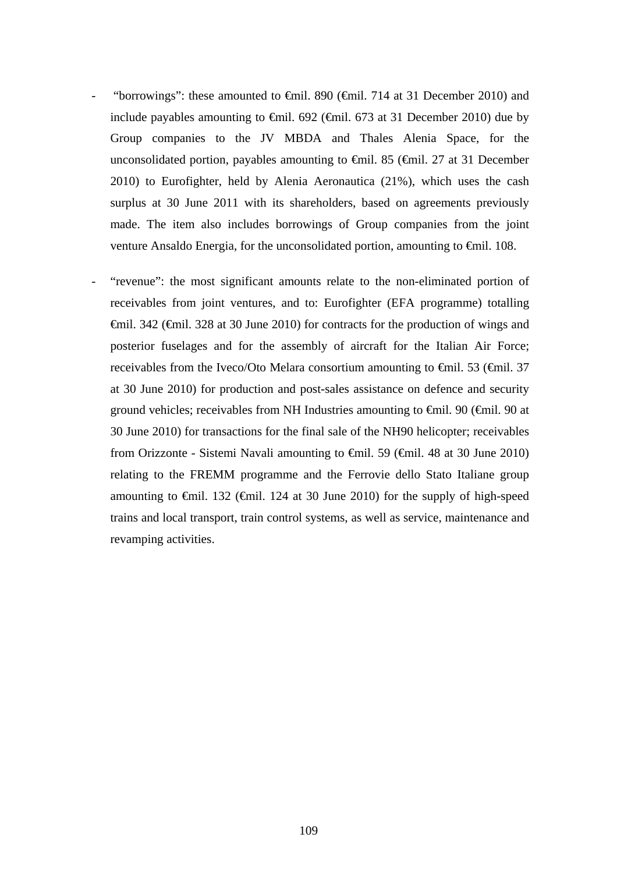- "borrowings": these amounted to  $\theta$ mil. 890 ( $\theta$ mil. 714 at 31 December 2010) and include payables amounting to  $\epsilon$ mil. 692 ( $\epsilon$ mil. 673 at 31 December 2010) due by Group companies to the JV MBDA and Thales Alenia Space, for the unconsolidated portion, payables amounting to  $\theta$ mil. 85 ( $\theta$ mil. 27 at 31 December 2010) to Eurofighter, held by Alenia Aeronautica (21%), which uses the cash surplus at 30 June 2011 with its shareholders, based on agreements previously made. The item also includes borrowings of Group companies from the joint venture Ansaldo Energia, for the unconsolidated portion, amounting to €mil. 108.
	- "revenue": the most significant amounts relate to the non-eliminated portion of receivables from joint ventures, and to: Eurofighter (EFA programme) totalling €mil. 342 (€mil. 328 at 30 June 2010) for contracts for the production of wings and posterior fuselages and for the assembly of aircraft for the Italian Air Force; receivables from the Iveco/Oto Melara consortium amounting to  $\epsilon$ mil. 53 ( $\epsilon$ mil. 37 at 30 June 2010) for production and post-sales assistance on defence and security ground vehicles; receivables from NH Industries amounting to  $\epsilon$ mil. 90 ( $\epsilon$ mil. 90 at 30 June 2010) for transactions for the final sale of the NH90 helicopter; receivables from Orizzonte - Sistemi Navali amounting to  $\oplus$  mil. 59 ( $\oplus$ nil. 48 at 30 June 2010) relating to the FREMM programme and the Ferrovie dello Stato Italiane group amounting to  $\epsilon$ mil. 132 ( $\epsilon$ mil. 124 at 30 June 2010) for the supply of high-speed trains and local transport, train control systems, as well as service, maintenance and revamping activities.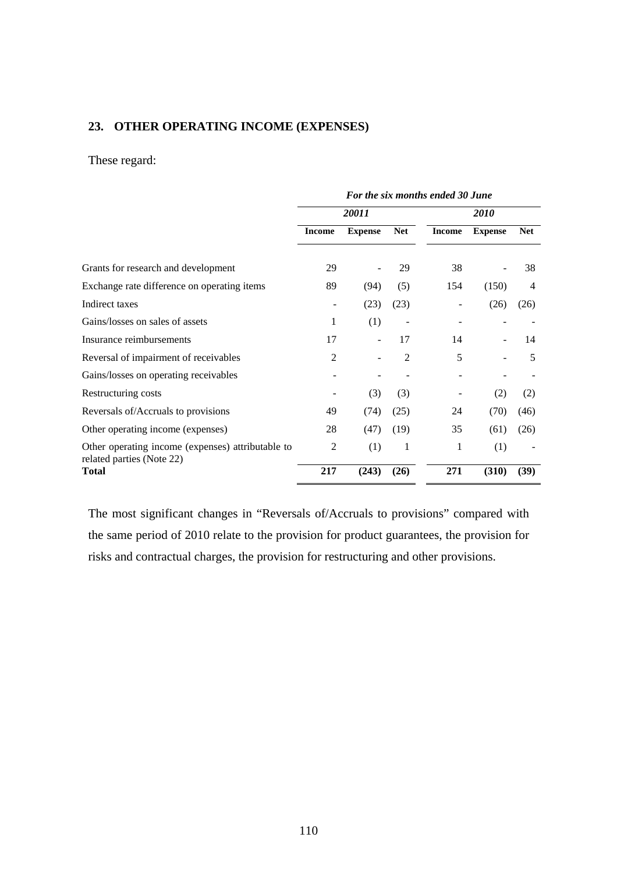#### **23. OTHER OPERATING INCOME (EXPENSES)**

#### These regard:

|                                                                                | For the six months ended 30 June |                |                |               |                |            |
|--------------------------------------------------------------------------------|----------------------------------|----------------|----------------|---------------|----------------|------------|
|                                                                                |                                  | 20011          |                | <b>2010</b>   |                |            |
|                                                                                | <b>Income</b>                    | <b>Expense</b> | <b>Net</b>     | <b>Income</b> | <b>Expense</b> | <b>Net</b> |
| Grants for research and development                                            | 29                               |                | 29             | 38            |                | 38         |
| Exchange rate difference on operating items                                    | 89                               | (94)           | (5)            | 154           | (150)          | 4          |
| Indirect taxes                                                                 |                                  | (23)           | (23)           |               | (26)           | (26)       |
| Gains/losses on sales of assets                                                | 1                                | (1)            |                |               |                |            |
| Insurance reimbursements                                                       | 17                               |                | 17             | 14            |                | 14         |
| Reversal of impairment of receivables                                          | $\overline{2}$                   |                | $\overline{2}$ | 5             |                | 5          |
| Gains/losses on operating receivables                                          |                                  |                |                |               |                |            |
| Restructuring costs                                                            |                                  | (3)            | (3)            |               | (2)            | (2)        |
| Reversals of/Accruals to provisions                                            | 49                               | (74)           | (25)           | 24            | (70)           | (46)       |
| Other operating income (expenses)                                              | 28                               | (47)           | (19)           | 35            | (61)           | (26)       |
| Other operating income (expenses) attributable to<br>related parties (Note 22) | $\overline{2}$                   | (1)            | 1              | 1             | (1)            |            |
| <b>Total</b>                                                                   | 217                              | (243)          | (26)           | 271           | (310)          | (39)       |

The most significant changes in "Reversals of/Accruals to provisions" compared with the same period of 2010 relate to the provision for product guarantees, the provision for risks and contractual charges, the provision for restructuring and other provisions.

110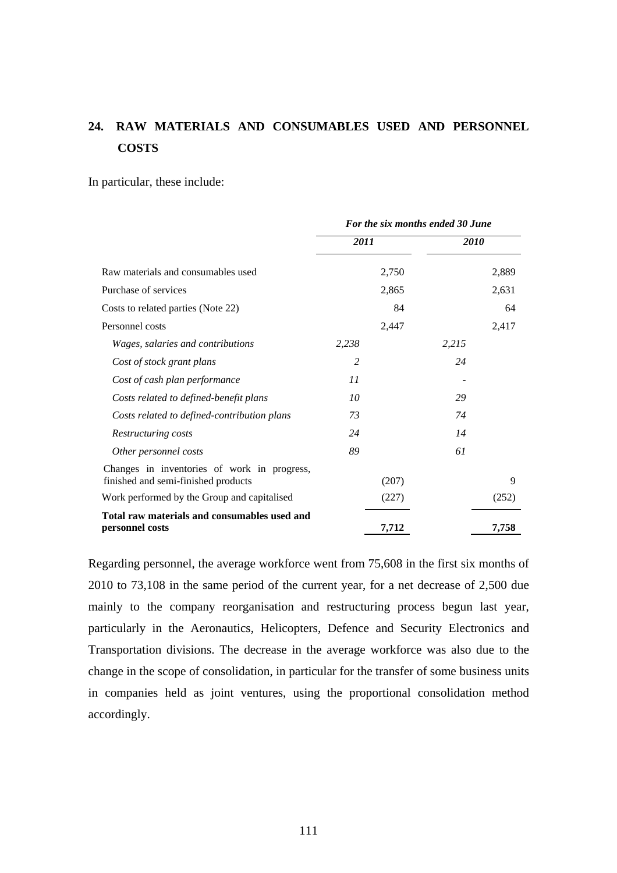# **24. RAW MATERIALS AND CONSUMABLES USED AND PERSONNEL COSTS**

In particular, these include:

|                                                                                    | For the six months ended 30 June |       |             |       |
|------------------------------------------------------------------------------------|----------------------------------|-------|-------------|-------|
|                                                                                    | 2011                             |       | <i>2010</i> |       |
| Raw materials and consumables used                                                 |                                  | 2,750 |             | 2,889 |
| Purchase of services                                                               |                                  | 2,865 |             | 2,631 |
| Costs to related parties (Note 22)                                                 |                                  | 84    |             | 64    |
| Personnel costs                                                                    |                                  | 2,447 |             | 2,417 |
| Wages, salaries and contributions                                                  | 2,238                            |       | 2,215       |       |
| Cost of stock grant plans                                                          | 2                                |       | 24          |       |
| Cost of cash plan performance                                                      | 11                               |       |             |       |
| Costs related to defined-benefit plans                                             | 10                               |       | 29          |       |
| Costs related to defined-contribution plans                                        | 73                               |       | 74          |       |
| Restructuring costs                                                                | 24                               |       | 14          |       |
| Other personnel costs                                                              | 89                               |       | 61          |       |
| Changes in inventories of work in progress,<br>finished and semi-finished products |                                  | (207) |             | 9     |
| Work performed by the Group and capitalised                                        |                                  | (227) |             | (252) |
| Total raw materials and consumables used and<br>personnel costs                    |                                  | 7,712 |             | 7,758 |

Regarding personnel, the average workforce went from 75,608 in the first six months of 2010 to 73,108 in the same period of the current year, for a net decrease of 2,500 due mainly to the company reorganisation and restructuring process begun last year, particularly in the Aeronautics, Helicopters, Defence and Security Electronics and Transportation divisions. The decrease in the average workforce was also due to the change in the scope of consolidation, in particular for the transfer of some business units in companies held as joint ventures, using the proportional consolidation method accordingly.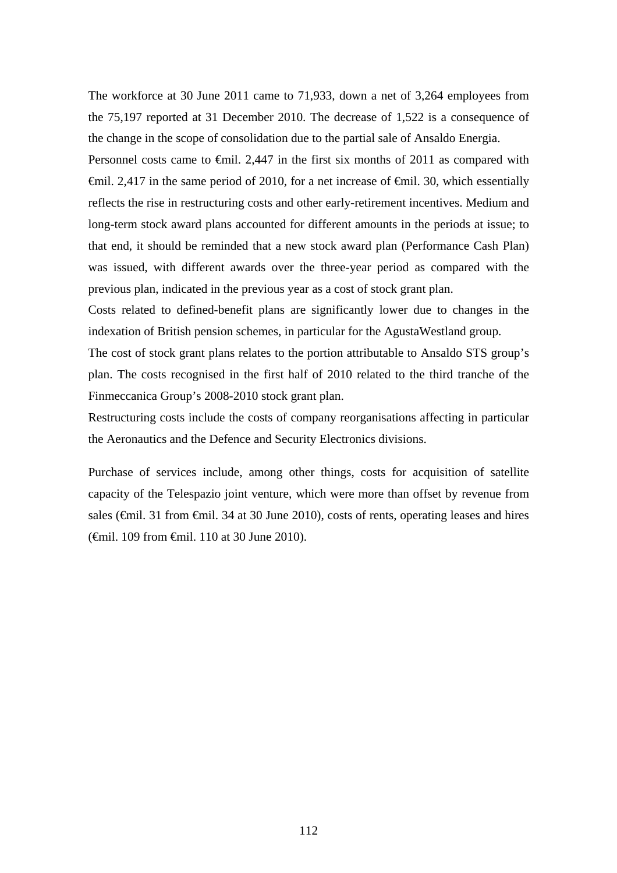The workforce at 30 June 2011 came to 71,933, down a net of 3,264 employees from the 75,197 reported at 31 December 2010. The decrease of 1,522 is a consequence of the change in the scope of consolidation due to the partial sale of Ansaldo Energia.

Personnel costs came to  $\epsilon$ mil. 2,447 in the first six months of 2011 as compared with  $\theta$ mil. 2,417 in the same period of 2010, for a net increase of  $\theta$ mil. 30, which essentially reflects the rise in restructuring costs and other early-retirement incentives. Medium and long-term stock award plans accounted for different amounts in the periods at issue; to that end, it should be reminded that a new stock award plan (Performance Cash Plan) was issued, with different awards over the three-year period as compared with the previous plan, indicated in the previous year as a cost of stock grant plan.

Costs related to defined-benefit plans are significantly lower due to changes in the indexation of British pension schemes, in particular for the AgustaWestland group.

The cost of stock grant plans relates to the portion attributable to Ansaldo STS group's plan. The costs recognised in the first half of 2010 related to the third tranche of the Finmeccanica Group's 2008-2010 stock grant plan.

Restructuring costs include the costs of company reorganisations affecting in particular the Aeronautics and the Defence and Security Electronics divisions.

Purchase of services include, among other things, costs for acquisition of satellite capacity of the Telespazio joint venture, which were more than offset by revenue from sales (€mil. 31 from €mil. 34 at 30 June 2010), costs of rents, operating leases and hires (€mil. 109 from €mil. 110 at 30 June 2010).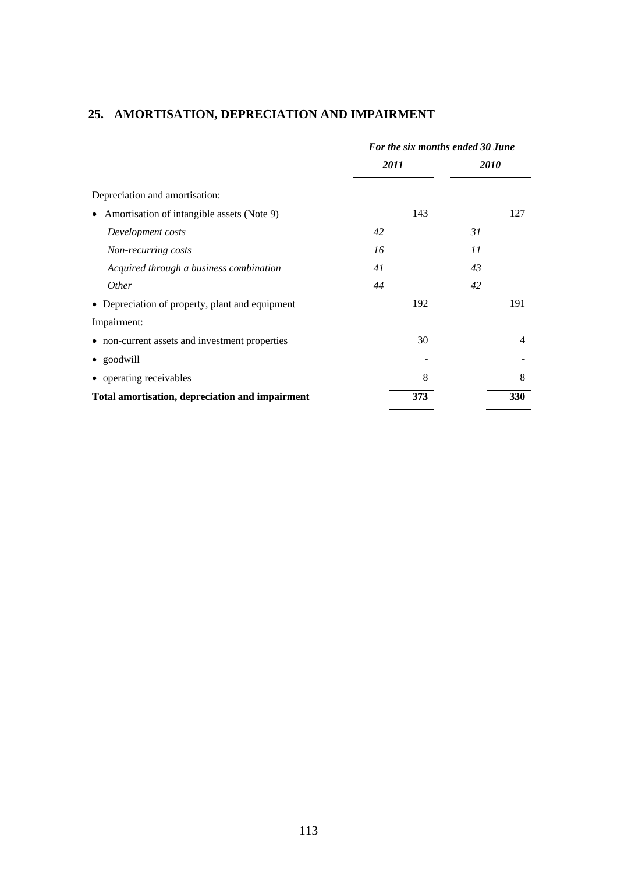|                                                         | For the six months ended 30 June |             |  |
|---------------------------------------------------------|----------------------------------|-------------|--|
|                                                         | 2011                             | <i>2010</i> |  |
| Depreciation and amortisation:                          |                                  |             |  |
| Amortisation of intangible assets (Note 9)<br>$\bullet$ | 143                              | 127         |  |
| Development costs                                       | 42                               | 31          |  |
| Non-recurring costs                                     | 16                               | 11          |  |
| Acquired through a business combination                 | 41                               | 43          |  |
| <i>Other</i>                                            | 44                               | 42          |  |
| • Depreciation of property, plant and equipment         | 192                              | 191         |  |
| Impairment:                                             |                                  |             |  |
| • non-current assets and investment properties          |                                  | 30<br>4     |  |
| • goodwill                                              |                                  |             |  |
| • operating receivables                                 |                                  | 8<br>8      |  |
| Total amortisation, depreciation and impairment         | 373                              | 330         |  |

## **25. AMORTISATION, DEPRECIATION AND IMPAIRMENT**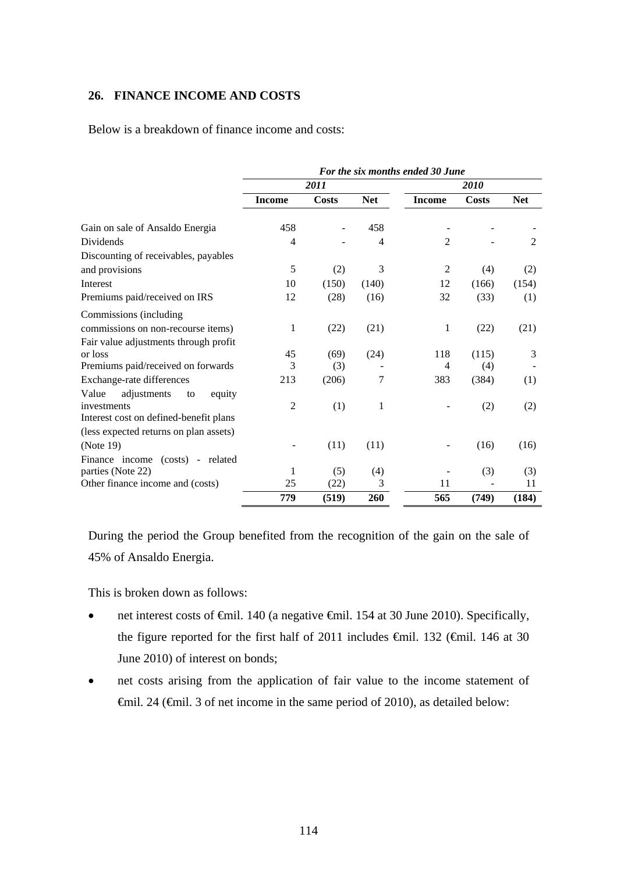#### **26. FINANCE INCOME AND COSTS**

Below is a breakdown of finance income and costs:

|                                        | For the six months ended 30 June |              |                |                |              |            |
|----------------------------------------|----------------------------------|--------------|----------------|----------------|--------------|------------|
|                                        |                                  | 2011         |                |                | 2010         |            |
|                                        | <b>Income</b>                    | <b>Costs</b> | <b>Net</b>     | <b>Income</b>  | <b>Costs</b> | <b>Net</b> |
| Gain on sale of Ansaldo Energia        | 458                              |              | 458            |                |              |            |
| <b>Dividends</b>                       | $\overline{4}$                   |              | $\overline{4}$ | $\overline{2}$ |              | 2          |
| Discounting of receivables, payables   |                                  |              |                |                |              |            |
| and provisions                         | 5                                | (2)          | 3              | $\overline{2}$ | (4)          | (2)        |
| Interest                               | 10                               | (150)        | (140)          | 12             | (166)        | (154)      |
| Premiums paid/received on IRS          | 12                               | (28)         | (16)           | 32             | (33)         | (1)        |
| Commissions (including                 |                                  |              |                |                |              |            |
| commissions on non-recourse items)     | $\mathbf{1}$                     | (22)         | (21)           | 1              | (22)         | (21)       |
| Fair value adjustments through profit  |                                  |              |                |                |              |            |
| or loss                                | 45                               | (69)         | (24)           | 118            | (115)        | 3          |
| Premiums paid/received on forwards     | 3                                | (3)          |                | $\overline{4}$ | (4)          |            |
| Exchange-rate differences              | 213                              | (206)        | 7              | 383            | (384)        | (1)        |
| adjustments<br>Value<br>equity<br>to   |                                  |              |                |                |              |            |
| investments                            | $\overline{2}$                   | (1)          | $\mathbf{1}$   |                | (2)          | (2)        |
| Interest cost on defined-benefit plans |                                  |              |                |                |              |            |
| (less expected returns on plan assets) |                                  |              |                |                |              |            |
| (Note 19)                              |                                  | (11)         | (11)           |                | (16)         | (16)       |
| Finance income (costs) - related       |                                  |              |                |                |              |            |
| parties (Note 22)                      | 1                                | (5)          | (4)            |                | (3)          | (3)        |
| Other finance income and (costs)       | 25                               | (22)         | 3              | 11             |              | 11         |
|                                        | 779                              | (519)        | 260            | 565            | (749)        | (184)      |

During the period the Group benefited from the recognition of the gain on the sale of 45% of Ansaldo Energia.

This is broken down as follows:

- net interest costs of <del>C</del>mil. 140 (a negative <del>C</del>mil. 154 at 30 June 2010). Specifically, the figure reported for the first half of 2011 includes  $\theta$ mil. 132 ( $\theta$ mil. 146 at 30 June 2010) of interest on bonds;
- net costs arising from the application of fair value to the income statement of €mil. 24 (€mil. 3 of net income in the same period of 2010), as detailed below: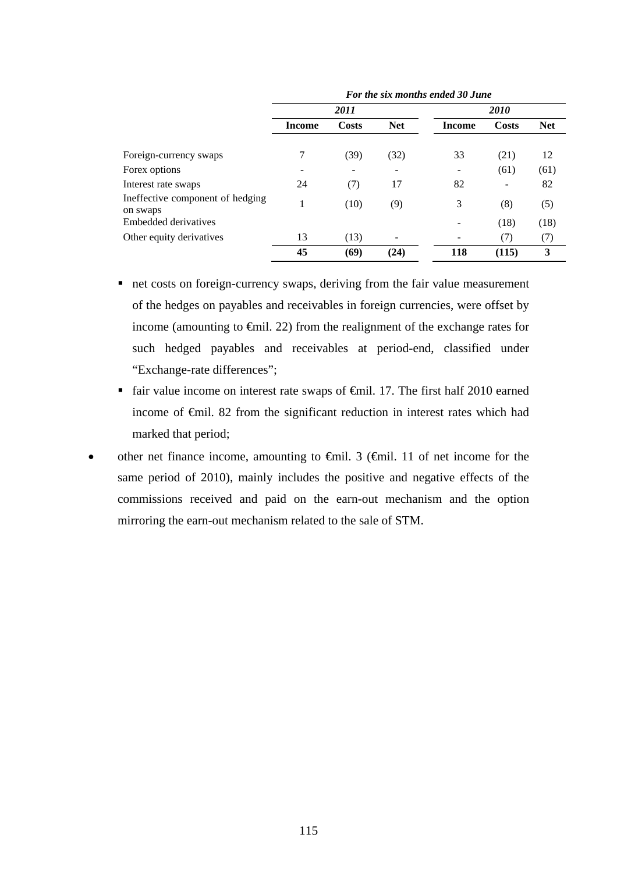|                                              | T'01 ine six monins enueu 50 June |       |            |               |              |            |
|----------------------------------------------|-----------------------------------|-------|------------|---------------|--------------|------------|
|                                              |                                   | 2011  |            |               | 2010         |            |
|                                              | <b>Income</b>                     | Costs | <b>Net</b> | <b>Income</b> | <b>Costs</b> | <b>Net</b> |
| Foreign-currency swaps                       | 7                                 | (39)  | (32)       | 33            | (21)         | 12         |
| Forex options                                | -                                 |       |            |               | (61)         | (61)       |
| Interest rate swaps                          | 24                                | (7)   | 17         | 82            |              | 82         |
| Ineffective component of hedging<br>on swaps |                                   | (10)  | (9)        | 3             | (8)          | (5)        |
| Embedded derivatives                         |                                   |       |            |               | (18)         | (18)       |
| Other equity derivatives                     | 13                                | (13)  |            |               | (7)          | (7)        |
|                                              | 45                                | (69)  | (24)       | 118           | (115)        | 3          |

*For the six months ended 30 June* 

- net costs on foreign-currency swaps, deriving from the fair value measurement of the hedges on payables and receivables in foreign currencies, were offset by income (amounting to €mil. 22) from the realignment of the exchange rates for such hedged payables and receivables at period-end, classified under "Exchange-rate differences";
- fair value income on interest rate swaps of €mil. 17. The first half 2010 earned income of €mil. 82 from the significant reduction in interest rates which had marked that period;
- other net finance income, amounting to €mil. 3 (€mil. 11 of net income for the same period of 2010), mainly includes the positive and negative effects of the commissions received and paid on the earn-out mechanism and the option mirroring the earn-out mechanism related to the sale of STM.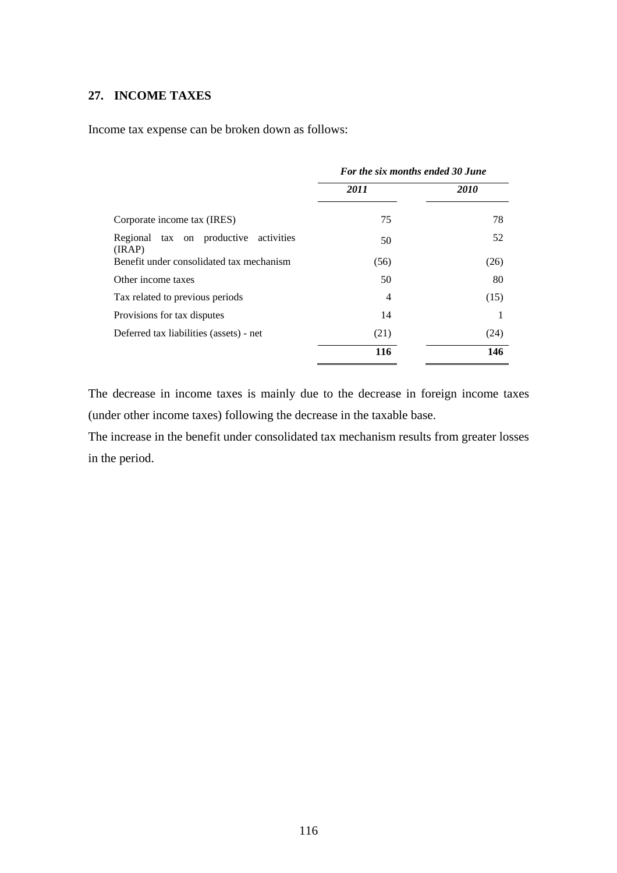### **27. INCOME TAXES**

Income tax expense can be broken down as follows:

|                                                 | For the six months ended 30 June |             |  |
|-------------------------------------------------|----------------------------------|-------------|--|
|                                                 | 2011                             | <b>2010</b> |  |
| Corporate income tax (IRES)                     | 75                               | 78          |  |
| Regional tax on productive activities<br>(IRAP) | 50                               | 52          |  |
| Benefit under consolidated tax mechanism        | (56)                             | (26)        |  |
| Other income taxes                              | 50                               | 80          |  |
| Tax related to previous periods                 | 4                                | (15)        |  |
| Provisions for tax disputes                     | 14                               |             |  |
| Deferred tax liabilities (assets) - net         | (21)                             | (24)        |  |
|                                                 | 116                              | 146         |  |
|                                                 |                                  |             |  |

The decrease in income taxes is mainly due to the decrease in foreign income taxes (under other income taxes) following the decrease in the taxable base.

The increase in the benefit under consolidated tax mechanism results from greater losses in the period.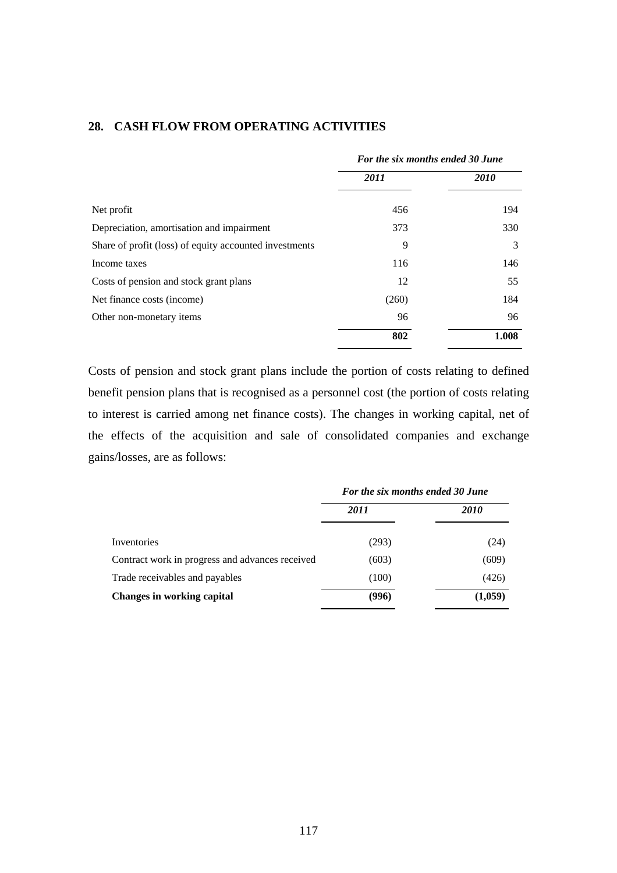|                                                        | For the six months ended 30 June |             |  |
|--------------------------------------------------------|----------------------------------|-------------|--|
|                                                        | 2011                             | <b>2010</b> |  |
| Net profit                                             | 456                              | 194         |  |
| Depreciation, amortisation and impairment              | 373                              | 330         |  |
| Share of profit (loss) of equity accounted investments | 9                                | 3           |  |
| Income taxes                                           | 116                              | 146         |  |
| Costs of pension and stock grant plans                 | 12                               | 55          |  |
| Net finance costs (income)                             | (260)                            | 184         |  |
| Other non-monetary items                               | 96                               | 96          |  |
|                                                        | 802                              | 1.008       |  |

#### **28. CASH FLOW FROM OPERATING ACTIVITIES**

Costs of pension and stock grant plans include the portion of costs relating to defined benefit pension plans that is recognised as a personnel cost (the portion of costs relating to interest is carried among net finance costs). The changes in working capital, net of the effects of the acquisition and sale of consolidated companies and exchange gains/losses, are as follows:

|                                                 | For the six months ended 30 June |             |  |
|-------------------------------------------------|----------------------------------|-------------|--|
|                                                 | 2011                             | <i>2010</i> |  |
| Inventories                                     | (293)                            | (24)        |  |
| Contract work in progress and advances received | (603)                            | (609)       |  |
| Trade receivables and payables                  | (100)                            | (426)       |  |
| <b>Changes in working capital</b>               | (996)                            | (1,059)     |  |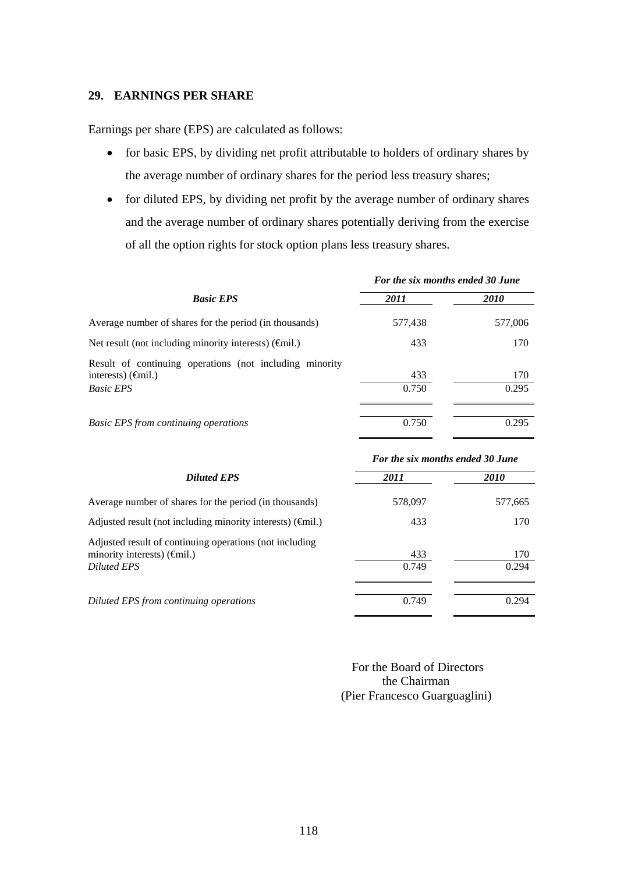#### **29. EARNINGS PER SHARE**

Earnings per share (EPS) are calculated as follows:

- for basic EPS, by dividing net profit attributable to holders of ordinary shares by the average number of ordinary shares for the period less treasury shares;
- for diluted EPS, by dividing net profit by the average number of ordinary shares and the average number of ordinary shares potentially deriving from the exercise of all the option rights for stock option plans less treasury shares.

|                                                                                                                             | For the six months ended 30 June |              |
|-----------------------------------------------------------------------------------------------------------------------------|----------------------------------|--------------|
| <b>Basic EPS</b>                                                                                                            | 2011                             | <i>2010</i>  |
| Average number of shares for the period (in thousands)                                                                      | 577,438                          | 577,006      |
| Net result (not including minority interests) $(\hat{\mathbf{q}}$ mil.)                                                     | 433                              | 170          |
| Result of continuing operations (not including minority<br>interests) $(\epsilon \hat{\mathbf{m}}$ il.)<br><b>Basic EPS</b> | 433<br>0.750                     | 170<br>0.295 |
| <b>Basic EPS from continuing operations</b>                                                                                 | 0.750                            | 0.295        |

|                                                                                                                      | For the six months ended 30 June |              |  |  |
|----------------------------------------------------------------------------------------------------------------------|----------------------------------|--------------|--|--|
| <b>Diluted EPS</b>                                                                                                   | 2011                             | <i>2010</i>  |  |  |
| Average number of shares for the period (in thousands)                                                               | 578,097                          | 577,665      |  |  |
| Adjusted result (not including minority interests) $(\widehat{\mathbf{q}}$ mil.)                                     | 433                              | 170          |  |  |
| Adjusted result of continuing operations (not including<br>minority interests) $(\oplus$ nil.)<br><b>Diluted EPS</b> | 433<br>0.749                     | 170<br>0.294 |  |  |
| Diluted EPS from continuing operations                                                                               | 0.749                            | 0.294        |  |  |

 For the Board of Directors the Chairman (Pier Francesco Guarguaglini)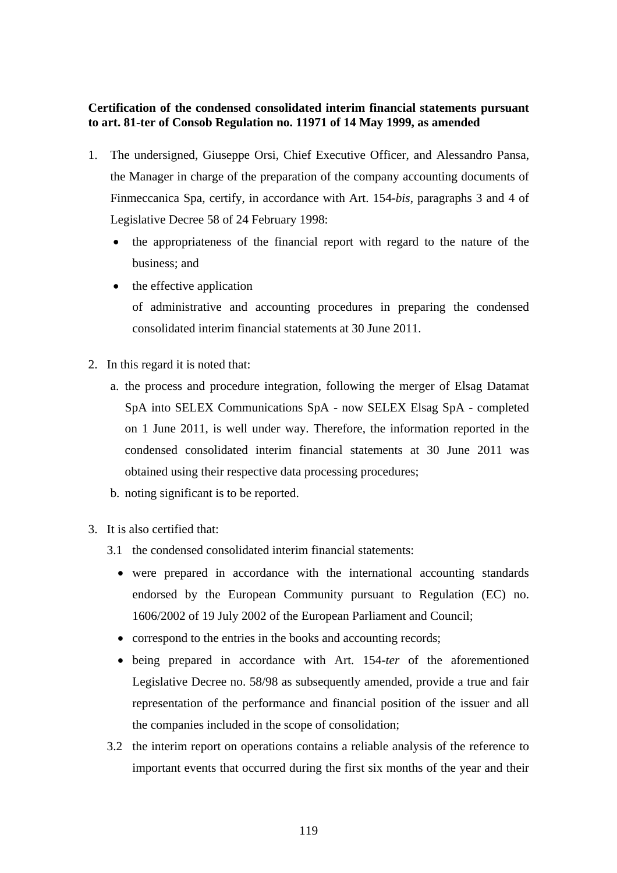### **Certification of the condensed consolidated interim financial statements pursuant to art. 81-ter of Consob Regulation no. 11971 of 14 May 1999, as amended**

- 1. The undersigned, Giuseppe Orsi, Chief Executive Officer, and Alessandro Pansa, the Manager in charge of the preparation of the company accounting documents of Finmeccanica Spa, certify, in accordance with Art. 154-*bis*, paragraphs 3 and 4 of Legislative Decree 58 of 24 February 1998:
	- the appropriateness of the financial report with regard to the nature of the business; and
	- $\bullet$  the effective application of administrative and accounting procedures in preparing the condensed consolidated interim financial statements at 30 June 2011.
- 2. In this regard it is noted that:
	- a. the process and procedure integration, following the merger of Elsag Datamat SpA into SELEX Communications SpA - now SELEX Elsag SpA - completed on 1 June 2011, is well under way. Therefore, the information reported in the condensed consolidated interim financial statements at 30 June 2011 was obtained using their respective data processing procedures;
	- b. noting significant is to be reported.
- 3. It is also certified that:
	- 3.1 the condensed consolidated interim financial statements:
		- were prepared in accordance with the international accounting standards endorsed by the European Community pursuant to Regulation (EC) no. 1606/2002 of 19 July 2002 of the European Parliament and Council;
		- correspond to the entries in the books and accounting records;
		- being prepared in accordance with Art. 154-*ter* of the aforementioned Legislative Decree no. 58/98 as subsequently amended, provide a true and fair representation of the performance and financial position of the issuer and all the companies included in the scope of consolidation;
	- 3.2 the interim report on operations contains a reliable analysis of the reference to important events that occurred during the first six months of the year and their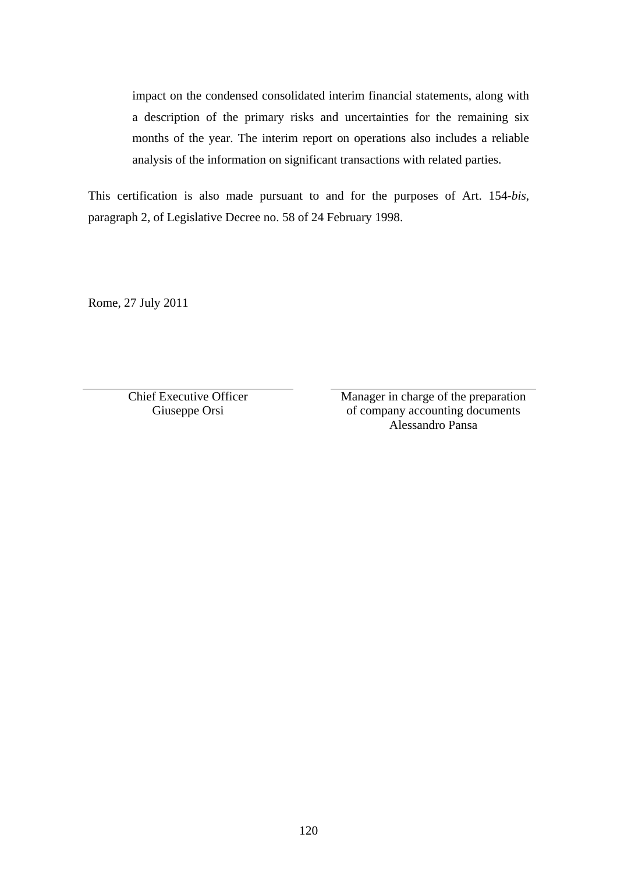impact on the condensed consolidated interim financial statements, along with a description of the primary risks and uncertainties for the remaining six months of the year. The interim report on operations also includes a reliable analysis of the information on significant transactions with related parties.

This certification is also made pursuant to and for the purposes of Art. 154-*bis*, paragraph 2, of Legislative Decree no. 58 of 24 February 1998.

Rome, 27 July 2011

Chief Executive Officer Giuseppe Orsi

 Manager in charge of the preparation of company accounting documents Alessandro Pansa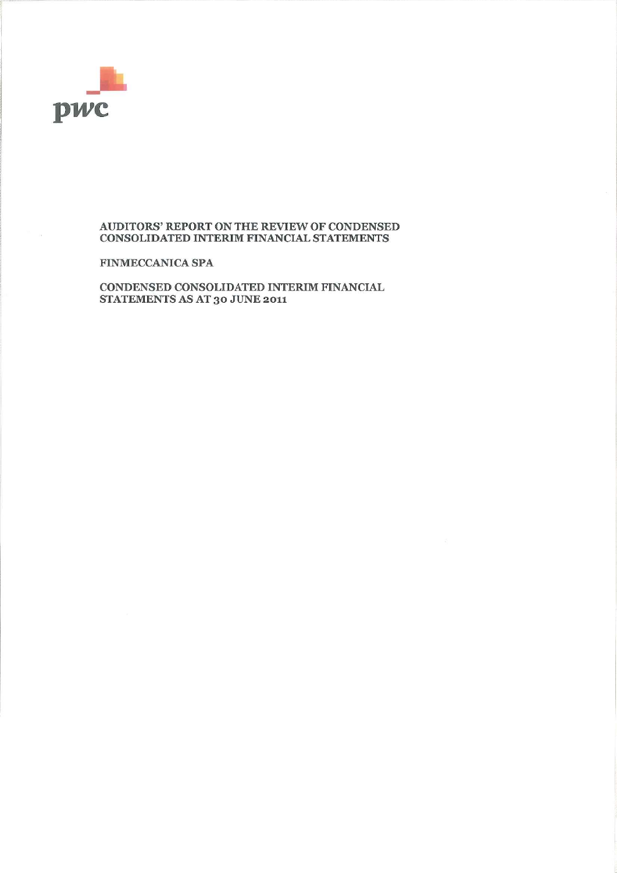

#### AUDITORS' REPORT ON THE REVIEW OF CONDENSED CONSOLIDATED INTERIM FINANCIAL STATEMENTS

**FINMECCANICA SPA** 

CONDENSED CONSOLIDATED INTERIM FINANCIAL STATEMENTS AS AT 30 JUNE 2011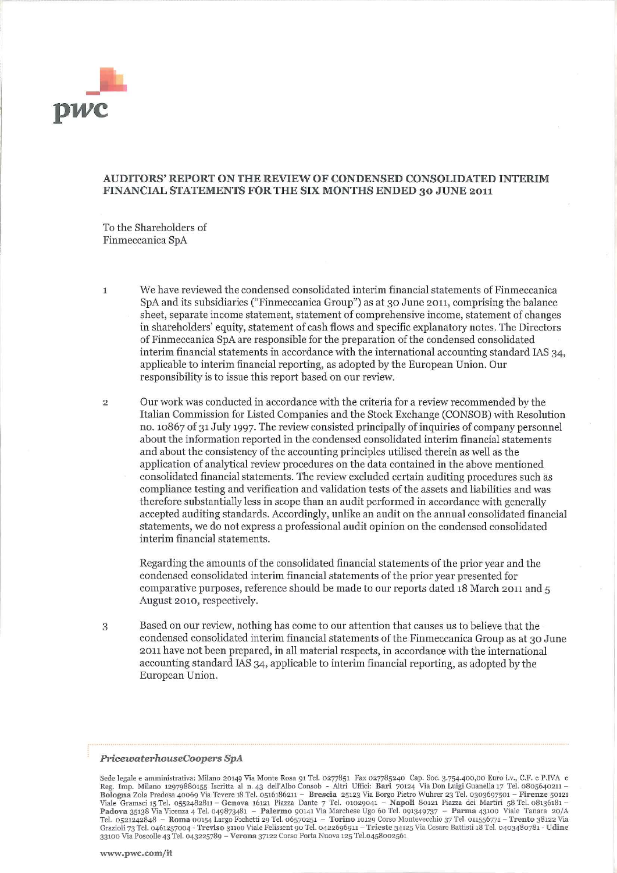

#### AUDITORS' REPORT ON THE REVIEW OF CONDENSED CONSOLIDATED INTERIM FINANCIAL STATEMENTS FOR THE SIX MONTHS ENDED 30 JUNE 2011

To the Shareholders of Finmeccanica SpA

We have reviewed the condensed consolidated interim financial statements of Finmeccanica  $\mathbf{1}$ SpA and its subsidiaries ("Finmeccanica Group") as at 30 June 2011, comprising the balance sheet, separate income statement, statement of comprehensive income, statement of changes in shareholders' equity, statement of cash flows and specific explanatory notes. The Directors of Finmeccanica SpA are responsible for the preparation of the condensed consolidated interim financial statements in accordance with the international accounting standard IAS 34, applicable to interim financial reporting, as adopted by the European Union. Our responsibility is to issue this report based on our review.

Our work was conducted in accordance with the criteria for a review recommended by the  $\overline{2}$ Italian Commission for Listed Companies and the Stock Exchange (CONSOB) with Resolution no. 10867 of 31 July 1997. The review consisted principally of inquiries of company personnel about the information reported in the condensed consolidated interim financial statements and about the consistency of the accounting principles utilised therein as well as the application of analytical review procedures on the data contained in the above mentioned consolidated financial statements. The review excluded certain auditing procedures such as compliance testing and verification and validation tests of the assets and liabilities and was therefore substantially less in scope than an audit performed in accordance with generally accepted auditing standards. Accordingly, unlike an audit on the annual consolidated financial statements, we do not express a professional audit opinion on the condensed consolidated interim financial statements.

Regarding the amounts of the consolidated financial statements of the prior year and the condensed consolidated interim financial statements of the prior year presented for comparative purposes, reference should be made to our reports dated 18 March 2011 and 5 August 2010, respectively.

Based on our review, nothing has come to our attention that causes us to believe that the 3 condensed consolidated interim financial statements of the Finmeccanica Group as at 30 June 2011 have not been prepared, in all material respects, in accordance with the international accounting standard IAS 34, applicable to interim financial reporting, as adopted by the European Union.

#### PricewaterhouseCoopers SpA

Sede legale e amministrativa: Milano 20149 Via Monte Rosa 91 Tel. 0277851 Fax 027785240 Cap. Soc. 3.754.400,00 Euro i.v., C.F. e P.IVA e Reg. Imp. Milano 12979880155 Iscritta al n. 43 dell'Albo Consob - Altri Uffici: Bari boogna zoa Preussa 40009 via levere lo tel. 0521 Piazza Dante 7 Tel. 01029041 – Napoli 80121 Piazza dei Martini 58 Tel. 0536181 – Padova 35138 Via Dicenza 4 Tel. 049873481 – Cenova 16121 Piazza Dante 7 Tel. 01029041 – Napo